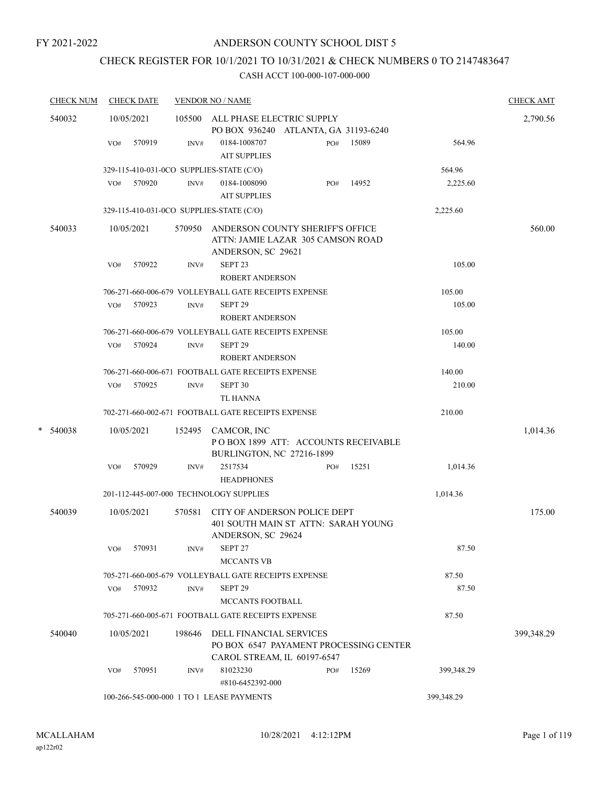# CHECK REGISTER FOR 10/1/2021 TO 10/31/2021 & CHECK NUMBERS 0 TO 2147483647

|   | <b>CHECK NUM</b> |     | <b>CHECK DATE</b> |        | <b>VENDOR NO / NAME</b>                                                      |     |       |            | <b>CHECK AMT</b> |
|---|------------------|-----|-------------------|--------|------------------------------------------------------------------------------|-----|-------|------------|------------------|
|   | 540032           |     | 10/05/2021        |        | 105500 ALL PHASE ELECTRIC SUPPLY                                             |     |       |            | 2,790.56         |
|   |                  |     | 570919            |        | PO BOX 936240 ATLANTA, GA 31193-6240<br>0184-1008707                         |     | 15089 | 564.96     |                  |
|   |                  | VO# |                   | INV#   | <b>AIT SUPPLIES</b>                                                          | PO# |       |            |                  |
|   |                  |     |                   |        |                                                                              |     |       | 564.96     |                  |
|   |                  | VO# | 570920            | INV#   | 329-115-410-031-0CO SUPPLIES-STATE (C/O)<br>0184-1008090                     | PO# | 14952 | 2,225.60   |                  |
|   |                  |     |                   |        | <b>AIT SUPPLIES</b>                                                          |     |       |            |                  |
|   |                  |     |                   |        | 329-115-410-031-0CO SUPPLIES-STATE (C/O)                                     |     |       | 2,225.60   |                  |
|   |                  |     |                   |        |                                                                              |     |       |            |                  |
|   | 540033           |     | 10/05/2021        |        | 570950 ANDERSON COUNTY SHERIFF'S OFFICE<br>ATTN: JAMIE LAZAR 305 CAMSON ROAD |     |       |            | 560.00           |
|   |                  |     |                   |        | ANDERSON, SC 29621                                                           |     |       |            |                  |
|   |                  | VO# | 570922            | INV#   | SEPT <sub>23</sub><br><b>ROBERT ANDERSON</b>                                 |     |       | 105.00     |                  |
|   |                  |     |                   |        | 706-271-660-006-679 VOLLEYBALL GATE RECEIPTS EXPENSE                         |     |       | 105.00     |                  |
|   |                  | VO# | 570923            | INV#   | SEPT <sub>29</sub>                                                           |     |       | 105.00     |                  |
|   |                  |     |                   |        | <b>ROBERT ANDERSON</b>                                                       |     |       |            |                  |
|   |                  |     |                   |        | 706-271-660-006-679 VOLLEYBALL GATE RECEIPTS EXPENSE                         |     |       | 105.00     |                  |
|   |                  | VO# | 570924            | INV#   | SEPT <sub>29</sub>                                                           |     |       | 140.00     |                  |
|   |                  |     |                   |        | <b>ROBERT ANDERSON</b>                                                       |     |       |            |                  |
|   |                  |     |                   |        | 706-271-660-006-671 FOOTBALL GATE RECEIPTS EXPENSE                           |     |       | 140.00     |                  |
|   |                  | VO# | 570925            | INV#   | SEPT <sub>30</sub>                                                           |     |       | 210.00     |                  |
|   |                  |     |                   |        | TL HANNA                                                                     |     |       |            |                  |
|   |                  |     |                   |        | 702-271-660-002-671 FOOTBALL GATE RECEIPTS EXPENSE                           |     |       | 210.00     |                  |
| * | 540038           |     | 10/05/2021        |        | 152495 CAMCOR, INC                                                           |     |       |            | 1,014.36         |
|   |                  |     |                   |        | POBOX 1899 ATT: ACCOUNTS RECEIVABLE<br>BURLINGTON, NC 27216-1899             |     |       |            |                  |
|   |                  | VO# | 570929            | INV#   | 2517534                                                                      | PO# | 15251 | 1,014.36   |                  |
|   |                  |     |                   |        | <b>HEADPHONES</b>                                                            |     |       |            |                  |
|   |                  |     |                   |        | 201-112-445-007-000 TECHNOLOGY SUPPLIES                                      |     |       | 1,014.36   |                  |
|   | 540039           |     | 10/05/2021        | 570581 | CITY OF ANDERSON POLICE DEPT                                                 |     |       |            | 175.00           |
|   |                  |     |                   |        | 401 SOUTH MAIN ST ATTN: SARAH YOUNG<br>ANDERSON, SC 29624                    |     |       |            |                  |
|   |                  | VO# | 570931            | INV#   | SEPT <sub>27</sub><br><b>MCCANTS VB</b>                                      |     |       | 87.50      |                  |
|   |                  |     |                   |        | 705-271-660-005-679 VOLLEYBALL GATE RECEIPTS EXPENSE                         |     |       | 87.50      |                  |
|   |                  | VO# | 570932            | INV#   | SEPT <sub>29</sub>                                                           |     |       | 87.50      |                  |
|   |                  |     |                   |        | <b>MCCANTS FOOTBALL</b>                                                      |     |       |            |                  |
|   |                  |     |                   |        | 705-271-660-005-671 FOOTBALL GATE RECEIPTS EXPENSE                           |     |       | 87.50      |                  |
|   | 540040           |     | 10/05/2021        | 198646 | DELL FINANCIAL SERVICES<br>PO BOX 6547 PAYAMENT PROCESSING CENTER            |     |       |            | 399,348.29       |
|   |                  | VO# | 570951            | INV#   | CAROL STREAM, IL 60197-6547<br>81023230                                      | PO# | 15269 | 399,348.29 |                  |
|   |                  |     |                   |        | #810-6452392-000                                                             |     |       |            |                  |
|   |                  |     |                   |        | 100-266-545-000-000 1 TO 1 LEASE PAYMENTS                                    |     |       | 399,348.29 |                  |
|   |                  |     |                   |        |                                                                              |     |       |            |                  |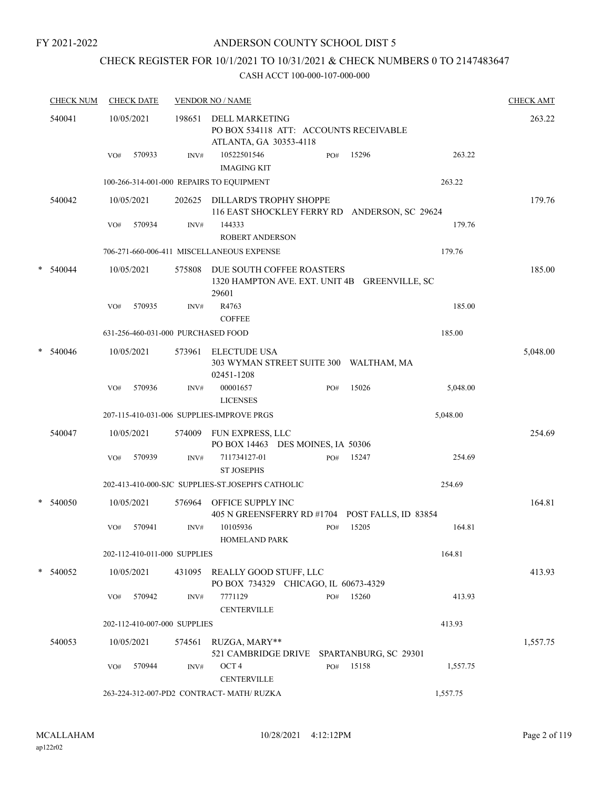### ANDERSON COUNTY SCHOOL DIST 5

# CHECK REGISTER FOR 10/1/2021 TO 10/31/2021 & CHECK NUMBERS 0 TO 2147483647

|   | <b>CHECK NUM</b> |     | <b>CHECK DATE</b> |                              | <b>VENDOR NO / NAME</b>                                                                   |     |                       |          | <b>CHECK AMT</b> |
|---|------------------|-----|-------------------|------------------------------|-------------------------------------------------------------------------------------------|-----|-----------------------|----------|------------------|
|   | 540041           |     | 10/05/2021        | 198651                       | <b>DELL MARKETING</b><br>PO BOX 534118 ATT: ACCOUNTS RECEIVABLE<br>ATLANTA, GA 30353-4118 |     |                       |          | 263.22           |
|   |                  | VO# | 570933            | INV#                         | 10522501546<br><b>IMAGING KIT</b>                                                         | PO# | 15296                 | 263.22   |                  |
|   |                  |     |                   |                              | 100-266-314-001-000 REPAIRS TO EQUIPMENT                                                  |     |                       | 263.22   |                  |
|   | 540042           |     | 10/05/2021        |                              | 202625 DILLARD'S TROPHY SHOPPE<br>116 EAST SHOCKLEY FERRY RD ANDERSON, SC 29624           |     |                       |          | 179.76           |
|   |                  | VO# | 570934            | INV#                         | 144333<br>ROBERT ANDERSON                                                                 |     |                       | 179.76   |                  |
|   |                  |     |                   |                              | 706-271-660-006-411 MISCELLANEOUS EXPENSE                                                 |     |                       | 179.76   |                  |
| * | 540044           |     | 10/05/2021        | 575808                       | DUE SOUTH COFFEE ROASTERS<br>1320 HAMPTON AVE. EXT. UNIT 4B<br>29601                      |     | <b>GREENVILLE, SC</b> |          | 185.00           |
|   |                  | VO# | 570935            | INV#                         | R4763<br><b>COFFEE</b>                                                                    |     |                       | 185.00   |                  |
|   |                  |     |                   |                              | 631-256-460-031-000 PURCHASED FOOD                                                        |     |                       | 185.00   |                  |
| * | 540046           |     | 10/05/2021        | 573961                       | <b>ELECTUDE USA</b><br>303 WYMAN STREET SUITE 300 WALTHAM, MA<br>02451-1208               |     |                       |          | 5,048.00         |
|   |                  | VO# | 570936            | INV#                         | 00001657<br><b>LICENSES</b>                                                               | PO# | 15026                 | 5,048.00 |                  |
|   |                  |     |                   |                              | 207-115-410-031-006 SUPPLIES-IMPROVE PRGS                                                 |     |                       | 5,048.00 |                  |
|   | 540047           |     | 10/05/2021        | 574009                       | FUN EXPRESS, LLC<br>PO BOX 14463 DES MOINES, IA 50306                                     |     |                       |          | 254.69           |
|   |                  | VO# | 570939            | INV#                         | 711734127-01<br><b>ST JOSEPHS</b>                                                         | PO# | 15247                 | 254.69   |                  |
|   |                  |     |                   |                              | 202-413-410-000-SJC SUPPLIES-ST.JOSEPH'S CATHOLIC                                         |     |                       | 254.69   |                  |
| * | 540050           |     | 10/05/2021        | 576964                       | OFFICE SUPPLY INC<br>405 N GREENSFERRY RD #1704 POST FALLS, ID 83854                      |     |                       |          | 164.81           |
|   |                  | VO# | 570941            | INV#                         | 10105936<br><b>HOMELAND PARK</b>                                                          | PO# | 15205                 | 164.81   |                  |
|   |                  |     |                   | 202-112-410-011-000 SUPPLIES |                                                                                           |     |                       | 164.81   |                  |
|   | $*$ 540052       |     | 10/05/2021        |                              | 431095 REALLY GOOD STUFF, LLC<br>PO BOX 734329 CHICAGO, IL 60673-4329                     |     |                       |          | 413.93           |
|   |                  | VO# | 570942            | INV#                         | 7771129<br><b>CENTERVILLE</b>                                                             | PO# | 15260                 | 413.93   |                  |
|   |                  |     |                   | 202-112-410-007-000 SUPPLIES |                                                                                           |     |                       | 413.93   |                  |
|   | 540053           |     | 10/05/2021        | 574561                       | RUZGA, MARY**<br>521 CAMBRIDGE DRIVE SPARTANBURG, SC 29301                                |     |                       |          | 1,557.75         |
|   |                  | VO# | 570944            | INV#                         | OCT <sub>4</sub><br><b>CENTERVILLE</b>                                                    | PO# | 15158                 | 1,557.75 |                  |
|   |                  |     |                   |                              | 263-224-312-007-PD2 CONTRACT- MATH/ RUZKA                                                 |     |                       | 1,557.75 |                  |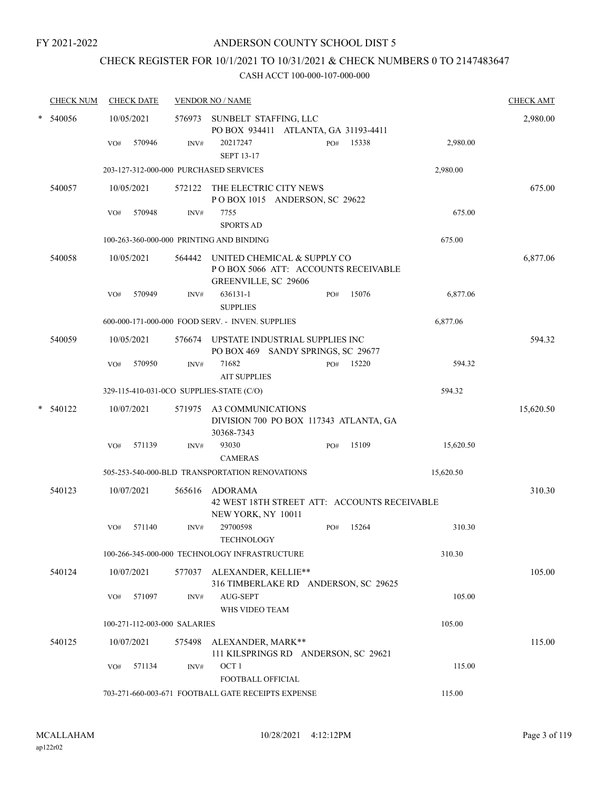# CHECK REGISTER FOR 10/1/2021 TO 10/31/2021 & CHECK NUMBERS 0 TO 2147483647

| <b>CHECK NUM</b> |     | <b>CHECK DATE</b>            |        | <b>VENDOR NO / NAME</b>                                                                     |              |           | <b>CHECK AMT</b> |
|------------------|-----|------------------------------|--------|---------------------------------------------------------------------------------------------|--------------|-----------|------------------|
| 540056           |     | 10/05/2021                   |        | 576973 SUNBELT STAFFING, LLC<br>PO BOX 934411 ATLANTA, GA 31193-4411                        |              |           | 2,980.00         |
|                  | VO# | 570946                       | INV#   | 20217247<br><b>SEPT 13-17</b>                                                               | 15338<br>PO# | 2,980.00  |                  |
|                  |     |                              |        | 203-127-312-000-000 PURCHASED SERVICES                                                      |              | 2,980.00  |                  |
| 540057           |     | 10/05/2021                   |        | 572122 THE ELECTRIC CITY NEWS<br>POBOX 1015 ANDERSON, SC 29622                              |              |           | 675.00           |
|                  | VO# | 570948                       | INV#   | 7755<br><b>SPORTS AD</b>                                                                    |              | 675.00    |                  |
|                  |     |                              |        | 100-263-360-000-000 PRINTING AND BINDING                                                    |              | 675.00    |                  |
| 540058           |     | 10/05/2021                   | 564442 | UNITED CHEMICAL & SUPPLY CO<br>PO BOX 5066 ATT: ACCOUNTS RECEIVABLE<br>GREENVILLE, SC 29606 |              |           | 6,877.06         |
|                  | VO# | 570949                       | INV#   | 636131-1<br><b>SUPPLIES</b>                                                                 | 15076<br>PO# | 6,877.06  |                  |
|                  |     |                              |        | 600-000-171-000-000 FOOD SERV. - INVEN. SUPPLIES                                            |              | 6,877.06  |                  |
| 540059           |     | 10/05/2021                   |        | 576674 UPSTATE INDUSTRIAL SUPPLIES INC<br>PO BOX 469 SANDY SPRINGS, SC 29677                |              |           | 594.32           |
|                  | VO# | 570950                       | INV#   | 71682<br><b>AIT SUPPLIES</b>                                                                | 15220<br>PO# | 594.32    |                  |
|                  |     |                              |        | 329-115-410-031-0CO SUPPLIES-STATE (C/O)                                                    |              | 594.32    |                  |
| 540122           |     | 10/07/2021                   | 571975 | A3 COMMUNICATIONS<br>DIVISION 700 PO BOX 117343 ATLANTA, GA<br>30368-7343                   |              |           | 15,620.50        |
|                  | VO# | 571139                       | INV#   | 93030<br><b>CAMERAS</b>                                                                     | 15109<br>PO# | 15,620.50 |                  |
|                  |     |                              |        | 505-253-540-000-BLD TRANSPORTATION RENOVATIONS                                              |              | 15,620.50 |                  |
| 540123           |     | 10/07/2021                   | 565616 | ADORAMA<br>42 WEST 18TH STREET ATT: ACCOUNTS RECEIVABLE<br>NEW YORK, NY 10011               |              |           | 310.30           |
|                  | VO# | 571140                       | INV#   | 29700598<br><b>TECHNOLOGY</b>                                                               | 15264<br>PO# | 310.30    |                  |
|                  |     |                              |        | 100-266-345-000-000 TECHNOLOGY INFRASTRUCTURE                                               |              | 310.30    |                  |
| 540124           |     | 10/07/2021                   |        | 577037 ALEXANDER, KELLIE**<br>316 TIMBERLAKE RD ANDERSON, SC 29625                          |              |           | 105.00           |
|                  | VO# | 571097                       | INV#   | AUG-SEPT<br>WHS VIDEO TEAM                                                                  |              | 105.00    |                  |
|                  |     | 100-271-112-003-000 SALARIES |        |                                                                                             |              | 105.00    |                  |
| 540125           |     | 10/07/2021                   | 575498 | ALEXANDER, MARK**<br>111 KILSPRINGS RD ANDERSON, SC 29621                                   |              |           | 115.00           |
|                  | VO# | 571134                       | INV#   | OCT <sub>1</sub><br>FOOTBALL OFFICIAL                                                       |              | 115.00    |                  |
|                  |     |                              |        | 703-271-660-003-671 FOOTBALL GATE RECEIPTS EXPENSE                                          |              | 115.00    |                  |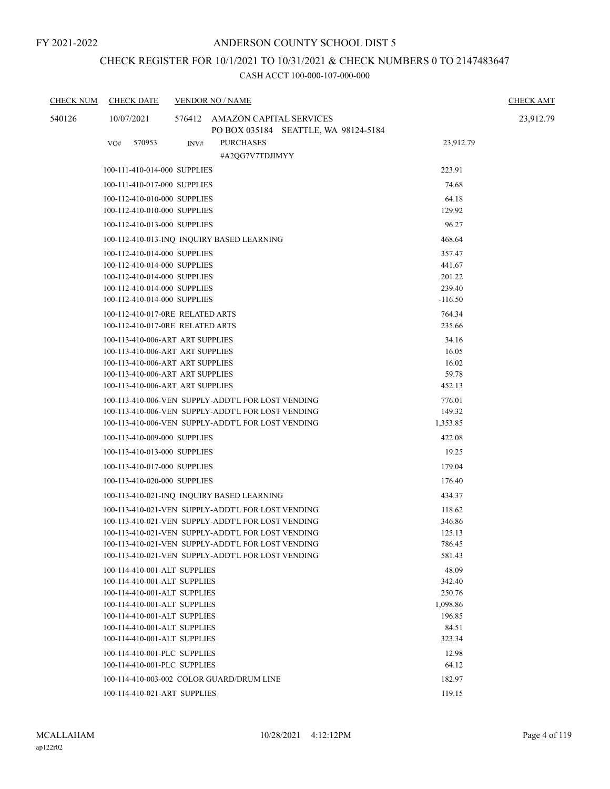# CHECK REGISTER FOR 10/1/2021 TO 10/31/2021 & CHECK NUMBERS 0 TO 2147483647

| <b>CHECK NUM</b> | <b>CHECK DATE</b>                |      | <b>VENDOR NO / NAME</b>                                                                                  |                  | <b>CHECK AMT</b> |
|------------------|----------------------------------|------|----------------------------------------------------------------------------------------------------------|------------------|------------------|
| 540126           | 10/07/2021                       |      | 576412 AMAZON CAPITAL SERVICES                                                                           |                  | 23,912.79        |
|                  |                                  |      | PO BOX 035184 SEATTLE, WA 98124-5184                                                                     |                  |                  |
|                  | 570953<br>VO#                    | INV# | <b>PURCHASES</b>                                                                                         | 23,912.79        |                  |
|                  |                                  |      | #A2OG7V7TDJIMYY                                                                                          |                  |                  |
|                  | 100-111-410-014-000 SUPPLIES     |      |                                                                                                          | 223.91           |                  |
|                  | 100-111-410-017-000 SUPPLIES     |      |                                                                                                          | 74.68            |                  |
|                  | 100-112-410-010-000 SUPPLIES     |      |                                                                                                          | 64.18            |                  |
|                  | 100-112-410-010-000 SUPPLIES     |      |                                                                                                          | 129.92           |                  |
|                  | 100-112-410-013-000 SUPPLIES     |      |                                                                                                          | 96.27            |                  |
|                  |                                  |      | 100-112-410-013-INQ INQUIRY BASED LEARNING                                                               | 468.64           |                  |
|                  | 100-112-410-014-000 SUPPLIES     |      |                                                                                                          | 357.47           |                  |
|                  | 100-112-410-014-000 SUPPLIES     |      |                                                                                                          | 441.67           |                  |
|                  | 100-112-410-014-000 SUPPLIES     |      |                                                                                                          | 201.22           |                  |
|                  | 100-112-410-014-000 SUPPLIES     |      |                                                                                                          | 239.40           |                  |
|                  | 100-112-410-014-000 SUPPLIES     |      |                                                                                                          | $-116.50$        |                  |
|                  | 100-112-410-017-0RE RELATED ARTS |      |                                                                                                          | 764.34           |                  |
|                  | 100-112-410-017-0RE RELATED ARTS |      |                                                                                                          | 235.66           |                  |
|                  | 100-113-410-006-ART ART SUPPLIES |      |                                                                                                          | 34.16            |                  |
|                  | 100-113-410-006-ART ART SUPPLIES |      |                                                                                                          | 16.05            |                  |
|                  | 100-113-410-006-ART ART SUPPLIES |      |                                                                                                          | 16.02            |                  |
|                  | 100-113-410-006-ART ART SUPPLIES |      |                                                                                                          | 59.78            |                  |
|                  | 100-113-410-006-ART ART SUPPLIES |      |                                                                                                          | 452.13           |                  |
|                  |                                  |      | 100-113-410-006-VEN SUPPLY-ADDT'L FOR LOST VENDING                                                       | 776.01           |                  |
|                  |                                  |      | 100-113-410-006-VEN SUPPLY-ADDT'L FOR LOST VENDING                                                       | 149.32           |                  |
|                  |                                  |      | 100-113-410-006-VEN SUPPLY-ADDT'L FOR LOST VENDING                                                       | 1,353.85         |                  |
|                  | 100-113-410-009-000 SUPPLIES     |      |                                                                                                          | 422.08           |                  |
|                  | 100-113-410-013-000 SUPPLIES     |      |                                                                                                          | 19.25            |                  |
|                  | 100-113-410-017-000 SUPPLIES     |      |                                                                                                          | 179.04           |                  |
|                  | 100-113-410-020-000 SUPPLIES     |      |                                                                                                          | 176.40           |                  |
|                  |                                  |      | 100-113-410-021-INO INOUIRY BASED LEARNING                                                               | 434.37           |                  |
|                  |                                  |      |                                                                                                          |                  |                  |
|                  |                                  |      | 100-113-410-021-VEN SUPPLY-ADDT'L FOR LOST VENDING                                                       | 118.62           |                  |
|                  |                                  |      | 100-113-410-021-VEN SUPPLY-ADDT'L FOR LOST VENDING<br>100-113-410-021-VEN SUPPLY-ADDT'L FOR LOST VENDING | 346.86<br>125.13 |                  |
|                  |                                  |      | 100-113-410-021-VEN SUPPLY-ADDT'L FOR LOST VENDING                                                       | 786.45           |                  |
|                  |                                  |      | 100-113-410-021-VEN SUPPLY-ADDT'L FOR LOST VENDING                                                       | 581.43           |                  |
|                  | 100-114-410-001-ALT SUPPLIES     |      |                                                                                                          | 48.09            |                  |
|                  | 100-114-410-001-ALT SUPPLIES     |      |                                                                                                          | 342.40           |                  |
|                  | 100-114-410-001-ALT SUPPLIES     |      |                                                                                                          | 250.76           |                  |
|                  | 100-114-410-001-ALT SUPPLIES     |      |                                                                                                          | 1,098.86         |                  |
|                  | 100-114-410-001-ALT SUPPLIES     |      |                                                                                                          | 196.85           |                  |
|                  | 100-114-410-001-ALT SUPPLIES     |      |                                                                                                          | 84.51            |                  |
|                  | 100-114-410-001-ALT SUPPLIES     |      |                                                                                                          | 323.34           |                  |
|                  | 100-114-410-001-PLC SUPPLIES     |      |                                                                                                          | 12.98            |                  |
|                  | 100-114-410-001-PLC SUPPLIES     |      |                                                                                                          | 64.12            |                  |
|                  |                                  |      | 100-114-410-003-002 COLOR GUARD/DRUM LINE                                                                | 182.97           |                  |
|                  |                                  |      |                                                                                                          |                  |                  |
|                  | 100-114-410-021-ART SUPPLIES     |      |                                                                                                          | 119.15           |                  |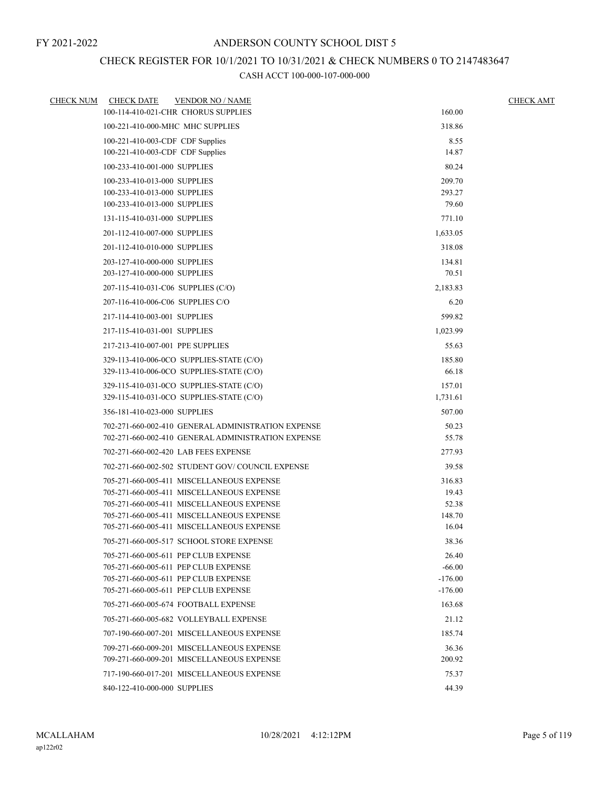## CHECK REGISTER FOR 10/1/2021 TO 10/31/2021 & CHECK NUMBERS 0 TO 2147483647

| <b>CHECK NUM</b> | <b>CHECK DATE</b>                  | <b>VENDOR NO / NAME</b>                                                                |                | <b>CHECK AMT</b> |
|------------------|------------------------------------|----------------------------------------------------------------------------------------|----------------|------------------|
|                  |                                    | 100-114-410-021-CHR CHORUS SUPPLIES                                                    | 160.00         |                  |
|                  | 100-221-410-000-MHC MHC SUPPLIES   |                                                                                        | 318.86         |                  |
|                  | 100-221-410-003-CDF CDF Supplies   |                                                                                        | 8.55           |                  |
|                  | 100-221-410-003-CDF CDF Supplies   |                                                                                        | 14.87          |                  |
|                  | 100-233-410-001-000 SUPPLIES       |                                                                                        | 80.24          |                  |
|                  | 100-233-410-013-000 SUPPLIES       |                                                                                        | 209.70         |                  |
|                  | 100-233-410-013-000 SUPPLIES       |                                                                                        | 293.27         |                  |
|                  | 100-233-410-013-000 SUPPLIES       |                                                                                        | 79.60          |                  |
|                  | 131-115-410-031-000 SUPPLIES       |                                                                                        | 771.10         |                  |
|                  | 201-112-410-007-000 SUPPLIES       |                                                                                        | 1,633.05       |                  |
|                  | 201-112-410-010-000 SUPPLIES       |                                                                                        | 318.08         |                  |
|                  | 203-127-410-000-000 SUPPLIES       |                                                                                        | 134.81         |                  |
|                  | 203-127-410-000-000 SUPPLIES       |                                                                                        | 70.51          |                  |
|                  | 207-115-410-031-C06 SUPPLIES (C/O) |                                                                                        | 2,183.83       |                  |
|                  | 207-116-410-006-C06 SUPPLIES C/O   |                                                                                        | 6.20           |                  |
|                  | 217-114-410-003-001 SUPPLIES       |                                                                                        | 599.82         |                  |
|                  | 217-115-410-031-001 SUPPLIES       |                                                                                        | 1,023.99       |                  |
|                  | 217-213-410-007-001 PPE SUPPLIES   |                                                                                        | 55.63          |                  |
|                  |                                    | 329-113-410-006-0CO SUPPLIES-STATE (C/O)                                               | 185.80         |                  |
|                  |                                    | 329-113-410-006-0CO SUPPLIES-STATE (C/O)                                               | 66.18          |                  |
|                  |                                    | 329-115-410-031-0CO SUPPLIES-STATE (C/O)                                               | 157.01         |                  |
|                  |                                    | 329-115-410-031-0CO SUPPLIES-STATE (C/O)                                               | 1,731.61       |                  |
|                  | 356-181-410-023-000 SUPPLIES       |                                                                                        | 507.00         |                  |
|                  |                                    | 702-271-660-002-410 GENERAL ADMINISTRATION EXPENSE                                     | 50.23          |                  |
|                  |                                    | 702-271-660-002-410 GENERAL ADMINISTRATION EXPENSE                                     | 55.78          |                  |
|                  |                                    | 702-271-660-002-420 LAB FEES EXPENSE                                                   | 277.93         |                  |
|                  |                                    | 702-271-660-002-502 STUDENT GOV/COUNCIL EXPENSE                                        | 39.58          |                  |
|                  |                                    | 705-271-660-005-411 MISCELLANEOUS EXPENSE                                              | 316.83         |                  |
|                  |                                    | 705-271-660-005-411 MISCELLANEOUS EXPENSE<br>705-271-660-005-411 MISCELLANEOUS EXPENSE | 19.43<br>52.38 |                  |
|                  |                                    | 705-271-660-005-411 MISCELLANEOUS EXPENSE                                              | 148.70         |                  |
|                  |                                    | 705-271-660-005-411 MISCELLANEOUS EXPENSE                                              | 16.04          |                  |
|                  |                                    | 705-271-660-005-517 SCHOOL STORE EXPENSE                                               | 38.36          |                  |
|                  |                                    | 705-271-660-005-611 PEP CLUB EXPENSE                                                   | 26.40          |                  |
|                  |                                    | 705-271-660-005-611 PEP CLUB EXPENSE                                                   | $-66.00$       |                  |
|                  |                                    | 705-271-660-005-611 PEP CLUB EXPENSE                                                   | $-176.00$      |                  |
|                  |                                    | 705-271-660-005-611 PEP CLUB EXPENSE                                                   | $-176.00$      |                  |
|                  |                                    | 705-271-660-005-674 FOOTBALL EXPENSE                                                   | 163.68         |                  |
|                  |                                    | 705-271-660-005-682 VOLLEYBALL EXPENSE                                                 | 21.12          |                  |
|                  |                                    | 707-190-660-007-201 MISCELLANEOUS EXPENSE                                              | 185.74         |                  |
|                  |                                    | 709-271-660-009-201 MISCELLANEOUS EXPENSE                                              | 36.36          |                  |
|                  |                                    | 709-271-660-009-201 MISCELLANEOUS EXPENSE                                              | 200.92         |                  |
|                  |                                    | 717-190-660-017-201 MISCELLANEOUS EXPENSE                                              | 75.37          |                  |
|                  | 840-122-410-000-000 SUPPLIES       |                                                                                        | 44.39          |                  |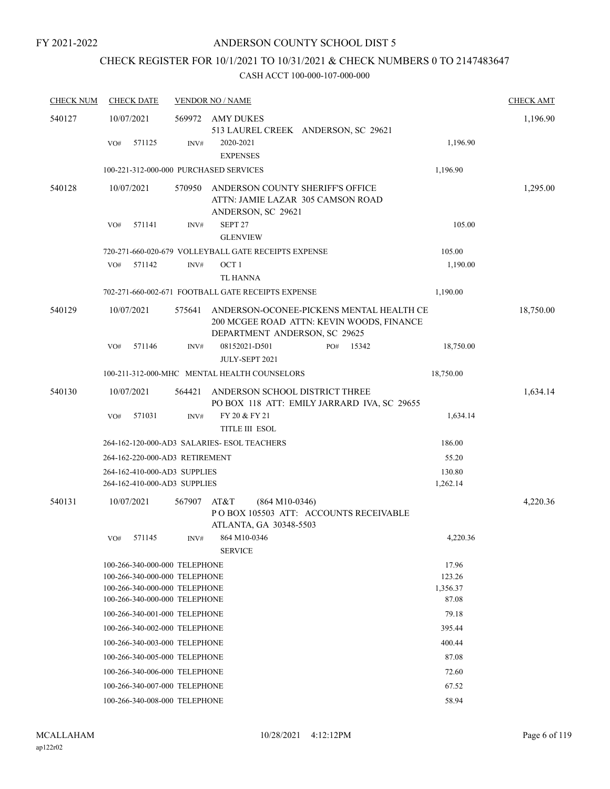# CHECK REGISTER FOR 10/1/2021 TO 10/31/2021 & CHECK NUMBERS 0 TO 2147483647

| <b>CHECK NUM</b> | <b>CHECK DATE</b>                      |        | <b>VENDOR NO / NAME</b>                                                                                                |           | <b>CHECK AMT</b> |
|------------------|----------------------------------------|--------|------------------------------------------------------------------------------------------------------------------------|-----------|------------------|
| 540127           | 10/07/2021                             | 569972 | AMY DUKES                                                                                                              |           | 1,196.90         |
|                  |                                        |        | 513 LAUREL CREEK ANDERSON, SC 29621                                                                                    |           |                  |
|                  | 571125<br>VO#                          | INV#   | 2020-2021<br><b>EXPENSES</b>                                                                                           | 1,196.90  |                  |
|                  | 100-221-312-000-000 PURCHASED SERVICES |        |                                                                                                                        | 1,196.90  |                  |
| 540128           | 10/07/2021                             | 570950 | ANDERSON COUNTY SHERIFF'S OFFICE                                                                                       |           | 1,295.00         |
|                  |                                        |        | ATTN: JAMIE LAZAR 305 CAMSON ROAD<br>ANDERSON, SC 29621                                                                |           |                  |
|                  | 571141<br>VO#                          | INV#   | SEPT 27                                                                                                                | 105.00    |                  |
|                  |                                        |        | <b>GLENVIEW</b>                                                                                                        |           |                  |
|                  |                                        |        | 720-271-660-020-679 VOLLEYBALL GATE RECEIPTS EXPENSE                                                                   | 105.00    |                  |
|                  | 571142<br>VO#                          | INV#   | OCT <sub>1</sub>                                                                                                       | 1,190.00  |                  |
|                  |                                        |        | <b>TL HANNA</b>                                                                                                        |           |                  |
|                  |                                        |        | 702-271-660-002-671 FOOTBALL GATE RECEIPTS EXPENSE                                                                     | 1,190.00  |                  |
| 540129           | 10/07/2021                             | 575641 | ANDERSON-OCONEE-PICKENS MENTAL HEALTH CE<br>200 MCGEE ROAD ATTN: KEVIN WOODS, FINANCE<br>DEPARTMENT ANDERSON, SC 29625 |           | 18,750.00        |
|                  | 571146<br>VO#                          | INV#   | 08152021-D501<br>15342<br>PO#<br>JULY-SEPT 2021                                                                        | 18,750.00 |                  |
|                  |                                        |        | 100-211-312-000-MHC MENTAL HEALTH COUNSELORS                                                                           | 18,750.00 |                  |
| 540130           | 10/07/2021                             | 564421 | ANDERSON SCHOOL DISTRICT THREE                                                                                         |           | 1,634.14         |
|                  | VO#<br>571031                          | INV#   | PO BOX 118 ATT: EMILY JARRARD IVA, SC 29655<br>FY 20 & FY 21                                                           | 1,634.14  |                  |
|                  |                                        |        | <b>TITLE III ESOL</b>                                                                                                  |           |                  |
|                  |                                        |        | 264-162-120-000-AD3 SALARIES- ESOL TEACHERS                                                                            | 186.00    |                  |
|                  | 264-162-220-000-AD3 RETIREMENT         |        |                                                                                                                        | 55.20     |                  |
|                  | 264-162-410-000-AD3 SUPPLIES           |        |                                                                                                                        | 130.80    |                  |
|                  | 264-162-410-000-AD3 SUPPLIES           |        |                                                                                                                        | 1,262.14  |                  |
| 540131           | 10/07/2021                             | 567907 | AT&T<br>$(864 M10-0346)$<br>POBOX 105503 ATT: ACCOUNTS RECEIVABLE<br>ATLANTA, GA 30348-5503                            |           | 4,220.36         |
|                  | 571145<br>VO#                          | INV#   | 864 M10-0346                                                                                                           | 4,220.36  |                  |
|                  |                                        |        | <b>SERVICE</b>                                                                                                         |           |                  |
|                  | 100-266-340-000-000 TELEPHONE          |        |                                                                                                                        | 17.96     |                  |
|                  | 100-266-340-000-000 TELEPHONE          |        |                                                                                                                        | 123.26    |                  |
|                  | 100-266-340-000-000 TELEPHONE          |        |                                                                                                                        | 1,356.37  |                  |
|                  | 100-266-340-000-000 TELEPHONE          |        |                                                                                                                        | 87.08     |                  |
|                  | 100-266-340-001-000 TELEPHONE          |        |                                                                                                                        | 79.18     |                  |
|                  | 100-266-340-002-000 TELEPHONE          |        |                                                                                                                        | 395.44    |                  |
|                  | 100-266-340-003-000 TELEPHONE          |        |                                                                                                                        | 400.44    |                  |
|                  | 100-266-340-005-000 TELEPHONE          |        |                                                                                                                        | 87.08     |                  |
|                  | 100-266-340-006-000 TELEPHONE          |        |                                                                                                                        | 72.60     |                  |
|                  | 100-266-340-007-000 TELEPHONE          |        |                                                                                                                        | 67.52     |                  |
|                  | 100-266-340-008-000 TELEPHONE          |        |                                                                                                                        | 58.94     |                  |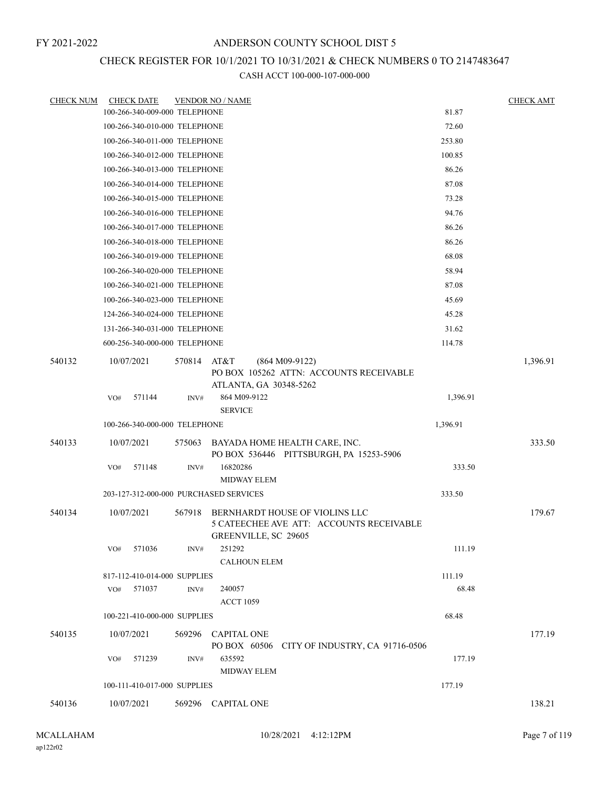### CHECK REGISTER FOR 10/1/2021 TO 10/31/2021 & CHECK NUMBERS 0 TO 2147483647

| <b>CHECK NUM</b> | <b>CHECK DATE</b>                      |             | <b>VENDOR NO / NAME</b>                                                                                   |          | <b>CHECK AMT</b> |
|------------------|----------------------------------------|-------------|-----------------------------------------------------------------------------------------------------------|----------|------------------|
|                  | 100-266-340-009-000 TELEPHONE          |             |                                                                                                           | 81.87    |                  |
|                  | 100-266-340-010-000 TELEPHONE          |             |                                                                                                           | 72.60    |                  |
|                  | 100-266-340-011-000 TELEPHONE          |             |                                                                                                           | 253.80   |                  |
|                  | 100-266-340-012-000 TELEPHONE          |             |                                                                                                           | 100.85   |                  |
|                  | 100-266-340-013-000 TELEPHONE          |             |                                                                                                           | 86.26    |                  |
|                  | 100-266-340-014-000 TELEPHONE          |             |                                                                                                           | 87.08    |                  |
|                  | 100-266-340-015-000 TELEPHONE          |             |                                                                                                           | 73.28    |                  |
|                  | 100-266-340-016-000 TELEPHONE          |             |                                                                                                           | 94.76    |                  |
|                  | 100-266-340-017-000 TELEPHONE          |             |                                                                                                           | 86.26    |                  |
|                  | 100-266-340-018-000 TELEPHONE          |             |                                                                                                           | 86.26    |                  |
|                  | 100-266-340-019-000 TELEPHONE          |             |                                                                                                           | 68.08    |                  |
|                  | 100-266-340-020-000 TELEPHONE          |             |                                                                                                           | 58.94    |                  |
|                  | 100-266-340-021-000 TELEPHONE          |             |                                                                                                           | 87.08    |                  |
|                  | 100-266-340-023-000 TELEPHONE          |             |                                                                                                           | 45.69    |                  |
|                  | 124-266-340-024-000 TELEPHONE          |             |                                                                                                           | 45.28    |                  |
|                  | 131-266-340-031-000 TELEPHONE          |             |                                                                                                           | 31.62    |                  |
|                  | 600-256-340-000-000 TELEPHONE          |             |                                                                                                           | 114.78   |                  |
| 540132           | 10/07/2021                             | 570814 AT&T | $(864 M09-9122)$<br>PO BOX 105262 ATTN: ACCOUNTS RECEIVABLE<br>ATLANTA, GA 30348-5262                     |          | 1,396.91         |
|                  | 571144<br>VO#                          | INV#        | 864 M09-9122<br><b>SERVICE</b>                                                                            | 1,396.91 |                  |
|                  | 100-266-340-000-000 TELEPHONE          |             |                                                                                                           | 1,396.91 |                  |
| 540133           | 10/07/2021                             | 575063      | BAYADA HOME HEALTH CARE, INC.<br>PO BOX 536446 PITTSBURGH, PA 15253-5906                                  |          | 333.50           |
|                  | VO#<br>571148                          | INV#        | 16820286<br><b>MIDWAY ELEM</b>                                                                            | 333.50   |                  |
|                  | 203-127-312-000-000 PURCHASED SERVICES |             |                                                                                                           | 333.50   |                  |
| 540134           | 10/07/2021                             | 567918      | BERNHARDT HOUSE OF VIOLINS LLC<br>5 CATEECHEE AVE ATT: ACCOUNTS RECEIVABLE<br><b>GREENVILLE, SC 29605</b> |          | 179.67           |
|                  | 571036<br>VO#                          | INV#        | 251292<br><b>CALHOUN ELEM</b>                                                                             | 111.19   |                  |
|                  | 817-112-410-014-000 SUPPLIES           |             |                                                                                                           | 111.19   |                  |
|                  | 571037<br>VO#                          | INV#        | 240057<br><b>ACCT 1059</b>                                                                                | 68.48    |                  |
|                  | 100-221-410-000-000 SUPPLIES           |             |                                                                                                           | 68.48    |                  |
| 540135           | 10/07/2021                             |             | 569296 CAPITAL ONE<br>PO BOX 60506 CITY OF INDUSTRY, CA 91716-0506                                        |          | 177.19           |
|                  | 571239<br>VO#                          | INV#        | 635592<br>MIDWAY ELEM                                                                                     | 177.19   |                  |
|                  | 100-111-410-017-000 SUPPLIES           |             |                                                                                                           | 177.19   |                  |
| 540136           | 10/07/2021                             |             | 569296 CAPITAL ONE                                                                                        |          | 138.21           |
|                  |                                        |             |                                                                                                           |          |                  |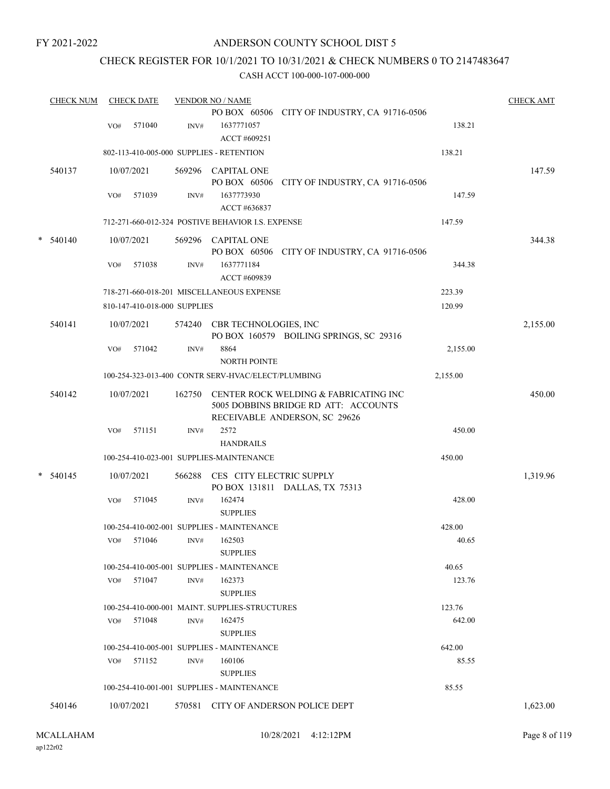### ANDERSON COUNTY SCHOOL DIST 5

### CHECK REGISTER FOR 10/1/2021 TO 10/31/2021 & CHECK NUMBERS 0 TO 2147483647

|   | <b>CHECK NUM</b> |            | <b>CHECK DATE</b>            |        | <b>VENDOR NO / NAME</b>                            |                                                                                                                |          | <b>CHECK AMT</b> |
|---|------------------|------------|------------------------------|--------|----------------------------------------------------|----------------------------------------------------------------------------------------------------------------|----------|------------------|
|   |                  | VO#        | 571040                       | INV#   | 1637771057                                         | PO BOX 60506 CITY OF INDUSTRY, CA 91716-0506                                                                   | 138.21   |                  |
|   |                  |            |                              |        | ACCT #609251                                       |                                                                                                                |          |                  |
|   |                  |            |                              |        | 802-113-410-005-000 SUPPLIES - RETENTION           |                                                                                                                | 138.21   |                  |
|   | 540137           | 10/07/2021 |                              |        | 569296 CAPITAL ONE<br>PO BOX 60506                 | CITY OF INDUSTRY, CA 91716-0506                                                                                |          | 147.59           |
|   |                  | VO#        | 571039                       | INV#   | 1637773930<br>ACCT #636837                         |                                                                                                                | 147.59   |                  |
|   |                  |            |                              |        | 712-271-660-012-324 POSTIVE BEHAVIOR I.S. EXPENSE  |                                                                                                                | 147.59   |                  |
| * | 540140           | 10/07/2021 |                              |        | 569296 CAPITAL ONE                                 | PO BOX 60506 CITY OF INDUSTRY, CA 91716-0506                                                                   |          | 344.38           |
|   |                  | VO#        | 571038                       | INV#   | 1637771184<br>ACCT #609839                         |                                                                                                                | 344.38   |                  |
|   |                  |            |                              |        | 718-271-660-018-201 MISCELLANEOUS EXPENSE          |                                                                                                                | 223.39   |                  |
|   |                  |            | 810-147-410-018-000 SUPPLIES |        |                                                    |                                                                                                                | 120.99   |                  |
|   | 540141           | 10/07/2021 |                              | 574240 | CBR TECHNOLOGIES, INC                              | PO BOX 160579 BOILING SPRINGS, SC 29316                                                                        |          | 2,155.00         |
|   |                  | VO#        | 571042                       | INV#   | 8864<br><b>NORTH POINTE</b>                        |                                                                                                                | 2,155.00 |                  |
|   |                  |            |                              |        | 100-254-323-013-400 CONTR SERV-HVAC/ELECT/PLUMBING |                                                                                                                | 2,155.00 |                  |
|   | 540142           | 10/07/2021 |                              | 162750 |                                                    | CENTER ROCK WELDING & FABRICATING INC<br>5005 DOBBINS BRIDGE RD ATT: ACCOUNTS<br>RECEIVABLE ANDERSON, SC 29626 |          | 450.00           |
|   |                  | VO#        | 571151                       | INV#   | 2572<br><b>HANDRAILS</b>                           |                                                                                                                | 450.00   |                  |
|   |                  |            |                              |        | 100-254-410-023-001 SUPPLIES-MAINTENANCE           |                                                                                                                | 450.00   |                  |
|   | $*$ 540145       | 10/07/2021 |                              | 566288 | CES CITY ELECTRIC SUPPLY                           | PO BOX 131811 DALLAS, TX 75313                                                                                 |          | 1,319.96         |
|   |                  | VO#        | 571045                       | INV#   | 162474<br><b>SUPPLIES</b>                          |                                                                                                                | 428.00   |                  |
|   |                  |            |                              |        | 100-254-410-002-001 SUPPLIES - MAINTENANCE         |                                                                                                                | 428.00   |                  |
|   |                  |            | VO# 571046 INV# 162503       |        | <b>SUPPLIES</b>                                    |                                                                                                                | 40.65    |                  |
|   |                  |            |                              |        | 100-254-410-005-001 SUPPLIES - MAINTENANCE         |                                                                                                                | 40.65    |                  |
|   |                  | VO# 571047 |                              | INV#   | 162373<br><b>SUPPLIES</b>                          |                                                                                                                | 123.76   |                  |
|   |                  |            |                              |        | 100-254-410-000-001 MAINT. SUPPLIES-STRUCTURES     |                                                                                                                | 123.76   |                  |
|   |                  | VO# 571048 |                              | INV#   | 162475<br><b>SUPPLIES</b>                          |                                                                                                                | 642.00   |                  |
|   |                  |            |                              |        | 100-254-410-005-001 SUPPLIES - MAINTENANCE         |                                                                                                                | 642.00   |                  |
|   |                  | VO# 571152 |                              | INV#   | 160106<br><b>SUPPLIES</b>                          |                                                                                                                | 85.55    |                  |
|   |                  |            |                              |        | 100-254-410-001-001 SUPPLIES - MAINTENANCE         |                                                                                                                | 85.55    |                  |
|   | 540146           | 10/07/2021 |                              |        |                                                    | 570581 CITY OF ANDERSON POLICE DEPT                                                                            |          | 1,623.00         |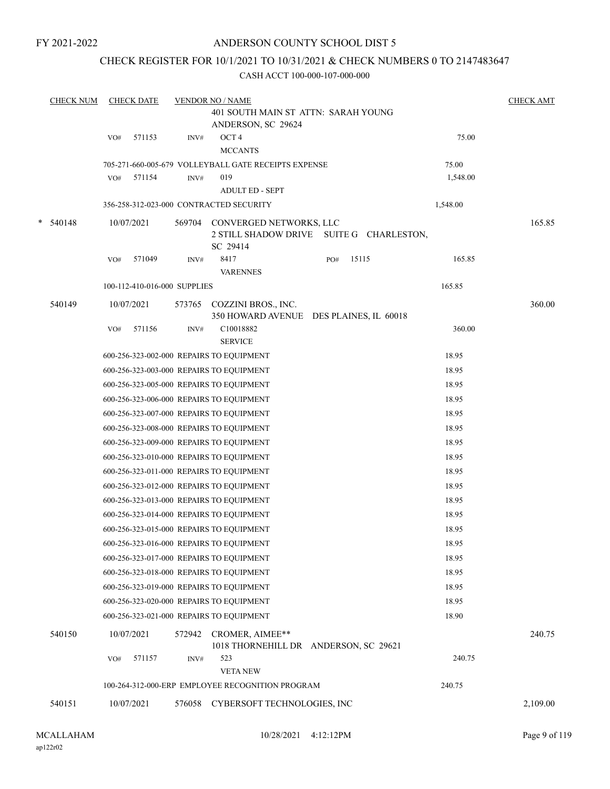### ANDERSON COUNTY SCHOOL DIST 5

### CHECK REGISTER FOR 10/1/2021 TO 10/31/2021 & CHECK NUMBERS 0 TO 2147483647

| <b>CHECK NUM</b> |     | <b>CHECK DATE</b>            |        | <b>VENDOR NO / NAME</b>                                                                |     |       |          | <b>CHECK AMT</b> |
|------------------|-----|------------------------------|--------|----------------------------------------------------------------------------------------|-----|-------|----------|------------------|
|                  |     |                              |        | 401 SOUTH MAIN ST ATTN: SARAH YOUNG                                                    |     |       |          |                  |
|                  |     |                              |        | ANDERSON, SC 29624                                                                     |     |       |          |                  |
|                  | VO# | 571153                       | INV#   | OCT <sub>4</sub>                                                                       |     |       | 75.00    |                  |
|                  |     |                              |        | <b>MCCANTS</b>                                                                         |     |       |          |                  |
|                  |     |                              |        | 705-271-660-005-679 VOLLEYBALL GATE RECEIPTS EXPENSE                                   |     |       | 75.00    |                  |
|                  | VO# | 571154                       | INV#   | 019<br><b>ADULT ED - SEPT</b>                                                          |     |       | 1,548.00 |                  |
|                  |     |                              |        | 356-258-312-023-000 CONTRACTED SECURITY                                                |     |       | 1,548.00 |                  |
|                  |     |                              |        |                                                                                        |     |       |          |                  |
| $* 540148$       |     | 10/07/2021                   |        | 569704 CONVERGED NETWORKS, LLC<br>2 STILL SHADOW DRIVE SUITE G CHARLESTON,<br>SC 29414 |     |       |          | 165.85           |
|                  | VO# | 571049                       | INV#   | 8417<br><b>VARENNES</b>                                                                | PO# | 15115 | 165.85   |                  |
|                  |     | 100-112-410-016-000 SUPPLIES |        |                                                                                        |     |       | 165.85   |                  |
| 540149           |     | 10/07/2021                   |        | 573765 COZZINI BROS., INC.                                                             |     |       |          | 360.00           |
|                  |     |                              |        | 350 HOWARD AVENUE DES PLAINES, IL 60018                                                |     |       |          |                  |
|                  | VO# | 571156                       | INV#   | C10018882<br><b>SERVICE</b>                                                            |     |       | 360.00   |                  |
|                  |     |                              |        | 600-256-323-002-000 REPAIRS TO EQUIPMENT                                               |     |       | 18.95    |                  |
|                  |     |                              |        | 600-256-323-003-000 REPAIRS TO EQUIPMENT                                               |     |       | 18.95    |                  |
|                  |     |                              |        | 600-256-323-005-000 REPAIRS TO EQUIPMENT                                               |     |       | 18.95    |                  |
|                  |     |                              |        | 600-256-323-006-000 REPAIRS TO EQUIPMENT                                               |     |       | 18.95    |                  |
|                  |     |                              |        | 600-256-323-007-000 REPAIRS TO EQUIPMENT                                               |     |       | 18.95    |                  |
|                  |     |                              |        | 600-256-323-008-000 REPAIRS TO EQUIPMENT                                               |     |       | 18.95    |                  |
|                  |     |                              |        | 600-256-323-009-000 REPAIRS TO EQUIPMENT                                               |     |       | 18.95    |                  |
|                  |     |                              |        | 600-256-323-010-000 REPAIRS TO EQUIPMENT                                               |     |       | 18.95    |                  |
|                  |     |                              |        | 600-256-323-011-000 REPAIRS TO EQUIPMENT                                               |     |       | 18.95    |                  |
|                  |     |                              |        | 600-256-323-012-000 REPAIRS TO EQUIPMENT                                               |     |       | 18.95    |                  |
|                  |     |                              |        | 600-256-323-013-000 REPAIRS TO EQUIPMENT                                               |     |       | 18.95    |                  |
|                  |     |                              |        | 600-256-323-014-000 REPAIRS TO EQUIPMENT                                               |     |       | 18.95    |                  |
|                  |     |                              |        | 600-256-323-015-000 REPAIRS TO EQUIPMENT                                               |     |       | 18.95    |                  |
|                  |     |                              |        | 600-256-323-016-000 REPAIRS TO EQUIPMENT                                               |     |       | 18.95    |                  |
|                  |     |                              |        | 600-256-323-017-000 REPAIRS TO EQUIPMENT                                               |     |       | 18.95    |                  |
|                  |     |                              |        | 600-256-323-018-000 REPAIRS TO EQUIPMENT                                               |     |       | 18.95    |                  |
|                  |     |                              |        | 600-256-323-019-000 REPAIRS TO EQUIPMENT                                               |     |       | 18.95    |                  |
|                  |     |                              |        | 600-256-323-020-000 REPAIRS TO EQUIPMENT                                               |     |       | 18.95    |                  |
|                  |     |                              |        | 600-256-323-021-000 REPAIRS TO EQUIPMENT                                               |     |       | 18.90    |                  |
| 540150           |     | 10/07/2021                   | 572942 | CROMER, AIMEE**                                                                        |     |       |          | 240.75           |
|                  | VO# | 571157                       | INV#   | 1018 THORNEHILL DR ANDERSON, SC 29621<br>523                                           |     |       | 240.75   |                  |
|                  |     |                              |        | <b>VETANEW</b>                                                                         |     |       |          |                  |
|                  |     |                              |        | 100-264-312-000-ERP EMPLOYEE RECOGNITION PROGRAM                                       |     |       | 240.75   |                  |
| 540151           |     | 10/07/2021                   | 576058 | CYBERSOFT TECHNOLOGIES, INC                                                            |     |       |          | 2,109.00         |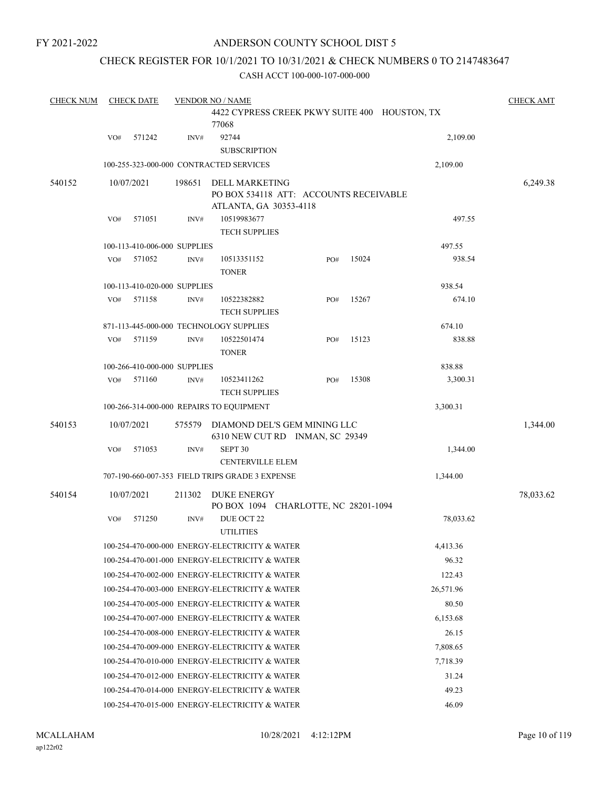### ANDERSON COUNTY SCHOOL DIST 5

### CHECK REGISTER FOR 10/1/2021 TO 10/31/2021 & CHECK NUMBERS 0 TO 2147483647

| <b>CHECK NUM</b> |     | <b>CHECK DATE</b>            |        | <b>VENDOR NO / NAME</b>                                         |     |       |                                               | <b>CHECK AMT</b> |
|------------------|-----|------------------------------|--------|-----------------------------------------------------------------|-----|-------|-----------------------------------------------|------------------|
|                  |     |                              |        | 77068                                                           |     |       | 4422 CYPRESS CREEK PKWY SUITE 400 HOUSTON, TX |                  |
|                  | VO# | 571242                       | INV#   | 92744<br><b>SUBSCRIPTION</b>                                    |     |       | 2,109.00                                      |                  |
|                  |     |                              |        | 100-255-323-000-000 CONTRACTED SERVICES                         |     |       | 2,109.00                                      |                  |
| 540152           |     | 10/07/2021                   | 198651 | <b>DELL MARKETING</b><br>PO BOX 534118 ATT: ACCOUNTS RECEIVABLE |     |       |                                               | 6,249.38         |
|                  | VO# | 571051                       | INV#   | ATLANTA, GA 30353-4118<br>10519983677<br><b>TECH SUPPLIES</b>   |     |       | 497.55                                        |                  |
|                  |     | 100-113-410-006-000 SUPPLIES |        |                                                                 |     |       | 497.55                                        |                  |
|                  | VO# | 571052                       | INV#   | 10513351152<br><b>TONER</b>                                     | PO# | 15024 | 938.54                                        |                  |
|                  |     | 100-113-410-020-000 SUPPLIES |        |                                                                 |     |       | 938.54                                        |                  |
|                  | VO# | 571158                       | INV#   | 10522382882<br><b>TECH SUPPLIES</b>                             | PO# | 15267 | 674.10                                        |                  |
|                  |     |                              |        | 871-113-445-000-000 TECHNOLOGY SUPPLIES                         |     |       | 674.10                                        |                  |
|                  | VO# | 571159                       | INV#   | 10522501474<br><b>TONER</b>                                     | PO# | 15123 | 838.88                                        |                  |
|                  |     | 100-266-410-000-000 SUPPLIES |        |                                                                 |     |       | 838.88                                        |                  |
|                  | VO# | 571160                       | INV#   | 10523411262<br><b>TECH SUPPLIES</b>                             | PO# | 15308 | 3,300.31                                      |                  |
|                  |     |                              |        | 100-266-314-000-000 REPAIRS TO EQUIPMENT                        |     |       | 3,300.31                                      |                  |
| 540153           |     | 10/07/2021                   | 575579 | DIAMOND DEL'S GEM MINING LLC<br>6310 NEW CUT RD INMAN, SC 29349 |     |       |                                               | 1,344.00         |
|                  | VO# | 571053                       | INV#   | SEPT 30<br><b>CENTERVILLE ELEM</b>                              |     |       | 1,344.00                                      |                  |
|                  |     |                              |        | 707-190-660-007-353 FIELD TRIPS GRADE 3 EXPENSE                 |     |       | 1,344.00                                      |                  |
| 540154           |     | 10/07/2021                   | 211302 | <b>DUKE ENERGY</b><br>PO BOX 1094 CHARLOTTE, NC 28201-1094      |     |       |                                               | 78,033.62        |
|                  | VO# | 571250                       | INV#   | DUE OCT 22<br><b>UTILITIES</b>                                  |     |       | 78,033.62                                     |                  |
|                  |     |                              |        | 100-254-470-000-000 ENERGY-ELECTRICITY & WATER                  |     |       | 4,413.36                                      |                  |
|                  |     |                              |        | 100-254-470-001-000 ENERGY-ELECTRICITY & WATER                  |     |       | 96.32                                         |                  |
|                  |     |                              |        | 100-254-470-002-000 ENERGY-ELECTRICITY & WATER                  |     |       | 122.43                                        |                  |
|                  |     |                              |        | 100-254-470-003-000 ENERGY-ELECTRICITY & WATER                  |     |       | 26,571.96                                     |                  |
|                  |     |                              |        | 100-254-470-005-000 ENERGY-ELECTRICITY & WATER                  |     |       | 80.50                                         |                  |
|                  |     |                              |        | 100-254-470-007-000 ENERGY-ELECTRICITY & WATER                  |     |       | 6,153.68                                      |                  |
|                  |     |                              |        | 100-254-470-008-000 ENERGY-ELECTRICITY & WATER                  |     |       | 26.15                                         |                  |
|                  |     |                              |        | 100-254-470-009-000 ENERGY-ELECTRICITY & WATER                  |     |       | 7,808.65                                      |                  |
|                  |     |                              |        | 100-254-470-010-000 ENERGY-ELECTRICITY & WATER                  |     |       | 7,718.39                                      |                  |
|                  |     |                              |        | 100-254-470-012-000 ENERGY-ELECTRICITY & WATER                  |     |       | 31.24                                         |                  |
|                  |     |                              |        | 100-254-470-014-000 ENERGY-ELECTRICITY & WATER                  |     |       | 49.23                                         |                  |
|                  |     |                              |        | 100-254-470-015-000 ENERGY-ELECTRICITY & WATER                  |     |       | 46.09                                         |                  |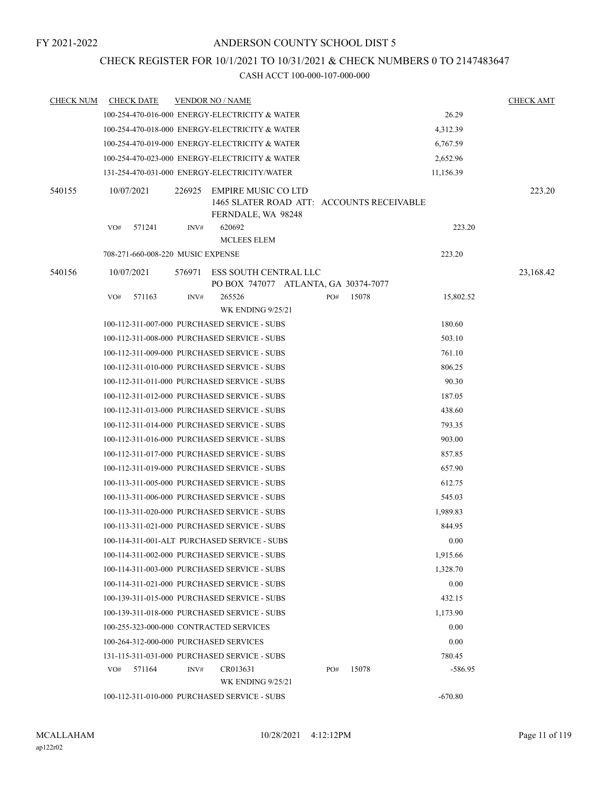### CHECK REGISTER FOR 10/1/2021 TO 10/31/2021 & CHECK NUMBERS 0 TO 2147483647

| <b>CHECK NUM</b> |            | <b>CHECK DATE</b>                 |        | <b>VENDOR NO / NAME</b>                                                                |     |       |           | <b>CHECK AMT</b> |
|------------------|------------|-----------------------------------|--------|----------------------------------------------------------------------------------------|-----|-------|-----------|------------------|
|                  |            |                                   |        | 100-254-470-016-000 ENERGY-ELECTRICITY & WATER                                         |     |       | 26.29     |                  |
|                  |            |                                   |        | 100-254-470-018-000 ENERGY-ELECTRICITY & WATER                                         |     |       | 4,312.39  |                  |
|                  |            |                                   |        | 100-254-470-019-000 ENERGY-ELECTRICITY & WATER                                         |     |       | 6,767.59  |                  |
|                  |            |                                   |        | 100-254-470-023-000 ENERGY-ELECTRICITY & WATER                                         |     |       | 2,652.96  |                  |
|                  |            |                                   |        | 131-254-470-031-000 ENERGY-ELECTRICITY/WATER                                           |     |       | 11,156.39 |                  |
| 540155           | 10/07/2021 |                                   | 226925 | EMPIRE MUSIC CO LTD<br>1465 SLATER ROAD ATT: ACCOUNTS RECEIVABLE<br>FERNDALE, WA 98248 |     |       |           | 223.20           |
|                  | VO#        | 571241                            | INV#   | 620692<br><b>MCLEES ELEM</b>                                                           |     |       | 223.20    |                  |
|                  |            | 708-271-660-008-220 MUSIC EXPENSE |        |                                                                                        |     |       | 223.20    |                  |
| 540156           | 10/07/2021 |                                   | 576971 | ESS SOUTH CENTRAL LLC<br>PO BOX 747077 ATLANTA, GA 30374-7077                          |     |       |           | 23,168.42        |
|                  | VO#        | 571163                            | INV#   | 265526<br><b>WK ENDING 9/25/21</b>                                                     | PO# | 15078 | 15,802.52 |                  |
|                  |            |                                   |        | 100-112-311-007-000 PURCHASED SERVICE - SUBS                                           |     |       | 180.60    |                  |
|                  |            |                                   |        | 100-112-311-008-000 PURCHASED SERVICE - SUBS                                           |     |       | 503.10    |                  |
|                  |            |                                   |        | 100-112-311-009-000 PURCHASED SERVICE - SUBS                                           |     |       | 761.10    |                  |
|                  |            |                                   |        | 100-112-311-010-000 PURCHASED SERVICE - SUBS                                           |     |       | 806.25    |                  |
|                  |            |                                   |        | 100-112-311-011-000 PURCHASED SERVICE - SUBS                                           |     |       | 90.30     |                  |
|                  |            |                                   |        | 100-112-311-012-000 PURCHASED SERVICE - SUBS                                           |     |       | 187.05    |                  |
|                  |            |                                   |        | 100-112-311-013-000 PURCHASED SERVICE - SUBS                                           |     |       | 438.60    |                  |
|                  |            |                                   |        | 100-112-311-014-000 PURCHASED SERVICE - SUBS                                           |     |       | 793.35    |                  |
|                  |            |                                   |        | 100-112-311-016-000 PURCHASED SERVICE - SUBS                                           |     |       | 903.00    |                  |
|                  |            |                                   |        | 100-112-311-017-000 PURCHASED SERVICE - SUBS                                           |     |       | 857.85    |                  |
|                  |            |                                   |        | 100-112-311-019-000 PURCHASED SERVICE - SUBS                                           |     |       | 657.90    |                  |
|                  |            |                                   |        | 100-113-311-005-000 PURCHASED SERVICE - SUBS                                           |     |       | 612.75    |                  |
|                  |            |                                   |        | 100-113-311-006-000 PURCHASED SERVICE - SUBS                                           |     |       | 545.03    |                  |
|                  |            |                                   |        | 100-113-311-020-000 PURCHASED SERVICE - SUBS                                           |     |       | 1,989.83  |                  |
|                  |            |                                   |        | 100-113-311-021-000 PURCHASED SERVICE - SUBS                                           |     |       | 844.95    |                  |
|                  |            |                                   |        | 100-114-311-001-ALT PURCHASED SERVICE - SUBS                                           |     |       | 0.00      |                  |
|                  |            |                                   |        | 100-114-311-002-000 PURCHASED SERVICE - SUBS                                           |     |       | 1,915.66  |                  |
|                  |            |                                   |        | 100-114-311-003-000 PURCHASED SERVICE - SUBS                                           |     |       | 1,328.70  |                  |
|                  |            |                                   |        | 100-114-311-021-000 PURCHASED SERVICE - SUBS                                           |     |       | 0.00      |                  |
|                  |            |                                   |        | 100-139-311-015-000 PURCHASED SERVICE - SUBS                                           |     |       | 432.15    |                  |
|                  |            |                                   |        | 100-139-311-018-000 PURCHASED SERVICE - SUBS                                           |     |       | 1,173.90  |                  |
|                  |            |                                   |        | 100-255-323-000-000 CONTRACTED SERVICES                                                |     |       | 0.00      |                  |
|                  |            |                                   |        | 100-264-312-000-000 PURCHASED SERVICES                                                 |     |       | 0.00      |                  |
|                  |            |                                   |        | 131-115-311-031-000 PURCHASED SERVICE - SUBS                                           |     |       | 780.45    |                  |
|                  | VO#        | 571164                            | INV#   | CR013631<br><b>WK ENDING 9/25/21</b>                                                   | PO# | 15078 | $-586.95$ |                  |
|                  |            |                                   |        | 100-112-311-010-000 PURCHASED SERVICE - SUBS                                           |     |       | $-670.80$ |                  |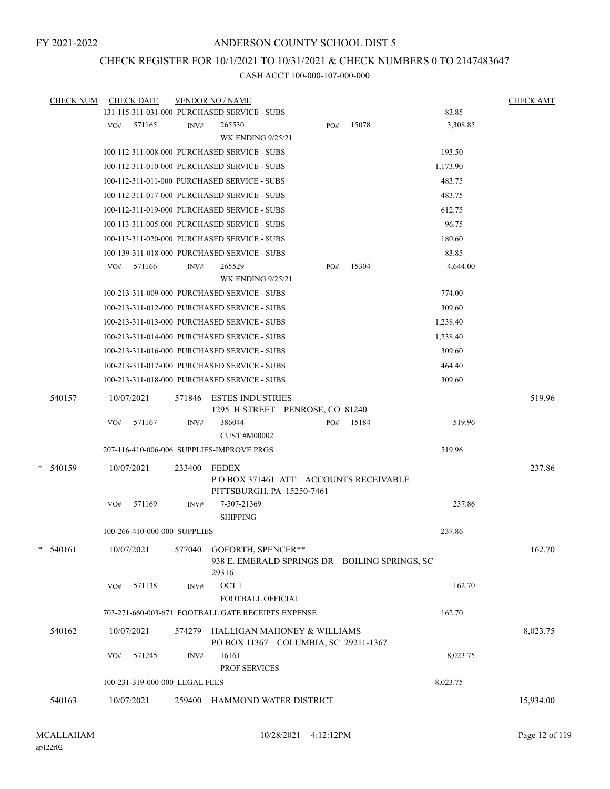### CHECK REGISTER FOR 10/1/2021 TO 10/31/2021 & CHECK NUMBERS 0 TO 2147483647

|   | <b>CHECK NUM</b> |     | <b>CHECK DATE</b>              |        | <b>VENDOR NO / NAME</b>                            |     |       |          | <b>CHECK AMT</b> |
|---|------------------|-----|--------------------------------|--------|----------------------------------------------------|-----|-------|----------|------------------|
|   |                  |     |                                |        | 131-115-311-031-000 PURCHASED SERVICE - SUBS       |     |       | 83.85    |                  |
|   |                  | VO# | 571165                         | INV#   | 265530                                             | PO# | 15078 | 3,308.85 |                  |
|   |                  |     |                                |        | <b>WK ENDING 9/25/21</b>                           |     |       |          |                  |
|   |                  |     |                                |        | 100-112-311-008-000 PURCHASED SERVICE - SUBS       |     |       | 193.50   |                  |
|   |                  |     |                                |        | 100-112-311-010-000 PURCHASED SERVICE - SUBS       |     |       | 1,173.90 |                  |
|   |                  |     |                                |        | 100-112-311-011-000 PURCHASED SERVICE - SUBS       |     |       | 483.75   |                  |
|   |                  |     |                                |        | 100-112-311-017-000 PURCHASED SERVICE - SUBS       |     |       | 483.75   |                  |
|   |                  |     |                                |        | 100-112-311-019-000 PURCHASED SERVICE - SUBS       |     |       | 612.75   |                  |
|   |                  |     |                                |        | 100-113-311-005-000 PURCHASED SERVICE - SUBS       |     |       | 96.75    |                  |
|   |                  |     |                                |        | 100-113-311-020-000 PURCHASED SERVICE - SUBS       |     |       | 180.60   |                  |
|   |                  |     |                                |        | 100-139-311-018-000 PURCHASED SERVICE - SUBS       |     |       | 83.85    |                  |
|   |                  | VO# | 571166                         | INV#   | 265529                                             | PO# | 15304 | 4,644.00 |                  |
|   |                  |     |                                |        | <b>WK ENDING 9/25/21</b>                           |     |       |          |                  |
|   |                  |     |                                |        | 100-213-311-009-000 PURCHASED SERVICE - SUBS       |     |       | 774.00   |                  |
|   |                  |     |                                |        | 100-213-311-012-000 PURCHASED SERVICE - SUBS       |     |       | 309.60   |                  |
|   |                  |     |                                |        | 100-213-311-013-000 PURCHASED SERVICE - SUBS       |     |       | 1,238.40 |                  |
|   |                  |     |                                |        | 100-213-311-014-000 PURCHASED SERVICE - SUBS       |     |       | 1,238.40 |                  |
|   |                  |     |                                |        | 100-213-311-016-000 PURCHASED SERVICE - SUBS       |     |       | 309.60   |                  |
|   |                  |     |                                |        | 100-213-311-017-000 PURCHASED SERVICE - SUBS       |     |       | 464.40   |                  |
|   |                  |     |                                |        | 100-213-311-018-000 PURCHASED SERVICE - SUBS       |     |       | 309.60   |                  |
|   | 540157           |     | 10/07/2021                     | 571846 | <b>ESTES INDUSTRIES</b>                            |     |       |          | 519.96           |
|   |                  |     |                                |        | 1295 H STREET PENROSE, CO 81240                    |     |       |          |                  |
|   |                  | VO# | 571167                         | INV#   | 386044                                             | PO# | 15184 | 519.96   |                  |
|   |                  |     |                                |        | <b>CUST #M00002</b>                                |     |       |          |                  |
|   |                  |     |                                |        | 207-116-410-006-006 SUPPLIES-IMPROVE PRGS          |     |       | 519.96   |                  |
| * | 540159           |     | 10/07/2021                     | 233400 | <b>FEDEX</b>                                       |     |       |          | 237.86           |
|   |                  |     |                                |        | POBOX 371461 ATT: ACCOUNTS RECEIVABLE              |     |       |          |                  |
|   |                  |     |                                |        | PITTSBURGH, PA 15250-7461                          |     |       |          |                  |
|   |                  | VO# | 571169                         | INV#   | 7-507-21369                                        |     |       | 237.86   |                  |
|   |                  |     |                                |        | <b>SHIPPING</b>                                    |     |       |          |                  |
|   |                  |     | 100-266-410-000-000 SUPPLIES   |        |                                                    |     |       | 237.86   |                  |
|   | $* 540161$       |     | 10/07/2021                     | 577040 | GOFORTH, SPENCER**                                 |     |       |          | 162.70           |
|   |                  |     |                                |        | 938 E. EMERALD SPRINGS DR BOILING SPRINGS, SC      |     |       |          |                  |
|   |                  |     |                                |        | 29316                                              |     |       |          |                  |
|   |                  | VO# | 571138                         | INV#   | OCT <sub>1</sub><br>FOOTBALL OFFICIAL              |     |       | 162.70   |                  |
|   |                  |     |                                |        | 703-271-660-003-671 FOOTBALL GATE RECEIPTS EXPENSE |     |       | 162.70   |                  |
|   |                  |     |                                |        |                                                    |     |       |          |                  |
|   | 540162           |     | 10/07/2021                     | 574279 | HALLIGAN MAHONEY & WILLIAMS                        |     |       |          | 8,023.75         |
|   |                  | VO# | 571245                         | INV#   | PO BOX 11367 COLUMBIA, SC 29211-1367<br>16161      |     |       | 8,023.75 |                  |
|   |                  |     |                                |        | PROF SERVICES                                      |     |       |          |                  |
|   |                  |     | 100-231-319-000-000 LEGAL FEES |        |                                                    |     |       | 8,023.75 |                  |
|   |                  |     |                                |        |                                                    |     |       |          |                  |
|   | 540163           |     | 10/07/2021                     | 259400 | HAMMOND WATER DISTRICT                             |     |       |          | 15,934.00        |
|   |                  |     |                                |        |                                                    |     |       |          |                  |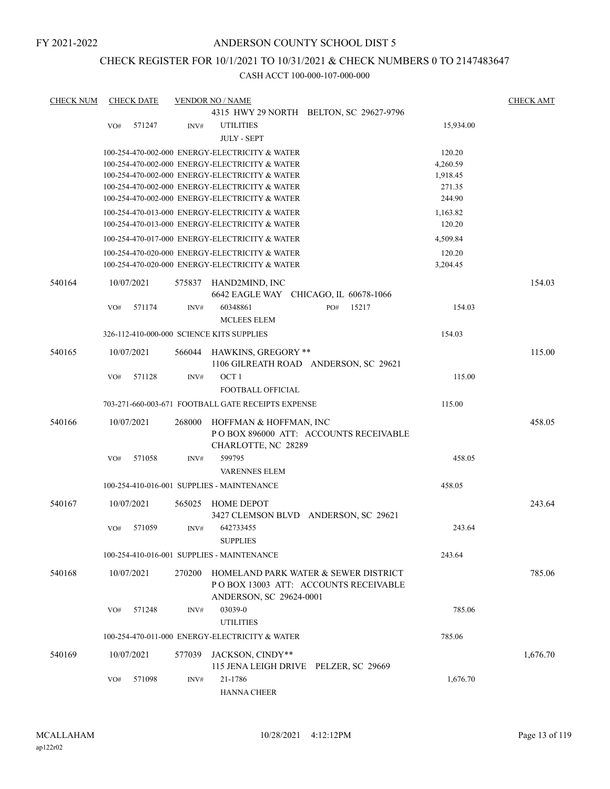### CHECK REGISTER FOR 10/1/2021 TO 10/31/2021 & CHECK NUMBERS 0 TO 2147483647

| <b>CHECK NUM</b> | <b>CHECK DATE</b> |        | <b>VENDOR NO / NAME</b>                                                                          |                                                       |                  | <b>CHECK AMT</b> |
|------------------|-------------------|--------|--------------------------------------------------------------------------------------------------|-------------------------------------------------------|------------------|------------------|
|                  |                   |        |                                                                                                  | 4315 HWY 29 NORTH BELTON, SC 29627-9796               |                  |                  |
|                  | 571247<br>VO#     | INV#   | <b>UTILITIES</b>                                                                                 |                                                       | 15,934.00        |                  |
|                  |                   |        | <b>JULY - SEPT</b>                                                                               |                                                       |                  |                  |
|                  |                   |        | 100-254-470-002-000 ENERGY-ELECTRICITY & WATER                                                   |                                                       | 120.20           |                  |
|                  |                   |        | 100-254-470-002-000 ENERGY-ELECTRICITY & WATER                                                   |                                                       | 4,260.59         |                  |
|                  |                   |        | 100-254-470-002-000 ENERGY-ELECTRICITY & WATER                                                   |                                                       | 1,918.45         |                  |
|                  |                   |        | 100-254-470-002-000 ENERGY-ELECTRICITY & WATER<br>100-254-470-002-000 ENERGY-ELECTRICITY & WATER |                                                       | 271.35<br>244.90 |                  |
|                  |                   |        | 100-254-470-013-000 ENERGY-ELECTRICITY & WATER                                                   |                                                       | 1,163.82         |                  |
|                  |                   |        | 100-254-470-013-000 ENERGY-ELECTRICITY & WATER                                                   |                                                       | 120.20           |                  |
|                  |                   |        | 100-254-470-017-000 ENERGY-ELECTRICITY & WATER                                                   |                                                       | 4,509.84         |                  |
|                  |                   |        | 100-254-470-020-000 ENERGY-ELECTRICITY & WATER                                                   |                                                       | 120.20           |                  |
|                  |                   |        | 100-254-470-020-000 ENERGY-ELECTRICITY & WATER                                                   |                                                       | 3,204.45         |                  |
|                  |                   |        |                                                                                                  |                                                       |                  |                  |
| 540164           | 10/07/2021        | 575837 | HAND2MIND, INC                                                                                   |                                                       |                  | 154.03           |
|                  | 571174            | INV#   | 60348861                                                                                         | 6642 EAGLE WAY CHICAGO, IL 60678-1066<br>15217<br>PO# | 154.03           |                  |
|                  | VO#               |        | <b>MCLEES ELEM</b>                                                                               |                                                       |                  |                  |
|                  |                   |        | 326-112-410-000-000 SCIENCE KITS SUPPLIES                                                        |                                                       | 154.03           |                  |
|                  |                   |        |                                                                                                  |                                                       |                  |                  |
| 540165           | 10/07/2021        | 566044 | <b>HAWKINS, GREGORY **</b>                                                                       |                                                       |                  | 115.00           |
|                  |                   |        |                                                                                                  | 1106 GILREATH ROAD ANDERSON, SC 29621                 |                  |                  |
|                  | VO#<br>571128     | INV#   | OCT <sub>1</sub>                                                                                 |                                                       | 115.00           |                  |
|                  |                   |        | FOOTBALL OFFICIAL                                                                                |                                                       |                  |                  |
|                  |                   |        | 703-271-660-003-671 FOOTBALL GATE RECEIPTS EXPENSE                                               |                                                       | 115.00           |                  |
| 540166           | 10/07/2021        | 268000 | HOFFMAN & HOFFMAN, INC                                                                           |                                                       |                  | 458.05           |
|                  |                   |        |                                                                                                  | PO BOX 896000 ATT: ACCOUNTS RECEIVABLE                |                  |                  |
|                  |                   |        | CHARLOTTE, NC 28289                                                                              |                                                       |                  |                  |
|                  | 571058<br>VO#     | INV#   | 599795                                                                                           |                                                       | 458.05           |                  |
|                  |                   |        | <b>VARENNES ELEM</b>                                                                             |                                                       |                  |                  |
|                  |                   |        | 100-254-410-016-001 SUPPLIES - MAINTENANCE                                                       |                                                       | 458.05           |                  |
| 540167           | 10/07/2021        | 565025 | HOME DEPOT                                                                                       |                                                       |                  | 243.64           |
|                  |                   |        |                                                                                                  | 3427 CLEMSON BLVD ANDERSON, SC 29621                  |                  |                  |
|                  | VO#<br>571059     | INV#   | 642733455                                                                                        |                                                       | 243.64           |                  |
|                  |                   |        | <b>SUPPLIES</b>                                                                                  |                                                       |                  |                  |
|                  |                   |        | 100-254-410-016-001 SUPPLIES - MAINTENANCE                                                       |                                                       | 243.64           |                  |
| 540168           | 10/07/2021        | 270200 |                                                                                                  | HOMELAND PARK WATER & SEWER DISTRICT                  |                  | 785.06           |
|                  |                   |        |                                                                                                  | POBOX 13003 ATT: ACCOUNTS RECEIVABLE                  |                  |                  |
|                  |                   |        | ANDERSON, SC 29624-0001                                                                          |                                                       |                  |                  |
|                  | 571248<br>VO#     | INV#   | 03039-0                                                                                          |                                                       | 785.06           |                  |
|                  |                   |        | <b>UTILITIES</b>                                                                                 |                                                       |                  |                  |
|                  |                   |        | 100-254-470-011-000 ENERGY-ELECTRICITY & WATER                                                   |                                                       | 785.06           |                  |
| 540169           | 10/07/2021        | 577039 | JACKSON, CINDY**                                                                                 |                                                       |                  | 1,676.70         |
|                  |                   |        |                                                                                                  | 115 JENA LEIGH DRIVE PELZER, SC 29669                 |                  |                  |
|                  | 571098<br>VO#     | INV#   | 21-1786                                                                                          |                                                       | 1,676.70         |                  |
|                  |                   |        | <b>HANNA CHEER</b>                                                                               |                                                       |                  |                  |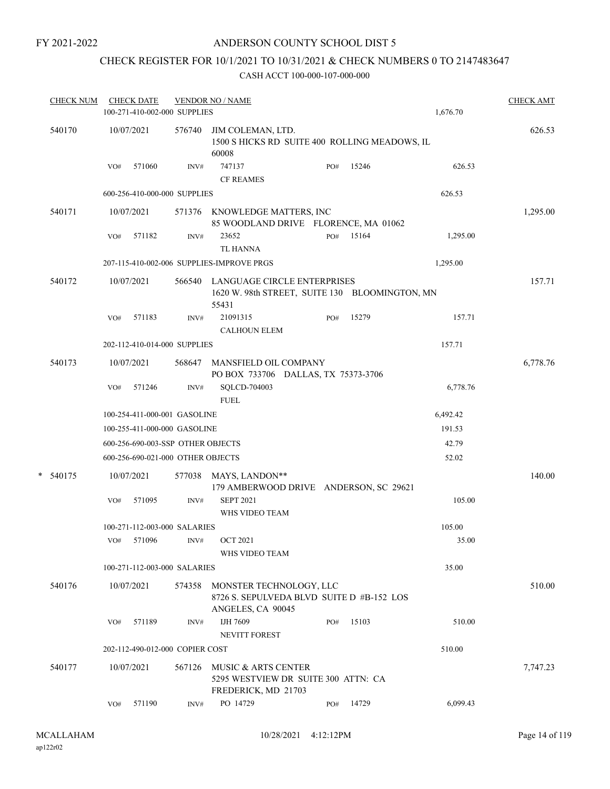### ANDERSON COUNTY SCHOOL DIST 5

## CHECK REGISTER FOR 10/1/2021 TO 10/31/2021 & CHECK NUMBERS 0 TO 2147483647

|        | <b>CHECK NUM</b> |     | <b>CHECK DATE</b><br>100-271-410-002-000 SUPPLIES |        | <b>VENDOR NO / NAME</b>                                                                       |     |       | 1,676.70 | <b>CHECK AMT</b> |
|--------|------------------|-----|---------------------------------------------------|--------|-----------------------------------------------------------------------------------------------|-----|-------|----------|------------------|
|        | 540170           |     | 10/07/2021                                        | 576740 | JIM COLEMAN, LTD.<br>1500 S HICKS RD SUITE 400 ROLLING MEADOWS, IL<br>60008                   |     |       |          | 626.53           |
|        |                  | VO# | 571060                                            | INV#   | 747137<br><b>CF REAMES</b>                                                                    | PO# | 15246 | 626.53   |                  |
|        |                  |     | 600-256-410-000-000 SUPPLIES                      |        |                                                                                               |     |       | 626.53   |                  |
|        | 540171           |     | 10/07/2021                                        |        | 571376 KNOWLEDGE MATTERS, INC<br>85 WOODLAND DRIVE FLORENCE, MA 01062                         |     |       |          | 1,295.00         |
|        |                  | VO# | 571182                                            | INV#   | 23652<br><b>TL HANNA</b>                                                                      | PO# | 15164 | 1,295.00 |                  |
|        |                  |     |                                                   |        | 207-115-410-002-006 SUPPLIES-IMPROVE PRGS                                                     |     |       | 1,295.00 |                  |
|        | 540172           |     | 10/07/2021                                        |        | 566540 LANGUAGE CIRCLE ENTERPRISES<br>1620 W. 98th STREET, SUITE 130 BLOOMINGTON, MN<br>55431 |     |       |          | 157.71           |
|        |                  | VO# | 571183                                            | INV#   | 21091315<br><b>CALHOUN ELEM</b>                                                               | PO# | 15279 | 157.71   |                  |
|        |                  |     | 202-112-410-014-000 SUPPLIES                      |        |                                                                                               |     |       | 157.71   |                  |
|        | 540173           |     | 10/07/2021                                        | 568647 | MANSFIELD OIL COMPANY<br>PO BOX 733706 DALLAS, TX 75373-3706                                  |     |       |          | 6,778.76         |
|        |                  | VO# | 571246                                            | INV#   | SQLCD-704003<br><b>FUEL</b>                                                                   |     |       | 6,778.76 |                  |
|        |                  |     | 100-254-411-000-001 GASOLINE                      |        |                                                                                               |     |       | 6,492.42 |                  |
|        |                  |     | 100-255-411-000-000 GASOLINE                      |        |                                                                                               |     |       | 191.53   |                  |
|        |                  |     | 600-256-690-003-SSP OTHER OBJECTS                 |        |                                                                                               |     |       | 42.79    |                  |
|        |                  |     | 600-256-690-021-000 OTHER OBJECTS                 |        |                                                                                               |     |       | 52.02    |                  |
| $\ast$ | 540175           |     | 10/07/2021                                        |        | 577038 MAYS, LANDON**<br>179 AMBERWOOD DRIVE ANDERSON, SC 29621                               |     |       |          | 140.00           |
|        |                  | VO# | 571095                                            | INV#   | <b>SEPT 2021</b><br>WHS VIDEO TEAM                                                            |     |       | 105.00   |                  |
|        |                  |     | 100-271-112-003-000 SALARIES                      |        |                                                                                               |     |       | 105.00   |                  |
|        |                  |     | VO# 571096                                        | INV#   | <b>OCT 2021</b><br>WHS VIDEO TEAM                                                             |     |       | 35.00    |                  |
|        |                  |     | 100-271-112-003-000 SALARIES                      |        |                                                                                               |     |       | 35.00    |                  |
|        | 540176           |     | 10/07/2021                                        | 574358 | MONSTER TECHNOLOGY, LLC<br>8726 S. SEPULVEDA BLVD SUITE D #B-152 LOS<br>ANGELES, CA 90045     |     |       |          | 510.00           |
|        |                  | VO# | 571189                                            | INV#   | IJH 7609<br>NEVITT FOREST                                                                     | PO# | 15103 | 510.00   |                  |
|        |                  |     | 202-112-490-012-000 COPIER COST                   |        |                                                                                               |     |       | 510.00   |                  |
|        | 540177           |     | 10/07/2021                                        | 567126 | MUSIC & ARTS CENTER<br>5295 WESTVIEW DR SUITE 300 ATTN: CA<br>FREDERICK, MD 21703             |     |       |          | 7,747.23         |
|        |                  | VO# | 571190                                            | INV#   | PO 14729                                                                                      | PO# | 14729 | 6,099.43 |                  |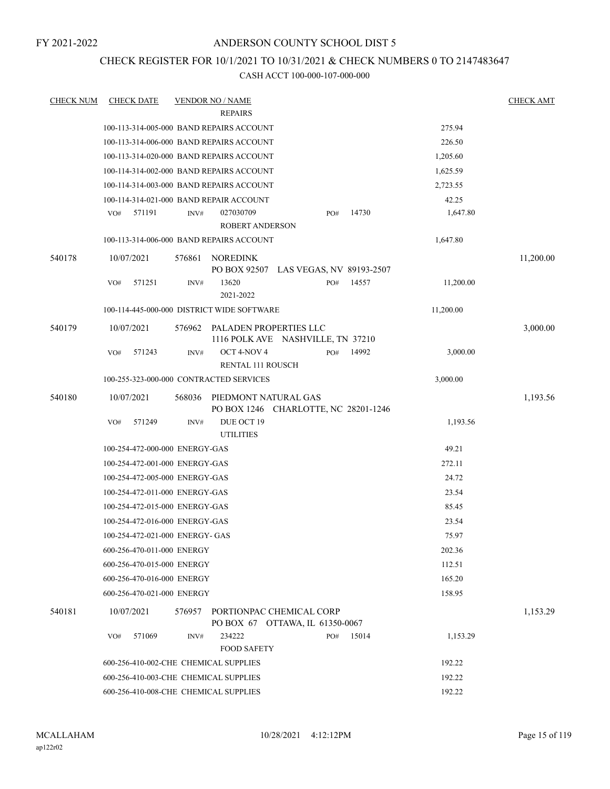### ANDERSON COUNTY SCHOOL DIST 5

### CHECK REGISTER FOR 10/1/2021 TO 10/31/2021 & CHECK NUMBERS 0 TO 2147483647

| <b>CHECK NUM</b> | <b>CHECK DATE</b>                          |        | <b>VENDOR NO / NAME</b>                                     |     |       |           | <b>CHECK AMT</b> |
|------------------|--------------------------------------------|--------|-------------------------------------------------------------|-----|-------|-----------|------------------|
|                  |                                            |        | <b>REPAIRS</b>                                              |     |       |           |                  |
|                  | 100-113-314-005-000 BAND REPAIRS ACCOUNT   |        |                                                             |     |       | 275.94    |                  |
|                  | 100-113-314-006-000 BAND REPAIRS ACCOUNT   |        |                                                             |     |       | 226.50    |                  |
|                  | 100-113-314-020-000 BAND REPAIRS ACCOUNT   |        |                                                             |     |       | 1,205.60  |                  |
|                  | 100-114-314-002-000 BAND REPAIRS ACCOUNT   |        |                                                             |     |       | 1,625.59  |                  |
|                  | 100-114-314-003-000 BAND REPAIRS ACCOUNT   |        |                                                             |     |       | 2,723.55  |                  |
|                  | 100-114-314-021-000 BAND REPAIR ACCOUNT    |        |                                                             |     |       | 42.25     |                  |
|                  | 571191<br>VO#                              | INV#   | 027030709<br><b>ROBERT ANDERSON</b>                         | PO# | 14730 | 1,647.80  |                  |
|                  | 100-113-314-006-000 BAND REPAIRS ACCOUNT   |        |                                                             |     |       | 1,647.80  |                  |
| 540178           | 10/07/2021                                 | 576861 | <b>NOREDINK</b><br>PO BOX 92507 LAS VEGAS, NV 89193-2507    |     |       |           | 11,200.00        |
|                  | VO#<br>571251                              | INV#   | 13620<br>2021-2022                                          | PO# | 14557 | 11,200.00 |                  |
|                  | 100-114-445-000-000 DISTRICT WIDE SOFTWARE |        |                                                             |     |       | 11,200.00 |                  |
| 540179           | 10/07/2021                                 | 576962 | PALADEN PROPERTIES LLC<br>1116 POLK AVE NASHVILLE, TN 37210 |     |       |           | 3,000.00         |
|                  | 571243<br>VO#                              | INV#   | OCT 4-NOV 4<br>RENTAL 111 ROUSCH                            | PO# | 14992 | 3,000.00  |                  |
|                  | 100-255-323-000-000 CONTRACTED SERVICES    |        |                                                             |     |       | 3,000.00  |                  |
| 540180           | 10/07/2021                                 | 568036 | PIEDMONT NATURAL GAS                                        |     |       |           | 1,193.56         |
|                  |                                            |        | PO BOX 1246 CHARLOTTE, NC 28201-1246                        |     |       |           |                  |
|                  | 571249<br>VO#                              | INV#   | DUE OCT 19<br><b>UTILITIES</b>                              |     |       | 1,193.56  |                  |
|                  | 100-254-472-000-000 ENERGY-GAS             |        |                                                             |     |       | 49.21     |                  |
|                  | 100-254-472-001-000 ENERGY-GAS             |        |                                                             |     |       | 272.11    |                  |
|                  | 100-254-472-005-000 ENERGY-GAS             |        |                                                             |     |       | 24.72     |                  |
|                  | 100-254-472-011-000 ENERGY-GAS             |        |                                                             |     |       | 23.54     |                  |
|                  | 100-254-472-015-000 ENERGY-GAS             |        |                                                             |     |       | 85.45     |                  |
|                  | 100-254-472-016-000 ENERGY-GAS             |        |                                                             |     |       | 23.54     |                  |
|                  | 100-254-472-021-000 ENERGY- GAS            |        |                                                             |     |       | 75.97     |                  |
|                  | 600-256-470-011-000 ENERGY                 |        |                                                             |     |       | 202.36    |                  |
|                  | 600-256-470-015-000 ENERGY                 |        |                                                             |     |       | 112.51    |                  |
|                  | 600-256-470-016-000 ENERGY                 |        |                                                             |     |       | 165.20    |                  |
|                  | 600-256-470-021-000 ENERGY                 |        |                                                             |     |       | 158.95    |                  |
| 540181           | 10/07/2021                                 | 576957 | PORTIONPAC CHEMICAL CORP<br>PO BOX 67 OTTAWA, IL 61350-0067 |     |       |           | 1,153.29         |
|                  | 571069<br>VO#                              | INV#   | 234222<br><b>FOOD SAFETY</b>                                | PO# | 15014 | 1,153.29  |                  |
|                  | 600-256-410-002-CHE CHEMICAL SUPPLIES      |        |                                                             |     |       | 192.22    |                  |
|                  | 600-256-410-003-CHE CHEMICAL SUPPLIES      |        |                                                             |     |       | 192.22    |                  |
|                  | 600-256-410-008-CHE CHEMICAL SUPPLIES      |        |                                                             |     |       | 192.22    |                  |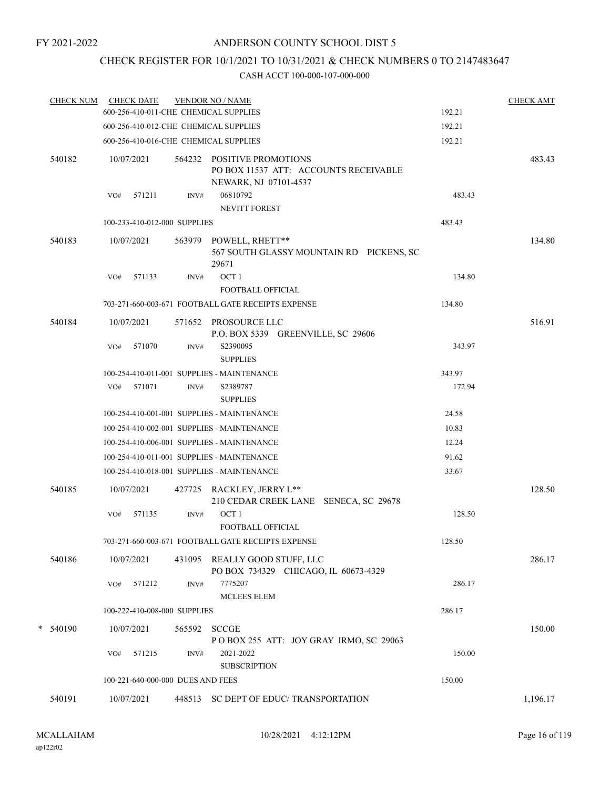# CHECK REGISTER FOR 10/1/2021 TO 10/31/2021 & CHECK NUMBERS 0 TO 2147483647

|   | <b>CHECK NUM</b> |            | <b>CHECK DATE</b>                 |        | <b>VENDOR NO / NAME</b>                                                                      |        | <b>CHECK AMT</b> |
|---|------------------|------------|-----------------------------------|--------|----------------------------------------------------------------------------------------------|--------|------------------|
|   |                  |            |                                   |        | 600-256-410-011-CHE CHEMICAL SUPPLIES                                                        | 192.21 |                  |
|   |                  |            |                                   |        | 600-256-410-012-CHE CHEMICAL SUPPLIES                                                        | 192.21 |                  |
|   |                  |            |                                   |        | 600-256-410-016-CHE CHEMICAL SUPPLIES                                                        | 192.21 |                  |
|   | 540182           |            | 10/07/2021                        |        | 564232 POSITIVE PROMOTIONS<br>PO BOX 11537 ATT: ACCOUNTS RECEIVABLE<br>NEWARK, NJ 07101-4537 |        | 483.43           |
|   |                  | VO#        | 571211                            | INV#   | 06810792<br><b>NEVITT FOREST</b>                                                             | 483.43 |                  |
|   |                  |            | 100-233-410-012-000 SUPPLIES      |        |                                                                                              | 483.43 |                  |
|   | 540183           |            | 10/07/2021                        | 563979 | POWELL, RHETT**<br>567 SOUTH GLASSY MOUNTAIN RD PICKENS, SC<br>29671                         |        | 134.80           |
|   |                  | VO#        | 571133                            | INV#   | OCT <sub>1</sub><br><b>FOOTBALL OFFICIAL</b>                                                 | 134.80 |                  |
|   |                  |            |                                   |        | 703-271-660-003-671 FOOTBALL GATE RECEIPTS EXPENSE                                           | 134.80 |                  |
|   | 540184           |            | 10/07/2021                        |        | 571652 PROSOURCE LLC<br>P.O. BOX 5339 GREENVILLE, SC 29606                                   |        | 516.91           |
|   |                  | VO#        | 571070                            | INV#   | S2390095<br><b>SUPPLIES</b>                                                                  | 343.97 |                  |
|   |                  |            |                                   |        | 100-254-410-011-001 SUPPLIES - MAINTENANCE                                                   | 343.97 |                  |
|   |                  |            | VO# 571071                        | INV#   | S2389787<br><b>SUPPLIES</b>                                                                  | 172.94 |                  |
|   |                  |            |                                   |        | 100-254-410-001-001 SUPPLIES - MAINTENANCE                                                   | 24.58  |                  |
|   |                  |            |                                   |        | 100-254-410-002-001 SUPPLIES - MAINTENANCE                                                   | 10.83  |                  |
|   |                  |            |                                   |        | 100-254-410-006-001 SUPPLIES - MAINTENANCE                                                   | 12.24  |                  |
|   |                  |            |                                   |        | 100-254-410-011-001 SUPPLIES - MAINTENANCE                                                   | 91.62  |                  |
|   |                  |            |                                   |        | 100-254-410-018-001 SUPPLIES - MAINTENANCE                                                   | 33.67  |                  |
|   | 540185           |            | 10/07/2021                        |        | 427725 RACKLEY, JERRY L**<br>210 CEDAR CREEK LANE SENECA, SC 29678                           |        | 128.50           |
|   |                  | VO#        | 571135                            | INV#   | OCT <sub>1</sub><br>FOOTBALL OFFICIAL                                                        | 128.50 |                  |
|   |                  |            |                                   |        | 703-271-660-003-671 FOOTBALL GATE RECEIPTS EXPENSE                                           | 128.50 |                  |
|   | 540186           | 10/07/2021 |                                   | 431095 | REALLY GOOD STUFF, LLC<br>PO BOX 734329 CHICAGO, IL 60673-4329                               |        | 286.17           |
|   |                  | VO#        | 571212                            | INV#   | 7775207<br><b>MCLEES ELEM</b>                                                                | 286.17 |                  |
|   |                  |            | 100-222-410-008-000 SUPPLIES      |        |                                                                                              | 286.17 |                  |
| * | 540190           | 10/07/2021 |                                   | 565592 | <b>SCCGE</b>                                                                                 |        | 150.00           |
|   |                  | VO#        | 571215                            | INV#   | POBOX 255 ATT: JOY GRAY IRMO, SC 29063<br>2021-2022                                          | 150.00 |                  |
|   |                  |            |                                   |        | <b>SUBSCRIPTION</b>                                                                          |        |                  |
|   |                  |            | 100-221-640-000-000 DUES AND FEES |        |                                                                                              | 150.00 |                  |
|   | 540191           | 10/07/2021 |                                   |        | 448513 SC DEPT OF EDUC/ TRANSPORTATION                                                       |        | 1,196.17         |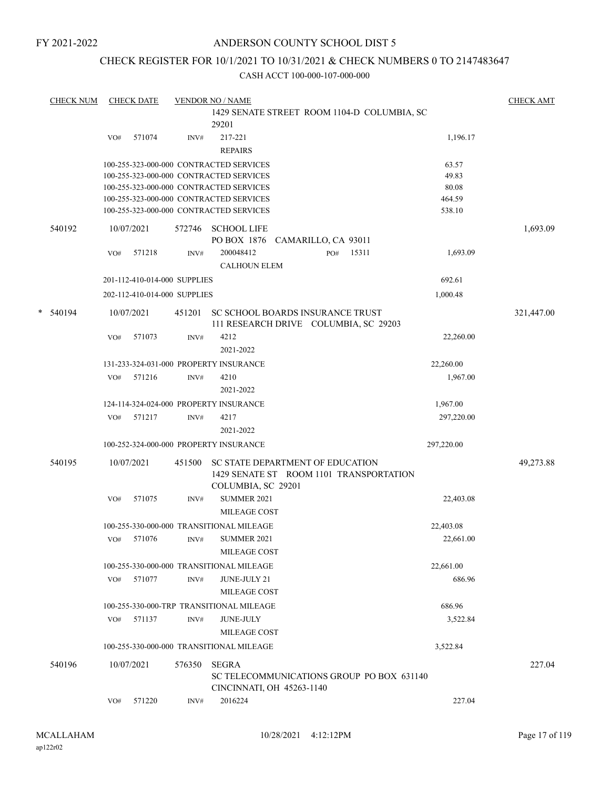### ANDERSON COUNTY SCHOOL DIST 5

### CHECK REGISTER FOR 10/1/2021 TO 10/31/2021 & CHECK NUMBERS 0 TO 2147483647

|   | <b>CHECK NUM</b> |     | <b>CHECK DATE</b> |                              | <b>VENDOR NO / NAME</b><br>1429 SENATE STREET ROOM 1104-D COLUMBIA, SC             |     |       |                  | <b>CHECK AMT</b> |
|---|------------------|-----|-------------------|------------------------------|------------------------------------------------------------------------------------|-----|-------|------------------|------------------|
|   |                  |     |                   |                              | 29201                                                                              |     |       |                  |                  |
|   |                  | VO# | 571074            | INV#                         | 217-221                                                                            |     |       | 1,196.17         |                  |
|   |                  |     |                   |                              | <b>REPAIRS</b>                                                                     |     |       |                  |                  |
|   |                  |     |                   |                              | 100-255-323-000-000 CONTRACTED SERVICES                                            |     |       | 63.57            |                  |
|   |                  |     |                   |                              | 100-255-323-000-000 CONTRACTED SERVICES                                            |     |       | 49.83            |                  |
|   |                  |     |                   |                              | 100-255-323-000-000 CONTRACTED SERVICES                                            |     |       | 80.08            |                  |
|   |                  |     |                   |                              | 100-255-323-000-000 CONTRACTED SERVICES<br>100-255-323-000-000 CONTRACTED SERVICES |     |       | 464.59<br>538.10 |                  |
|   |                  |     |                   |                              |                                                                                    |     |       |                  |                  |
|   | 540192           |     | 10/07/2021        | 572746                       | <b>SCHOOL LIFE</b>                                                                 |     |       |                  | 1,693.09         |
|   |                  |     |                   |                              | PO BOX 1876 CAMARILLO, CA 93011                                                    |     |       |                  |                  |
|   |                  | VO# | 571218            | INV#                         | 200048412                                                                          | PO# | 15311 | 1,693.09         |                  |
|   |                  |     |                   |                              | <b>CALHOUN ELEM</b>                                                                |     |       |                  |                  |
|   |                  |     |                   | 201-112-410-014-000 SUPPLIES |                                                                                    |     |       | 692.61           |                  |
|   |                  |     |                   | 202-112-410-014-000 SUPPLIES |                                                                                    |     |       | 1,000.48         |                  |
| * | 540194           |     | 10/07/2021        | 451201                       | SC SCHOOL BOARDS INSURANCE TRUST                                                   |     |       |                  | 321,447.00       |
|   |                  |     |                   |                              | 111 RESEARCH DRIVE COLUMBIA, SC 29203                                              |     |       |                  |                  |
|   |                  | VO# | 571073            | INV#                         | 4212                                                                               |     |       | 22,260.00        |                  |
|   |                  |     |                   |                              | 2021-2022                                                                          |     |       |                  |                  |
|   |                  |     |                   |                              | 131-233-324-031-000 PROPERTY INSURANCE                                             |     |       | 22,260.00        |                  |
|   |                  | VO# | 571216            | INV#                         | 4210                                                                               |     |       | 1,967.00         |                  |
|   |                  |     |                   |                              | 2021-2022                                                                          |     |       |                  |                  |
|   |                  |     |                   |                              | 124-114-324-024-000 PROPERTY INSURANCE                                             |     |       | 1,967.00         |                  |
|   |                  | VO# | 571217            | INV#                         | 4217                                                                               |     |       | 297,220.00       |                  |
|   |                  |     |                   |                              | 2021-2022                                                                          |     |       |                  |                  |
|   |                  |     |                   |                              | 100-252-324-000-000 PROPERTY INSURANCE                                             |     |       | 297,220.00       |                  |
|   | 540195           |     | 10/07/2021        | 451500                       | SC STATE DEPARTMENT OF EDUCATION                                                   |     |       |                  | 49,273.88        |
|   |                  |     |                   |                              | 1429 SENATE ST ROOM 1101 TRANSPORTATION                                            |     |       |                  |                  |
|   |                  | VO# | 571075            | INV#                         | COLUMBIA, SC 29201<br><b>SUMMER 2021</b>                                           |     |       | 22,403.08        |                  |
|   |                  |     |                   |                              | MILEAGE COST                                                                       |     |       |                  |                  |
|   |                  |     |                   |                              | 100-255-330-000-000 TRANSITIONAL MILEAGE                                           |     |       | 22,403.08        |                  |
|   |                  | VO# | 571076            | INV#                         | <b>SUMMER 2021</b>                                                                 |     |       | 22,661.00        |                  |
|   |                  |     |                   |                              | <b>MILEAGE COST</b>                                                                |     |       |                  |                  |
|   |                  |     |                   |                              | 100-255-330-000-000 TRANSITIONAL MILEAGE                                           |     |       | 22,661.00        |                  |
|   |                  | VO# | 571077            | INV#                         | <b>JUNE-JULY 21</b>                                                                |     |       | 686.96           |                  |
|   |                  |     |                   |                              | <b>MILEAGE COST</b>                                                                |     |       |                  |                  |
|   |                  |     |                   |                              | 100-255-330-000-TRP TRANSITIONAL MILEAGE                                           |     |       | 686.96           |                  |
|   |                  | VO# | 571137            | INV#                         | <b>JUNE-JULY</b>                                                                   |     |       | 3,522.84         |                  |
|   |                  |     |                   |                              | MILEAGE COST                                                                       |     |       |                  |                  |
|   |                  |     |                   |                              | 100-255-330-000-000 TRANSITIONAL MILEAGE                                           |     |       | 3,522.84         |                  |
|   | 540196           |     | 10/07/2021        | 576350                       | <b>SEGRA</b>                                                                       |     |       |                  | 227.04           |
|   |                  |     |                   |                              | SC TELECOMMUNICATIONS GROUP PO BOX 631140                                          |     |       |                  |                  |
|   |                  |     |                   |                              | CINCINNATI, OH 45263-1140                                                          |     |       |                  |                  |
|   |                  | VO# | 571220            | INV#                         | 2016224                                                                            |     |       | 227.04           |                  |
|   |                  |     |                   |                              |                                                                                    |     |       |                  |                  |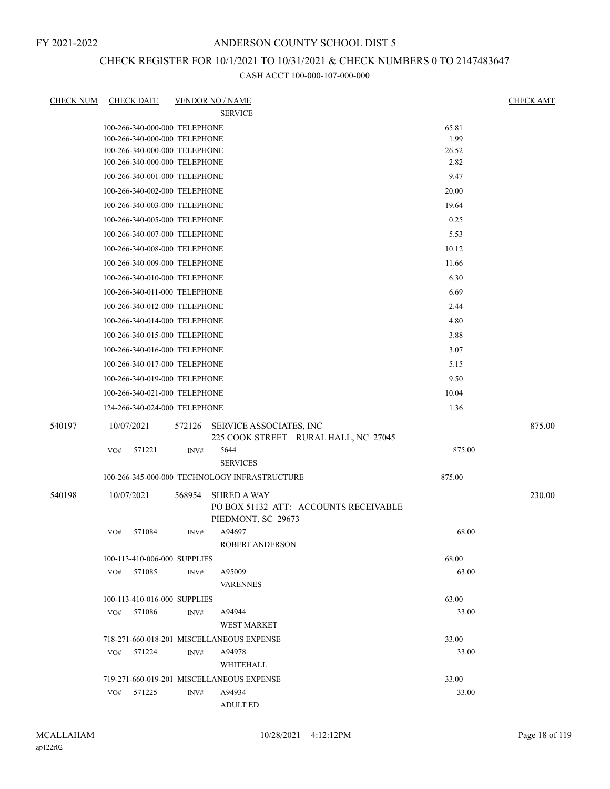### CHECK REGISTER FOR 10/1/2021 TO 10/31/2021 & CHECK NUMBERS 0 TO 2147483647

| <b>CHECK NUM</b> | <b>CHECK DATE</b>             |                | <b>VENDOR NO / NAME</b>                                     |        | <b>CHECK AMT</b> |
|------------------|-------------------------------|----------------|-------------------------------------------------------------|--------|------------------|
|                  |                               |                | <b>SERVICE</b>                                              |        |                  |
|                  | 100-266-340-000-000 TELEPHONE |                |                                                             | 65.81  |                  |
|                  | 100-266-340-000-000 TELEPHONE |                |                                                             | 1.99   |                  |
|                  | 100-266-340-000-000 TELEPHONE |                |                                                             | 26.52  |                  |
|                  | 100-266-340-000-000 TELEPHONE |                |                                                             | 2.82   |                  |
|                  | 100-266-340-001-000 TELEPHONE |                |                                                             | 9.47   |                  |
|                  | 100-266-340-002-000 TELEPHONE |                |                                                             | 20.00  |                  |
|                  | 100-266-340-003-000 TELEPHONE |                |                                                             | 19.64  |                  |
|                  | 100-266-340-005-000 TELEPHONE |                |                                                             | 0.25   |                  |
|                  | 100-266-340-007-000 TELEPHONE |                |                                                             | 5.53   |                  |
|                  | 100-266-340-008-000 TELEPHONE |                |                                                             | 10.12  |                  |
|                  | 100-266-340-009-000 TELEPHONE |                |                                                             | 11.66  |                  |
|                  | 100-266-340-010-000 TELEPHONE |                |                                                             | 6.30   |                  |
|                  | 100-266-340-011-000 TELEPHONE |                |                                                             | 6.69   |                  |
|                  | 100-266-340-012-000 TELEPHONE |                |                                                             | 2.44   |                  |
|                  | 100-266-340-014-000 TELEPHONE |                |                                                             | 4.80   |                  |
|                  | 100-266-340-015-000 TELEPHONE |                |                                                             | 3.88   |                  |
|                  | 100-266-340-016-000 TELEPHONE |                |                                                             | 3.07   |                  |
|                  | 100-266-340-017-000 TELEPHONE |                |                                                             | 5.15   |                  |
|                  | 100-266-340-019-000 TELEPHONE |                |                                                             | 9.50   |                  |
|                  | 100-266-340-021-000 TELEPHONE |                |                                                             | 10.04  |                  |
|                  | 124-266-340-024-000 TELEPHONE |                |                                                             | 1.36   |                  |
| 540197           | 10/07/2021                    | 572126         | SERVICE ASSOCIATES, INC                                     |        | 875.00           |
|                  |                               |                | 225 COOK STREET RURAL HALL, NC 27045                        |        |                  |
|                  | 571221<br>VO#                 | INV#           | 5644<br><b>SERVICES</b>                                     | 875.00 |                  |
|                  |                               |                | 100-266-345-000-000 TECHNOLOGY INFRASTRUCTURE               | 875.00 |                  |
| 540198           | 10/07/2021                    | 568954         | <b>SHRED A WAY</b>                                          |        | 230.00           |
|                  |                               |                | PO BOX 51132 ATT: ACCOUNTS RECEIVABLE<br>PIEDMONT, SC 29673 |        |                  |
|                  | 571084<br>VO#                 | INV#           | A94697                                                      | 68.00  |                  |
|                  |                               |                | <b>ROBERT ANDERSON</b>                                      |        |                  |
|                  | 100-113-410-006-000 SUPPLIES  |                |                                                             | 68.00  |                  |
|                  | 571085<br>VO#                 | INV#           | A95009<br><b>VARENNES</b>                                   | 63.00  |                  |
|                  | 100-113-410-016-000 SUPPLIES  |                |                                                             | 63.00  |                  |
|                  | 571086<br>VO#                 | INV#           | A94944                                                      | 33.00  |                  |
|                  |                               |                | <b>WEST MARKET</b>                                          |        |                  |
|                  |                               |                | 718-271-660-018-201 MISCELLANEOUS EXPENSE                   | 33.00  |                  |
|                  | 571224<br>VO#                 | INV#           | A94978                                                      | 33.00  |                  |
|                  |                               |                | WHITEHALL                                                   |        |                  |
|                  |                               |                | 719-271-660-019-201 MISCELLANEOUS EXPENSE                   | 33.00  |                  |
|                  | 571225<br>VO#                 | $\text{INV}\#$ | A94934                                                      | 33.00  |                  |
|                  |                               |                | <b>ADULT ED</b>                                             |        |                  |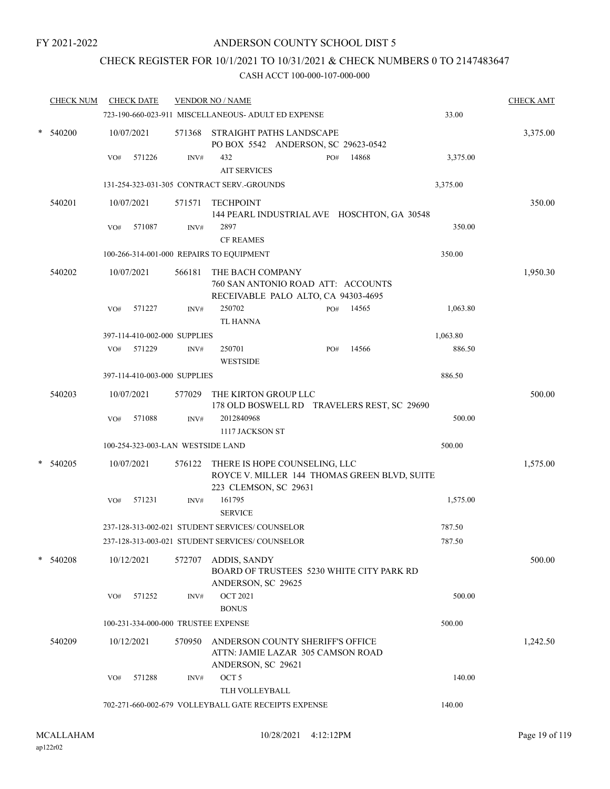### CHECK REGISTER FOR 10/1/2021 TO 10/31/2021 & CHECK NUMBERS 0 TO 2147483647

|        | <b>CHECK NUM</b> | <b>CHECK DATE</b>                        |        | <b>VENDOR NO / NAME</b>                                                                                | <b>CHECK AMT</b> |
|--------|------------------|------------------------------------------|--------|--------------------------------------------------------------------------------------------------------|------------------|
|        |                  |                                          |        | 33.00<br>723-190-660-023-911 MISCELLANEOUS- ADULT ED EXPENSE                                           |                  |
| $\ast$ | 540200           | 10/07/2021                               |        | 571368 STRAIGHT PATHS LANDSCAPE<br>PO BOX 5542 ANDERSON, SC 29623-0542                                 | 3,375.00         |
|        |                  | 571226<br>VO#                            | INV#   | 432<br>14868<br>3,375.00<br>PO#<br><b>AIT SERVICES</b>                                                 |                  |
|        |                  |                                          |        | 131-254-323-031-305 CONTRACT SERV.-GROUNDS<br>3,375.00                                                 |                  |
|        | 540201           | 10/07/2021                               | 571571 | TECHPOINT<br>144 PEARL INDUSTRIAL AVE HOSCHTON, GA 30548                                               | 350.00           |
|        |                  | 571087<br>VO#                            | INV#   | 2897<br>350.00<br><b>CF REAMES</b>                                                                     |                  |
|        |                  | 100-266-314-001-000 REPAIRS TO EQUIPMENT |        | 350.00                                                                                                 |                  |
|        | 540202           | 10/07/2021                               | 566181 | THE BACH COMPANY<br>760 SAN ANTONIO ROAD ATT: ACCOUNTS<br>RECEIVABLE PALO ALTO, CA 94303-4695          | 1,950.30         |
|        |                  | 571227<br>VO#                            | INV#   | 250702<br>14565<br>1,063.80<br>PO#<br><b>TL HANNA</b>                                                  |                  |
|        |                  | 397-114-410-002-000 SUPPLIES             |        | 1,063.80                                                                                               |                  |
|        |                  | 571229<br>VO#                            | INV#   | 250701<br>14566<br>886.50<br>PO#<br><b>WESTSIDE</b>                                                    |                  |
|        |                  | 397-114-410-003-000 SUPPLIES             |        | 886.50                                                                                                 |                  |
|        | 540203           | 10/07/2021                               |        | 577029 THE KIRTON GROUP LLC<br>178 OLD BOSWELL RD TRAVELERS REST, SC 29690                             | 500.00           |
|        |                  | 571088<br>VO#                            | INV#   | 2012840968<br>500.00                                                                                   |                  |
|        |                  |                                          |        | 1117 JACKSON ST                                                                                        |                  |
|        |                  | 100-254-323-003-LAN WESTSIDE LAND        |        | 500.00                                                                                                 |                  |
|        | 540205           | 10/07/2021                               | 576122 | THERE IS HOPE COUNSELING, LLC<br>ROYCE V. MILLER 144 THOMAS GREEN BLVD, SUITE<br>223 CLEMSON, SC 29631 | 1,575.00         |
|        |                  | VO#<br>571231                            | INV#   | 161795<br>1,575.00<br><b>SERVICE</b>                                                                   |                  |
|        |                  |                                          |        | 237-128-313-002-021 STUDENT SERVICES/ COUNSELOR<br>787.50                                              |                  |
|        |                  |                                          |        | 237-128-313-003-021 STUDENT SERVICES/ COUNSELOR<br>787.50                                              |                  |
|        | 540208           | 10/12/2021                               |        | 572707 ADDIS, SANDY<br>BOARD OF TRUSTEES 5230 WHITE CITY PARK RD<br>ANDERSON, SC 29625                 | 500.00           |
|        |                  | 571252<br>VO#                            | INV#   | <b>OCT 2021</b><br>500.00<br><b>BONUS</b>                                                              |                  |
|        |                  | 100-231-334-000-000 TRUSTEE EXPENSE      |        | 500.00                                                                                                 |                  |
|        | 540209           | 10/12/2021                               | 570950 | ANDERSON COUNTY SHERIFF'S OFFICE<br>ATTN: JAMIE LAZAR 305 CAMSON ROAD<br>ANDERSON, SC 29621            | 1,242.50         |
|        |                  | 571288<br>VO#                            | INV#   | OCT <sub>5</sub><br>140.00<br>TLH VOLLEYBALL                                                           |                  |
|        |                  |                                          |        | 702-271-660-002-679 VOLLEYBALL GATE RECEIPTS EXPENSE<br>140.00                                         |                  |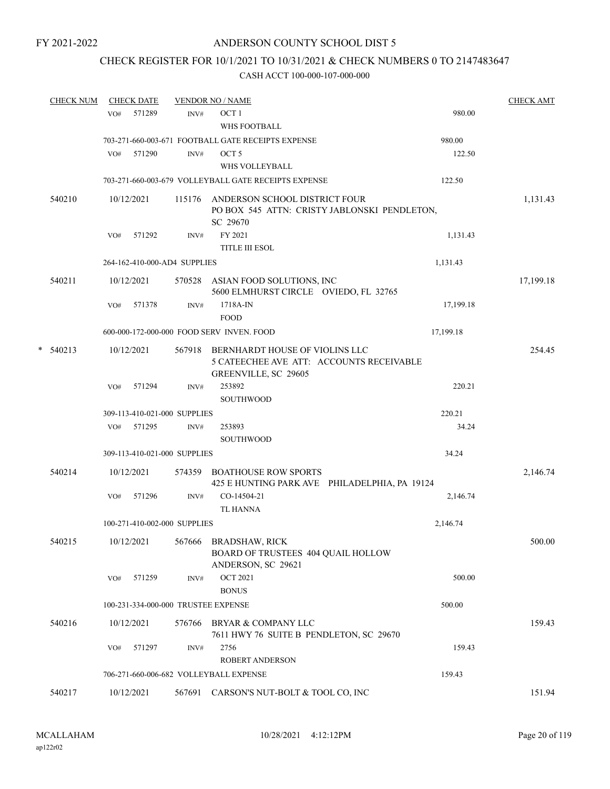## CHECK REGISTER FOR 10/1/2021 TO 10/31/2021 & CHECK NUMBERS 0 TO 2147483647

|   | <b>CHECK NUM</b> |     | <b>CHECK DATE</b> |                              | <b>VENDOR NO / NAME</b>                                                                                   |           | <b>CHECK AMT</b> |
|---|------------------|-----|-------------------|------------------------------|-----------------------------------------------------------------------------------------------------------|-----------|------------------|
|   |                  | VO# | 571289            | INV#                         | OCT <sub>1</sub><br>WHS FOOTBALL                                                                          | 980.00    |                  |
|   |                  |     |                   |                              | 703-271-660-003-671 FOOTBALL GATE RECEIPTS EXPENSE                                                        | 980.00    |                  |
|   |                  | VO# | 571290            | INV#                         | OCT <sub>5</sub>                                                                                          | 122.50    |                  |
|   |                  |     |                   |                              | WHS VOLLEYBALL                                                                                            |           |                  |
|   |                  |     |                   |                              | 703-271-660-003-679 VOLLEYBALL GATE RECEIPTS EXPENSE                                                      | 122.50    |                  |
|   | 540210           |     | 10/12/2021        |                              | 115176 ANDERSON SCHOOL DISTRICT FOUR<br>PO BOX 545 ATTN: CRISTY JABLONSKI PENDLETON,<br>SC 29670          |           | 1,131.43         |
|   |                  | VO# | 571292            | INV#                         | FY 2021                                                                                                   | 1,131.43  |                  |
|   |                  |     |                   |                              | <b>TITLE III ESOL</b>                                                                                     |           |                  |
|   |                  |     |                   | 264-162-410-000-AD4 SUPPLIES |                                                                                                           | 1,131.43  |                  |
|   | 540211           |     | 10/12/2021        |                              | 570528 ASIAN FOOD SOLUTIONS, INC<br>5600 ELMHURST CIRCLE OVIEDO, FL 32765                                 |           | 17,199.18        |
|   |                  | VO# | 571378            | INV#                         | 1718A-IN<br><b>FOOD</b>                                                                                   | 17,199.18 |                  |
|   |                  |     |                   |                              | 600-000-172-000-000 FOOD SERV INVEN. FOOD                                                                 | 17,199.18 |                  |
| * | 540213           |     | 10/12/2021        |                              | 567918 BERNHARDT HOUSE OF VIOLINS LLC<br>5 CATEECHEE AVE ATT: ACCOUNTS RECEIVABLE<br>GREENVILLE, SC 29605 |           | 254.45           |
|   |                  | VO# | 571294            | INV#                         | 253892<br>SOUTHWOOD                                                                                       | 220.21    |                  |
|   |                  |     |                   | 309-113-410-021-000 SUPPLIES |                                                                                                           | 220.21    |                  |
|   |                  |     | VO# 571295        | INV#                         | 253893                                                                                                    | 34.24     |                  |
|   |                  |     |                   |                              | <b>SOUTHWOOD</b>                                                                                          |           |                  |
|   |                  |     |                   | 309-113-410-021-000 SUPPLIES |                                                                                                           | 34.24     |                  |
|   | 540214           |     | 10/12/2021        |                              | 574359 BOATHOUSE ROW SPORTS<br>425 E HUNTING PARK AVE PHILADELPHIA, PA 19124                              |           | 2,146.74         |
|   |                  | VO# | 571296            | INV#                         | CO-14504-21<br><b>TL HANNA</b>                                                                            | 2,146.74  |                  |
|   |                  |     |                   | 100-271-410-002-000 SUPPLIES |                                                                                                           | 2,146.74  |                  |
|   | 540215           |     | 10/12/2021        |                              | 567666 BRADSHAW, RICK<br>BOARD OF TRUSTEES 404 QUAIL HOLLOW<br>ANDERSON, SC 29621                         |           | 500.00           |
|   |                  | VO# | 571259            | INV#                         | <b>OCT 2021</b><br><b>BONUS</b>                                                                           | 500.00    |                  |
|   |                  |     |                   |                              | 100-231-334-000-000 TRUSTEE EXPENSE                                                                       | 500.00    |                  |
|   | 540216           |     | 10/12/2021        | 576766                       | BRYAR & COMPANY LLC<br>7611 HWY 76 SUITE B PENDLETON, SC 29670                                            |           | 159.43           |
|   |                  | VO# | 571297            | INV#                         | 2756<br><b>ROBERT ANDERSON</b>                                                                            | 159.43    |                  |
|   |                  |     |                   |                              | 706-271-660-006-682 VOLLEYBALL EXPENSE                                                                    | 159.43    |                  |
|   | 540217           |     | 10/12/2021        |                              | 567691 CARSON'S NUT-BOLT & TOOL CO, INC                                                                   |           | 151.94           |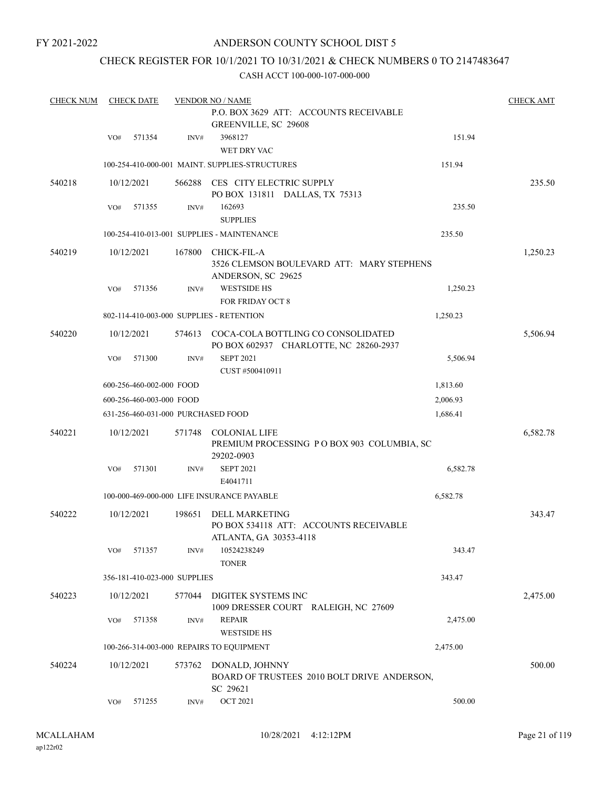### ANDERSON COUNTY SCHOOL DIST 5

### CHECK REGISTER FOR 10/1/2021 TO 10/31/2021 & CHECK NUMBERS 0 TO 2147483647

| <b>CHECK NUM</b> |     | <b>CHECK DATE</b>            |        | <b>VENDOR NO / NAME</b>                                                                   |          | <b>CHECK AMT</b> |
|------------------|-----|------------------------------|--------|-------------------------------------------------------------------------------------------|----------|------------------|
|                  |     |                              |        | P.O. BOX 3629 ATT: ACCOUNTS RECEIVABLE<br>GREENVILLE, SC 29608                            |          |                  |
|                  | VO# | 571354                       | INV#   | 3968127<br>WET DRY VAC                                                                    | 151.94   |                  |
|                  |     |                              |        | 100-254-410-000-001 MAINT. SUPPLIES-STRUCTURES                                            | 151.94   |                  |
| 540218           |     | 10/12/2021                   | 566288 | CES CITY ELECTRIC SUPPLY<br>PO BOX 131811 DALLAS, TX 75313                                |          | 235.50           |
|                  | VO# | 571355                       | INV#   | 162693<br><b>SUPPLIES</b>                                                                 | 235.50   |                  |
|                  |     |                              |        | 100-254-410-013-001 SUPPLIES - MAINTENANCE                                                | 235.50   |                  |
| 540219           |     | 10/12/2021                   | 167800 | <b>CHICK-FIL-A</b><br>3526 CLEMSON BOULEVARD ATT: MARY STEPHENS<br>ANDERSON, SC 29625     |          | 1,250.23         |
|                  | VO# | 571356                       | INV#   | <b>WESTSIDE HS</b>                                                                        | 1,250.23 |                  |
|                  |     |                              |        | <b>FOR FRIDAY OCT 8</b>                                                                   |          |                  |
|                  |     |                              |        | 802-114-410-003-000 SUPPLIES - RETENTION                                                  | 1,250.23 |                  |
| 540220           |     | 10/12/2021                   |        | 574613 COCA-COLA BOTTLING CO CONSOLIDATED<br>PO BOX 602937 CHARLOTTE, NC 28260-2937       |          | 5,506.94         |
|                  | VO# | 571300                       | INV#   | <b>SEPT 2021</b><br>CUST #500410911                                                       | 5,506.94 |                  |
|                  |     | 600-256-460-002-000 FOOD     |        |                                                                                           | 1,813.60 |                  |
|                  |     | 600-256-460-003-000 FOOD     |        |                                                                                           | 2,006.93 |                  |
|                  |     |                              |        | 631-256-460-031-000 PURCHASED FOOD                                                        | 1,686.41 |                  |
| 540221           |     | 10/12/2021                   | 571748 | <b>COLONIAL LIFE</b><br>PREMIUM PROCESSING PO BOX 903 COLUMBIA, SC<br>29202-0903          |          | 6,582.78         |
|                  | VO# | 571301                       | INV#   | <b>SEPT 2021</b><br>E4041711                                                              | 6,582.78 |                  |
|                  |     |                              |        | 100-000-469-000-000 LIFE INSURANCE PAYABLE                                                | 6,582.78 |                  |
| 540222           |     | 10/12/2021                   | 198651 | <b>DELL MARKETING</b><br>PO BOX 534118 ATT: ACCOUNTS RECEIVABLE<br>ATLANTA, GA 30353-4118 |          | 343.47           |
|                  | VO# | 571357                       | INV#   | 10524238249<br><b>TONER</b>                                                               | 343.47   |                  |
|                  |     | 356-181-410-023-000 SUPPLIES |        |                                                                                           | 343.47   |                  |
| 540223           |     | 10/12/2021                   | 577044 | DIGITEK SYSTEMS INC<br>1009 DRESSER COURT RALEIGH, NC 27609                               |          | 2,475.00         |
|                  | VO# | 571358                       | INV#   | <b>REPAIR</b><br><b>WESTSIDE HS</b>                                                       | 2,475.00 |                  |
|                  |     |                              |        | 100-266-314-003-000 REPAIRS TO EQUIPMENT                                                  | 2,475.00 |                  |
|                  |     |                              |        |                                                                                           |          |                  |
| 540224           |     | 10/12/2021                   | 573762 | DONALD, JOHNNY<br>BOARD OF TRUSTEES 2010 BOLT DRIVE ANDERSON,<br>SC 29621                 |          | 500.00           |
|                  | VO# | 571255                       | INV#   | <b>OCT 2021</b>                                                                           | 500.00   |                  |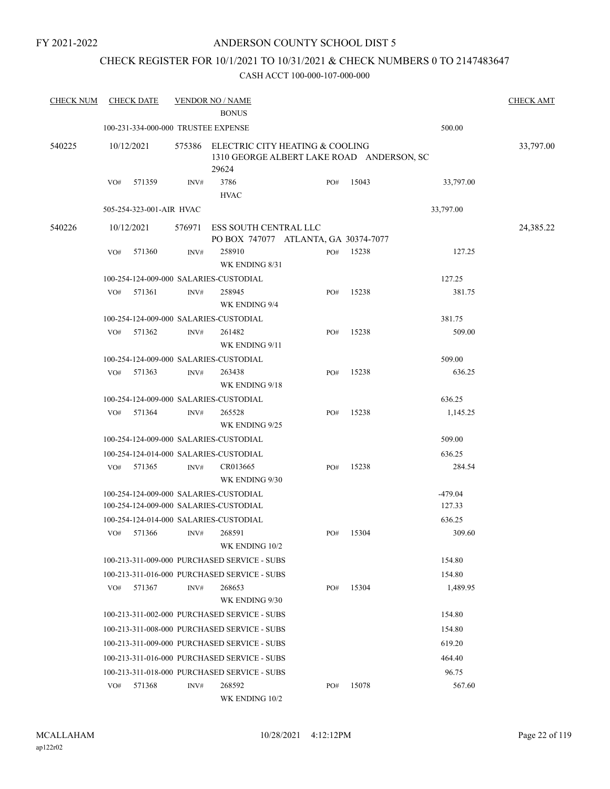### ANDERSON COUNTY SCHOOL DIST 5

### CHECK REGISTER FOR 10/1/2021 TO 10/31/2021 & CHECK NUMBERS 0 TO 2147483647

| <b>CHECK NUM</b> |     | <b>CHECK DATE</b>                   |        | <b>VENDOR NO / NAME</b><br><b>BONUS</b>                                               |     |       |           | <b>CHECK AMT</b> |
|------------------|-----|-------------------------------------|--------|---------------------------------------------------------------------------------------|-----|-------|-----------|------------------|
|                  |     | 100-231-334-000-000 TRUSTEE EXPENSE |        |                                                                                       |     |       | 500.00    |                  |
| 540225           |     | 10/12/2021                          | 575386 | ELECTRIC CITY HEATING & COOLING<br>1310 GEORGE ALBERT LAKE ROAD ANDERSON, SC<br>29624 |     |       |           | 33,797.00        |
|                  | VO# | 571359                              | INV#   | 3786<br><b>HVAC</b>                                                                   | PO# | 15043 | 33,797.00 |                  |
|                  |     | 505-254-323-001-AIR HVAC            |        |                                                                                       |     |       | 33,797.00 |                  |
| 540226           |     | 10/12/2021                          | 576971 | ESS SOUTH CENTRAL LLC                                                                 |     |       |           | 24,385.22        |
|                  |     |                                     |        | PO BOX 747077 ATLANTA, GA 30374-7077                                                  |     |       |           |                  |
|                  | VO# | 571360                              | INV#   | 258910<br>WK ENDING 8/31                                                              | PO# | 15238 | 127.25    |                  |
|                  |     |                                     |        | 100-254-124-009-000 SALARIES-CUSTODIAL                                                |     |       | 127.25    |                  |
|                  | VO# | 571361                              | INV#   | 258945<br>WK ENDING 9/4                                                               | PO# | 15238 | 381.75    |                  |
|                  |     |                                     |        | 100-254-124-009-000 SALARIES-CUSTODIAL                                                |     |       | 381.75    |                  |
|                  | VO# | 571362                              | INV#   | 261482<br>WK ENDING 9/11                                                              | PO# | 15238 | 509.00    |                  |
|                  |     |                                     |        | 100-254-124-009-000 SALARIES-CUSTODIAL                                                |     |       | 509.00    |                  |
|                  | VO# | 571363                              | INV#   | 263438<br>WK ENDING 9/18                                                              | PO# | 15238 | 636.25    |                  |
|                  |     |                                     |        | 100-254-124-009-000 SALARIES-CUSTODIAL                                                |     |       | 636.25    |                  |
|                  | VO# | 571364                              | INV#   | 265528<br>WK ENDING 9/25                                                              | PO# | 15238 | 1,145.25  |                  |
|                  |     |                                     |        | 100-254-124-009-000 SALARIES-CUSTODIAL                                                |     |       | 509.00    |                  |
|                  |     |                                     |        | 100-254-124-014-000 SALARIES-CUSTODIAL                                                |     |       | 636.25    |                  |
|                  | VO# | 571365                              | INV#   | CR013665<br>WK ENDING 9/30                                                            | PO# | 15238 | 284.54    |                  |
|                  |     |                                     |        | 100-254-124-009-000 SALARIES-CUSTODIAL                                                |     |       | $-479.04$ |                  |
|                  |     |                                     |        | 100-254-124-009-000 SALARIES-CUSTODIAL                                                |     |       | 127.33    |                  |
|                  |     |                                     |        | 100-254-124-014-000 SALARIES-CUSTODIAL                                                |     |       | 636.25    |                  |
|                  | VO# | 571366                              | INV#   | 268591<br>WK ENDING 10/2                                                              | PO# | 15304 | 309.60    |                  |
|                  |     |                                     |        | 100-213-311-009-000 PURCHASED SERVICE - SUBS                                          |     |       | 154.80    |                  |
|                  |     |                                     |        | 100-213-311-016-000 PURCHASED SERVICE - SUBS                                          |     |       | 154.80    |                  |
|                  | VO# | 571367                              | INV#   | 268653<br>WK ENDING 9/30                                                              | PO# | 15304 | 1,489.95  |                  |
|                  |     |                                     |        | 100-213-311-002-000 PURCHASED SERVICE - SUBS                                          |     |       | 154.80    |                  |
|                  |     |                                     |        | 100-213-311-008-000 PURCHASED SERVICE - SUBS                                          |     |       | 154.80    |                  |
|                  |     |                                     |        | 100-213-311-009-000 PURCHASED SERVICE - SUBS                                          |     |       | 619.20    |                  |
|                  |     |                                     |        | 100-213-311-016-000 PURCHASED SERVICE - SUBS                                          |     |       | 464.40    |                  |
|                  |     |                                     |        | 100-213-311-018-000 PURCHASED SERVICE - SUBS                                          |     |       | 96.75     |                  |
|                  | VO# | 571368                              | INV#   | 268592<br>WK ENDING 10/2                                                              | PO# | 15078 | 567.60    |                  |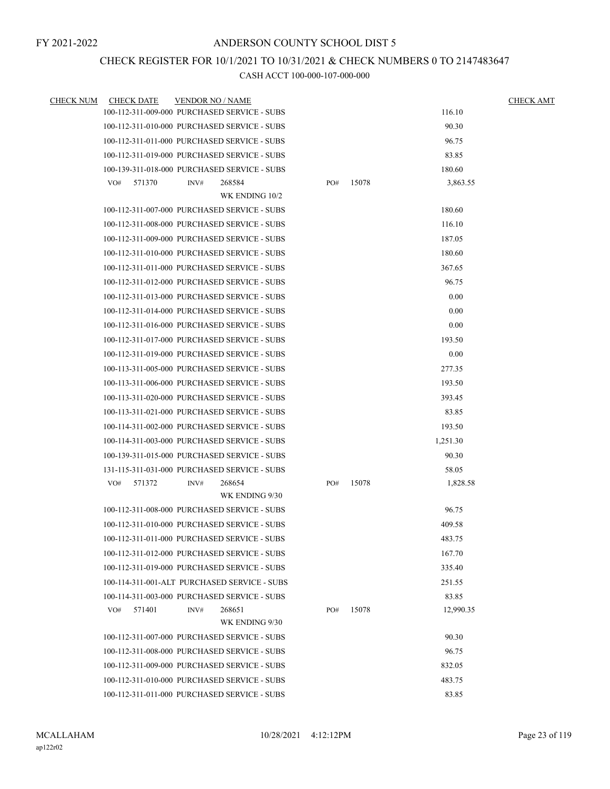### CHECK REGISTER FOR 10/1/2021 TO 10/31/2021 & CHECK NUMBERS 0 TO 2147483647

| <b>CHECK NUM</b> | <b>CHECK DATE</b>                            | <b>VENDOR NO / NAME</b> |                |     |       |           | <b>CHECK AMT</b> |
|------------------|----------------------------------------------|-------------------------|----------------|-----|-------|-----------|------------------|
|                  | 100-112-311-009-000 PURCHASED SERVICE - SUBS |                         |                |     |       | 116.10    |                  |
|                  | 100-112-311-010-000 PURCHASED SERVICE - SUBS |                         |                |     |       | 90.30     |                  |
|                  | 100-112-311-011-000 PURCHASED SERVICE - SUBS |                         |                |     |       | 96.75     |                  |
|                  | 100-112-311-019-000 PURCHASED SERVICE - SUBS |                         |                |     |       | 83.85     |                  |
|                  | 100-139-311-018-000 PURCHASED SERVICE - SUBS |                         |                |     |       | 180.60    |                  |
|                  | VO#<br>571370                                | INV#                    | 268584         | PO# | 15078 | 3,863.55  |                  |
|                  |                                              |                         | WK ENDING 10/2 |     |       |           |                  |
|                  | 100-112-311-007-000 PURCHASED SERVICE - SUBS |                         |                |     |       | 180.60    |                  |
|                  | 100-112-311-008-000 PURCHASED SERVICE - SUBS |                         |                |     |       | 116.10    |                  |
|                  | 100-112-311-009-000 PURCHASED SERVICE - SUBS |                         |                |     |       | 187.05    |                  |
|                  | 100-112-311-010-000 PURCHASED SERVICE - SUBS |                         |                |     |       | 180.60    |                  |
|                  | 100-112-311-011-000 PURCHASED SERVICE - SUBS |                         |                |     |       | 367.65    |                  |
|                  | 100-112-311-012-000 PURCHASED SERVICE - SUBS |                         |                |     |       | 96.75     |                  |
|                  | 100-112-311-013-000 PURCHASED SERVICE - SUBS |                         |                |     |       | 0.00      |                  |
|                  | 100-112-311-014-000 PURCHASED SERVICE - SUBS |                         |                |     |       | 0.00      |                  |
|                  | 100-112-311-016-000 PURCHASED SERVICE - SUBS |                         |                |     |       | 0.00      |                  |
|                  | 100-112-311-017-000 PURCHASED SERVICE - SUBS |                         |                |     |       | 193.50    |                  |
|                  | 100-112-311-019-000 PURCHASED SERVICE - SUBS |                         |                |     |       | 0.00      |                  |
|                  | 100-113-311-005-000 PURCHASED SERVICE - SUBS |                         |                |     |       | 277.35    |                  |
|                  | 100-113-311-006-000 PURCHASED SERVICE - SUBS |                         |                |     |       | 193.50    |                  |
|                  | 100-113-311-020-000 PURCHASED SERVICE - SUBS |                         |                |     |       | 393.45    |                  |
|                  | 100-113-311-021-000 PURCHASED SERVICE - SUBS |                         |                |     |       | 83.85     |                  |
|                  | 100-114-311-002-000 PURCHASED SERVICE - SUBS |                         |                |     |       | 193.50    |                  |
|                  | 100-114-311-003-000 PURCHASED SERVICE - SUBS |                         |                |     |       | 1,251.30  |                  |
|                  | 100-139-311-015-000 PURCHASED SERVICE - SUBS |                         |                |     |       | 90.30     |                  |
|                  | 131-115-311-031-000 PURCHASED SERVICE - SUBS |                         |                |     |       | 58.05     |                  |
|                  | 571372<br>VO#                                | INV#                    | 268654         | PO# | 15078 | 1,828.58  |                  |
|                  |                                              |                         | WK ENDING 9/30 |     |       |           |                  |
|                  | 100-112-311-008-000 PURCHASED SERVICE - SUBS |                         |                |     |       | 96.75     |                  |
|                  | 100-112-311-010-000 PURCHASED SERVICE - SUBS |                         |                |     |       | 409.58    |                  |
|                  | 100-112-311-011-000 PURCHASED SERVICE - SUBS |                         |                |     |       | 483.75    |                  |
|                  | 100-112-311-012-000 PURCHASED SERVICE - SUBS |                         |                |     |       | 167.70    |                  |
|                  | 100-112-311-019-000 PURCHASED SERVICE - SUBS |                         |                |     |       | 335.40    |                  |
|                  | 100-114-311-001-ALT PURCHASED SERVICE - SUBS |                         |                |     |       | 251.55    |                  |
|                  | 100-114-311-003-000 PURCHASED SERVICE - SUBS |                         |                |     |       | 83.85     |                  |
|                  | 571401<br>VO#                                | INV#                    | 268651         | PO# | 15078 | 12,990.35 |                  |
|                  |                                              |                         | WK ENDING 9/30 |     |       |           |                  |
|                  | 100-112-311-007-000 PURCHASED SERVICE - SUBS |                         |                |     |       | 90.30     |                  |
|                  | 100-112-311-008-000 PURCHASED SERVICE - SUBS |                         |                |     |       | 96.75     |                  |
|                  | 100-112-311-009-000 PURCHASED SERVICE - SUBS |                         |                |     |       | 832.05    |                  |
|                  | 100-112-311-010-000 PURCHASED SERVICE - SUBS |                         |                |     |       | 483.75    |                  |
|                  | 100-112-311-011-000 PURCHASED SERVICE - SUBS |                         |                |     |       | 83.85     |                  |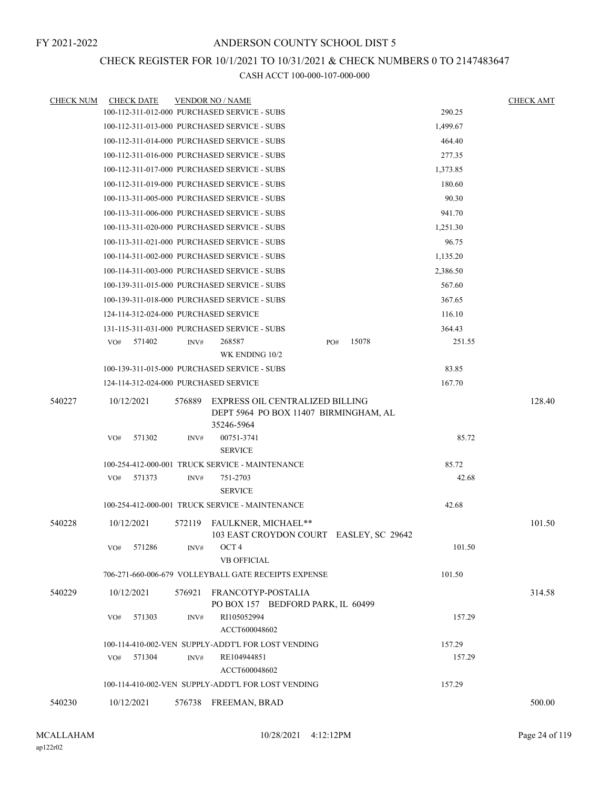### CHECK REGISTER FOR 10/1/2021 TO 10/31/2021 & CHECK NUMBERS 0 TO 2147483647

| <b>CHECK NUM</b> | <b>CHECK DATE</b>                     |        | <b>VENDOR NO / NAME</b>                                                                |              |          | <b>CHECK AMT</b> |
|------------------|---------------------------------------|--------|----------------------------------------------------------------------------------------|--------------|----------|------------------|
|                  |                                       |        | 100-112-311-012-000 PURCHASED SERVICE - SUBS                                           |              | 290.25   |                  |
|                  |                                       |        | 100-112-311-013-000 PURCHASED SERVICE - SUBS                                           |              | 1,499.67 |                  |
|                  |                                       |        | 100-112-311-014-000 PURCHASED SERVICE - SUBS                                           |              | 464.40   |                  |
|                  |                                       |        | 100-112-311-016-000 PURCHASED SERVICE - SUBS                                           |              | 277.35   |                  |
|                  |                                       |        | 100-112-311-017-000 PURCHASED SERVICE - SUBS                                           |              | 1,373.85 |                  |
|                  |                                       |        | 100-112-311-019-000 PURCHASED SERVICE - SUBS                                           |              | 180.60   |                  |
|                  |                                       |        | 100-113-311-005-000 PURCHASED SERVICE - SUBS                                           |              | 90.30    |                  |
|                  |                                       |        | 100-113-311-006-000 PURCHASED SERVICE - SUBS                                           |              | 941.70   |                  |
|                  |                                       |        | 100-113-311-020-000 PURCHASED SERVICE - SUBS                                           |              | 1,251.30 |                  |
|                  |                                       |        | 100-113-311-021-000 PURCHASED SERVICE - SUBS                                           |              | 96.75    |                  |
|                  |                                       |        | 100-114-311-002-000 PURCHASED SERVICE - SUBS                                           |              | 1,135.20 |                  |
|                  |                                       |        | 100-114-311-003-000 PURCHASED SERVICE - SUBS                                           |              | 2,386.50 |                  |
|                  |                                       |        | 100-139-311-015-000 PURCHASED SERVICE - SUBS                                           |              | 567.60   |                  |
|                  |                                       |        | 100-139-311-018-000 PURCHASED SERVICE - SUBS                                           |              | 367.65   |                  |
|                  | 124-114-312-024-000 PURCHASED SERVICE |        |                                                                                        |              | 116.10   |                  |
|                  |                                       |        | 131-115-311-031-000 PURCHASED SERVICE - SUBS                                           |              | 364.43   |                  |
|                  | 571402<br>VO#                         | INV#   | 268587                                                                                 | 15078<br>PO# | 251.55   |                  |
|                  |                                       |        | WK ENDING 10/2                                                                         |              |          |                  |
|                  |                                       |        | 100-139-311-015-000 PURCHASED SERVICE - SUBS                                           |              | 83.85    |                  |
|                  | 124-114-312-024-000 PURCHASED SERVICE |        |                                                                                        |              | 167.70   |                  |
| 540227           | 10/12/2021                            | 576889 | EXPRESS OIL CENTRALIZED BILLING<br>DEPT 5964 PO BOX 11407 BIRMINGHAM, AL<br>35246-5964 |              |          | 128.40           |
|                  | VO#<br>571302                         | INV#   | 00751-3741<br><b>SERVICE</b>                                                           |              | 85.72    |                  |
|                  |                                       |        | 100-254-412-000-001 TRUCK SERVICE - MAINTENANCE                                        |              | 85.72    |                  |
|                  | 571373<br>VO#                         | INV#   | 751-2703<br><b>SERVICE</b>                                                             |              | 42.68    |                  |
|                  |                                       |        | 100-254-412-000-001 TRUCK SERVICE - MAINTENANCE                                        |              | 42.68    |                  |
| 540228           | 10/12/2021                            | 572119 | <b>FAULKNER, MICHAEL**</b><br>103 EAST CROYDON COURT EASLEY, SC 29642                  |              |          | 101.50           |
|                  | 571286<br>VO#                         | INV#   | OCT <sub>4</sub><br><b>VB OFFICIAL</b>                                                 |              | 101.50   |                  |
|                  |                                       |        | 706-271-660-006-679 VOLLEYBALL GATE RECEIPTS EXPENSE                                   |              | 101.50   |                  |
|                  |                                       |        |                                                                                        |              |          |                  |
| 540229           | 10/12/2021                            | 576921 | FRANCOTYP-POSTALIA<br>PO BOX 157 BEDFORD PARK, IL 60499                                |              |          | 314.58           |
|                  | 571303<br>VO#                         | INV#   | RI105052994<br>ACCT600048602                                                           |              | 157.29   |                  |
|                  |                                       |        | 100-114-410-002-VEN SUPPLY-ADDT'L FOR LOST VENDING                                     |              | 157.29   |                  |
|                  | VO#<br>571304                         | INV#   | RE104944851<br>ACCT600048602                                                           |              | 157.29   |                  |
|                  |                                       |        | 100-114-410-002-VEN SUPPLY-ADDT'L FOR LOST VENDING                                     |              | 157.29   |                  |
| 540230           | 10/12/2021                            |        | 576738 FREEMAN, BRAD                                                                   |              |          | 500.00           |
|                  |                                       |        |                                                                                        |              |          |                  |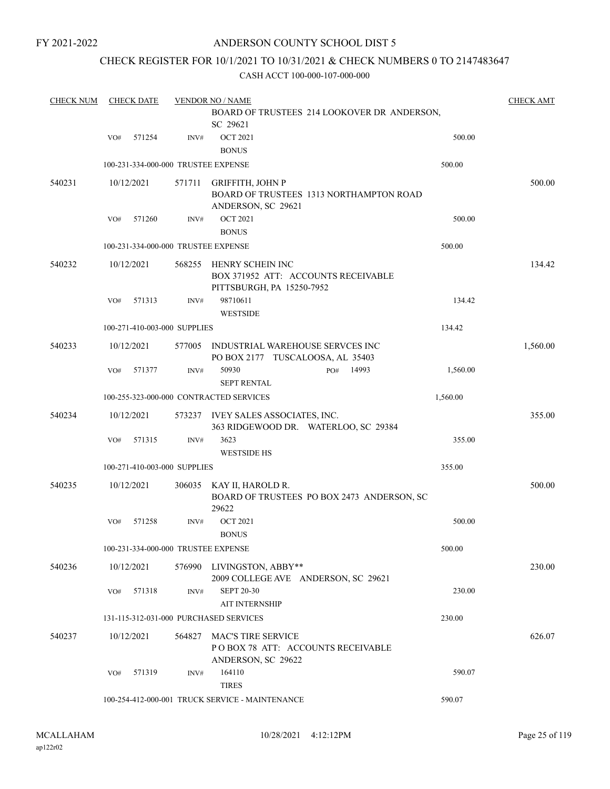### ANDERSON COUNTY SCHOOL DIST 5

### CHECK REGISTER FOR 10/1/2021 TO 10/31/2021 & CHECK NUMBERS 0 TO 2147483647

| <b>CHECK NUM</b> |     | <b>CHECK DATE</b> |                              | <b>VENDOR NO / NAME</b>                         |                                             |          | <b>CHECK AMT</b> |
|------------------|-----|-------------------|------------------------------|-------------------------------------------------|---------------------------------------------|----------|------------------|
|                  |     |                   |                              |                                                 | BOARD OF TRUSTEES 214 LOOKOVER DR ANDERSON, |          |                  |
|                  |     |                   |                              | SC 29621                                        |                                             |          |                  |
|                  | VO# | 571254            | INV#                         | <b>OCT 2021</b>                                 |                                             | 500.00   |                  |
|                  |     |                   |                              | <b>BONUS</b>                                    |                                             |          |                  |
|                  |     |                   |                              | 100-231-334-000-000 TRUSTEE EXPENSE             |                                             | 500.00   |                  |
| 540231           |     | 10/12/2021        | 571711                       | <b>GRIFFITH, JOHN P</b>                         |                                             |          | 500.00           |
|                  |     |                   |                              |                                                 | BOARD OF TRUSTEES 1313 NORTHAMPTON ROAD     |          |                  |
|                  |     |                   |                              | ANDERSON, SC 29621                              |                                             |          |                  |
|                  | VO# | 571260            | INV#                         | <b>OCT 2021</b>                                 |                                             | 500.00   |                  |
|                  |     |                   |                              | <b>BONUS</b>                                    |                                             |          |                  |
|                  |     |                   |                              | 100-231-334-000-000 TRUSTEE EXPENSE             |                                             | 500.00   |                  |
| 540232           |     | 10/12/2021        | 568255                       | HENRY SCHEIN INC                                |                                             |          | 134.42           |
|                  |     |                   |                              | BOX 371952 ATT: ACCOUNTS RECEIVABLE             |                                             |          |                  |
|                  |     |                   |                              | PITTSBURGH, PA 15250-7952                       |                                             |          |                  |
|                  | VO# | 571313            | INV#                         | 98710611                                        |                                             | 134.42   |                  |
|                  |     |                   |                              | <b>WESTSIDE</b>                                 |                                             |          |                  |
|                  |     |                   | 100-271-410-003-000 SUPPLIES |                                                 |                                             | 134.42   |                  |
| 540233           |     | 10/12/2021        | 577005                       | INDUSTRIAL WAREHOUSE SERVCES INC                |                                             |          | 1,560.00         |
|                  |     |                   |                              | PO BOX 2177 TUSCALOOSA, AL 35403                |                                             |          |                  |
|                  | VO# | 571377            | INV#                         | 50930                                           | 14993<br>PO#                                | 1,560.00 |                  |
|                  |     |                   |                              | <b>SEPT RENTAL</b>                              |                                             |          |                  |
|                  |     |                   |                              | 100-255-323-000-000 CONTRACTED SERVICES         |                                             | 1,560.00 |                  |
| 540234           |     | 10/12/2021        | 573237                       | IVEY SALES ASSOCIATES, INC.                     |                                             |          | 355.00           |
|                  |     |                   |                              |                                                 | 363 RIDGEWOOD DR. WATERLOO, SC 29384        |          |                  |
|                  | VO# | 571315            | INV#                         | 3623                                            |                                             | 355.00   |                  |
|                  |     |                   |                              | <b>WESTSIDE HS</b>                              |                                             |          |                  |
|                  |     |                   | 100-271-410-003-000 SUPPLIES |                                                 |                                             | 355.00   |                  |
| 540235           |     | 10/12/2021        | 306035                       | KAY II, HAROLD R.                               |                                             |          | 500.00           |
|                  |     |                   |                              |                                                 | BOARD OF TRUSTEES PO BOX 2473 ANDERSON, SC  |          |                  |
|                  |     |                   |                              | 29622                                           |                                             |          |                  |
|                  | VO# | 571258            | INV#                         | <b>OCT 2021</b>                                 |                                             | 500.00   |                  |
|                  |     |                   |                              | <b>BONUS</b>                                    |                                             |          |                  |
|                  |     |                   |                              | 100-231-334-000-000 TRUSTEE EXPENSE             |                                             | 500.00   |                  |
| 540236           |     | 10/12/2021        |                              | 576990 LIVINGSTON, ABBY**                       |                                             |          | 230.00           |
|                  |     |                   |                              | 2009 COLLEGE AVE ANDERSON, SC 29621             |                                             |          |                  |
|                  | VO# | 571318            | INV#                         | <b>SEPT 20-30</b>                               |                                             | 230.00   |                  |
|                  |     |                   |                              | <b>AIT INTERNSHIP</b>                           |                                             |          |                  |
|                  |     |                   |                              | 131-115-312-031-000 PURCHASED SERVICES          |                                             | 230.00   |                  |
| 540237           |     | 10/12/2021        | 564827                       | MAC'S TIRE SERVICE                              |                                             |          | 626.07           |
|                  |     |                   |                              | POBOX 78 ATT: ACCOUNTS RECEIVABLE               |                                             |          |                  |
|                  |     |                   |                              | ANDERSON, SC 29622                              |                                             |          |                  |
|                  |     | VO# 571319        | INV#                         | 164110                                          |                                             | 590.07   |                  |
|                  |     |                   |                              | <b>TIRES</b>                                    |                                             |          |                  |
|                  |     |                   |                              | 100-254-412-000-001 TRUCK SERVICE - MAINTENANCE |                                             | 590.07   |                  |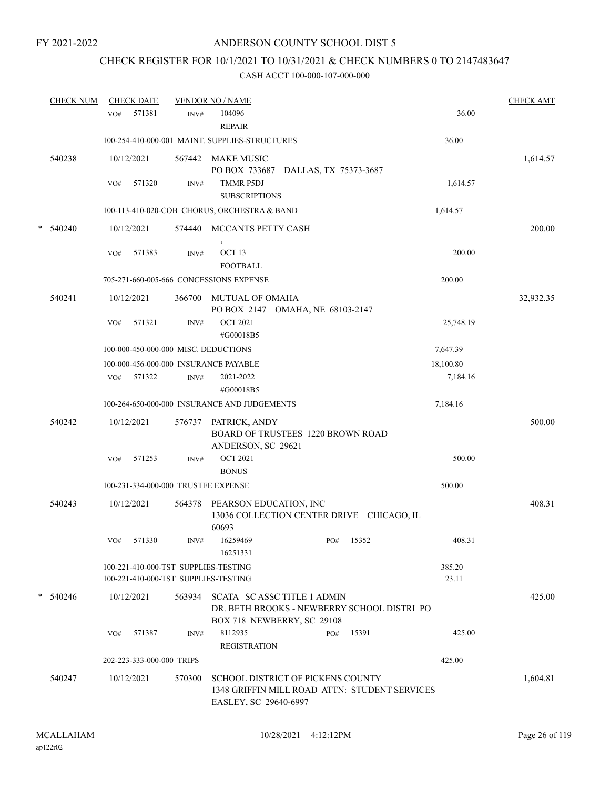# CHECK REGISTER FOR 10/1/2021 TO 10/31/2021 & CHECK NUMBERS 0 TO 2147483647

|   | <b>CHECK NUM</b> |     | <b>CHECK DATE</b>         |        | <b>VENDOR NO / NAME</b>                                                                                        |     |           |                 | <b>CHECK AMT</b> |
|---|------------------|-----|---------------------------|--------|----------------------------------------------------------------------------------------------------------------|-----|-----------|-----------------|------------------|
|   |                  | VO# | 571381                    | INV#   | 104096<br><b>REPAIR</b>                                                                                        |     |           | 36.00           |                  |
|   |                  |     |                           |        | 100-254-410-000-001 MAINT. SUPPLIES-STRUCTURES                                                                 |     |           | 36.00           |                  |
|   | 540238           |     | 10/12/2021                |        | 567442 MAKE MUSIC<br>PO BOX 733687 DALLAS, TX 75373-3687                                                       |     |           |                 | 1,614.57         |
|   |                  | VO# | 571320                    | INV#   | <b>TMMR P5DJ</b><br><b>SUBSCRIPTIONS</b>                                                                       |     |           | 1,614.57        |                  |
|   |                  |     |                           |        | 100-113-410-020-COB CHORUS, ORCHESTRA & BAND                                                                   |     |           | 1,614.57        |                  |
| * | 540240           |     | 10/12/2021                | 574440 | MCCANTS PETTY CASH                                                                                             |     |           |                 | 200.00           |
|   |                  | VO# | 571383                    | INV#   | OCT <sub>13</sub><br><b>FOOTBALL</b>                                                                           |     |           | 200.00          |                  |
|   |                  |     |                           |        | 705-271-660-005-666 CONCESSIONS EXPENSE                                                                        |     |           | 200.00          |                  |
|   | 540241           |     | 10/12/2021                | 366700 | MUTUAL OF OMAHA<br>PO BOX 2147 OMAHA, NE 68103-2147                                                            |     |           |                 | 32,932.35        |
|   |                  | VO# | 571321                    | INV#   | <b>OCT 2021</b><br>#G00018B5                                                                                   |     |           | 25,748.19       |                  |
|   |                  |     |                           |        | 100-000-450-000-000 MISC. DEDUCTIONS                                                                           |     |           | 7,647.39        |                  |
|   |                  |     |                           |        | 100-000-456-000-000 INSURANCE PAYABLE                                                                          |     |           | 18,100.80       |                  |
|   |                  | VO# | 571322                    | INV#   | 2021-2022<br>#G00018B5                                                                                         |     |           | 7,184.16        |                  |
|   |                  |     |                           |        | 100-264-650-000-000 INSURANCE AND JUDGEMENTS                                                                   |     |           | 7,184.16        |                  |
|   | 540242           |     | 10/12/2021                | 576737 | PATRICK, ANDY<br>BOARD OF TRUSTEES 1220 BROWN ROAD<br>ANDERSON, SC 29621                                       |     |           |                 | 500.00           |
|   |                  | VO# | 571253                    | INV#   | <b>OCT 2021</b><br><b>BONUS</b>                                                                                |     |           | 500.00          |                  |
|   |                  |     |                           |        | 100-231-334-000-000 TRUSTEE EXPENSE                                                                            |     |           | 500.00          |                  |
|   | 540243           |     | 10/12/2021                | 564378 | PEARSON EDUCATION, INC<br>13036 COLLECTION CENTER DRIVE CHICAGO, IL<br>60693                                   |     |           |                 | 408.31           |
|   |                  | VO# | 571330                    |        | INV# 16259469<br>16251331                                                                                      |     | PO# 15352 | 408.31          |                  |
|   |                  |     |                           |        | 100-221-410-000-TST SUPPLIES-TESTING<br>100-221-410-000-TST SUPPLIES-TESTING                                   |     |           | 385.20<br>23.11 |                  |
|   | $* 540246$       |     | 10/12/2021                |        | 563934 SCATA SCASSC TITLE 1 ADMIN<br>DR. BETH BROOKS - NEWBERRY SCHOOL DISTRI PO<br>BOX 718 NEWBERRY, SC 29108 |     |           |                 | 425.00           |
|   |                  | VO# | 571387                    | INV#   | 8112935<br><b>REGISTRATION</b>                                                                                 | PO# | 15391     | 425.00          |                  |
|   |                  |     | 202-223-333-000-000 TRIPS |        |                                                                                                                |     |           | 425.00          |                  |
|   | 540247           |     | 10/12/2021                | 570300 | SCHOOL DISTRICT OF PICKENS COUNTY<br>1348 GRIFFIN MILL ROAD ATTN: STUDENT SERVICES<br>EASLEY, SC 29640-6997    |     |           |                 | 1,604.81         |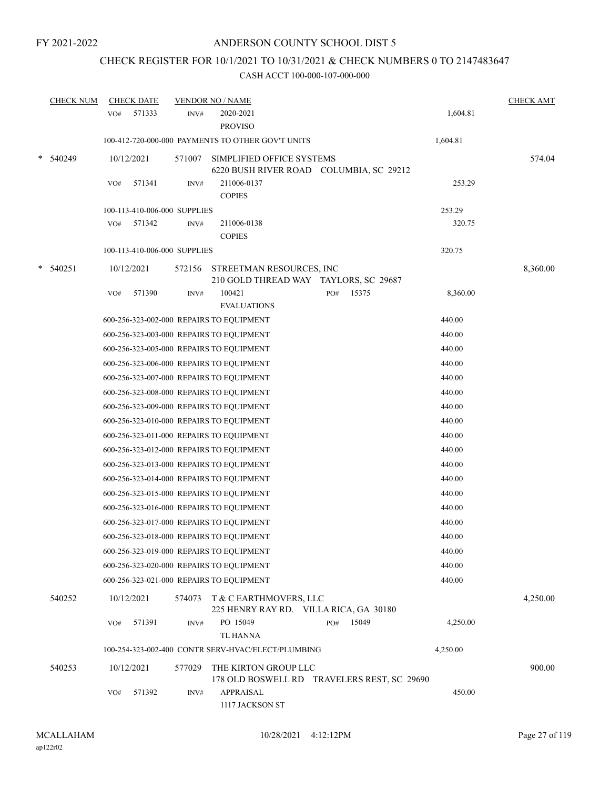# CHECK REGISTER FOR 10/1/2021 TO 10/31/2021 & CHECK NUMBERS 0 TO 2147483647

| <b>CHECK NUM</b> | <b>CHECK DATE</b>                        |        | <b>VENDOR NO / NAME</b>                            |                                             |          | <b>CHECK AMT</b> |
|------------------|------------------------------------------|--------|----------------------------------------------------|---------------------------------------------|----------|------------------|
|                  | 571333<br>VO#                            | INV#   | 2020-2021<br><b>PROVISO</b>                        |                                             | 1,604.81 |                  |
|                  |                                          |        | 100-412-720-000-000 PAYMENTS TO OTHER GOV'T UNITS  |                                             | 1,604.81 |                  |
| 540249           | 10/12/2021                               | 571007 | SIMPLIFIED OFFICE SYSTEMS                          | 6220 BUSH RIVER ROAD COLUMBIA, SC 29212     |          | 574.04           |
|                  | 571341<br>VO#                            | INV#   | 211006-0137<br><b>COPIES</b>                       |                                             | 253.29   |                  |
|                  | 100-113-410-006-000 SUPPLIES             |        |                                                    |                                             | 253.29   |                  |
|                  | 571342<br>VO#                            | INV#   | 211006-0138                                        |                                             | 320.75   |                  |
|                  |                                          |        | <b>COPIES</b>                                      |                                             |          |                  |
|                  | 100-113-410-006-000 SUPPLIES             |        |                                                    |                                             | 320.75   |                  |
| 540251           | 10/12/2021                               | 572156 | STREETMAN RESOURCES, INC                           |                                             |          | 8,360.00         |
|                  |                                          |        |                                                    | 210 GOLD THREAD WAY TAYLORS, SC 29687       |          |                  |
|                  | 571390<br>VO#                            | INV#   | 100421                                             | 15375<br>PO#                                | 8,360.00 |                  |
|                  |                                          |        | <b>EVALUATIONS</b>                                 |                                             |          |                  |
|                  |                                          |        | 600-256-323-002-000 REPAIRS TO EQUIPMENT           |                                             | 440.00   |                  |
|                  |                                          |        | 600-256-323-003-000 REPAIRS TO EQUIPMENT           |                                             | 440.00   |                  |
|                  | 600-256-323-005-000 REPAIRS TO EQUIPMENT |        |                                                    |                                             | 440.00   |                  |
|                  |                                          |        | 600-256-323-006-000 REPAIRS TO EQUIPMENT           |                                             | 440.00   |                  |
|                  |                                          |        | 600-256-323-007-000 REPAIRS TO EQUIPMENT           |                                             | 440.00   |                  |
|                  | 600-256-323-008-000 REPAIRS TO EQUIPMENT |        |                                                    |                                             | 440.00   |                  |
|                  | 600-256-323-009-000 REPAIRS TO EQUIPMENT |        |                                                    |                                             | 440.00   |                  |
|                  | 600-256-323-010-000 REPAIRS TO EQUIPMENT |        |                                                    |                                             | 440.00   |                  |
|                  | 600-256-323-011-000 REPAIRS TO EQUIPMENT |        |                                                    |                                             | 440.00   |                  |
|                  |                                          |        | 600-256-323-012-000 REPAIRS TO EQUIPMENT           |                                             | 440.00   |                  |
|                  | 600-256-323-013-000 REPAIRS TO EQUIPMENT |        |                                                    |                                             | 440.00   |                  |
|                  | 600-256-323-014-000 REPAIRS TO EQUIPMENT |        |                                                    |                                             | 440.00   |                  |
|                  |                                          |        | 600-256-323-015-000 REPAIRS TO EQUIPMENT           |                                             | 440.00   |                  |
|                  | 600-256-323-016-000 REPAIRS TO EQUIPMENT |        |                                                    |                                             | 440.00   |                  |
|                  | 600-256-323-017-000 REPAIRS TO EQUIPMENT |        |                                                    |                                             | 440.00   |                  |
|                  | 600-256-323-018-000 REPAIRS TO EQUIPMENT |        |                                                    |                                             | 440.00   |                  |
|                  |                                          |        | 600-256-323-019-000 REPAIRS TO EQUIPMENT           |                                             | 440.00   |                  |
|                  |                                          |        | 600-256-323-020-000 REPAIRS TO EQUIPMENT           |                                             | 440.00   |                  |
|                  |                                          |        | 600-256-323-021-000 REPAIRS TO EQUIPMENT           |                                             | 440.00   |                  |
| 540252           | 10/12/2021                               | 574073 | T & C EARTHMOVERS, LLC                             | 225 HENRY RAY RD. VILLA RICA, GA 30180      |          | 4,250.00         |
|                  | 571391<br>VO#                            | INV#   | PO 15049<br><b>TL HANNA</b>                        | 15049<br>PO#                                | 4,250.00 |                  |
|                  |                                          |        | 100-254-323-002-400 CONTR SERV-HVAC/ELECT/PLUMBING |                                             | 4,250.00 |                  |
| 540253           | 10/12/2021                               | 577029 | THE KIRTON GROUP LLC                               | 178 OLD BOSWELL RD TRAVELERS REST, SC 29690 |          | 900.00           |
|                  | 571392<br>VO#                            | INV#   | APPRAISAL<br>1117 JACKSON ST                       |                                             | 450.00   |                  |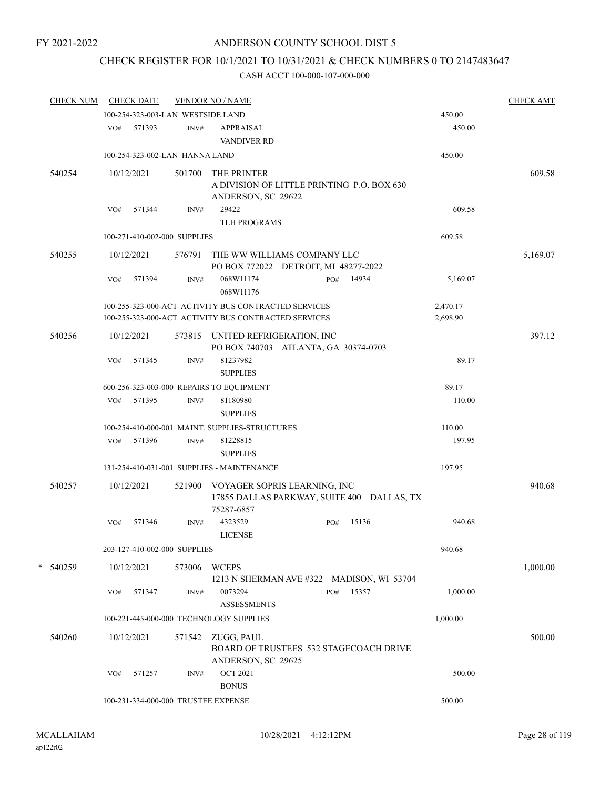### CHECK REGISTER FOR 10/1/2021 TO 10/31/2021 & CHECK NUMBERS 0 TO 2147483647

| <b>CHECK NUM</b> |     | <b>CHECK DATE</b> |                                   | <b>VENDOR NO / NAME</b>                                                                                      |     |       |                      | <b>CHECK AMT</b> |
|------------------|-----|-------------------|-----------------------------------|--------------------------------------------------------------------------------------------------------------|-----|-------|----------------------|------------------|
|                  |     |                   | 100-254-323-003-LAN WESTSIDE LAND |                                                                                                              |     |       | 450.00               |                  |
|                  |     | VO# 571393        | INV#                              | APPRAISAL<br><b>VANDIVER RD</b>                                                                              |     |       | 450.00               |                  |
|                  |     |                   | 100-254-323-002-LAN HANNA LAND    |                                                                                                              |     |       | 450.00               |                  |
| 540254           |     | 10/12/2021        | 501700                            | THE PRINTER<br>A DIVISION OF LITTLE PRINTING P.O. BOX 630<br>ANDERSON, SC 29622                              |     |       |                      | 609.58           |
|                  | VO# | 571344            | INV#                              | 29422<br>TLH PROGRAMS                                                                                        |     |       | 609.58               |                  |
|                  |     |                   | 100-271-410-002-000 SUPPLIES      |                                                                                                              |     |       | 609.58               |                  |
| 540255           |     | 10/12/2021        |                                   | 576791 THE WW WILLIAMS COMPANY LLC<br>PO BOX 772022 DETROIT, MI 48277-2022                                   |     |       |                      | 5,169.07         |
|                  | VO# | 571394            | INV#                              | 068W11174<br>068W11176                                                                                       | PO# | 14934 | 5,169.07             |                  |
|                  |     |                   |                                   | 100-255-323-000-ACT ACTIVITY BUS CONTRACTED SERVICES<br>100-255-323-000-ACT ACTIVITY BUS CONTRACTED SERVICES |     |       | 2,470.17<br>2,698.90 |                  |
| 540256           |     | 10/12/2021        |                                   | 573815 UNITED REFRIGERATION, INC<br>PO BOX 740703 ATLANTA, GA 30374-0703                                     |     |       |                      | 397.12           |
|                  | VO# | 571345            | INV#                              | 81237982<br><b>SUPPLIES</b>                                                                                  |     |       | 89.17                |                  |
|                  |     |                   |                                   | 600-256-323-003-000 REPAIRS TO EQUIPMENT                                                                     |     |       | 89.17                |                  |
|                  |     | VO# 571395        | INV#                              | 81180980<br><b>SUPPLIES</b>                                                                                  |     |       | 110.00               |                  |
|                  |     |                   |                                   | 100-254-410-000-001 MAINT. SUPPLIES-STRUCTURES                                                               |     |       | 110.00               |                  |
|                  | VO# | 571396            | INV#                              | 81228815<br><b>SUPPLIES</b>                                                                                  |     |       | 197.95               |                  |
|                  |     |                   |                                   | 131-254-410-031-001 SUPPLIES - MAINTENANCE                                                                   |     |       | 197.95               |                  |
| 540257           |     | 10/12/2021        |                                   | 521900 VOYAGER SOPRIS LEARNING, INC<br>17855 DALLAS PARKWAY, SUITE 400 DALLAS, TX<br>75287-6857              |     |       |                      | 940.68           |
|                  | VO# | 571346            | INV#                              | 4323529<br><b>LICENSE</b>                                                                                    | PO# | 15136 | 940.68               |                  |
|                  |     |                   | 203-127-410-002-000 SUPPLIES      |                                                                                                              |     |       | 940.68               |                  |
| * 540259         |     | 10/12/2021        | 573006                            | <b>WCEPS</b><br>1213 N SHERMAN AVE #322 MADISON, WI 53704                                                    |     |       |                      | 1,000.00         |
|                  | VO# | 571347            | INV#                              | 0073294<br><b>ASSESSMENTS</b>                                                                                | PO# | 15357 | 1,000.00             |                  |
|                  |     |                   |                                   | 100-221-445-000-000 TECHNOLOGY SUPPLIES                                                                      |     |       | 1,000.00             |                  |
| 540260           |     | 10/12/2021        |                                   | 571542 ZUGG, PAUL<br>BOARD OF TRUSTEES 532 STAGECOACH DRIVE<br>ANDERSON, SC 29625                            |     |       |                      | 500.00           |
|                  | VO# | 571257            | INV#                              | <b>OCT 2021</b><br><b>BONUS</b>                                                                              |     |       | 500.00               |                  |
|                  |     |                   |                                   | 100-231-334-000-000 TRUSTEE EXPENSE                                                                          |     |       | 500.00               |                  |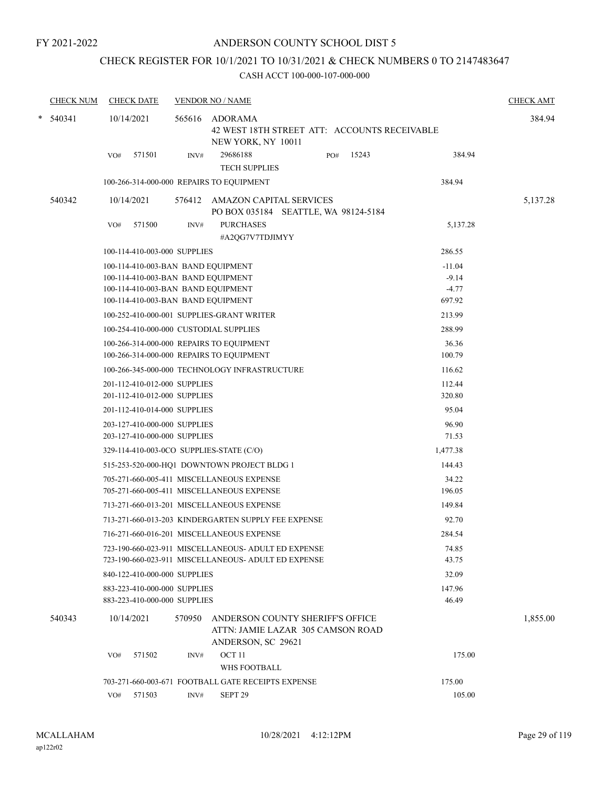### CHECK REGISTER FOR 10/1/2021 TO 10/31/2021 & CHECK NUMBERS 0 TO 2147483647

|        | <b>CHECK NUM</b> | <b>CHECK DATE</b>                                                                    |        | <b>VENDOR NO / NAME</b>                                                                     |                   | <b>CHECK AMT</b> |
|--------|------------------|--------------------------------------------------------------------------------------|--------|---------------------------------------------------------------------------------------------|-------------------|------------------|
| $\ast$ | 540341           | 10/14/2021                                                                           |        | 565616 ADORAMA<br>42 WEST 18TH STREET ATT: ACCOUNTS RECEIVABLE<br>NEW YORK, NY 10011        |                   | 384.94           |
|        |                  | 571501<br>VO#                                                                        | INV#   | 15243<br>29686188<br>PO#<br><b>TECH SUPPLIES</b>                                            | 384.94            |                  |
|        |                  | 100-266-314-000-000 REPAIRS TO EQUIPMENT                                             |        |                                                                                             | 384.94            |                  |
|        | 540342           | 10/14/2021                                                                           |        | 576412 AMAZON CAPITAL SERVICES                                                              |                   | 5,137.28         |
|        |                  |                                                                                      |        | PO BOX 035184 SEATTLE, WA 98124-5184                                                        |                   |                  |
|        |                  | 571500<br>VO#                                                                        | INV#   | <b>PURCHASES</b>                                                                            | 5,137.28          |                  |
|        |                  |                                                                                      |        | #A2QG7V7TDJIMYY                                                                             |                   |                  |
|        |                  | 100-114-410-003-000 SUPPLIES                                                         |        |                                                                                             | 286.55            |                  |
|        |                  | 100-114-410-003-BAN BAND EQUIPMENT                                                   |        |                                                                                             | $-11.04$          |                  |
|        |                  | 100-114-410-003-BAN BAND EQUIPMENT                                                   |        |                                                                                             | $-9.14$           |                  |
|        |                  | 100-114-410-003-BAN BAND EQUIPMENT<br>100-114-410-003-BAN BAND EQUIPMENT             |        |                                                                                             | $-4.77$<br>697.92 |                  |
|        |                  |                                                                                      |        | 100-252-410-000-001 SUPPLIES-GRANT WRITER                                                   | 213.99            |                  |
|        |                  |                                                                                      |        |                                                                                             |                   |                  |
|        |                  | 100-254-410-000-000 CUSTODIAL SUPPLIES                                               |        |                                                                                             | 288.99            |                  |
|        |                  | 100-266-314-000-000 REPAIRS TO EQUIPMENT<br>100-266-314-000-000 REPAIRS TO EQUIPMENT |        |                                                                                             | 36.36<br>100.79   |                  |
|        |                  |                                                                                      |        | 100-266-345-000-000 TECHNOLOGY INFRASTRUCTURE                                               | 116.62            |                  |
|        |                  | 201-112-410-012-000 SUPPLIES                                                         |        |                                                                                             | 112.44            |                  |
|        |                  | 201-112-410-012-000 SUPPLIES                                                         |        |                                                                                             | 320.80            |                  |
|        |                  | 201-112-410-014-000 SUPPLIES                                                         |        |                                                                                             | 95.04             |                  |
|        |                  | 203-127-410-000-000 SUPPLIES                                                         |        |                                                                                             | 96.90             |                  |
|        |                  | 203-127-410-000-000 SUPPLIES                                                         |        |                                                                                             | 71.53             |                  |
|        |                  | 329-114-410-003-0CO SUPPLIES-STATE (C/O)                                             |        |                                                                                             | 1,477.38          |                  |
|        |                  |                                                                                      |        | 515-253-520-000-HQ1 DOWNTOWN PROJECT BLDG 1                                                 | 144.43            |                  |
|        |                  |                                                                                      |        | 705-271-660-005-411 MISCELLANEOUS EXPENSE                                                   | 34.22             |                  |
|        |                  |                                                                                      |        | 705-271-660-005-411 MISCELLANEOUS EXPENSE                                                   | 196.05            |                  |
|        |                  |                                                                                      |        | 713-271-660-013-201 MISCELLANEOUS EXPENSE                                                   | 149.84            |                  |
|        |                  |                                                                                      |        | 713-271-660-013-203 KINDERGARTEN SUPPLY FEE EXPENSE                                         | 92.70             |                  |
|        |                  |                                                                                      |        | 716-271-660-016-201 MISCELLANEOUS EXPENSE                                                   | 284.54            |                  |
|        |                  |                                                                                      |        | 723-190-660-023-911 MISCELLANEOUS- ADULT ED EXPENSE                                         | 74.85             |                  |
|        |                  |                                                                                      |        | 723-190-660-023-911 MISCELLANEOUS- ADULT ED EXPENSE                                         | 43.75             |                  |
|        |                  | 840-122-410-000-000 SUPPLIES                                                         |        |                                                                                             | 32.09             |                  |
|        |                  | 883-223-410-000-000 SUPPLIES                                                         |        |                                                                                             | 147.96            |                  |
|        |                  | 883-223-410-000-000 SUPPLIES                                                         |        |                                                                                             | 46.49             |                  |
|        | 540343           | 10/14/2021                                                                           | 570950 | ANDERSON COUNTY SHERIFF'S OFFICE<br>ATTN: JAMIE LAZAR 305 CAMSON ROAD<br>ANDERSON, SC 29621 |                   | 1,855.00         |
|        |                  | 571502<br>VO#                                                                        | INV#   | OCT <sub>11</sub>                                                                           | 175.00            |                  |
|        |                  |                                                                                      |        | <b>WHS FOOTBALL</b>                                                                         |                   |                  |
|        |                  |                                                                                      |        | 703-271-660-003-671 FOOTBALL GATE RECEIPTS EXPENSE                                          | 175.00            |                  |
|        |                  | 571503<br>VO#                                                                        | INV#   | SEPT <sub>29</sub>                                                                          | 105.00            |                  |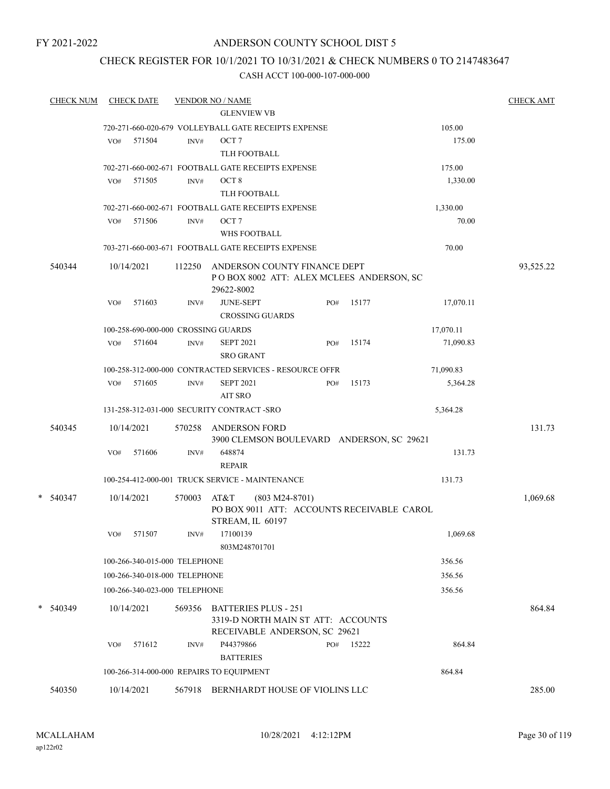### ANDERSON COUNTY SCHOOL DIST 5

### CHECK REGISTER FOR 10/1/2021 TO 10/31/2021 & CHECK NUMBERS 0 TO 2147483647

| <b>CHECK NUM</b> | <b>CHECK DATE</b>                   |        | <b>VENDOR NO / NAME</b>                                                                            |              |                   | <b>CHECK AMT</b> |
|------------------|-------------------------------------|--------|----------------------------------------------------------------------------------------------------|--------------|-------------------|------------------|
|                  |                                     |        | <b>GLENVIEW VB</b>                                                                                 |              |                   |                  |
|                  |                                     |        | 720-271-660-020-679 VOLLEYBALL GATE RECEIPTS EXPENSE                                               |              | 105.00            |                  |
|                  | 571504<br>VO#                       | INV#   | OCT <sub>7</sub>                                                                                   |              | 175.00            |                  |
|                  |                                     |        | TLH FOOTBALL                                                                                       |              |                   |                  |
|                  |                                     |        | 702-271-660-002-671 FOOTBALL GATE RECEIPTS EXPENSE                                                 |              | 175.00            |                  |
|                  | 571505<br>VO#                       | INV#   | OCT <sub>8</sub><br>TLH FOOTBALL                                                                   |              | 1,330.00          |                  |
|                  |                                     |        |                                                                                                    |              |                   |                  |
|                  | 571506<br>VO#                       | INV#   | 702-271-660-002-671 FOOTBALL GATE RECEIPTS EXPENSE<br>OCT <sub>7</sub>                             |              | 1,330.00<br>70.00 |                  |
|                  |                                     |        | WHS FOOTBALL                                                                                       |              |                   |                  |
|                  |                                     |        | 703-271-660-003-671 FOOTBALL GATE RECEIPTS EXPENSE                                                 |              | 70.00             |                  |
|                  |                                     |        |                                                                                                    |              |                   |                  |
| 540344           | 10/14/2021                          | 112250 | ANDERSON COUNTY FINANCE DEPT<br>POBOX 8002 ATT: ALEX MCLEES ANDERSON, SC<br>29622-8002             |              |                   | 93,525.22        |
|                  | 571603<br>VO#                       | INV#   | <b>JUNE-SEPT</b><br><b>CROSSING GUARDS</b>                                                         | 15177<br>PO# | 17,070.11         |                  |
|                  | 100-258-690-000-000 CROSSING GUARDS |        |                                                                                                    |              | 17,070.11         |                  |
|                  | VO# 571604                          | INV#   | <b>SEPT 2021</b><br><b>SRO GRANT</b>                                                               | 15174<br>PO# | 71,090.83         |                  |
|                  |                                     |        | 100-258-312-000-000 CONTRACTED SERVICES - RESOURCE OFFR                                            |              | 71,090.83         |                  |
|                  | 571605<br>VO#                       | INV#   | <b>SEPT 2021</b><br><b>AIT SRO</b>                                                                 | 15173<br>PO# | 5,364.28          |                  |
|                  |                                     |        | 131-258-312-031-000 SECURITY CONTRACT -SRO                                                         |              | 5,364.28          |                  |
| 540345           | 10/14/2021                          | 570258 | <b>ANDERSON FORD</b><br>3900 CLEMSON BOULEVARD ANDERSON, SC 29621                                  |              |                   | 131.73           |
|                  | 571606<br>VO#                       | INV#   | 648874<br><b>REPAIR</b>                                                                            |              | 131.73            |                  |
|                  |                                     |        | 100-254-412-000-001 TRUCK SERVICE - MAINTENANCE                                                    |              | 131.73            |                  |
| $*$ 540347       | 10/14/2021                          | 570003 | AT&T<br>$(803 M24-8701)$<br>PO BOX 9011 ATT: ACCOUNTS RECEIVABLE CAROL<br>STREAM, IL 60197         |              |                   | 1,069.68         |
|                  | 571507<br>VO#                       | INV#   | 17100139<br>803M248701701                                                                          |              | 1,069.68          |                  |
|                  | 100-266-340-015-000 TELEPHONE       |        |                                                                                                    |              | 356.56            |                  |
|                  | 100-266-340-018-000 TELEPHONE       |        |                                                                                                    |              | 356.56            |                  |
|                  | 100-266-340-023-000 TELEPHONE       |        |                                                                                                    |              | 356.56            |                  |
| *                |                                     |        |                                                                                                    |              |                   |                  |
| 540349           | 10/14/2021                          | 569356 | <b>BATTERIES PLUS - 251</b><br>3319-D NORTH MAIN ST ATT: ACCOUNTS<br>RECEIVABLE ANDERSON, SC 29621 |              |                   | 864.84           |
|                  | 571612<br>VO#                       | INV#   | P44379866<br><b>BATTERIES</b>                                                                      | 15222<br>PO# | 864.84            |                  |
|                  |                                     |        | 100-266-314-000-000 REPAIRS TO EQUIPMENT                                                           |              | 864.84            |                  |
| 540350           | 10/14/2021                          | 567918 | BERNHARDT HOUSE OF VIOLINS LLC                                                                     |              |                   | 285.00           |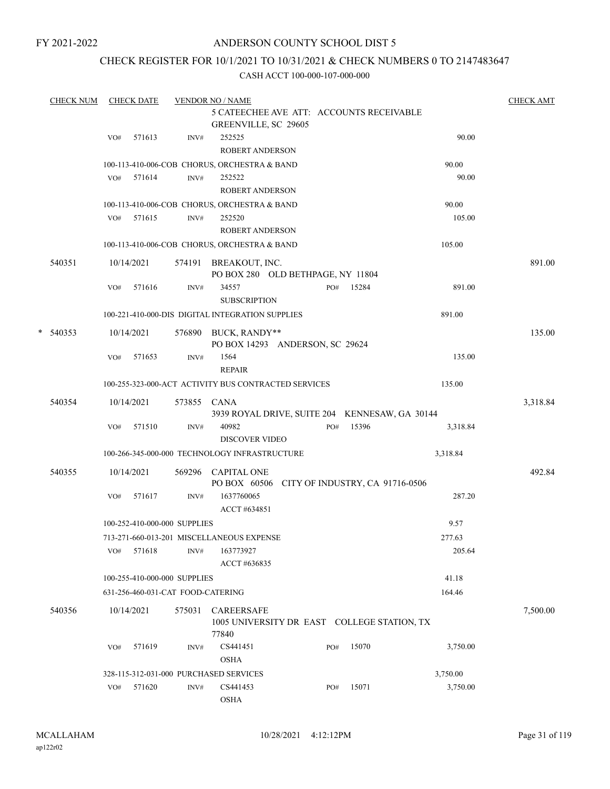### ANDERSON COUNTY SCHOOL DIST 5

### CHECK REGISTER FOR 10/1/2021 TO 10/31/2021 & CHECK NUMBERS 0 TO 2147483647

|   | <b>CHECK NUM</b> |     | <b>CHECK DATE</b> |                                   | <b>VENDOR NO / NAME</b>                              |                                                |     |       |          | <b>CHECK AMT</b> |
|---|------------------|-----|-------------------|-----------------------------------|------------------------------------------------------|------------------------------------------------|-----|-------|----------|------------------|
|   |                  |     |                   |                                   | GREENVILLE, SC 29605                                 | 5 CATEECHEE AVE ATT: ACCOUNTS RECEIVABLE       |     |       |          |                  |
|   |                  | VO# | 571613            | INV#                              | 252525                                               |                                                |     |       | 90.00    |                  |
|   |                  |     |                   |                                   | <b>ROBERT ANDERSON</b>                               |                                                |     |       |          |                  |
|   |                  |     |                   |                                   | 100-113-410-006-COB CHORUS, ORCHESTRA & BAND         |                                                |     |       | 90.00    |                  |
|   |                  |     | VO# 571614        | INV#                              | 252522                                               |                                                |     |       | 90.00    |                  |
|   |                  |     |                   |                                   | ROBERT ANDERSON                                      |                                                |     |       |          |                  |
|   |                  |     |                   |                                   | 100-113-410-006-COB CHORUS, ORCHESTRA & BAND         |                                                |     |       | 90.00    |                  |
|   |                  |     | VO# 571615        | INV#                              | 252520                                               |                                                |     |       | 105.00   |                  |
|   |                  |     |                   |                                   | <b>ROBERT ANDERSON</b>                               |                                                |     |       |          |                  |
|   |                  |     |                   |                                   | 100-113-410-006-COB CHORUS, ORCHESTRA & BAND         |                                                |     |       | 105.00   |                  |
|   | 540351           |     | 10/14/2021        |                                   | 574191 BREAKOUT, INC.                                | PO BOX 280 OLD BETHPAGE, NY 11804              |     |       |          | 891.00           |
|   |                  | VO# | 571616            | INV#                              | 34557                                                |                                                | PO# | 15284 | 891.00   |                  |
|   |                  |     |                   |                                   | <b>SUBSCRIPTION</b>                                  |                                                |     |       |          |                  |
|   |                  |     |                   |                                   | 100-221-410-000-DIS DIGITAL INTEGRATION SUPPLIES     |                                                |     |       | 891.00   |                  |
| * | 540353           |     | 10/14/2021        |                                   | 576890 BUCK, RANDY**                                 | PO BOX 14293 ANDERSON, SC 29624                |     |       |          | 135.00           |
|   |                  | VO# | 571653            | INV#                              | 1564<br><b>REPAIR</b>                                |                                                |     |       | 135.00   |                  |
|   |                  |     |                   |                                   | 100-255-323-000-ACT ACTIVITY BUS CONTRACTED SERVICES |                                                |     |       | 135.00   |                  |
|   |                  |     |                   |                                   |                                                      |                                                |     |       |          |                  |
|   | 540354           |     | 10/14/2021        | 573855 CANA                       |                                                      | 3939 ROYAL DRIVE, SUITE 204 KENNESAW, GA 30144 |     |       |          | 3,318.84         |
|   |                  | VO# | 571510            | INV#                              | 40982                                                |                                                | PO# | 15396 | 3,318.84 |                  |
|   |                  |     |                   |                                   | <b>DISCOVER VIDEO</b>                                |                                                |     |       |          |                  |
|   |                  |     |                   |                                   | 100-266-345-000-000 TECHNOLOGY INFRASTRUCTURE        |                                                |     |       | 3,318.84 |                  |
|   |                  |     |                   |                                   |                                                      |                                                |     |       |          |                  |
|   | 540355           |     | 10/14/2021        |                                   | 569296 CAPITAL ONE                                   | PO BOX 60506 CITY OF INDUSTRY, CA 91716-0506   |     |       |          | 492.84           |
|   |                  | VO# | 571617            | INV#                              | 1637760065<br>ACCT #634851                           |                                                |     |       | 287.20   |                  |
|   |                  |     |                   | 100-252-410-000-000 SUPPLIES      |                                                      |                                                |     |       | 9.57     |                  |
|   |                  |     |                   |                                   | 713-271-660-013-201 MISCELLANEOUS EXPENSE            |                                                |     |       | 277.63   |                  |
|   |                  | VO# | 571618            | INV#                              | 163773927                                            |                                                |     |       | 205.64   |                  |
|   |                  |     |                   |                                   | ACCT #636835                                         |                                                |     |       |          |                  |
|   |                  |     |                   | 100-255-410-000-000 SUPPLIES      |                                                      |                                                |     |       | 41.18    |                  |
|   |                  |     |                   | 631-256-460-031-CAT FOOD-CATERING |                                                      |                                                |     |       | 164.46   |                  |
|   |                  |     |                   |                                   |                                                      |                                                |     |       |          |                  |
|   | 540356           |     | 10/14/2021        | 575031                            | <b>CAREERSAFE</b><br>77840                           | 1005 UNIVERSITY DR EAST COLLEGE STATION, TX    |     |       |          | 7,500.00         |
|   |                  | VO# | 571619            | INV#                              | CS441451<br><b>OSHA</b>                              |                                                | PO# | 15070 | 3,750.00 |                  |
|   |                  |     |                   |                                   | 328-115-312-031-000 PURCHASED SERVICES               |                                                |     |       | 3,750.00 |                  |
|   |                  | VO# | 571620            | INV#                              | CS441453                                             |                                                | PO# | 15071 | 3,750.00 |                  |
|   |                  |     |                   |                                   | <b>OSHA</b>                                          |                                                |     |       |          |                  |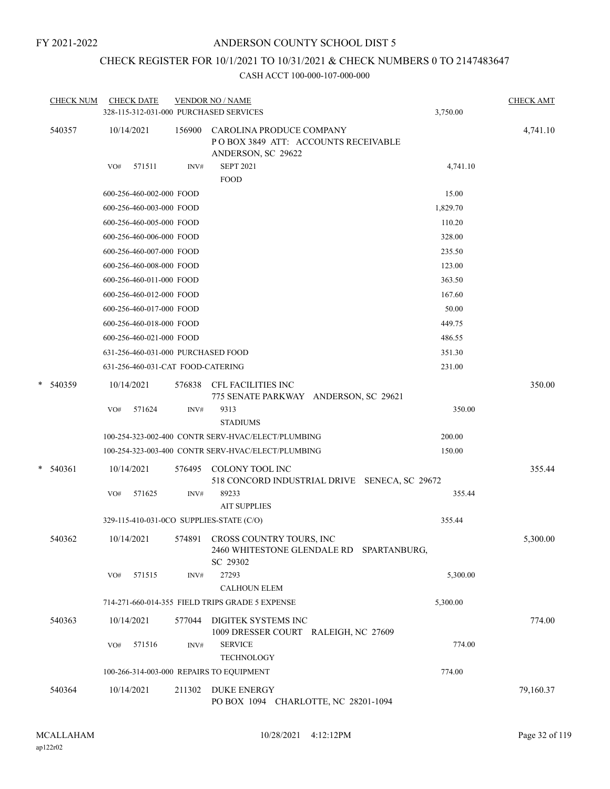# CHECK REGISTER FOR 10/1/2021 TO 10/31/2021 & CHECK NUMBERS 0 TO 2147483647

|   | <b>CHECK NUM</b> |     | <b>CHECK DATE</b>                  |        | <b>VENDOR NO / NAME</b><br>328-115-312-031-000 PURCHASED SERVICES                     | 3,750.00 | <b>CHECK AMT</b> |
|---|------------------|-----|------------------------------------|--------|---------------------------------------------------------------------------------------|----------|------------------|
|   | 540357           |     | 10/14/2021                         | 156900 | CAROLINA PRODUCE COMPANY<br>POBOX 3849 ATT: ACCOUNTS RECEIVABLE<br>ANDERSON, SC 29622 |          | 4,741.10         |
|   |                  | VO# | 571511                             | INV#   | <b>SEPT 2021</b><br><b>FOOD</b>                                                       | 4,741.10 |                  |
|   |                  |     | 600-256-460-002-000 FOOD           |        |                                                                                       | 15.00    |                  |
|   |                  |     | 600-256-460-003-000 FOOD           |        |                                                                                       | 1,829.70 |                  |
|   |                  |     | 600-256-460-005-000 FOOD           |        |                                                                                       | 110.20   |                  |
|   |                  |     | 600-256-460-006-000 FOOD           |        |                                                                                       | 328.00   |                  |
|   |                  |     | 600-256-460-007-000 FOOD           |        |                                                                                       | 235.50   |                  |
|   |                  |     | 600-256-460-008-000 FOOD           |        |                                                                                       | 123.00   |                  |
|   |                  |     | 600-256-460-011-000 FOOD           |        |                                                                                       | 363.50   |                  |
|   |                  |     | 600-256-460-012-000 FOOD           |        |                                                                                       | 167.60   |                  |
|   |                  |     | 600-256-460-017-000 FOOD           |        |                                                                                       | 50.00    |                  |
|   |                  |     | 600-256-460-018-000 FOOD           |        |                                                                                       | 449.75   |                  |
|   |                  |     | 600-256-460-021-000 FOOD           |        |                                                                                       | 486.55   |                  |
|   |                  |     | 631-256-460-031-000 PURCHASED FOOD |        |                                                                                       | 351.30   |                  |
|   |                  |     | 631-256-460-031-CAT FOOD-CATERING  |        |                                                                                       | 231.00   |                  |
| * | 540359           |     | 10/14/2021                         | 576838 | CFL FACILITIES INC<br>775 SENATE PARKWAY ANDERSON, SC 29621                           |          | 350.00           |
|   |                  | VO# | 571624                             | INV#   | 9313<br><b>STADIUMS</b>                                                               | 350.00   |                  |
|   |                  |     |                                    |        | 100-254-323-002-400 CONTR SERV-HVAC/ELECT/PLUMBING                                    | 200.00   |                  |
|   |                  |     |                                    |        | 100-254-323-003-400 CONTR SERV-HVAC/ELECT/PLUMBING                                    | 150.00   |                  |
| * | 540361           |     | 10/14/2021                         | 576495 | COLONY TOOL INC<br>518 CONCORD INDUSTRIAL DRIVE SENECA, SC 29672                      |          | 355.44           |
|   |                  | VO# | 571625                             | INV#   | 89233<br><b>AIT SUPPLIES</b>                                                          | 355.44   |                  |
|   |                  |     |                                    |        | 329-115-410-031-0CO SUPPLIES-STATE (C/O)                                              | 355.44   |                  |
|   | 540362           |     | 10/14/2021                         | 574891 | CROSS COUNTRY TOURS, INC.<br>2460 WHITESTONE GLENDALE RD SPARTANBURG,<br>SC 29302     |          | 5,300.00         |
|   |                  | VO# | 571515                             | INV#   | 27293<br><b>CALHOUN ELEM</b>                                                          | 5,300.00 |                  |
|   |                  |     |                                    |        | 714-271-660-014-355 FIELD TRIPS GRADE 5 EXPENSE                                       | 5,300.00 |                  |
|   | 540363           |     | 10/14/2021                         | 577044 | DIGITEK SYSTEMS INC<br>1009 DRESSER COURT RALEIGH, NC 27609                           |          | 774.00           |
|   |                  | VO# | 571516                             | INV#   | <b>SERVICE</b><br><b>TECHNOLOGY</b>                                                   | 774.00   |                  |
|   |                  |     |                                    |        | 100-266-314-003-000 REPAIRS TO EQUIPMENT                                              | 774.00   |                  |
|   | 540364           |     | 10/14/2021                         | 211302 | <b>DUKE ENERGY</b><br>PO BOX 1094 CHARLOTTE, NC 28201-1094                            |          | 79,160.37        |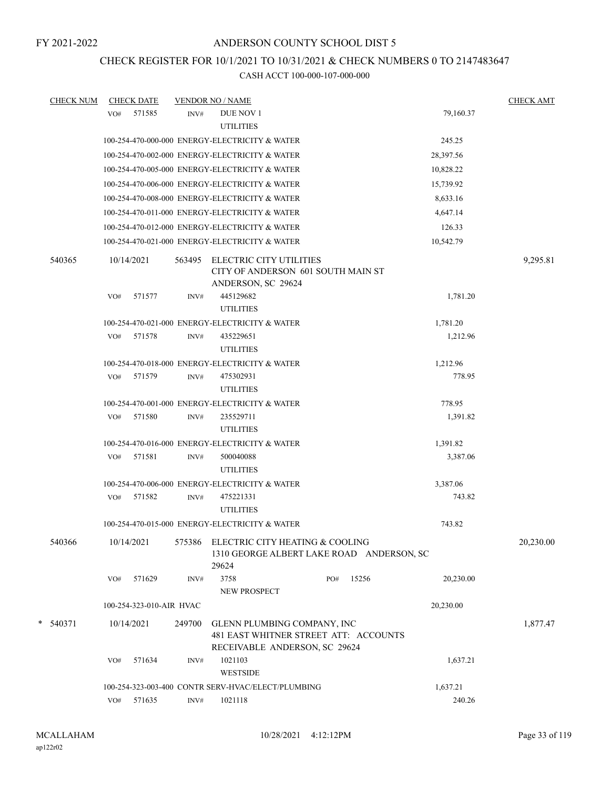### CHECK REGISTER FOR 10/1/2021 TO 10/31/2021 & CHECK NUMBERS 0 TO 2147483647

| <b>CHECK NUM</b> | <b>CHECK DATE</b>        |        | <b>VENDOR NO / NAME</b>                            |                                           |                    | <b>CHECK AMT</b> |
|------------------|--------------------------|--------|----------------------------------------------------|-------------------------------------------|--------------------|------------------|
|                  | 571585<br>VO#            | INV#   | <b>DUE NOV 1</b>                                   |                                           | 79,160.37          |                  |
|                  |                          |        | <b>UTILITIES</b>                                   |                                           |                    |                  |
|                  |                          |        | 100-254-470-000-000 ENERGY-ELECTRICITY & WATER     |                                           | 245.25             |                  |
|                  |                          |        | 100-254-470-002-000 ENERGY-ELECTRICITY & WATER     |                                           | 28,397.56          |                  |
|                  |                          |        | 100-254-470-005-000 ENERGY-ELECTRICITY & WATER     |                                           | 10,828.22          |                  |
|                  |                          |        | 100-254-470-006-000 ENERGY-ELECTRICITY & WATER     |                                           | 15,739.92          |                  |
|                  |                          |        | 100-254-470-008-000 ENERGY-ELECTRICITY & WATER     |                                           | 8,633.16           |                  |
|                  |                          |        | 100-254-470-011-000 ENERGY-ELECTRICITY & WATER     |                                           | 4,647.14           |                  |
|                  |                          |        | 100-254-470-012-000 ENERGY-ELECTRICITY & WATER     |                                           | 126.33             |                  |
|                  |                          |        | 100-254-470-021-000 ENERGY-ELECTRICITY & WATER     |                                           | 10,542.79          |                  |
| 540365           | 10/14/2021               |        | 563495 ELECTRIC CITY UTILITIES                     |                                           |                    | 9,295.81         |
|                  |                          |        |                                                    | CITY OF ANDERSON 601 SOUTH MAIN ST        |                    |                  |
|                  |                          |        | ANDERSON, SC 29624                                 |                                           |                    |                  |
|                  | 571577<br>VO#            | INV#   | 445129682                                          |                                           | 1,781.20           |                  |
|                  |                          |        | <b>UTILITIES</b>                                   |                                           |                    |                  |
|                  |                          |        | 100-254-470-021-000 ENERGY-ELECTRICITY & WATER     |                                           | 1,781.20           |                  |
|                  | 571578<br>VO#            | INV#   | 435229651                                          |                                           | 1,212.96           |                  |
|                  |                          |        | <b>UTILITIES</b>                                   |                                           |                    |                  |
|                  |                          |        | 100-254-470-018-000 ENERGY-ELECTRICITY & WATER     |                                           | 1,212.96<br>778.95 |                  |
|                  | 571579<br>VO#            | INV#   | 475302931<br><b>UTILITIES</b>                      |                                           |                    |                  |
|                  |                          |        | 100-254-470-001-000 ENERGY-ELECTRICITY & WATER     |                                           | 778.95             |                  |
|                  | 571580<br>VO#            | INV#   | 235529711                                          |                                           | 1,391.82           |                  |
|                  |                          |        | <b>UTILITIES</b>                                   |                                           |                    |                  |
|                  |                          |        | 100-254-470-016-000 ENERGY-ELECTRICITY & WATER     |                                           | 1,391.82           |                  |
|                  | VO# 571581               | INV#   | 500040088                                          |                                           | 3,387.06           |                  |
|                  |                          |        | <b>UTILITIES</b>                                   |                                           |                    |                  |
|                  |                          |        | 100-254-470-006-000 ENERGY-ELECTRICITY & WATER     |                                           | 3,387.06           |                  |
|                  | 571582<br>VO#            | INV#   | 475221331                                          |                                           | 743.82             |                  |
|                  |                          |        | <b>UTILITIES</b>                                   |                                           |                    |                  |
|                  |                          |        | 100-254-470-015-000 ENERGY-ELECTRICITY & WATER     |                                           | 743.82             |                  |
| 540366           | 10/14/2021               |        | 575386 ELECTRIC CITY HEATING & COOLING             |                                           |                    | 20,230.00        |
|                  |                          |        |                                                    | 1310 GEORGE ALBERT LAKE ROAD ANDERSON, SC |                    |                  |
|                  |                          |        | 29624                                              |                                           |                    |                  |
|                  | 571629<br>VO#            | INV#   | 3758                                               | 15256<br>PO#                              | 20,230.00          |                  |
|                  |                          |        | NEW PROSPECT                                       |                                           |                    |                  |
|                  | 100-254-323-010-AIR HVAC |        |                                                    |                                           | 20,230.00          |                  |
| $*$ 540371       | 10/14/2021               | 249700 | GLENN PLUMBING COMPANY, INC                        |                                           |                    | 1,877.47         |
|                  |                          |        |                                                    | 481 EAST WHITNER STREET ATT: ACCOUNTS     |                    |                  |
|                  | 571634                   |        | RECEIVABLE ANDERSON, SC 29624<br>1021103           |                                           | 1,637.21           |                  |
|                  | VO#                      | INV#   | <b>WESTSIDE</b>                                    |                                           |                    |                  |
|                  |                          |        | 100-254-323-003-400 CONTR SERV-HVAC/ELECT/PLUMBING |                                           | 1,637.21           |                  |
|                  | VO# 571635               | INV#   | 1021118                                            |                                           | 240.26             |                  |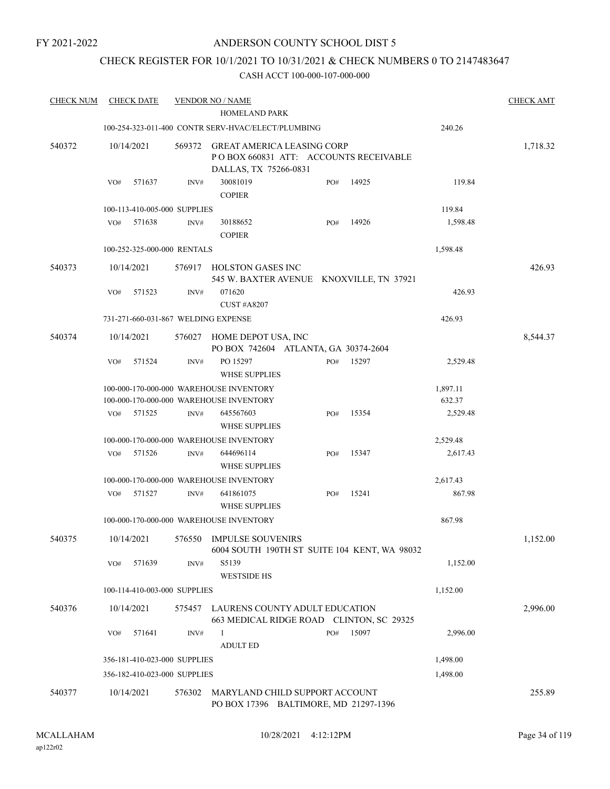### ANDERSON COUNTY SCHOOL DIST 5

### CHECK REGISTER FOR 10/1/2021 TO 10/31/2021 & CHECK NUMBERS 0 TO 2147483647

| <b>CHECK NUM</b> | <b>CHECK DATE</b>                   |        | <b>VENDOR NO / NAME</b><br>HOMELAND PARK                                                             |     |       |                      | <b>CHECK AMT</b> |
|------------------|-------------------------------------|--------|------------------------------------------------------------------------------------------------------|-----|-------|----------------------|------------------|
|                  |                                     |        |                                                                                                      |     |       |                      |                  |
|                  |                                     |        | 100-254-323-011-400 CONTR SERV-HVAC/ELECT/PLUMBING                                                   |     |       | 240.26               |                  |
| 540372           | 10/14/2021                          | 569372 | <b>GREAT AMERICA LEASING CORP</b><br>PO BOX 660831 ATT: ACCOUNTS RECEIVABLE<br>DALLAS, TX 75266-0831 |     |       |                      | 1,718.32         |
|                  | 571637<br>VO#                       | INV#   | 30081019<br><b>COPIER</b>                                                                            | PO# | 14925 | 119.84               |                  |
|                  | 100-113-410-005-000 SUPPLIES        |        |                                                                                                      |     |       | 119.84               |                  |
|                  | 571638<br>VO#                       | INV#   | 30188652<br><b>COPIER</b>                                                                            | PO# | 14926 | 1,598.48             |                  |
|                  | 100-252-325-000-000 RENTALS         |        |                                                                                                      |     |       | 1,598.48             |                  |
| 540373           | 10/14/2021                          |        | 576917 HOLSTON GASES INC<br>545 W. BAXTER AVENUE KNOXVILLE, TN 37921                                 |     |       |                      | 426.93           |
|                  | VO#<br>571523                       | INV#   | 071620<br><b>CUST #A8207</b>                                                                         |     |       | 426.93               |                  |
|                  | 731-271-660-031-867 WELDING EXPENSE |        |                                                                                                      |     |       | 426.93               |                  |
| 540374           | 10/14/2021                          | 576027 | HOME DEPOT USA, INC<br>PO BOX 742604 ATLANTA, GA 30374-2604                                          |     |       |                      | 8,544.37         |
|                  | 571524<br>VO#                       | INV#   | PO 15297<br><b>WHSE SUPPLIES</b>                                                                     | PO# | 15297 | 2,529.48             |                  |
|                  |                                     |        | 100-000-170-000-000 WAREHOUSE INVENTORY<br>100-000-170-000-000 WAREHOUSE INVENTORY                   |     |       | 1,897.11<br>632.37   |                  |
|                  | 571525<br>VO#                       | INV#   | 645567603<br><b>WHSE SUPPLIES</b>                                                                    | PO# | 15354 | 2,529.48             |                  |
|                  |                                     |        |                                                                                                      |     |       |                      |                  |
|                  | VO#<br>571526                       | INV#   | 100-000-170-000-000 WAREHOUSE INVENTORY<br>644696114<br><b>WHSE SUPPLIES</b>                         | PO# | 15347 | 2,529.48<br>2,617.43 |                  |
|                  |                                     |        |                                                                                                      |     |       |                      |                  |
|                  | 571527<br>VO#                       | INV#   | 100-000-170-000-000 WAREHOUSE INVENTORY<br>641861075                                                 | PO# | 15241 | 2,617.43<br>867.98   |                  |
|                  |                                     |        | <b>WHSE SUPPLIES</b><br>100-000-170-000-000 WAREHOUSE INVENTORY                                      |     |       | 867.98               |                  |
| 540375           | 10/14/2021                          |        | 576550 IMPULSE SOUVENIRS<br>6004 SOUTH 190TH ST SUITE 104 KENT, WA 98032                             |     |       |                      | 1,152.00         |
|                  | 571639<br>VO#                       | INV#   | S5139<br><b>WESTSIDE HS</b>                                                                          |     |       | 1,152.00             |                  |
|                  | 100-114-410-003-000 SUPPLIES        |        |                                                                                                      |     |       | 1,152.00             |                  |
| 540376           | 10/14/2021                          | 575457 | LAURENS COUNTY ADULT EDUCATION<br>663 MEDICAL RIDGE ROAD CLINTON, SC 29325                           |     |       |                      | 2,996.00         |
|                  | VO#<br>571641                       | INV#   | 1<br><b>ADULT ED</b>                                                                                 | PO# | 15097 | 2,996.00             |                  |
|                  | 356-181-410-023-000 SUPPLIES        |        |                                                                                                      |     |       | 1,498.00             |                  |
|                  | 356-182-410-023-000 SUPPLIES        |        |                                                                                                      |     |       | 1,498.00             |                  |
| 540377           | 10/14/2021                          | 576302 | MARYLAND CHILD SUPPORT ACCOUNT<br>PO BOX 17396 BALTIMORE, MD 21297-1396                              |     |       |                      | 255.89           |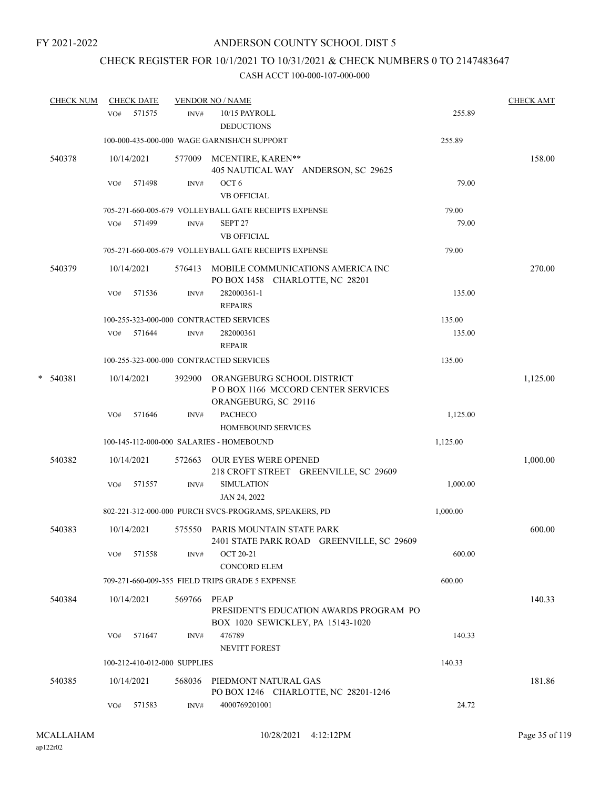### CHECK REGISTER FOR 10/1/2021 TO 10/31/2021 & CHECK NUMBERS 0 TO 2147483647

| <b>CHECK NUM</b> | <b>CHECK DATE</b> |                              | <b>VENDOR NO / NAME</b>                                                                          |                | <b>CHECK AMT</b> |
|------------------|-------------------|------------------------------|--------------------------------------------------------------------------------------------------|----------------|------------------|
|                  | VO#               | 571575<br>INV#               | 10/15 PAYROLL<br><b>DEDUCTIONS</b>                                                               | 255.89         |                  |
|                  |                   |                              | 100-000-435-000-000 WAGE GARNISH/CH SUPPORT                                                      | 255.89         |                  |
| 540378           | 10/14/2021        |                              | 577009 MCENTIRE, KAREN**<br>405 NAUTICAL WAY ANDERSON, SC 29625                                  |                | 158.00           |
|                  | VO#               | 571498<br>INV#               | OCT <sub>6</sub><br><b>VB OFFICIAL</b>                                                           | 79.00          |                  |
|                  | VO#               | 571499<br>INV#               | 705-271-660-005-679 VOLLEYBALL GATE RECEIPTS EXPENSE<br>SEPT <sub>27</sub><br><b>VB OFFICIAL</b> | 79.00<br>79.00 |                  |
|                  |                   |                              | 705-271-660-005-679 VOLLEYBALL GATE RECEIPTS EXPENSE                                             | 79.00          |                  |
| 540379           | 10/14/2021        |                              | 576413 MOBILE COMMUNICATIONS AMERICA INC<br>PO BOX 1458 CHARLOTTE, NC 28201                      |                | 270.00           |
|                  | VO#               | 571536<br>INV#               | 282000361-1<br><b>REPAIRS</b>                                                                    | 135.00         |                  |
|                  |                   |                              | 100-255-323-000-000 CONTRACTED SERVICES                                                          | 135.00         |                  |
|                  | 571644<br>VO#     | INV#                         | 282000361<br><b>REPAIR</b>                                                                       | 135.00         |                  |
|                  |                   |                              | 100-255-323-000-000 CONTRACTED SERVICES                                                          | 135.00         |                  |
| $*$ 540381       | 10/14/2021        | 392900                       | ORANGEBURG SCHOOL DISTRICT<br>PO BOX 1166 MCCORD CENTER SERVICES<br>ORANGEBURG, SC 29116         |                | 1,125.00         |
|                  | VO#               | 571646<br>INV#               | <b>PACHECO</b><br><b>HOMEBOUND SERVICES</b>                                                      | 1,125.00       |                  |
|                  |                   |                              | 100-145-112-000-000 SALARIES - HOMEBOUND                                                         | 1,125.00       |                  |
| 540382           | 10/14/2021        | 572663                       | <b>OUR EYES WERE OPENED</b><br>218 CROFT STREET GREENVILLE, SC 29609                             |                | 1,000.00         |
|                  | VO#               | 571557<br>INV#               | <b>SIMULATION</b><br>JAN 24, 2022                                                                | 1,000.00       |                  |
|                  |                   |                              | 802-221-312-000-000 PURCH SVCS-PROGRAMS, SPEAKERS, PD                                            | 1,000.00       |                  |
| 540383           | 10/14/2021        |                              | 575550 PARIS MOUNTAIN STATE PARK<br>2401 STATE PARK ROAD GREENVILLE, SC 29609                    |                | 600.00           |
|                  | 571558<br>VO#     | INV#                         | <b>OCT 20-21</b><br><b>CONCORD ELEM</b>                                                          | 600.00         |                  |
|                  |                   |                              | 709-271-660-009-355 FIELD TRIPS GRADE 5 EXPENSE                                                  | 600.00         |                  |
| 540384           | 10/14/2021        | 569766 PEAP                  | PRESIDENT'S EDUCATION AWARDS PROGRAM PO<br>BOX 1020 SEWICKLEY, PA 15143-1020                     |                | 140.33           |
|                  | VO#               | 571647<br>INV#               | 476789<br>NEVITT FOREST                                                                          | 140.33         |                  |
|                  |                   | 100-212-410-012-000 SUPPLIES |                                                                                                  | 140.33         |                  |
| 540385           | 10/14/2021        | 568036                       | PIEDMONT NATURAL GAS<br>PO BOX 1246 CHARLOTTE, NC 28201-1246                                     |                | 181.86           |
|                  | VO#               | 571583<br>INV#               | 4000769201001                                                                                    | 24.72          |                  |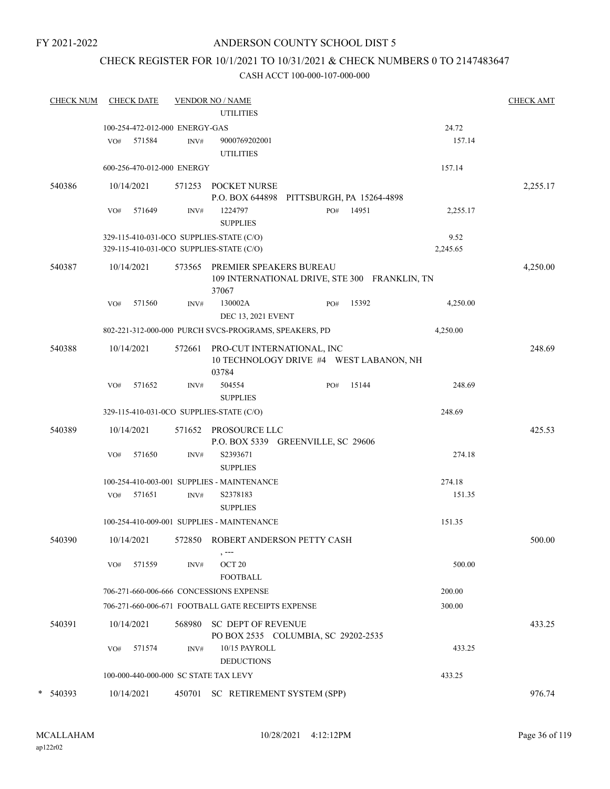### ANDERSON COUNTY SCHOOL DIST 5

### CHECK REGISTER FOR 10/1/2021 TO 10/31/2021 & CHECK NUMBERS 0 TO 2147483647

| <b>CHECK NUM</b> |     | <b>CHECK DATE</b>                        |        | <b>VENDOR NO / NAME</b><br><b>UTILITIES</b>                                       |                           |           |                 | <b>CHECK AMT</b> |
|------------------|-----|------------------------------------------|--------|-----------------------------------------------------------------------------------|---------------------------|-----------|-----------------|------------------|
|                  |     |                                          |        |                                                                                   |                           |           |                 |                  |
|                  | VO# | 100-254-472-012-000 ENERGY-GAS<br>571584 | INV#   | 9000769202001                                                                     |                           |           | 24.72<br>157.14 |                  |
|                  |     | 600-256-470-012-000 ENERGY               |        | <b>UTILITIES</b>                                                                  |                           |           | 157.14          |                  |
|                  |     |                                          |        |                                                                                   |                           |           |                 |                  |
| 540386           |     | 10/14/2021                               |        | 571253 POCKET NURSE<br>P.O. BOX 644898                                            | PITTSBURGH, PA 15264-4898 |           |                 | 2,255.17         |
|                  | VO# | 571649                                   | INV#   | 1224797<br><b>SUPPLIES</b>                                                        |                           | PO# 14951 | 2,255.17        |                  |
|                  |     |                                          |        | 329-115-410-031-0CO SUPPLIES-STATE (C/O)                                          |                           |           | 9.52            |                  |
|                  |     |                                          |        | 329-115-410-031-0CO SUPPLIES-STATE (C/O)                                          |                           |           | 2,245.65        |                  |
| 540387           |     | 10/14/2021                               | 573565 | PREMIER SPEAKERS BUREAU<br>109 INTERNATIONAL DRIVE, STE 300 FRANKLIN, TN<br>37067 |                           |           |                 | 4,250.00         |
|                  | VO# | 571560                                   | INV#   | 130002A<br>DEC 13, 2021 EVENT                                                     | PO#                       | 15392     | 4,250.00        |                  |
|                  |     |                                          |        | 802-221-312-000-000 PURCH SVCS-PROGRAMS, SPEAKERS, PD                             |                           |           | 4,250.00        |                  |
| 540388           |     | 10/14/2021                               | 572661 | PRO-CUT INTERNATIONAL, INC<br>10 TECHNOLOGY DRIVE #4 WEST LABANON, NH<br>03784    |                           |           |                 | 248.69           |
|                  | VO# | 571652                                   | INV#   | 504554<br><b>SUPPLIES</b>                                                         | PO#                       | 15144     | 248.69          |                  |
|                  |     |                                          |        | 329-115-410-031-0CO SUPPLIES-STATE (C/O)                                          |                           |           | 248.69          |                  |
| 540389           |     | 10/14/2021                               |        | 571652 PROSOURCE LLC<br>P.O. BOX 5339 GREENVILLE, SC 29606                        |                           |           |                 | 425.53           |
|                  | VO# | 571650                                   | INV#   | S2393671<br><b>SUPPLIES</b>                                                       |                           |           | 274.18          |                  |
|                  |     |                                          |        | 100-254-410-003-001 SUPPLIES - MAINTENANCE                                        |                           |           | 274.18          |                  |
|                  | VO# | 571651                                   | INV#   | S2378183<br><b>SUPPLIES</b>                                                       |                           |           | 151.35          |                  |
|                  |     |                                          |        | 100-254-410-009-001 SUPPLIES - MAINTENANCE                                        |                           |           | 151.35          |                  |
| 540390           |     | 10/14/2021                               |        | 572850 ROBERT ANDERSON PETTY CASH<br>$, --$                                       |                           |           |                 | 500.00           |
|                  | VO# | 571559                                   | INV#   | OCT <sub>20</sub><br><b>FOOTBALL</b>                                              |                           |           | 500.00          |                  |
|                  |     |                                          |        | 706-271-660-006-666 CONCESSIONS EXPENSE                                           |                           |           | 200.00          |                  |
|                  |     |                                          |        | 706-271-660-006-671 FOOTBALL GATE RECEIPTS EXPENSE                                |                           |           | 300.00          |                  |
| 540391           |     | 10/14/2021                               |        | 568980 SC DEPT OF REVENUE<br>PO BOX 2535 COLUMBIA, SC 29202-2535                  |                           |           |                 | 433.25           |
|                  | VO# | 571574                                   | INV#   | 10/15 PAYROLL<br><b>DEDUCTIONS</b>                                                |                           |           | 433.25          |                  |
|                  |     |                                          |        | 100-000-440-000-000 SC STATE TAX LEVY                                             |                           |           | 433.25          |                  |
| $*$ 540393       |     | 10/14/2021                               | 450701 | SC RETIREMENT SYSTEM (SPP)                                                        |                           |           |                 | 976.74           |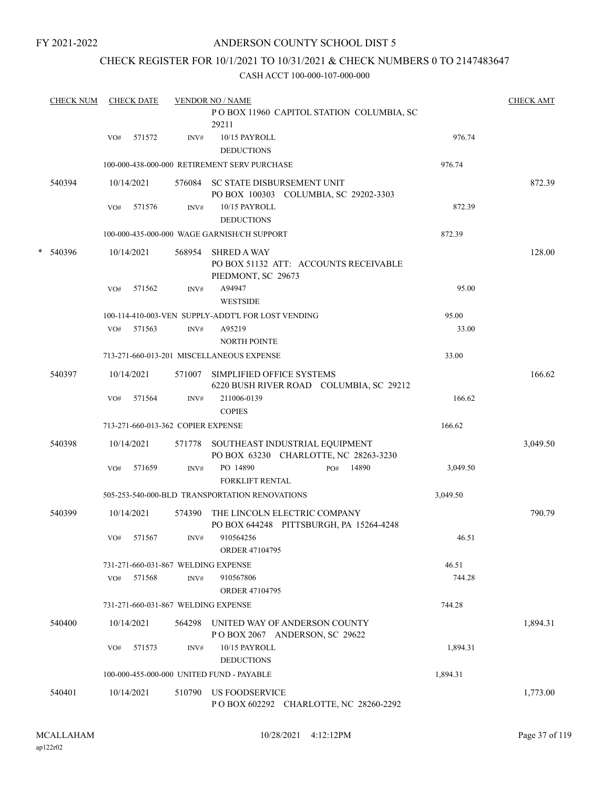### ANDERSON COUNTY SCHOOL DIST 5

## CHECK REGISTER FOR 10/1/2021 TO 10/31/2021 & CHECK NUMBERS 0 TO 2147483647

|   | <b>CHECK NUM</b> |     | <b>CHECK DATE</b> |                                    | <b>VENDOR NO / NAME</b>                                                           |          | <b>CHECK AMT</b> |
|---|------------------|-----|-------------------|------------------------------------|-----------------------------------------------------------------------------------|----------|------------------|
|   |                  |     |                   |                                    | POBOX 11960 CAPITOL STATION COLUMBIA, SC<br>29211                                 |          |                  |
|   |                  | VO# | 571572            | INV#                               | 10/15 PAYROLL<br><b>DEDUCTIONS</b>                                                | 976.74   |                  |
|   |                  |     |                   |                                    | 100-000-438-000-000 RETIREMENT SERV PURCHASE                                      | 976.74   |                  |
|   | 540394           |     | 10/14/2021        |                                    | 576084 SC STATE DISBURSEMENT UNIT<br>PO BOX 100303 COLUMBIA, SC 29202-3303        |          | 872.39           |
|   |                  | VO# | 571576            | INV#                               | 10/15 PAYROLL<br><b>DEDUCTIONS</b>                                                | 872.39   |                  |
|   |                  |     |                   |                                    | 100-000-435-000-000 WAGE GARNISH/CH SUPPORT                                       | 872.39   |                  |
| * | 540396           |     | 10/14/2021        | 568954                             | <b>SHRED A WAY</b><br>PO BOX 51132 ATT: ACCOUNTS RECEIVABLE<br>PIEDMONT, SC 29673 |          | 128.00           |
|   |                  | VO# | 571562            | INV#                               | A94947<br><b>WESTSIDE</b>                                                         | 95.00    |                  |
|   |                  |     |                   |                                    | 100-114-410-003-VEN SUPPLY-ADDT'L FOR LOST VENDING                                | 95.00    |                  |
|   |                  | VO# | 571563            | INV#                               | A95219<br><b>NORTH POINTE</b>                                                     | 33.00    |                  |
|   |                  |     |                   |                                    | 713-271-660-013-201 MISCELLANEOUS EXPENSE                                         | 33.00    |                  |
|   | 540397           |     | 10/14/2021        | 571007                             | SIMPLIFIED OFFICE SYSTEMS<br>6220 BUSH RIVER ROAD COLUMBIA, SC 29212              |          | 166.62           |
|   |                  | VO# | 571564            | INV#                               | 211006-0139<br><b>COPIES</b>                                                      | 166.62   |                  |
|   |                  |     |                   | 713-271-660-013-362 COPIER EXPENSE |                                                                                   | 166.62   |                  |
|   | 540398           |     | 10/14/2021        |                                    | 571778 SOUTHEAST INDUSTRIAL EQUIPMENT<br>PO BOX 63230 CHARLOTTE, NC 28263-3230    |          | 3,049.50         |
|   |                  | VO# | 571659            | INV#                               | PO 14890<br>14890<br>PO#<br><b>FORKLIFT RENTAL</b>                                | 3,049.50 |                  |
|   |                  |     |                   |                                    | 505-253-540-000-BLD TRANSPORTATION RENOVATIONS                                    | 3,049.50 |                  |
|   | 540399           |     | 10/14/2021        | 574390                             | THE LINCOLN ELECTRIC COMPANY<br>PO BOX 644248 PITTSBURGH, PA 15264-4248           |          | 790.79           |
|   |                  | VO# | 571567            | $\text{INV}\#$                     | 910564256<br><b>ORDER 47104795</b>                                                | 46.51    |                  |
|   |                  |     |                   |                                    | 731-271-660-031-867 WELDING EXPENSE                                               | 46.51    |                  |
|   |                  | VO# | 571568            | INV#                               | 910567806<br><b>ORDER 47104795</b>                                                | 744.28   |                  |
|   |                  |     |                   |                                    | 731-271-660-031-867 WELDING EXPENSE                                               | 744.28   |                  |
|   | 540400           |     | 10/14/2021        | 564298                             | UNITED WAY OF ANDERSON COUNTY<br>POBOX 2067 ANDERSON, SC 29622                    |          | 1,894.31         |
|   |                  | VO# | 571573            | INV#                               | 10/15 PAYROLL<br><b>DEDUCTIONS</b>                                                | 1,894.31 |                  |
|   |                  |     |                   |                                    | 100-000-455-000-000 UNITED FUND - PAYABLE                                         | 1,894.31 |                  |
|   | 540401           |     | 10/14/2021        | 510790                             | US FOODSERVICE<br>POBOX 602292 CHARLOTTE, NC 28260-2292                           |          | 1,773.00         |
|   |                  |     |                   |                                    |                                                                                   |          |                  |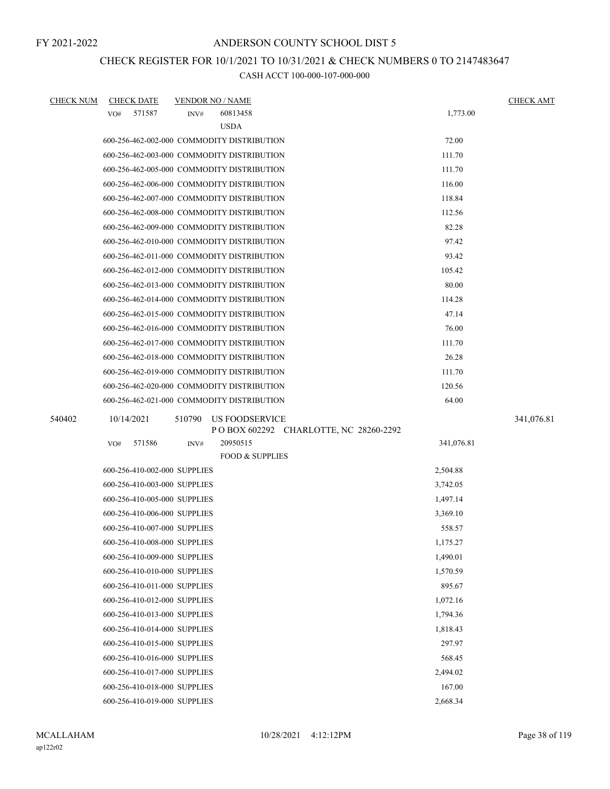## CHECK REGISTER FOR 10/1/2021 TO 10/31/2021 & CHECK NUMBERS 0 TO 2147483647

| <b>CHECK NUM</b> | <b>CHECK DATE</b>            | <b>VENDOR NO / NAME</b>                                     |            | <b>CHECK AMT</b> |
|------------------|------------------------------|-------------------------------------------------------------|------------|------------------|
|                  | 571587<br>VO#                | 60813458<br>INV#                                            | 1,773.00   |                  |
|                  |                              | <b>USDA</b>                                                 |            |                  |
|                  |                              | 600-256-462-002-000 COMMODITY DISTRIBUTION                  | 72.00      |                  |
|                  |                              | 600-256-462-003-000 COMMODITY DISTRIBUTION                  | 111.70     |                  |
|                  |                              | 600-256-462-005-000 COMMODITY DISTRIBUTION                  | 111.70     |                  |
|                  |                              | 600-256-462-006-000 COMMODITY DISTRIBUTION                  | 116.00     |                  |
|                  |                              | 600-256-462-007-000 COMMODITY DISTRIBUTION                  | 118.84     |                  |
|                  |                              | 600-256-462-008-000 COMMODITY DISTRIBUTION                  | 112.56     |                  |
|                  |                              | 600-256-462-009-000 COMMODITY DISTRIBUTION                  | 82.28      |                  |
|                  |                              | 600-256-462-010-000 COMMODITY DISTRIBUTION                  | 97.42      |                  |
|                  |                              | 600-256-462-011-000 COMMODITY DISTRIBUTION                  | 93.42      |                  |
|                  |                              | 600-256-462-012-000 COMMODITY DISTRIBUTION                  | 105.42     |                  |
|                  |                              | 600-256-462-013-000 COMMODITY DISTRIBUTION                  | 80.00      |                  |
|                  |                              | 600-256-462-014-000 COMMODITY DISTRIBUTION                  | 114.28     |                  |
|                  |                              | 600-256-462-015-000 COMMODITY DISTRIBUTION                  | 47.14      |                  |
|                  |                              | 600-256-462-016-000 COMMODITY DISTRIBUTION                  | 76.00      |                  |
|                  |                              | 600-256-462-017-000 COMMODITY DISTRIBUTION                  | 111.70     |                  |
|                  |                              | 600-256-462-018-000 COMMODITY DISTRIBUTION                  | 26.28      |                  |
|                  |                              | 600-256-462-019-000 COMMODITY DISTRIBUTION                  | 111.70     |                  |
|                  |                              | 600-256-462-020-000 COMMODITY DISTRIBUTION                  | 120.56     |                  |
|                  |                              | 600-256-462-021-000 COMMODITY DISTRIBUTION                  | 64.00      |                  |
| 540402           | 10/14/2021                   | 510790<br>US FOODSERVICE                                    |            | 341,076.81       |
|                  | VO#<br>571586                | P O BOX 602292 CHARLOTTE, NC 28260-2292<br>20950515<br>INV# | 341,076.81 |                  |
|                  |                              | <b>FOOD &amp; SUPPLIES</b>                                  |            |                  |
|                  | 600-256-410-002-000 SUPPLIES |                                                             | 2,504.88   |                  |
|                  | 600-256-410-003-000 SUPPLIES |                                                             | 3,742.05   |                  |
|                  | 600-256-410-005-000 SUPPLIES |                                                             | 1,497.14   |                  |
|                  | 600-256-410-006-000 SUPPLIES |                                                             | 3,369.10   |                  |
|                  | 600-256-410-007-000 SUPPLIES |                                                             | 558.57     |                  |
|                  | 600-256-410-008-000 SUPPLIES |                                                             | 1,175.27   |                  |
|                  | 600-256-410-009-000 SUPPLIES |                                                             | 1,490.01   |                  |
|                  | 600-256-410-010-000 SUPPLIES |                                                             | 1,570.59   |                  |
|                  | 600-256-410-011-000 SUPPLIES |                                                             | 895.67     |                  |
|                  | 600-256-410-012-000 SUPPLIES |                                                             | 1,072.16   |                  |
|                  | 600-256-410-013-000 SUPPLIES |                                                             | 1,794.36   |                  |
|                  | 600-256-410-014-000 SUPPLIES |                                                             | 1,818.43   |                  |
|                  | 600-256-410-015-000 SUPPLIES |                                                             | 297.97     |                  |
|                  | 600-256-410-016-000 SUPPLIES |                                                             | 568.45     |                  |
|                  | 600-256-410-017-000 SUPPLIES |                                                             | 2,494.02   |                  |
|                  | 600-256-410-018-000 SUPPLIES |                                                             | 167.00     |                  |
|                  | 600-256-410-019-000 SUPPLIES |                                                             | 2,668.34   |                  |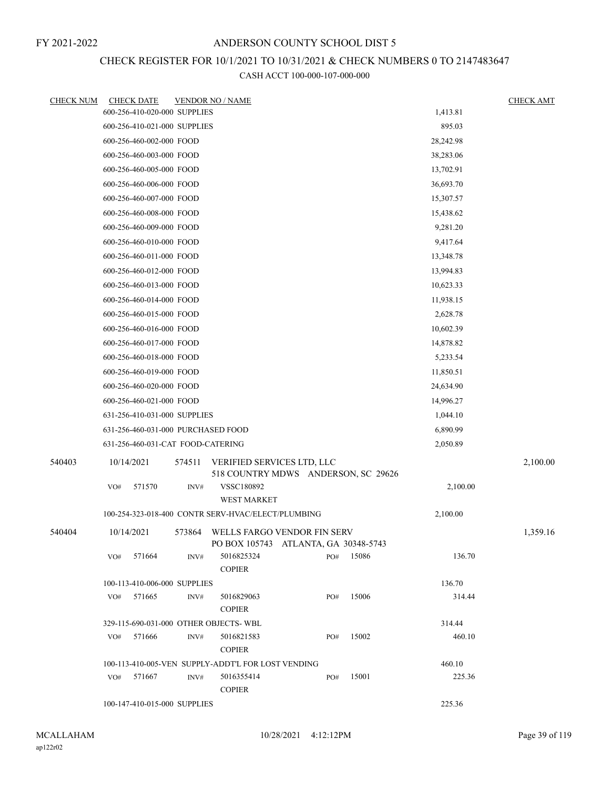# CHECK REGISTER FOR 10/1/2021 TO 10/31/2021 & CHECK NUMBERS 0 TO 2147483647

| <b>CHECK NUM</b> | <b>CHECK DATE</b>                                  |        | <b>VENDOR NO / NAME</b>                                             |     |       |           | <b>CHECK AMT</b> |
|------------------|----------------------------------------------------|--------|---------------------------------------------------------------------|-----|-------|-----------|------------------|
|                  | 600-256-410-020-000 SUPPLIES                       |        |                                                                     |     |       | 1,413.81  |                  |
|                  | 600-256-410-021-000 SUPPLIES                       |        |                                                                     |     |       | 895.03    |                  |
|                  | 600-256-460-002-000 FOOD                           |        |                                                                     |     |       | 28,242.98 |                  |
|                  | 600-256-460-003-000 FOOD                           |        |                                                                     |     |       | 38,283.06 |                  |
|                  | 600-256-460-005-000 FOOD                           |        |                                                                     |     |       | 13,702.91 |                  |
|                  | 600-256-460-006-000 FOOD                           |        |                                                                     |     |       | 36,693.70 |                  |
|                  | 600-256-460-007-000 FOOD                           |        |                                                                     |     |       | 15,307.57 |                  |
|                  | 600-256-460-008-000 FOOD                           |        |                                                                     |     |       | 15,438.62 |                  |
|                  | 600-256-460-009-000 FOOD                           |        |                                                                     |     |       | 9,281.20  |                  |
|                  | 600-256-460-010-000 FOOD                           |        |                                                                     |     |       | 9,417.64  |                  |
|                  | 600-256-460-011-000 FOOD                           |        |                                                                     |     |       | 13,348.78 |                  |
|                  | 600-256-460-012-000 FOOD                           |        |                                                                     |     |       | 13,994.83 |                  |
|                  | 600-256-460-013-000 FOOD                           |        |                                                                     |     |       | 10,623.33 |                  |
|                  | 600-256-460-014-000 FOOD                           |        |                                                                     |     |       | 11,938.15 |                  |
|                  | 600-256-460-015-000 FOOD                           |        |                                                                     |     |       | 2,628.78  |                  |
|                  | 600-256-460-016-000 FOOD                           |        |                                                                     |     |       | 10,602.39 |                  |
|                  | 600-256-460-017-000 FOOD                           |        |                                                                     |     |       | 14,878.82 |                  |
|                  | 600-256-460-018-000 FOOD                           |        |                                                                     |     |       | 5,233.54  |                  |
|                  | 600-256-460-019-000 FOOD                           |        |                                                                     |     |       | 11,850.51 |                  |
|                  | 600-256-460-020-000 FOOD                           |        |                                                                     |     |       | 24,634.90 |                  |
|                  | 600-256-460-021-000 FOOD                           |        |                                                                     |     |       | 14,996.27 |                  |
|                  | 631-256-410-031-000 SUPPLIES                       |        |                                                                     |     |       | 1,044.10  |                  |
|                  | 631-256-460-031-000 PURCHASED FOOD                 |        |                                                                     |     |       | 6,890.99  |                  |
|                  | 631-256-460-031-CAT FOOD-CATERING                  |        |                                                                     |     |       | 2,050.89  |                  |
| 540403           | 10/14/2021                                         | 574511 | VERIFIED SERVICES LTD, LLC<br>518 COUNTRY MDWS ANDERSON, SC 29626   |     |       |           | 2,100.00         |
|                  | 571570<br>VO#                                      | INV#   | VSSC180892<br><b>WEST MARKET</b>                                    |     |       | 2,100.00  |                  |
|                  |                                                    |        | 100-254-323-018-400 CONTR SERV-HVAC/ELECT/PLUMBING                  |     |       | 2,100.00  |                  |
| 540404           | 10/14/2021                                         | 573864 | WELLS FARGO VENDOR FIN SERV<br>PO BOX 105743 ATLANTA, GA 30348-5743 |     |       |           | 1,359.16         |
|                  | 571664<br>VO#                                      | INV#   | 5016825324<br><b>COPIER</b>                                         | PO# | 15086 | 136.70    |                  |
|                  | 100-113-410-006-000 SUPPLIES                       |        |                                                                     |     |       | 136.70    |                  |
|                  | VO#<br>571665                                      | INV#   | 5016829063<br><b>COPIER</b>                                         | PO# | 15006 | 314.44    |                  |
|                  |                                                    |        | 329-115-690-031-000 OTHER OBJECTS-WBL                               |     |       | 314.44    |                  |
|                  | 571666<br>VO#                                      | INV#   | 5016821583<br><b>COPIER</b>                                         | PO# | 15002 | 460.10    |                  |
|                  | 100-113-410-005-VEN SUPPLY-ADDT'L FOR LOST VENDING |        | 460.10                                                              |     |       |           |                  |
|                  | 571667<br>VO#                                      | INV#   | 5016355414<br><b>COPIER</b>                                         | PO# | 15001 | 225.36    |                  |
|                  | 100-147-410-015-000 SUPPLIES                       |        |                                                                     |     |       | 225.36    |                  |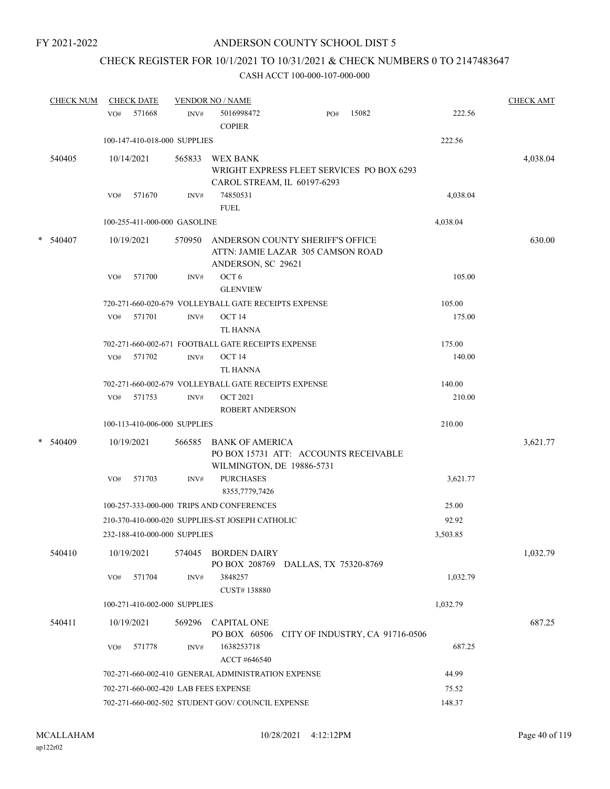# CHECK REGISTER FOR 10/1/2021 TO 10/31/2021 & CHECK NUMBERS 0 TO 2147483647

|   | <b>CHECK NUM</b> |     | <b>CHECK DATE</b>            |        | <b>VENDOR NO / NAME</b>                                                                      |                                 |       |          | <b>CHECK AMT</b> |
|---|------------------|-----|------------------------------|--------|----------------------------------------------------------------------------------------------|---------------------------------|-------|----------|------------------|
|   |                  | VO# | 571668                       | INV#   | 5016998472<br><b>COPIER</b>                                                                  | PO#                             | 15082 | 222.56   |                  |
|   |                  |     | 100-147-410-018-000 SUPPLIES |        |                                                                                              |                                 |       | 222.56   |                  |
|   | 540405           |     | 10/14/2021                   | 565833 | <b>WEX BANK</b><br>WRIGHT EXPRESS FLEET SERVICES PO BOX 6293<br>CAROL STREAM, IL 60197-6293  |                                 |       |          | 4,038.04         |
|   |                  | VO# | 571670                       | INV#   | 74850531<br><b>FUEL</b>                                                                      |                                 |       | 4,038.04 |                  |
|   |                  |     | 100-255-411-000-000 GASOLINE |        |                                                                                              |                                 |       | 4,038.04 |                  |
| * | 540407           |     | 10/19/2021                   | 570950 | ANDERSON COUNTY SHERIFF'S OFFICE<br>ATTN: JAMIE LAZAR 305 CAMSON ROAD<br>ANDERSON, SC 29621  |                                 |       |          | 630.00           |
|   |                  | VO# | 571700                       | INV#   | OCT <sub>6</sub><br><b>GLENVIEW</b>                                                          |                                 |       | 105.00   |                  |
|   |                  |     |                              |        | 720-271-660-020-679 VOLLEYBALL GATE RECEIPTS EXPENSE                                         |                                 |       | 105.00   |                  |
|   |                  | VO# | 571701                       | INV#   | OCT <sub>14</sub><br><b>TL HANNA</b>                                                         |                                 |       | 175.00   |                  |
|   |                  |     |                              |        | 702-271-660-002-671 FOOTBALL GATE RECEIPTS EXPENSE                                           |                                 |       | 175.00   |                  |
|   |                  | VO# | 571702                       | INV#   | OCT <sub>14</sub><br>TL HANNA                                                                |                                 |       | 140.00   |                  |
|   |                  |     |                              |        | 702-271-660-002-679 VOLLEYBALL GATE RECEIPTS EXPENSE                                         |                                 |       | 140.00   |                  |
|   |                  | VO# | 571753                       | INV#   | <b>OCT 2021</b>                                                                              |                                 |       | 210.00   |                  |
|   |                  |     |                              |        | <b>ROBERT ANDERSON</b>                                                                       |                                 |       |          |                  |
|   |                  |     | 100-113-410-006-000 SUPPLIES |        |                                                                                              |                                 |       | 210.00   |                  |
| * | 540409           |     | 10/19/2021                   | 566585 | <b>BANK OF AMERICA</b><br>PO BOX 15731 ATT: ACCOUNTS RECEIVABLE<br>WILMINGTON, DE 19886-5731 |                                 |       |          | 3,621.77         |
|   |                  | VO# | 571703                       | INV#   | <b>PURCHASES</b><br>8355,7779,7426                                                           |                                 |       | 3,621.77 |                  |
|   |                  |     |                              |        | 100-257-333-000-000 TRIPS AND CONFERENCES                                                    |                                 |       | 25.00    |                  |
|   |                  |     |                              |        | 210-370-410-000-020 SUPPLIES-ST JOSEPH CATHOLIC                                              |                                 |       | 92.92    |                  |
|   |                  |     | 232-188-410-000-000 SUPPLIES |        |                                                                                              |                                 |       | 3,503.85 |                  |
|   | 540410           |     | 10/19/2021                   |        | 574045 BORDEN DAIRY<br>PO BOX 208769 DALLAS, TX 75320-8769                                   |                                 |       |          | 1,032.79         |
|   |                  | VO# | 571704                       | INV#   | 3848257<br>CUST#138880                                                                       |                                 |       | 1,032.79 |                  |
|   |                  |     | 100-271-410-002-000 SUPPLIES |        |                                                                                              |                                 |       | 1,032.79 |                  |
|   | 540411           |     | 10/19/2021                   | 569296 | <b>CAPITAL ONE</b><br>PO BOX 60506                                                           | CITY OF INDUSTRY, CA 91716-0506 |       |          | 687.25           |
|   |                  | VO# | 571778                       | INV#   | 1638253718<br>ACCT #646540                                                                   |                                 |       | 687.25   |                  |
|   |                  |     |                              |        | 702-271-660-002-410 GENERAL ADMINISTRATION EXPENSE                                           |                                 |       | 44.99    |                  |
|   |                  |     |                              |        | 702-271-660-002-420 LAB FEES EXPENSE                                                         |                                 |       | 75.52    |                  |
|   |                  |     |                              |        | 702-271-660-002-502 STUDENT GOV/COUNCIL EXPENSE                                              |                                 |       | 148.37   |                  |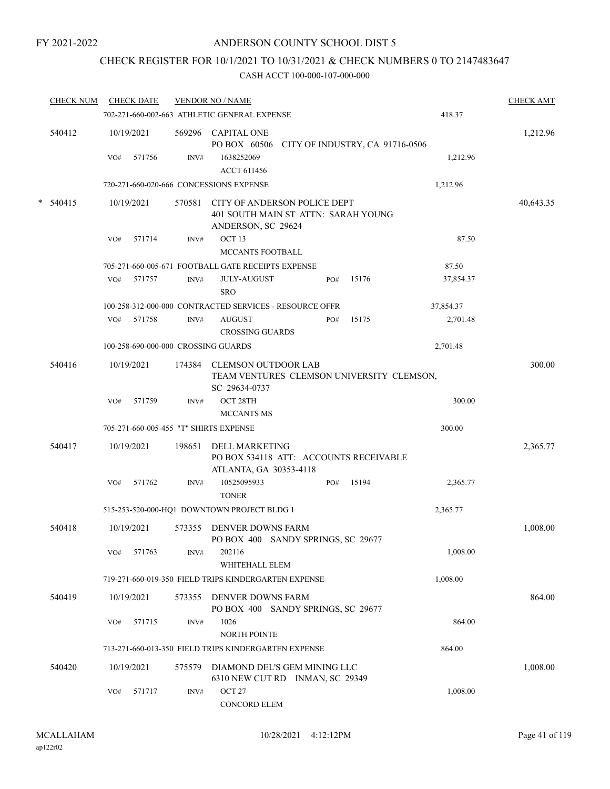## CHECK REGISTER FOR 10/1/2021 TO 10/31/2021 & CHECK NUMBERS 0 TO 2147483647

|   | <b>CHECK NUM</b> |     | <b>CHECK DATE</b> |        | <b>VENDOR NO / NAME</b>                                                                   |     |       |           | <b>CHECK AMT</b> |
|---|------------------|-----|-------------------|--------|-------------------------------------------------------------------------------------------|-----|-------|-----------|------------------|
|   |                  |     |                   |        | 702-271-660-002-663 ATHLETIC GENERAL EXPENSE                                              |     |       | 418.37    |                  |
|   | 540412           |     | 10/19/2021        |        | 569296 CAPITAL ONE<br>PO BOX 60506 CITY OF INDUSTRY, CA 91716-0506                        |     |       |           | 1,212.96         |
|   |                  | VO# | 571756            | INV#   | 1638252069<br><b>ACCT 611456</b>                                                          |     |       | 1,212.96  |                  |
|   |                  |     |                   |        | 720-271-660-020-666 CONCESSIONS EXPENSE                                                   |     |       | 1,212.96  |                  |
| * | 540415           |     | 10/19/2021        | 570581 | CITY OF ANDERSON POLICE DEPT<br>401 SOUTH MAIN ST ATTN: SARAH YOUNG<br>ANDERSON, SC 29624 |     |       |           | 40,643.35        |
|   |                  | VO# | 571714            | INV#   | OCT <sub>13</sub><br>MCCANTS FOOTBALL                                                     |     |       | 87.50     |                  |
|   |                  |     |                   |        | 705-271-660-005-671 FOOTBALL GATE RECEIPTS EXPENSE                                        |     |       | 87.50     |                  |
|   |                  | VO# | 571757            | INV#   | <b>JULY-AUGUST</b><br><b>SRO</b>                                                          | PO# | 15176 | 37,854.37 |                  |
|   |                  |     |                   |        | 100-258-312-000-000 CONTRACTED SERVICES - RESOURCE OFFR                                   |     |       | 37,854.37 |                  |
|   |                  | VO# | 571758            | INV#   | <b>AUGUST</b><br><b>CROSSING GUARDS</b>                                                   | PO# | 15175 | 2,701.48  |                  |
|   |                  |     |                   |        | 100-258-690-000-000 CROSSING GUARDS                                                       |     |       | 2,701.48  |                  |
|   | 540416           |     | 10/19/2021        | 174384 | <b>CLEMSON OUTDOOR LAB</b><br>TEAM VENTURES CLEMSON UNIVERSITY CLEMSON,<br>SC 29634-0737  |     |       |           | 300.00           |
|   |                  | VO# | 571759            | INV#   | OCT 28TH                                                                                  |     |       | 300.00    |                  |
|   |                  |     |                   |        | <b>MCCANTS MS</b>                                                                         |     |       |           |                  |
|   |                  |     |                   |        | 705-271-660-005-455 "T" SHIRTS EXPENSE                                                    |     |       | 300.00    |                  |
|   | 540417           |     | 10/19/2021        | 198651 | DELL MARKETING<br>PO BOX 534118 ATT: ACCOUNTS RECEIVABLE<br>ATLANTA, GA 30353-4118        |     |       |           | 2,365.77         |
|   |                  | VO# | 571762            | INV#   | 10525095933<br><b>TONER</b>                                                               | PO# | 15194 | 2,365.77  |                  |
|   |                  |     |                   |        | 515-253-520-000-HQ1 DOWNTOWN PROJECT BLDG 1                                               |     |       | 2,365.77  |                  |
|   | 540418           |     | 10/19/2021        | 573355 | <b>DENVER DOWNS FARM</b><br>PO BOX 400 SANDY SPRINGS, SC 29677                            |     |       |           | 1,008.00         |
|   |                  | VO# | 571763            | INV#   | 202116<br>WHITEHALL ELEM                                                                  |     |       | 1,008.00  |                  |
|   |                  |     |                   |        | 719-271-660-019-350 FIELD TRIPS KINDERGARTEN EXPENSE                                      |     |       | 1,008.00  |                  |
|   | 540419           |     | 10/19/2021        |        | 573355 DENVER DOWNS FARM<br>PO BOX 400 SANDY SPRINGS, SC 29677                            |     |       |           | 864.00           |
|   |                  | VO# | 571715            | INV#   | 1026<br>NORTH POINTE                                                                      |     |       | 864.00    |                  |
|   |                  |     |                   |        | 713-271-660-013-350 FIELD TRIPS KINDERGARTEN EXPENSE                                      |     |       | 864.00    |                  |
|   | 540420           |     | 10/19/2021        | 575579 | DIAMOND DEL'S GEM MINING LLC<br>6310 NEW CUT RD INMAN, SC 29349                           |     |       |           | 1,008.00         |
|   |                  | VO# | 571717            | INV#   | OCT <sub>27</sub><br>CONCORD ELEM                                                         |     |       | 1,008.00  |                  |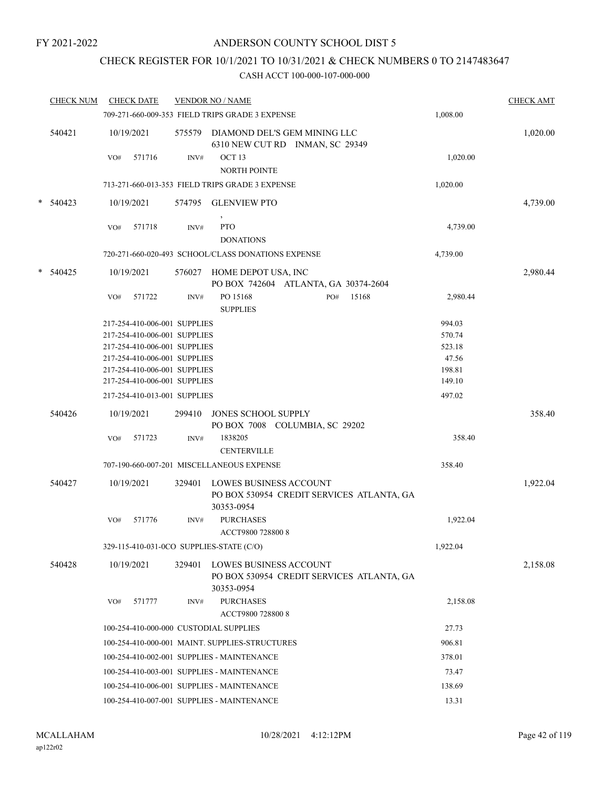## CHECK REGISTER FOR 10/1/2021 TO 10/31/2021 & CHECK NUMBERS 0 TO 2147483647

| <b>CHECK NUM</b> |            | <b>CHECK DATE</b>            |        | <b>VENDOR NO / NAME</b>                                                                  |          | <b>CHECK AMT</b> |
|------------------|------------|------------------------------|--------|------------------------------------------------------------------------------------------|----------|------------------|
|                  |            |                              |        | 709-271-660-009-353 FIELD TRIPS GRADE 3 EXPENSE                                          | 1,008.00 |                  |
| 540421           | 10/19/2021 |                              |        | 575579 DIAMOND DEL'S GEM MINING LLC<br>6310 NEW CUT RD INMAN, SC 29349                   |          | 1,020.00         |
|                  | VO#        | 571716                       | INV#   | OCT <sub>13</sub><br><b>NORTH POINTE</b>                                                 | 1,020.00 |                  |
|                  |            |                              |        | 713-271-660-013-353 FIELD TRIPS GRADE 3 EXPENSE                                          | 1,020.00 |                  |
| $* 540423$       | 10/19/2021 |                              | 574795 | <b>GLENVIEW PTO</b>                                                                      |          | 4,739.00         |
|                  |            |                              |        | $\,$                                                                                     |          |                  |
|                  | VO#        | 571718                       | INV#   | <b>PTO</b><br><b>DONATIONS</b>                                                           | 4,739.00 |                  |
|                  |            |                              |        | 720-271-660-020-493 SCHOOL/CLASS DONATIONS EXPENSE                                       | 4,739.00 |                  |
| * 540425         | 10/19/2021 |                              | 576027 | HOME DEPOT USA, INC<br>PO BOX 742604 ATLANTA, GA 30374-2604                              |          | 2,980.44         |
|                  | VO#        | 571722                       | INV#   | PO 15168<br>15168<br>PO#<br><b>SUPPLIES</b>                                              | 2,980.44 |                  |
|                  |            | 217-254-410-006-001 SUPPLIES |        |                                                                                          | 994.03   |                  |
|                  |            | 217-254-410-006-001 SUPPLIES |        |                                                                                          | 570.74   |                  |
|                  |            | 217-254-410-006-001 SUPPLIES |        |                                                                                          | 523.18   |                  |
|                  |            | 217-254-410-006-001 SUPPLIES |        |                                                                                          | 47.56    |                  |
|                  |            | 217-254-410-006-001 SUPPLIES |        |                                                                                          | 198.81   |                  |
|                  |            | 217-254-410-006-001 SUPPLIES |        |                                                                                          | 149.10   |                  |
|                  |            | 217-254-410-013-001 SUPPLIES |        |                                                                                          | 497.02   |                  |
| 540426           | 10/19/2021 |                              | 299410 | <b>JONES SCHOOL SUPPLY</b><br>PO BOX 7008 COLUMBIA, SC 29202                             |          | 358.40           |
|                  | VO#        | 571723                       | INV#   | 1838205                                                                                  | 358.40   |                  |
|                  |            |                              |        | <b>CENTERVILLE</b>                                                                       |          |                  |
|                  |            |                              |        | 707-190-660-007-201 MISCELLANEOUS EXPENSE                                                | 358.40   |                  |
| 540427           | 10/19/2021 |                              | 329401 | LOWES BUSINESS ACCOUNT<br>PO BOX 530954 CREDIT SERVICES ATLANTA, GA<br>30353-0954        |          | 1,922.04         |
|                  | VO#        | 571776                       | INV#   | <b>PURCHASES</b><br>ACCT9800 728800 8                                                    | 1,922.04 |                  |
|                  |            |                              |        | 329-115-410-031-0CO SUPPLIES-STATE (C/O)                                                 | 1,922.04 |                  |
| 540428           | 10/19/2021 |                              | 329401 | <b>LOWES BUSINESS ACCOUNT</b><br>PO BOX 530954 CREDIT SERVICES ATLANTA, GA<br>30353-0954 |          | 2,158.08         |
|                  | VO#        | 571777                       | INV#   | <b>PURCHASES</b><br>ACCT9800 728800 8                                                    | 2,158.08 |                  |
|                  |            |                              |        | 100-254-410-000-000 CUSTODIAL SUPPLIES                                                   | 27.73    |                  |
|                  |            |                              |        | 100-254-410-000-001 MAINT. SUPPLIES-STRUCTURES                                           | 906.81   |                  |
|                  |            |                              |        |                                                                                          |          |                  |
|                  |            |                              |        | 100-254-410-002-001 SUPPLIES - MAINTENANCE                                               | 378.01   |                  |
|                  |            |                              |        | 100-254-410-003-001 SUPPLIES - MAINTENANCE                                               | 73.47    |                  |
|                  |            |                              |        | 100-254-410-006-001 SUPPLIES - MAINTENANCE                                               | 138.69   |                  |
|                  |            |                              |        | 100-254-410-007-001 SUPPLIES - MAINTENANCE                                               | 13.31    |                  |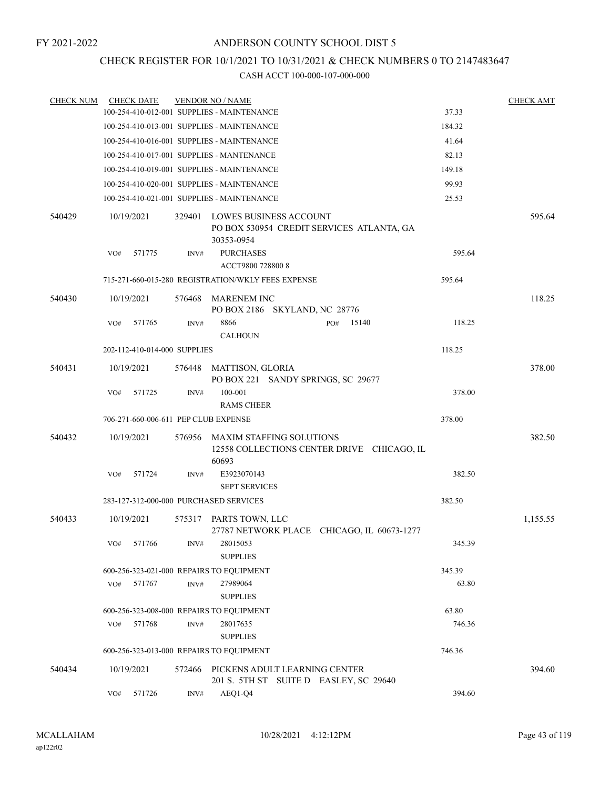### CHECK REGISTER FOR 10/1/2021 TO 10/31/2021 & CHECK NUMBERS 0 TO 2147483647

| <b>CHECK NUM</b> |     | <b>CHECK DATE</b>            |        | <b>VENDOR NO / NAME</b>                                                 |     |                                            |        | <b>CHECK AMT</b> |
|------------------|-----|------------------------------|--------|-------------------------------------------------------------------------|-----|--------------------------------------------|--------|------------------|
|                  |     |                              |        | 100-254-410-012-001 SUPPLIES - MAINTENANCE                              |     |                                            | 37.33  |                  |
|                  |     |                              |        | 100-254-410-013-001 SUPPLIES - MAINTENANCE                              |     |                                            | 184.32 |                  |
|                  |     |                              |        | 100-254-410-016-001 SUPPLIES - MAINTENANCE                              |     |                                            | 41.64  |                  |
|                  |     |                              |        | 100-254-410-017-001 SUPPLIES - MANTENANCE                               |     |                                            | 82.13  |                  |
|                  |     |                              |        | 100-254-410-019-001 SUPPLIES - MAINTENANCE                              |     |                                            | 149.18 |                  |
|                  |     |                              |        | 100-254-410-020-001 SUPPLIES - MAINTENANCE                              |     |                                            | 99.93  |                  |
|                  |     |                              |        | 100-254-410-021-001 SUPPLIES - MAINTENANCE                              |     |                                            | 25.53  |                  |
| 540429           |     | 10/19/2021                   | 329401 | LOWES BUSINESS ACCOUNT<br>30353-0954                                    |     | PO BOX 530954 CREDIT SERVICES ATLANTA, GA  |        | 595.64           |
|                  | VO# | 571775                       | INV#   | <b>PURCHASES</b><br>ACCT9800 728800 8                                   |     |                                            | 595.64 |                  |
|                  |     |                              |        | 715-271-660-015-280 REGISTRATION/WKLY FEES EXPENSE                      |     |                                            | 595.64 |                  |
| 540430           |     | 10/19/2021                   | 576468 | <b>MARENEM INC</b><br>PO BOX 2186 SKYLAND, NC 28776                     |     |                                            |        | 118.25           |
|                  | VO# | 571765                       | INV#   | 8866<br><b>CALHOUN</b>                                                  | PO# | 15140                                      | 118.25 |                  |
|                  |     | 202-112-410-014-000 SUPPLIES |        |                                                                         |     |                                            | 118.25 |                  |
| 540431           |     | 10/19/2021                   | 576448 | MATTISON, GLORIA<br>PO BOX 221 SANDY SPRINGS, SC 29677                  |     |                                            |        | 378.00           |
|                  | VO# | 571725                       | INV#   | 100-001<br><b>RAMS CHEER</b>                                            |     |                                            | 378.00 |                  |
|                  |     |                              |        | 706-271-660-006-611 PEP CLUB EXPENSE                                    |     |                                            | 378.00 |                  |
| 540432           |     | 10/19/2021                   | 576956 | MAXIM STAFFING SOLUTIONS<br>60693                                       |     | 12558 COLLECTIONS CENTER DRIVE CHICAGO, IL |        | 382.50           |
|                  | VO# | 571724                       | INV#   | E3923070143<br><b>SEPT SERVICES</b>                                     |     |                                            | 382.50 |                  |
|                  |     |                              |        | 283-127-312-000-000 PURCHASED SERVICES                                  |     |                                            | 382.50 |                  |
| 540433           |     | 10/19/2021                   | 575317 | PARTS TOWN, LLC                                                         |     | 27787 NETWORK PLACE CHICAGO, IL 60673-1277 |        | 1,155.55         |
|                  | VO# | 571766                       | INV#   | 28015053<br><b>SUPPLIES</b>                                             |     |                                            | 345.39 |                  |
|                  |     |                              |        | 600-256-323-021-000 REPAIRS TO EQUIPMENT                                |     |                                            | 345.39 |                  |
|                  | VO# | 571767                       | INV#   | 27989064<br><b>SUPPLIES</b>                                             |     |                                            | 63.80  |                  |
|                  |     |                              |        | 600-256-323-008-000 REPAIRS TO EQUIPMENT                                |     |                                            | 63.80  |                  |
|                  | VO# | 571768                       | INV#   | 28017635<br><b>SUPPLIES</b>                                             |     |                                            | 746.36 |                  |
|                  |     |                              |        | 600-256-323-013-000 REPAIRS TO EQUIPMENT                                |     |                                            | 746.36 |                  |
| 540434           |     | 10/19/2021                   | 572466 | PICKENS ADULT LEARNING CENTER<br>201 S. 5TH ST SUITE D EASLEY, SC 29640 |     |                                            |        | 394.60           |
|                  | VO# | 571726                       | INV#   | AEQ1-Q4                                                                 |     |                                            | 394.60 |                  |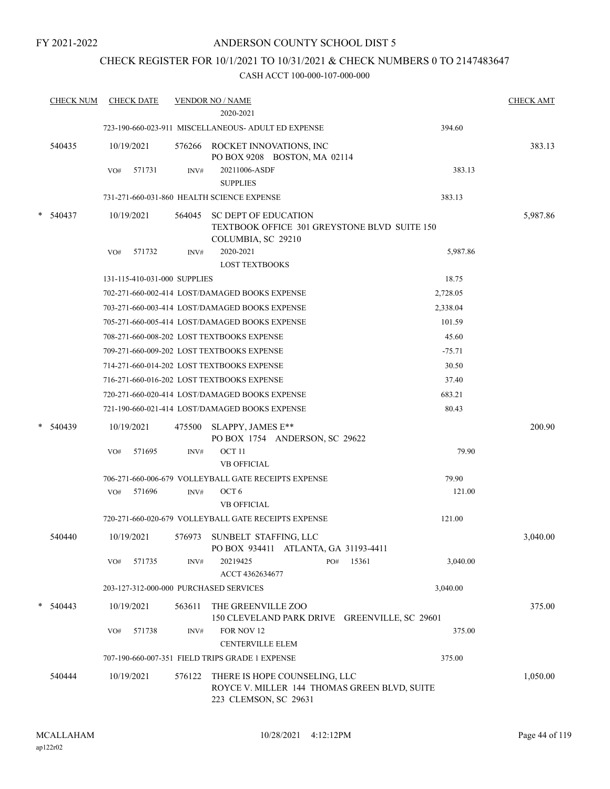### ANDERSON COUNTY SCHOOL DIST 5

# CHECK REGISTER FOR 10/1/2021 TO 10/31/2021 & CHECK NUMBERS 0 TO 2147483647

|   | <b>CHECK NUM</b> | <b>CHECK DATE</b>                      |        | <b>VENDOR NO / NAME</b><br>2020-2021                                                                   |     |       |          | <b>CHECK AMT</b> |
|---|------------------|----------------------------------------|--------|--------------------------------------------------------------------------------------------------------|-----|-------|----------|------------------|
|   |                  |                                        |        | 723-190-660-023-911 MISCELLANEOUS- ADULT ED EXPENSE                                                    |     |       | 394.60   |                  |
|   | 540435           | 10/19/2021                             |        | 576266 ROCKET INNOVATIONS, INC<br>PO BOX 9208 BOSTON, MA 02114                                         |     |       |          | 383.13           |
|   |                  | 571731<br>VO#                          | INV#   | 20211006-ASDF<br><b>SUPPLIES</b>                                                                       |     |       | 383.13   |                  |
|   |                  |                                        |        | 731-271-660-031-860 HEALTH SCIENCE EXPENSE                                                             |     |       | 383.13   |                  |
| * | 540437           | 10/19/2021                             | 564045 | <b>SC DEPT OF EDUCATION</b><br>TEXTBOOK OFFICE 301 GREYSTONE BLVD SUITE 150<br>COLUMBIA, SC 29210      |     |       |          | 5,987.86         |
|   |                  | 571732<br>VO#                          | INV#   | 2020-2021<br><b>LOST TEXTBOOKS</b>                                                                     |     |       | 5,987.86 |                  |
|   |                  | 131-115-410-031-000 SUPPLIES           |        |                                                                                                        |     |       | 18.75    |                  |
|   |                  |                                        |        | 702-271-660-002-414 LOST/DAMAGED BOOKS EXPENSE                                                         |     |       | 2,728.05 |                  |
|   |                  |                                        |        | 703-271-660-003-414 LOST/DAMAGED BOOKS EXPENSE                                                         |     |       | 2,338.04 |                  |
|   |                  |                                        |        | 705-271-660-005-414 LOST/DAMAGED BOOKS EXPENSE                                                         |     |       | 101.59   |                  |
|   |                  |                                        |        | 708-271-660-008-202 LOST TEXTBOOKS EXPENSE                                                             |     |       | 45.60    |                  |
|   |                  |                                        |        | 709-271-660-009-202 LOST TEXTBOOKS EXPENSE                                                             |     |       | $-75.71$ |                  |
|   |                  |                                        |        | 714-271-660-014-202 LOST TEXTBOOKS EXPENSE                                                             |     |       | 30.50    |                  |
|   |                  |                                        |        | 716-271-660-016-202 LOST TEXTBOOKS EXPENSE                                                             |     |       | 37.40    |                  |
|   |                  |                                        |        | 720-271-660-020-414 LOST/DAMAGED BOOKS EXPENSE                                                         |     |       | 683.21   |                  |
|   |                  |                                        |        | 721-190-660-021-414 LOST/DAMAGED BOOKS EXPENSE                                                         |     |       | 80.43    |                  |
|   | 540439           | 10/19/2021                             | 475500 | SLAPPY, JAMES E**<br>PO BOX 1754 ANDERSON, SC 29622                                                    |     |       |          | 200.90           |
|   |                  | 571695<br>VO#                          | INV#   | OCT <sub>11</sub><br><b>VB OFFICIAL</b>                                                                |     |       | 79.90    |                  |
|   |                  |                                        |        | 706-271-660-006-679 VOLLEYBALL GATE RECEIPTS EXPENSE                                                   |     |       | 79.90    |                  |
|   |                  | 571696<br>VO#                          | INV#   | OCT <sub>6</sub><br><b>VB OFFICIAL</b>                                                                 |     |       | 121.00   |                  |
|   |                  |                                        |        | 720-271-660-020-679 VOLLEYBALL GATE RECEIPTS EXPENSE                                                   |     |       | 121.00   |                  |
|   | 540440           | 10/19/2021                             |        | 576973 SUNBELT STAFFING, LLC<br>PO BOX 934411 ATLANTA, GA 31193-4411                                   |     |       |          | 3,040.00         |
|   |                  | 571735<br>VO#                          | INV#   | 20219425<br>ACCT 4362634677                                                                            | PO# | 15361 | 3,040.00 |                  |
|   |                  | 203-127-312-000-000 PURCHASED SERVICES |        |                                                                                                        |     |       | 3,040.00 |                  |
|   | 540443           | 10/19/2021                             | 563611 | THE GREENVILLE ZOO<br>150 CLEVELAND PARK DRIVE GREENVILLE, SC 29601                                    |     |       |          | 375.00           |
|   |                  | 571738<br>VO#                          | INV#   | FOR NOV 12<br><b>CENTERVILLE ELEM</b>                                                                  |     |       | 375.00   |                  |
|   |                  |                                        |        | 707-190-660-007-351 FIELD TRIPS GRADE 1 EXPENSE                                                        |     |       | 375.00   |                  |
|   | 540444           | 10/19/2021                             | 576122 | THERE IS HOPE COUNSELING, LLC<br>ROYCE V. MILLER 144 THOMAS GREEN BLVD, SUITE<br>223 CLEMSON, SC 29631 |     |       |          | 1,050.00         |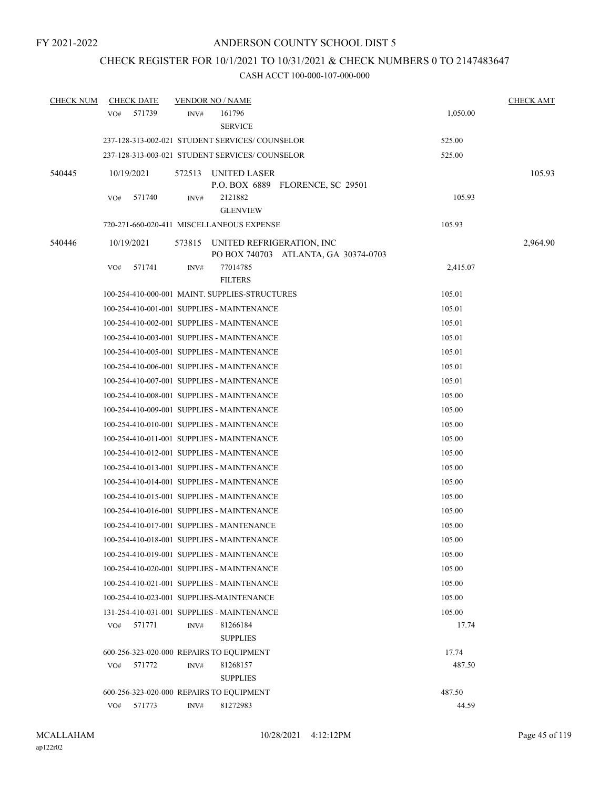## CHECK REGISTER FOR 10/1/2021 TO 10/31/2021 & CHECK NUMBERS 0 TO 2147483647

| <b>CHECK NUM</b> | <b>CHECK DATE</b> | <b>VENDOR NO / NAME</b>                                                     | <b>CHECK AMT</b> |
|------------------|-------------------|-----------------------------------------------------------------------------|------------------|
|                  | 571739<br>VO#     | 161796<br>INV#<br><b>SERVICE</b>                                            | 1,050.00         |
|                  |                   | 237-128-313-002-021 STUDENT SERVICES/COUNSELOR                              | 525.00           |
|                  |                   | 237-128-313-003-021 STUDENT SERVICES/COUNSELOR                              | 525.00           |
| 540445           | 10/19/2021        | 572513<br>UNITED LASER<br>P.O. BOX 6889 FLORENCE, SC 29501                  | 105.93           |
|                  | VO#<br>571740     | 2121882<br>INV#<br><b>GLENVIEW</b>                                          | 105.93           |
|                  |                   | 720-271-660-020-411 MISCELLANEOUS EXPENSE                                   | 105.93           |
| 540446           | 10/19/2021        | 573815<br>UNITED REFRIGERATION, INC<br>PO BOX 740703 ATLANTA, GA 30374-0703 | 2,964.90         |
|                  | VO#<br>571741     | 77014785<br>INV#<br><b>FILTERS</b>                                          | 2,415.07         |
|                  |                   | 100-254-410-000-001 MAINT. SUPPLIES-STRUCTURES                              | 105.01           |
|                  |                   | 100-254-410-001-001 SUPPLIES - MAINTENANCE                                  | 105.01           |
|                  |                   | 100-254-410-002-001 SUPPLIES - MAINTENANCE                                  | 105.01           |
|                  |                   | 100-254-410-003-001 SUPPLIES - MAINTENANCE                                  | 105.01           |
|                  |                   | 100-254-410-005-001 SUPPLIES - MAINTENANCE                                  | 105.01           |
|                  |                   | 100-254-410-006-001 SUPPLIES - MAINTENANCE                                  | 105.01           |
|                  |                   | 100-254-410-007-001 SUPPLIES - MAINTENANCE                                  | 105.01           |
|                  |                   | 100-254-410-008-001 SUPPLIES - MAINTENANCE                                  | 105.00           |
|                  |                   | 100-254-410-009-001 SUPPLIES - MAINTENANCE                                  | 105.00           |
|                  |                   | 100-254-410-010-001 SUPPLIES - MAINTENANCE                                  | 105.00           |
|                  |                   | 100-254-410-011-001 SUPPLIES - MAINTENANCE                                  | 105.00           |
|                  |                   | 100-254-410-012-001 SUPPLIES - MAINTENANCE                                  | 105.00           |
|                  |                   | 100-254-410-013-001 SUPPLIES - MAINTENANCE                                  | 105.00           |
|                  |                   | 100-254-410-014-001 SUPPLIES - MAINTENANCE                                  | 105.00           |
|                  |                   | 100-254-410-015-001 SUPPLIES - MAINTENANCE                                  | 105.00           |
|                  |                   | 100-254-410-016-001 SUPPLIES - MAINTENANCE                                  | 105.00           |
|                  |                   | 100-254-410-017-001 SUPPLIES - MANTENANCE                                   | 105.00           |
|                  |                   | 100-254-410-018-001 SUPPLIES - MAINTENANCE                                  | 105.00           |
|                  |                   | 100-254-410-019-001 SUPPLIES - MAINTENANCE                                  | 105.00           |
|                  |                   | 100-254-410-020-001 SUPPLIES - MAINTENANCE                                  | 105.00           |
|                  |                   | 100-254-410-021-001 SUPPLIES - MAINTENANCE                                  | 105.00           |
|                  |                   | 100-254-410-023-001 SUPPLIES-MAINTENANCE                                    | 105.00           |
|                  |                   | 131-254-410-031-001 SUPPLIES - MAINTENANCE                                  | 105.00           |
|                  | VO#<br>571771     | INV#<br>81266184<br><b>SUPPLIES</b>                                         | 17.74            |
|                  |                   | 600-256-323-020-000 REPAIRS TO EQUIPMENT                                    | 17.74            |
|                  | 571772<br>VO#     | 81268157<br>INV#<br><b>SUPPLIES</b>                                         | 487.50           |
|                  |                   | 600-256-323-020-000 REPAIRS TO EQUIPMENT                                    | 487.50           |
|                  | VO# 571773        | 81272983<br>INV#                                                            | 44.59            |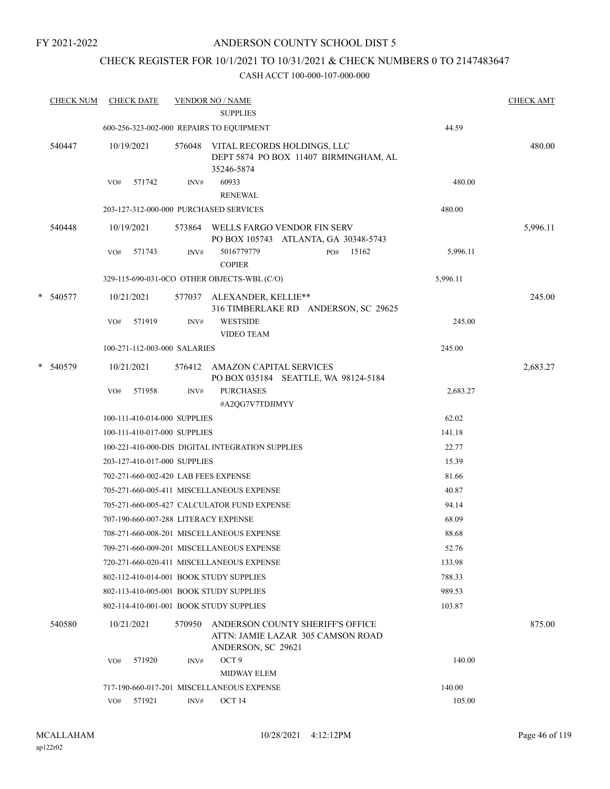## ANDERSON COUNTY SCHOOL DIST 5

## CHECK REGISTER FOR 10/1/2021 TO 10/31/2021 & CHECK NUMBERS 0 TO 2147483647

| <b>CHECK NUM</b> |     | <b>CHECK DATE</b>                    |        | <b>VENDOR NO / NAME</b><br><b>SUPPLIES</b>                                                  |     |       |          | <b>CHECK AMT</b> |
|------------------|-----|--------------------------------------|--------|---------------------------------------------------------------------------------------------|-----|-------|----------|------------------|
|                  |     |                                      |        | 600-256-323-002-000 REPAIRS TO EQUIPMENT                                                    |     |       | 44.59    |                  |
| 540447           |     | 10/19/2021                           |        | 576048 VITAL RECORDS HOLDINGS, LLC<br>DEPT 5874 PO BOX 11407 BIRMINGHAM, AL<br>35246-5874   |     |       |          | 480.00           |
|                  | VO# | 571742                               | INV#   | 60933<br><b>RENEWAL</b>                                                                     |     |       | 480.00   |                  |
|                  |     |                                      |        | 203-127-312-000-000 PURCHASED SERVICES                                                      |     |       | 480.00   |                  |
| 540448           |     | 10/19/2021                           |        | 573864 WELLS FARGO VENDOR FIN SERV<br>PO BOX 105743 ATLANTA, GA 30348-5743                  |     |       |          | 5,996.11         |
|                  | VO# | 571743                               | INV#   | 5016779779<br><b>COPIER</b>                                                                 | PO# | 15162 | 5,996.11 |                  |
|                  |     |                                      |        | 329-115-690-031-0CO OTHER OBJECTS-WBL (C/O)                                                 |     |       | 5,996.11 |                  |
| * 540577         |     | 10/21/2021                           |        | 577037 ALEXANDER, KELLIE**<br>316 TIMBERLAKE RD ANDERSON, SC 29625                          |     |       |          | 245.00           |
|                  | VO# | 571919                               | INV#   | <b>WESTSIDE</b><br><b>VIDEO TEAM</b>                                                        |     |       | 245.00   |                  |
|                  |     | 100-271-112-003-000 SALARIES         |        |                                                                                             |     |       | 245.00   |                  |
| * 540579         |     | 10/21/2021                           |        | 576412 AMAZON CAPITAL SERVICES<br>PO BOX 035184 SEATTLE, WA 98124-5184                      |     |       |          | 2,683.27         |
|                  | VO# | 571958                               | INV#   | <b>PURCHASES</b><br>#A2QG7V7TDJIMYY                                                         |     |       | 2,683.27 |                  |
|                  |     | 100-111-410-014-000 SUPPLIES         |        |                                                                                             |     |       | 62.02    |                  |
|                  |     | 100-111-410-017-000 SUPPLIES         |        |                                                                                             |     |       | 141.18   |                  |
|                  |     |                                      |        | 100-221-410-000-DIS DIGITAL INTEGRATION SUPPLIES                                            |     |       | 22.77    |                  |
|                  |     | 203-127-410-017-000 SUPPLIES         |        |                                                                                             |     |       | 15.39    |                  |
|                  |     | 702-271-660-002-420 LAB FEES EXPENSE |        |                                                                                             |     |       | 81.66    |                  |
|                  |     |                                      |        | 705-271-660-005-411 MISCELLANEOUS EXPENSE                                                   |     |       | 40.87    |                  |
|                  |     |                                      |        | 705-271-660-005-427 CALCULATOR FUND EXPENSE                                                 |     |       | 94.14    |                  |
|                  |     |                                      |        | 707-190-660-007-288 LITERACY EXPENSE                                                        |     |       | 68.09    |                  |
|                  |     |                                      |        | 708-271-660-008-201 MISCELLANEOUS EXPENSE                                                   |     |       | 88.68    |                  |
|                  |     |                                      |        | 709-271-660-009-201 MISCELLANEOUS EXPENSE                                                   |     |       | 52.76    |                  |
|                  |     |                                      |        | 720-271-660-020-411 MISCELLANEOUS EXPENSE                                                   |     |       | 133.98   |                  |
|                  |     |                                      |        | 802-112-410-014-001 BOOK STUDY SUPPLIES                                                     |     |       | 788.33   |                  |
|                  |     |                                      |        | 802-113-410-005-001 BOOK STUDY SUPPLIES                                                     |     |       | 989.53   |                  |
|                  |     |                                      |        | 802-114-410-001-001 BOOK STUDY SUPPLIES                                                     |     |       | 103.87   |                  |
| 540580           |     | 10/21/2021                           | 570950 | ANDERSON COUNTY SHERIFF'S OFFICE<br>ATTN: JAMIE LAZAR 305 CAMSON ROAD<br>ANDERSON, SC 29621 |     |       |          | 875.00           |
|                  | VO# | 571920                               | INV#   | OCT <sub>9</sub><br><b>MIDWAY ELEM</b>                                                      |     |       | 140.00   |                  |
|                  |     |                                      |        | 717-190-660-017-201 MISCELLANEOUS EXPENSE                                                   |     |       | 140.00   |                  |
|                  |     | VO# 571921                           | INV#   | OCT 14                                                                                      |     |       | 105.00   |                  |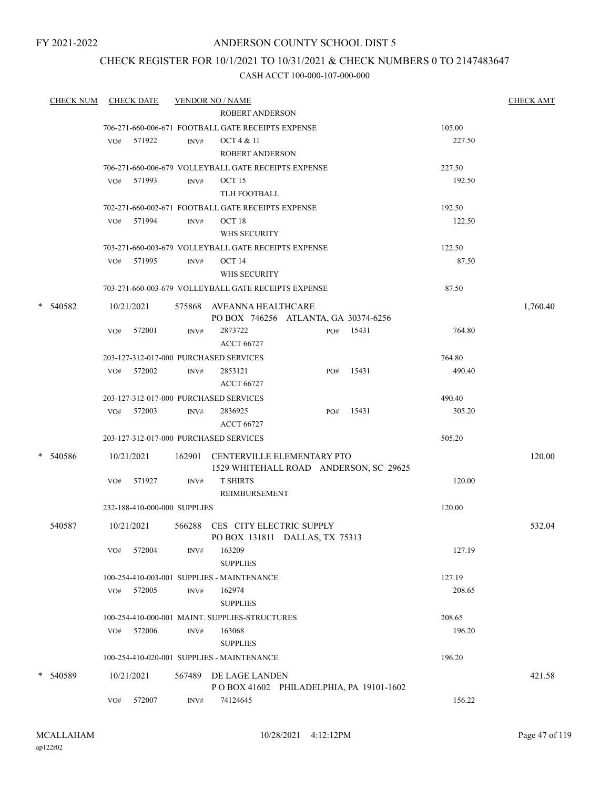### ANDERSON COUNTY SCHOOL DIST 5

### CHECK REGISTER FOR 10/1/2021 TO 10/31/2021 & CHECK NUMBERS 0 TO 2147483647

| <b>CHECK NUM</b> |     | <b>CHECK DATE</b>            |      | <b>VENDOR NO / NAME</b>                              |                                         |       |        | <b>CHECK AMT</b> |
|------------------|-----|------------------------------|------|------------------------------------------------------|-----------------------------------------|-------|--------|------------------|
|                  |     |                              |      | <b>ROBERT ANDERSON</b>                               |                                         |       |        |                  |
|                  |     |                              |      | 706-271-660-006-671 FOOTBALL GATE RECEIPTS EXPENSE   |                                         |       | 105.00 |                  |
|                  |     | VO# 571922                   | INV# | OCT 4 & 11                                           |                                         |       | 227.50 |                  |
|                  |     |                              |      | <b>ROBERT ANDERSON</b>                               |                                         |       |        |                  |
|                  |     |                              |      | 706-271-660-006-679 VOLLEYBALL GATE RECEIPTS EXPENSE |                                         |       | 227.50 |                  |
|                  |     | VO# 571993                   | INV# | OCT 15                                               |                                         |       | 192.50 |                  |
|                  |     |                              |      | TLH FOOTBALL                                         |                                         |       |        |                  |
|                  |     |                              |      | 702-271-660-002-671 FOOTBALL GATE RECEIPTS EXPENSE   |                                         |       | 192.50 |                  |
|                  | VO# | 571994                       | INV# | OCT <sub>18</sub>                                    |                                         |       | 122.50 |                  |
|                  |     |                              |      | WHS SECURITY                                         |                                         |       |        |                  |
|                  |     |                              |      | 703-271-660-003-679 VOLLEYBALL GATE RECEIPTS EXPENSE |                                         |       | 122.50 |                  |
|                  |     | VO# 571995                   | INV# | OCT 14                                               |                                         |       | 87.50  |                  |
|                  |     |                              |      | WHS SECURITY                                         |                                         |       |        |                  |
|                  |     |                              |      | 703-271-660-003-679 VOLLEYBALL GATE RECEIPTS EXPENSE |                                         |       | 87.50  |                  |
| * 540582         |     | 10/21/2021                   |      | 575868 AVEANNA HEALTHCARE                            |                                         |       |        | 1,760.40         |
|                  |     |                              |      |                                                      | PO BOX 746256 ATLANTA, GA 30374-6256    |       |        |                  |
|                  | VO# | 572001                       | INV# | 2873722                                              | PO#                                     | 15431 | 764.80 |                  |
|                  |     |                              |      | <b>ACCT 66727</b>                                    |                                         |       |        |                  |
|                  |     |                              |      | 203-127-312-017-000 PURCHASED SERVICES               |                                         |       | 764.80 |                  |
|                  |     | VO# 572002                   | INV# | 2853121                                              | PO#                                     | 15431 | 490.40 |                  |
|                  |     |                              |      | <b>ACCT 66727</b>                                    |                                         |       |        |                  |
|                  |     |                              |      | 203-127-312-017-000 PURCHASED SERVICES               |                                         |       | 490.40 |                  |
|                  |     | VO# 572003                   | INV# | 2836925                                              | PO#                                     | 15431 | 505.20 |                  |
|                  |     |                              |      | <b>ACCT 66727</b>                                    |                                         |       |        |                  |
|                  |     |                              |      | 203-127-312-017-000 PURCHASED SERVICES               |                                         |       | 505.20 |                  |
| * 540586         |     | 10/21/2021                   |      | 162901 CENTERVILLE ELEMENTARY PTO                    |                                         |       |        | 120.00           |
|                  |     |                              |      |                                                      | 1529 WHITEHALL ROAD ANDERSON, SC 29625  |       |        |                  |
|                  | VO# | 571927                       | INV# | <b>T SHIRTS</b>                                      |                                         |       | 120.00 |                  |
|                  |     |                              |      | REIMBURSEMENT                                        |                                         |       |        |                  |
|                  |     | 232-188-410-000-000 SUPPLIES |      |                                                      |                                         |       | 120.00 |                  |
| 540587           |     | 10/21/2021                   |      | 566288 CES CITY ELECTRIC SUPPLY                      |                                         |       |        | 532.04           |
|                  |     |                              |      |                                                      | PO BOX 131811 DALLAS, TX 75313          |       |        |                  |
|                  | VO# | 572004                       | INV# | 163209                                               |                                         |       | 127.19 |                  |
|                  |     |                              |      | <b>SUPPLIES</b>                                      |                                         |       |        |                  |
|                  |     |                              |      | 100-254-410-003-001 SUPPLIES - MAINTENANCE           |                                         |       | 127.19 |                  |
|                  | VO# | 572005                       | INV# | 162974                                               |                                         |       | 208.65 |                  |
|                  |     |                              |      | <b>SUPPLIES</b>                                      |                                         |       |        |                  |
|                  |     |                              |      | 100-254-410-000-001 MAINT. SUPPLIES-STRUCTURES       |                                         |       | 208.65 |                  |
|                  | VO# | 572006                       | INV# | 163068                                               |                                         |       | 196.20 |                  |
|                  |     |                              |      | <b>SUPPLIES</b>                                      |                                         |       |        |                  |
|                  |     |                              |      | 100-254-410-020-001 SUPPLIES - MAINTENANCE           |                                         |       | 196.20 |                  |
| * 540589         |     | 10/21/2021                   |      | 567489 DE LAGE LANDEN                                |                                         |       |        | 421.58           |
|                  |     |                              |      |                                                      | POBOX 41602 PHILADELPHIA, PA 19101-1602 |       |        |                  |
|                  | VO# | 572007                       | INV# | 74124645                                             |                                         |       | 156.22 |                  |
|                  |     |                              |      |                                                      |                                         |       |        |                  |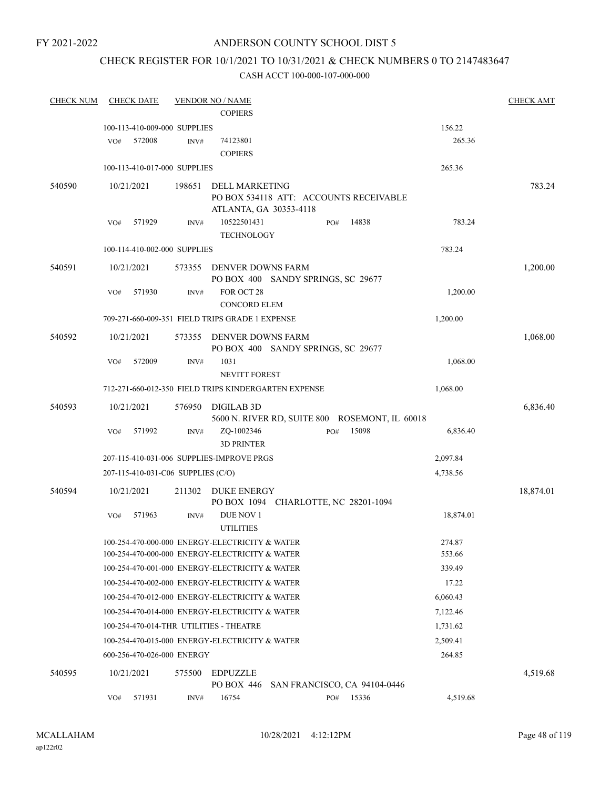### ANDERSON COUNTY SCHOOL DIST 5

## CHECK REGISTER FOR 10/1/2021 TO 10/31/2021 & CHECK NUMBERS 0 TO 2147483647

| <b>CHECK NUM</b> | <b>CHECK DATE</b>                                    |        | <b>VENDOR NO / NAME</b>                                 |     |                                                |           | <b>CHECK AMT</b> |
|------------------|------------------------------------------------------|--------|---------------------------------------------------------|-----|------------------------------------------------|-----------|------------------|
|                  |                                                      |        | <b>COPIERS</b>                                          |     |                                                |           |                  |
|                  | 100-113-410-009-000 SUPPLIES                         |        |                                                         |     |                                                | 156.22    |                  |
|                  | VO#<br>572008                                        | INV#   | 74123801                                                |     |                                                | 265.36    |                  |
|                  |                                                      |        | <b>COPIERS</b>                                          |     |                                                |           |                  |
|                  | 100-113-410-017-000 SUPPLIES                         |        |                                                         |     |                                                | 265.36    |                  |
| 540590           | 10/21/2021                                           | 198651 | <b>DELL MARKETING</b>                                   |     |                                                |           | 783.24           |
|                  |                                                      |        |                                                         |     | PO BOX 534118 ATT: ACCOUNTS RECEIVABLE         |           |                  |
|                  |                                                      |        | ATLANTA, GA 30353-4118                                  |     |                                                |           |                  |
|                  | 571929<br>VO#                                        | INV#   | 10522501431                                             | PO# | 14838                                          | 783.24    |                  |
|                  |                                                      |        | <b>TECHNOLOGY</b>                                       |     |                                                |           |                  |
|                  | 100-114-410-002-000 SUPPLIES                         |        |                                                         |     |                                                | 783.24    |                  |
| 540591           | 10/21/2021                                           |        | 573355 DENVER DOWNS FARM                                |     |                                                |           | 1,200.00         |
|                  |                                                      |        | PO BOX 400 SANDY SPRINGS, SC 29677<br>FOR OCT 28        |     |                                                |           |                  |
|                  | 571930<br>VO#                                        | INV#   | <b>CONCORD ELEM</b>                                     |     |                                                | 1,200.00  |                  |
|                  | 709-271-660-009-351 FIELD TRIPS GRADE 1 EXPENSE      |        |                                                         |     |                                                | 1,200.00  |                  |
|                  |                                                      |        |                                                         |     |                                                |           |                  |
| 540592           | 10/21/2021                                           | 573355 | DENVER DOWNS FARM<br>PO BOX 400 SANDY SPRINGS, SC 29677 |     |                                                |           | 1,068.00         |
|                  | 572009<br>VO#                                        | INV#   | 1031                                                    |     |                                                | 1,068.00  |                  |
|                  |                                                      |        | NEVITT FOREST                                           |     |                                                |           |                  |
|                  | 712-271-660-012-350 FIELD TRIPS KINDERGARTEN EXPENSE |        |                                                         |     |                                                | 1,068.00  |                  |
| 540593           | 10/21/2021                                           | 576950 | <b>DIGILAB 3D</b>                                       |     |                                                |           | 6,836.40         |
|                  |                                                      |        |                                                         |     | 5600 N. RIVER RD, SUITE 800 ROSEMONT, IL 60018 |           |                  |
|                  | 571992<br>VO#                                        | INV#   | ZQ-1002346                                              | PO# | 15098                                          | 6,836.40  |                  |
|                  |                                                      |        | <b>3D PRINTER</b>                                       |     |                                                |           |                  |
|                  | 207-115-410-031-006 SUPPLIES-IMPROVE PRGS            |        |                                                         |     |                                                | 2,097.84  |                  |
|                  | 207-115-410-031-C06 SUPPLIES (C/O)                   |        |                                                         |     |                                                | 4,738.56  |                  |
| 540594           | 10/21/2021                                           | 211302 | DUKE ENERGY                                             |     |                                                |           | 18,874.01        |
|                  |                                                      |        | PO BOX 1094 CHARLOTTE, NC 28201-1094                    |     |                                                |           |                  |
|                  | VO#<br>571963                                        | INV#   | DUE NOV 1<br><b>UTILITIES</b>                           |     |                                                | 18,874.01 |                  |
|                  | 100-254-470-000-000 ENERGY-ELECTRICITY & WATER       |        |                                                         |     |                                                | 274.87    |                  |
|                  | 100-254-470-000-000 ENERGY-ELECTRICITY & WATER       |        |                                                         |     |                                                | 553.66    |                  |
|                  | 100-254-470-001-000 ENERGY-ELECTRICITY & WATER       |        |                                                         |     |                                                | 339.49    |                  |
|                  | 100-254-470-002-000 ENERGY-ELECTRICITY & WATER       |        |                                                         |     |                                                | 17.22     |                  |
|                  | 100-254-470-012-000 ENERGY-ELECTRICITY & WATER       |        |                                                         |     |                                                | 6,060.43  |                  |
|                  | 100-254-470-014-000 ENERGY-ELECTRICITY & WATER       |        |                                                         |     |                                                | 7,122.46  |                  |
|                  | 100-254-470-014-THR UTILITIES - THEATRE              |        |                                                         |     |                                                | 1,731.62  |                  |
|                  | 100-254-470-015-000 ENERGY-ELECTRICITY & WATER       |        |                                                         |     |                                                | 2,509.41  |                  |
|                  | 600-256-470-026-000 ENERGY                           |        |                                                         |     |                                                | 264.85    |                  |
| 540595           | 10/21/2021                                           | 575500 | EDPUZZLE<br>PO BOX 446                                  |     | SAN FRANCISCO, CA 94104-0446                   |           | 4,519.68         |
|                  | 571931<br>VO#                                        | INV#   | 16754                                                   | PO# | 15336                                          | 4,519.68  |                  |
|                  |                                                      |        |                                                         |     |                                                |           |                  |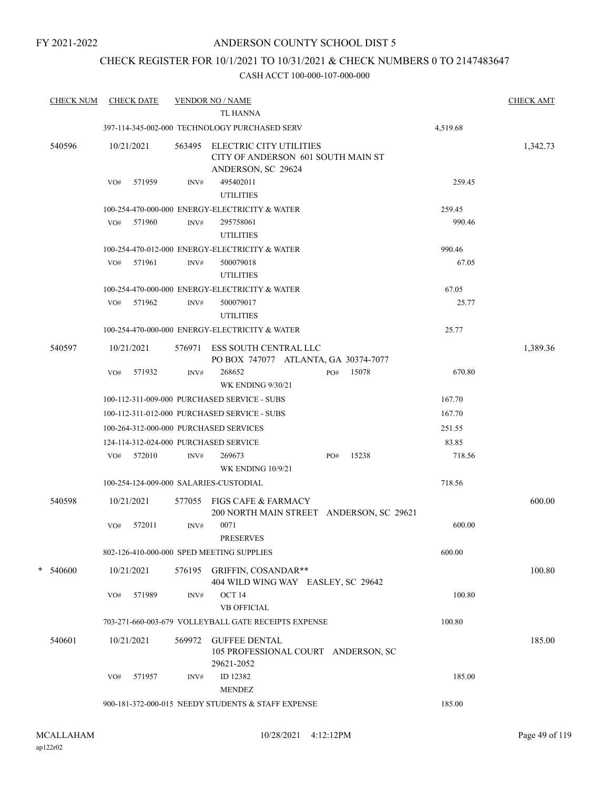## CHECK REGISTER FOR 10/1/2021 TO 10/31/2021 & CHECK NUMBERS 0 TO 2147483647

| <b>CHECK NUM</b> |     | <b>CHECK DATE</b> |        | <b>VENDOR NO / NAME</b><br>TL HANNA                                                        |                                          |          | <b>CHECK AMT</b> |
|------------------|-----|-------------------|--------|--------------------------------------------------------------------------------------------|------------------------------------------|----------|------------------|
|                  |     |                   |        | 397-114-345-002-000 TECHNOLOGY PURCHASED SERV                                              |                                          | 4,519.68 |                  |
| 540596           |     | 10/21/2021        |        | 563495 ELECTRIC CITY UTILITIES<br>CITY OF ANDERSON 601 SOUTH MAIN ST<br>ANDERSON, SC 29624 |                                          |          | 1,342.73         |
|                  | VO# | 571959            | INV#   | 495402011<br><b>UTILITIES</b>                                                              |                                          | 259.45   |                  |
|                  |     |                   |        | 100-254-470-000-000 ENERGY-ELECTRICITY & WATER                                             |                                          | 259.45   |                  |
|                  | VO# | 571960            | INV#   | 295758061<br><b>UTILITIES</b>                                                              |                                          | 990.46   |                  |
|                  |     |                   |        | 100-254-470-012-000 ENERGY-ELECTRICITY & WATER                                             |                                          | 990.46   |                  |
|                  |     | VO# 571961        | INV#   | 500079018<br><b>UTILITIES</b>                                                              |                                          | 67.05    |                  |
|                  |     |                   |        | 100-254-470-000-000 ENERGY-ELECTRICITY & WATER                                             |                                          | 67.05    |                  |
|                  |     | VO# 571962        | INV#   | 500079017<br><b>UTILITIES</b>                                                              |                                          | 25.77    |                  |
|                  |     |                   |        | 100-254-470-000-000 ENERGY-ELECTRICITY & WATER                                             |                                          | 25.77    |                  |
| 540597           |     | 10/21/2021        |        | 576971 ESS SOUTH CENTRAL LLC<br>PO BOX 747077 ATLANTA, GA 30374-7077                       |                                          |          | 1,389.36         |
|                  | VO# | 571932            | INV#   | 268652<br><b>WK ENDING 9/30/21</b>                                                         | 15078<br>PO#                             | 670.80   |                  |
|                  |     |                   |        | 100-112-311-009-000 PURCHASED SERVICE - SUBS                                               |                                          | 167.70   |                  |
|                  |     |                   |        | 100-112-311-012-000 PURCHASED SERVICE - SUBS                                               |                                          | 167.70   |                  |
|                  |     |                   |        | 100-264-312-000-000 PURCHASED SERVICES                                                     |                                          | 251.55   |                  |
|                  |     |                   |        | 124-114-312-024-000 PURCHASED SERVICE                                                      |                                          | 83.85    |                  |
|                  | VO# | 572010            | INV#   | 269673<br><b>WK ENDING 10/9/21</b>                                                         | 15238<br>PO#                             | 718.56   |                  |
|                  |     |                   |        | 100-254-124-009-000 SALARIES-CUSTODIAL                                                     |                                          | 718.56   |                  |
| 540598           |     | 10/21/2021        | 577055 | FIGS CAFE & FARMACY                                                                        | 200 NORTH MAIN STREET ANDERSON, SC 29621 |          | 600.00           |
|                  | VO# | 572011            | INV#   | 0071<br><b>PRESERVES</b>                                                                   |                                          | 600.00   |                  |
|                  |     |                   |        | 802-126-410-000-000 SPED MEETING SUPPLIES                                                  |                                          | 600.00   |                  |
| $*$ 540600       |     | 10/21/2021        |        | 576195 GRIFFIN, COSANDAR**<br>404 WILD WING WAY EASLEY, SC 29642                           |                                          |          | 100.80           |
|                  | VO# | 571989            | INV#   | OCT <sub>14</sub><br><b>VB OFFICIAL</b>                                                    |                                          | 100.80   |                  |
|                  |     |                   |        | 703-271-660-003-679 VOLLEYBALL GATE RECEIPTS EXPENSE                                       |                                          | 100.80   |                  |
| 540601           |     | 10/21/2021        | 569972 | <b>GUFFEE DENTAL</b><br>105 PROFESSIONAL COURT ANDERSON, SC                                |                                          |          | 185.00           |
|                  | VO# | 571957            | INV#   | 29621-2052<br>ID 12382<br><b>MENDEZ</b>                                                    |                                          | 185.00   |                  |
|                  |     |                   |        | 900-181-372-000-015 NEEDY STUDENTS & STAFF EXPENSE                                         |                                          | 185.00   |                  |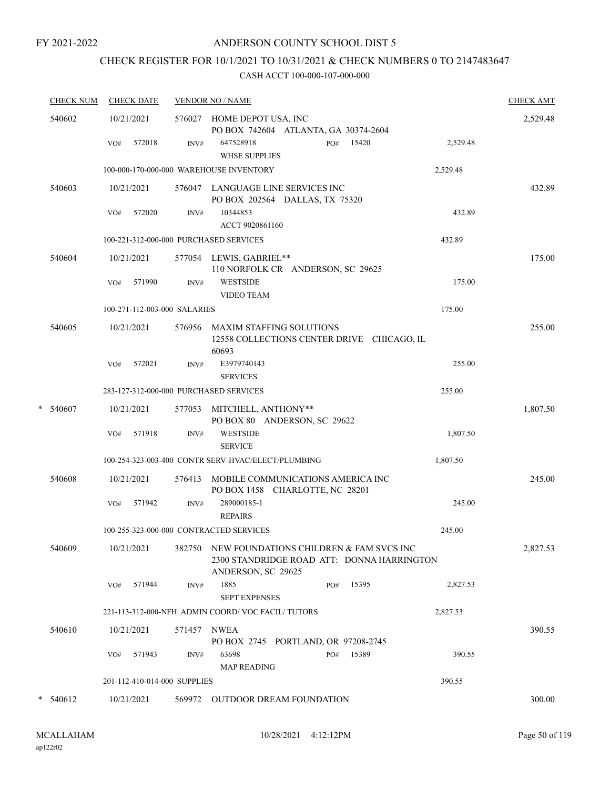## ANDERSON COUNTY SCHOOL DIST 5

# CHECK REGISTER FOR 10/1/2021 TO 10/31/2021 & CHECK NUMBERS 0 TO 2147483647

|   | <b>CHECK NUM</b> | <b>CHECK DATE</b>                       |        | <b>VENDOR NO / NAME</b>                                                                                     | <b>CHECK AMT</b> |
|---|------------------|-----------------------------------------|--------|-------------------------------------------------------------------------------------------------------------|------------------|
|   | 540602           | 10/21/2021                              |        | 576027 HOME DEPOT USA, INC<br>PO BOX 742604 ATLANTA, GA 30374-2604                                          | 2,529.48         |
|   |                  | 572018<br>VO#                           | INV#   | 647528918<br>15420<br>PO#<br><b>WHSE SUPPLIES</b>                                                           | 2,529.48         |
|   |                  |                                         |        | 100-000-170-000-000 WAREHOUSE INVENTORY<br>2,529.48                                                         |                  |
|   | 540603           | 10/21/2021                              |        | 576047 LANGUAGE LINE SERVICES INC<br>PO BOX 202564 DALLAS, TX 75320                                         | 432.89           |
|   |                  | 572020<br>VO#                           | INV#   | 10344853<br>ACCT 9020861160                                                                                 | 432.89           |
|   |                  | 100-221-312-000-000 PURCHASED SERVICES  |        | 432.89                                                                                                      |                  |
|   | 540604           | 10/21/2021                              |        | 577054 LEWIS, GABRIEL**<br>110 NORFOLK CR ANDERSON, SC 29625                                                | 175.00           |
|   |                  | 571990<br>VO#                           | INV#   | <b>WESTSIDE</b><br><b>VIDEO TEAM</b>                                                                        | 175.00           |
|   |                  | 100-271-112-003-000 SALARIES            |        | 175.00                                                                                                      |                  |
|   | 540605           | 10/21/2021                              | 576956 | <b>MAXIM STAFFING SOLUTIONS</b><br>12558 COLLECTIONS CENTER DRIVE CHICAGO, IL<br>60693                      | 255.00           |
|   |                  | 572021<br>VO#                           | INV#   | E3979740143<br><b>SERVICES</b>                                                                              | 255.00           |
|   |                  | 283-127-312-000-000 PURCHASED SERVICES  |        | 255.00                                                                                                      |                  |
| * | 540607           | 10/21/2021                              | 577053 | MITCHELL, ANTHONY**<br>PO BOX 80 ANDERSON, SC 29622                                                         | 1,807.50         |
|   |                  | 571918<br>VO#                           | INV#   | <b>WESTSIDE</b><br><b>SERVICE</b>                                                                           | 1,807.50         |
|   |                  |                                         |        | 100-254-323-003-400 CONTR SERV-HVAC/ELECT/PLUMBING<br>1,807.50                                              |                  |
|   | 540608           | 10/21/2021                              | 576413 | MOBILE COMMUNICATIONS AMERICA INC<br>PO BOX 1458 CHARLOTTE, NC 28201                                        | 245.00           |
|   |                  | 571942<br>VO#                           | INV#   | 289000185-1<br><b>REPAIRS</b>                                                                               | 245.00           |
|   |                  | 100-255-323-000-000 CONTRACTED SERVICES |        | 245.00                                                                                                      |                  |
|   | 540609           | 10/21/2021                              | 382750 | NEW FOUNDATIONS CHILDREN & FAM SVCS INC<br>2300 STANDRIDGE ROAD ATT: DONNA HARRINGTON<br>ANDERSON, SC 29625 | 2,827.53         |
|   |                  | 571944<br>VO#                           | INV#   | 1885<br>15395<br>PO#<br><b>SEPT EXPENSES</b>                                                                | 2,827.53         |
|   |                  |                                         |        | 221-113-312-000-NFH ADMIN COORD/VOC FACIL/TUTORS<br>2,827.53                                                |                  |
|   | 540610           | 10/21/2021                              | 571457 | <b>NWEA</b><br>PO BOX 2745 PORTLAND, OR 97208-2745                                                          | 390.55           |
|   |                  | 571943<br>VO#                           | INV#   | 63698<br>15389<br>PO#<br><b>MAP READING</b>                                                                 | 390.55           |
|   |                  | 201-112-410-014-000 SUPPLIES            |        | 390.55                                                                                                      |                  |
|   | $* 540612$       | 10/21/2021                              |        | 569972 OUTDOOR DREAM FOUNDATION                                                                             | 300.00           |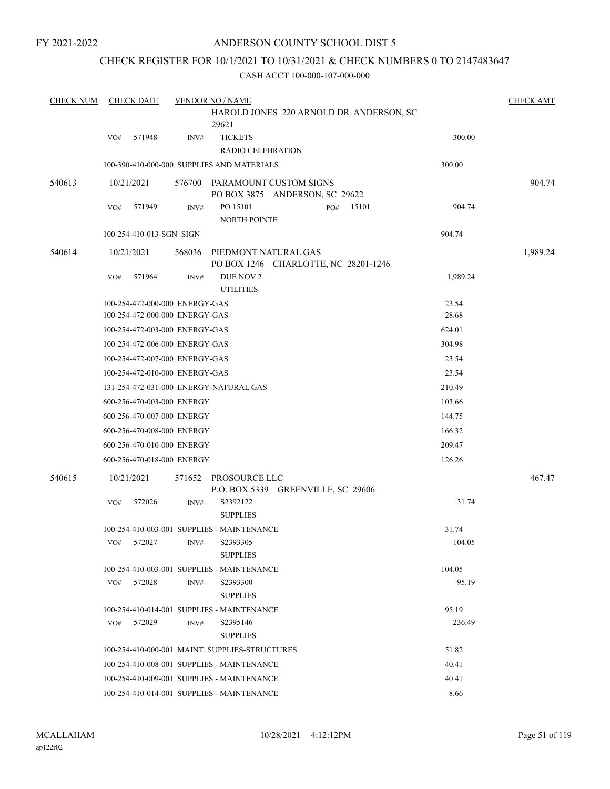## CHECK REGISTER FOR 10/1/2021 TO 10/31/2021 & CHECK NUMBERS 0 TO 2147483647

| <b>CHECK NUM</b> |     | <b>CHECK DATE</b>                                                |        | <b>VENDOR NO / NAME</b>                                         |                | <b>CHECK AMT</b> |
|------------------|-----|------------------------------------------------------------------|--------|-----------------------------------------------------------------|----------------|------------------|
|                  |     |                                                                  |        | HAROLD JONES 220 ARNOLD DR ANDERSON, SC<br>29621                |                |                  |
|                  | VO# | 571948                                                           | INV#   | <b>TICKETS</b><br><b>RADIO CELEBRATION</b>                      | 300.00         |                  |
|                  |     |                                                                  |        | 100-390-410-000-000 SUPPLIES AND MATERIALS                      | 300.00         |                  |
| 540613           |     | 10/21/2021                                                       |        | 576700 PARAMOUNT CUSTOM SIGNS<br>PO BOX 3875 ANDERSON, SC 29622 |                | 904.74           |
|                  | VO# | 571949                                                           | INV#   | PO 15101<br>15101<br>PO#<br><b>NORTH POINTE</b>                 | 904.74         |                  |
|                  |     | 100-254-410-013-SGN SIGN                                         |        |                                                                 | 904.74         |                  |
| 540614           |     | 10/21/2021                                                       | 568036 | PIEDMONT NATURAL GAS<br>PO BOX 1246 CHARLOTTE, NC 28201-1246    |                | 1,989.24         |
|                  | VO# | 571964                                                           | INV#   | DUE NOV 2<br><b>UTILITIES</b>                                   | 1,989.24       |                  |
|                  |     | 100-254-472-000-000 ENERGY-GAS<br>100-254-472-000-000 ENERGY-GAS |        |                                                                 | 23.54<br>28.68 |                  |
|                  |     | 100-254-472-003-000 ENERGY-GAS                                   |        |                                                                 | 624.01         |                  |
|                  |     | 100-254-472-006-000 ENERGY-GAS                                   |        |                                                                 | 304.98         |                  |
|                  |     | 100-254-472-007-000 ENERGY-GAS                                   |        |                                                                 | 23.54          |                  |
|                  |     | 100-254-472-010-000 ENERGY-GAS                                   |        |                                                                 | 23.54          |                  |
|                  |     |                                                                  |        | 131-254-472-031-000 ENERGY-NATURAL GAS                          | 210.49         |                  |
|                  |     | 600-256-470-003-000 ENERGY                                       |        |                                                                 | 103.66         |                  |
|                  |     | 600-256-470-007-000 ENERGY                                       |        |                                                                 | 144.75         |                  |
|                  |     | 600-256-470-008-000 ENERGY                                       |        |                                                                 | 166.32         |                  |
|                  |     | 600-256-470-010-000 ENERGY                                       |        |                                                                 | 209.47         |                  |
|                  |     | 600-256-470-018-000 ENERGY                                       |        |                                                                 | 126.26         |                  |
| 540615           |     | 10/21/2021                                                       |        | 571652 PROSOURCE LLC<br>P.O. BOX 5339 GREENVILLE, SC 29606      |                | 467.47           |
|                  | VO# | 572026                                                           | INV#   | S2392122<br><b>SUPPLIES</b>                                     | 31.74          |                  |
|                  |     |                                                                  |        | 100-254-410-003-001 SUPPLIES - MAINTENANCE                      | 31.74          |                  |
|                  | VO# | 572027                                                           |        | INV# S2393305<br><b>SUPPLIES</b>                                | 104.05         |                  |
|                  |     |                                                                  |        | 100-254-410-003-001 SUPPLIES - MAINTENANCE                      | 104.05         |                  |
|                  | VO# | 572028                                                           | INV#   | S2393300<br><b>SUPPLIES</b>                                     | 95.19          |                  |
|                  |     |                                                                  |        | 100-254-410-014-001 SUPPLIES - MAINTENANCE                      | 95.19          |                  |
|                  | VO# | 572029                                                           | INV#   | S2395146                                                        | 236.49         |                  |
|                  |     |                                                                  |        | <b>SUPPLIES</b>                                                 |                |                  |
|                  |     |                                                                  |        | 100-254-410-000-001 MAINT. SUPPLIES-STRUCTURES                  | 51.82          |                  |
|                  |     |                                                                  |        | 100-254-410-008-001 SUPPLIES - MAINTENANCE                      | 40.41          |                  |
|                  |     |                                                                  |        | 100-254-410-009-001 SUPPLIES - MAINTENANCE                      | 40.41          |                  |
|                  |     |                                                                  |        | 100-254-410-014-001 SUPPLIES - MAINTENANCE                      | 8.66           |                  |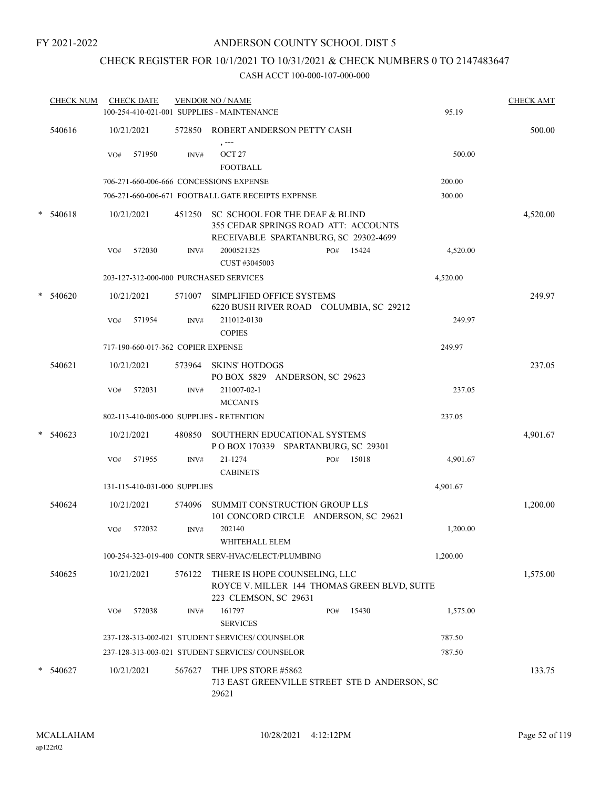### ANDERSON COUNTY SCHOOL DIST 5

## CHECK REGISTER FOR 10/1/2021 TO 10/31/2021 & CHECK NUMBERS 0 TO 2147483647

|   | <b>CHECK NUM</b> |            | <b>CHECK DATE</b>                  |        | <b>VENDOR NO / NAME</b><br>100-254-410-021-001 SUPPLIES - MAINTENANCE                                           |     |       | 95.19    | <b>CHECK AMT</b> |
|---|------------------|------------|------------------------------------|--------|-----------------------------------------------------------------------------------------------------------------|-----|-------|----------|------------------|
|   | 540616           | 10/21/2021 |                                    |        | 572850 ROBERT ANDERSON PETTY CASH                                                                               |     |       |          | 500.00           |
|   |                  | VO#        | 571950                             | INV#   | , ---<br>OCT <sub>27</sub><br><b>FOOTBALL</b>                                                                   |     |       | 500.00   |                  |
|   |                  |            |                                    |        | 706-271-660-006-666 CONCESSIONS EXPENSE                                                                         |     |       | 200.00   |                  |
|   |                  |            |                                    |        | 706-271-660-006-671 FOOTBALL GATE RECEIPTS EXPENSE                                                              |     |       | 300.00   |                  |
|   | $* 540618$       | 10/21/2021 |                                    | 451250 | SC SCHOOL FOR THE DEAF & BLIND<br>355 CEDAR SPRINGS ROAD ATT: ACCOUNTS<br>RECEIVABLE SPARTANBURG, SC 29302-4699 |     |       |          | 4,520.00         |
|   |                  | VO#        | 572030                             | INV#   | 2000521325<br>CUST #3045003                                                                                     | PO# | 15424 | 4,520.00 |                  |
|   |                  |            |                                    |        | 203-127-312-000-000 PURCHASED SERVICES                                                                          |     |       | 4,520.00 |                  |
|   | $*$ 540620       | 10/21/2021 |                                    | 571007 | SIMPLIFIED OFFICE SYSTEMS<br>6220 BUSH RIVER ROAD COLUMBIA, SC 29212                                            |     |       |          | 249.97           |
|   |                  | VO#        | 571954                             | INV#   | 211012-0130<br><b>COPIES</b>                                                                                    |     |       | 249.97   |                  |
|   |                  |            | 717-190-660-017-362 COPIER EXPENSE |        |                                                                                                                 |     |       | 249.97   |                  |
|   | 540621           | 10/21/2021 |                                    | 573964 | <b>SKINS' HOTDOGS</b><br>PO BOX 5829 ANDERSON, SC 29623                                                         |     |       |          | 237.05           |
|   |                  | VO#        | 572031                             | INV#   | 211007-02-1<br><b>MCCANTS</b>                                                                                   |     |       | 237.05   |                  |
|   |                  |            |                                    |        | 802-113-410-005-000 SUPPLIES - RETENTION                                                                        |     |       | 237.05   |                  |
| * | 540623           | 10/21/2021 |                                    | 480850 | SOUTHERN EDUCATIONAL SYSTEMS<br>POBOX 170339 SPARTANBURG, SC 29301                                              |     |       |          | 4,901.67         |
|   |                  | VO#        | 571955                             | INV#   | 21-1274<br><b>CABINETS</b>                                                                                      | PO# | 15018 | 4,901.67 |                  |
|   |                  |            | 131-115-410-031-000 SUPPLIES       |        |                                                                                                                 |     |       | 4,901.67 |                  |
|   | 540624           | 10/21/2021 |                                    | 574096 | SUMMIT CONSTRUCTION GROUP LLS<br>101 CONCORD CIRCLE ANDERSON, SC 29621                                          |     |       |          | 1,200.00         |
|   |                  | VO#        | 572032                             | INV#   | 202140<br>WHITEHALL ELEM                                                                                        |     |       | 1,200.00 |                  |
|   |                  |            |                                    |        | 100-254-323-019-400 CONTR SERV-HVAC/ELECT/PLUMBING                                                              |     |       | 1,200.00 |                  |
|   | 540625           | 10/21/2021 |                                    |        | 576122 THERE IS HOPE COUNSELING, LLC<br>ROYCE V. MILLER 144 THOMAS GREEN BLVD, SUITE<br>223 CLEMSON, SC 29631   |     |       |          | 1,575.00         |
|   |                  | VO#        | 572038                             | INV#   | 161797<br><b>SERVICES</b>                                                                                       | PO# | 15430 | 1,575.00 |                  |
|   |                  |            |                                    |        | 237-128-313-002-021 STUDENT SERVICES/ COUNSELOR                                                                 |     |       | 787.50   |                  |
|   |                  |            |                                    |        | 237-128-313-003-021 STUDENT SERVICES/COUNSELOR                                                                  |     |       | 787.50   |                  |
|   | * 540627         | 10/21/2021 |                                    | 567627 | THE UPS STORE #5862<br>713 EAST GREENVILLE STREET STE D ANDERSON, SC<br>29621                                   |     |       |          | 133.75           |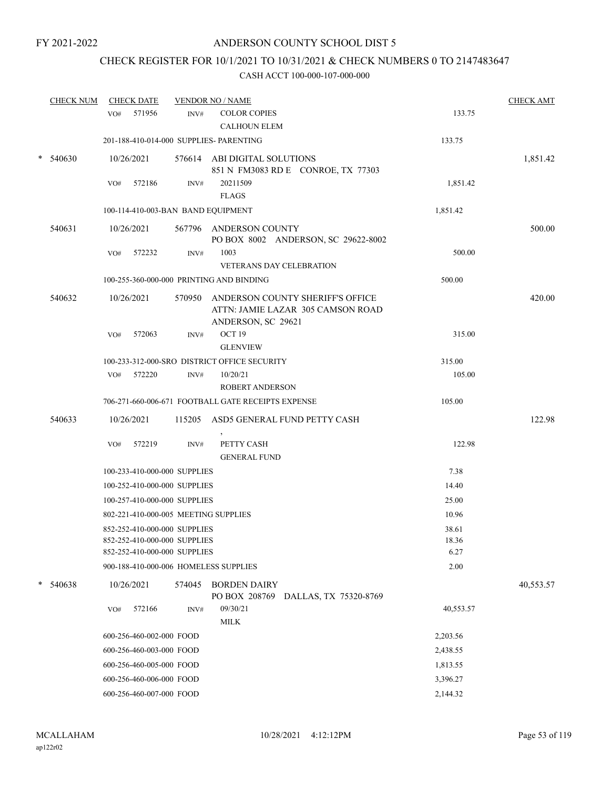## CHECK REGISTER FOR 10/1/2021 TO 10/31/2021 & CHECK NUMBERS 0 TO 2147483647

|        | <b>CHECK NUM</b> |     | <b>CHECK DATE</b>            |        | <b>VENDOR NO / NAME</b>                                                                            |           | <b>CHECK AMT</b> |
|--------|------------------|-----|------------------------------|--------|----------------------------------------------------------------------------------------------------|-----------|------------------|
|        |                  | VO# | 571956                       | INV#   | <b>COLOR COPIES</b>                                                                                | 133.75    |                  |
|        |                  |     |                              |        | <b>CALHOUN ELEM</b>                                                                                |           |                  |
|        |                  |     |                              |        | 201-188-410-014-000 SUPPLIES- PARENTING                                                            | 133.75    |                  |
| $\ast$ | 540630           |     | 10/26/2021                   |        | 576614 ABI DIGITAL SOLUTIONS                                                                       |           | 1,851.42         |
|        |                  |     |                              |        | 851 N FM3083 RD E CONROE, TX 77303                                                                 |           |                  |
|        |                  | VO# | 572186                       | INV#   | 20211509                                                                                           | 1,851.42  |                  |
|        |                  |     |                              |        | <b>FLAGS</b>                                                                                       |           |                  |
|        |                  |     |                              |        | 100-114-410-003-BAN BAND EQUIPMENT                                                                 | 1,851.42  |                  |
|        | 540631           |     | 10/26/2021                   |        | 567796 ANDERSON COUNTY<br>PO BOX 8002 ANDERSON, SC 29622-8002                                      |           | 500.00           |
|        |                  | VO# | 572232                       | INV#   | 1003                                                                                               | 500.00    |                  |
|        |                  |     |                              |        | <b>VETERANS DAY CELEBRATION</b>                                                                    |           |                  |
|        |                  |     |                              |        | 100-255-360-000-000 PRINTING AND BINDING                                                           | 500.00    |                  |
|        | 540632           |     | 10/26/2021                   |        | 570950 ANDERSON COUNTY SHERIFF'S OFFICE<br>ATTN: JAMIE LAZAR 305 CAMSON ROAD<br>ANDERSON, SC 29621 |           | 420.00           |
|        |                  | VO# | 572063                       | INV#   | OCT 19                                                                                             | 315.00    |                  |
|        |                  |     |                              |        | <b>GLENVIEW</b>                                                                                    |           |                  |
|        |                  |     |                              |        | 100-233-312-000-SRO DISTRICT OFFICE SECURITY                                                       | 315.00    |                  |
|        |                  |     | VO# 572220                   | INV#   | 10/20/21                                                                                           | 105.00    |                  |
|        |                  |     |                              |        | <b>ROBERT ANDERSON</b>                                                                             |           |                  |
|        |                  |     |                              |        | 706-271-660-006-671 FOOTBALL GATE RECEIPTS EXPENSE                                                 | 105.00    |                  |
|        | 540633           |     | 10/26/2021                   |        | 115205 ASD5 GENERAL FUND PETTY CASH                                                                |           | 122.98           |
|        |                  | VO# | 572219                       | INV#   | PETTY CASH                                                                                         | 122.98    |                  |
|        |                  |     |                              |        | <b>GENERAL FUND</b>                                                                                |           |                  |
|        |                  |     | 100-233-410-000-000 SUPPLIES |        |                                                                                                    | 7.38      |                  |
|        |                  |     | 100-252-410-000-000 SUPPLIES |        |                                                                                                    | 14.40     |                  |
|        |                  |     | 100-257-410-000-000 SUPPLIES |        |                                                                                                    | 25.00     |                  |
|        |                  |     |                              |        | 802-221-410-000-005 MEETING SUPPLIES                                                               | 10.96     |                  |
|        |                  |     | 852-252-410-000-000 SUPPLIES |        |                                                                                                    | 38.61     |                  |
|        |                  |     | 852-252-410-000-000 SUPPLIES |        |                                                                                                    | 18.36     |                  |
|        |                  |     | 852-252-410-000-000 SUPPLIES |        |                                                                                                    | 6.27      |                  |
|        |                  |     |                              |        | 900-188-410-000-006 HOMELESS SUPPLIES                                                              | 2.00      |                  |
| $\ast$ | 540638           |     | 10/26/2021                   | 574045 | <b>BORDEN DAIRY</b><br>PO BOX 208769 DALLAS, TX 75320-8769                                         |           | 40,553.57        |
|        |                  | VO# | 572166                       | INV#   | 09/30/21                                                                                           | 40,553.57 |                  |
|        |                  |     |                              |        | <b>MILK</b>                                                                                        |           |                  |
|        |                  |     | 600-256-460-002-000 FOOD     |        |                                                                                                    | 2,203.56  |                  |
|        |                  |     | 600-256-460-003-000 FOOD     |        |                                                                                                    | 2,438.55  |                  |
|        |                  |     | 600-256-460-005-000 FOOD     |        |                                                                                                    | 1,813.55  |                  |
|        |                  |     | 600-256-460-006-000 FOOD     |        |                                                                                                    | 3,396.27  |                  |
|        |                  |     | 600-256-460-007-000 FOOD     |        |                                                                                                    | 2,144.32  |                  |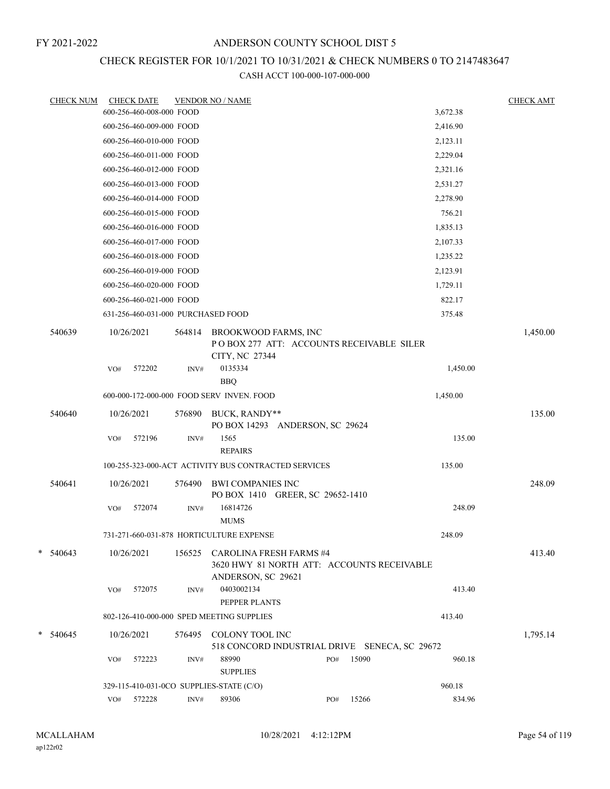# CHECK REGISTER FOR 10/1/2021 TO 10/31/2021 & CHECK NUMBERS 0 TO 2147483647

| <b>CHECK NUM</b> |     | <b>CHECK DATE</b>                  |        | <b>VENDOR NO / NAME</b>                                                                            |            |       |          | <b>CHECK AMT</b> |
|------------------|-----|------------------------------------|--------|----------------------------------------------------------------------------------------------------|------------|-------|----------|------------------|
|                  |     | 600-256-460-008-000 FOOD           |        |                                                                                                    |            |       | 3,672.38 |                  |
|                  |     | 600-256-460-009-000 FOOD           |        |                                                                                                    |            |       | 2,416.90 |                  |
|                  |     | 600-256-460-010-000 FOOD           |        |                                                                                                    |            |       | 2,123.11 |                  |
|                  |     | 600-256-460-011-000 FOOD           |        |                                                                                                    |            |       | 2,229.04 |                  |
|                  |     | 600-256-460-012-000 FOOD           |        |                                                                                                    |            |       | 2,321.16 |                  |
|                  |     | 600-256-460-013-000 FOOD           |        |                                                                                                    |            |       | 2,531.27 |                  |
|                  |     | 600-256-460-014-000 FOOD           |        |                                                                                                    |            |       | 2,278.90 |                  |
|                  |     | 600-256-460-015-000 FOOD           |        |                                                                                                    |            |       | 756.21   |                  |
|                  |     | 600-256-460-016-000 FOOD           |        |                                                                                                    |            |       | 1,835.13 |                  |
|                  |     | 600-256-460-017-000 FOOD           |        |                                                                                                    |            |       | 2,107.33 |                  |
|                  |     | 600-256-460-018-000 FOOD           |        |                                                                                                    |            |       | 1,235.22 |                  |
|                  |     | 600-256-460-019-000 FOOD           |        |                                                                                                    |            |       | 2,123.91 |                  |
|                  |     | 600-256-460-020-000 FOOD           |        |                                                                                                    |            |       | 1,729.11 |                  |
|                  |     | 600-256-460-021-000 FOOD           |        |                                                                                                    |            |       | 822.17   |                  |
|                  |     | 631-256-460-031-000 PURCHASED FOOD |        |                                                                                                    |            |       | 375.48   |                  |
| 540639           |     | 10/26/2021                         | 564814 | BROOKWOOD FARMS, INC<br>POBOX 277 ATT: ACCOUNTS RECEIVABLE SILER                                   |            |       |          | 1,450.00         |
|                  | VO# | 572202                             | INV#   | CITY, NC 27344<br>0135334<br><b>BBQ</b>                                                            |            |       | 1,450.00 |                  |
|                  |     |                                    |        | 600-000-172-000-000 FOOD SERV INVEN. FOOD                                                          |            |       | 1,450.00 |                  |
| 540640           |     | 10/26/2021                         | 576890 | BUCK, RANDY**<br>PO BOX 14293 ANDERSON, SC 29624                                                   |            |       |          | 135.00           |
|                  | VO# | 572196                             | INV#   | 1565<br><b>REPAIRS</b>                                                                             |            |       | 135.00   |                  |
|                  |     |                                    |        | 100-255-323-000-ACT ACTIVITY BUS CONTRACTED SERVICES                                               |            |       | 135.00   |                  |
| 540641           |     | 10/26/2021                         | 576490 | <b>BWI COMPANIES INC</b><br>PO BOX 1410 GREER, SC 29652-1410                                       |            |       |          | 248.09           |
|                  | VO# | 572074                             | INV#   | 16814726<br><b>MUMS</b>                                                                            |            |       | 248.09   |                  |
|                  |     |                                    |        | 731-271-660-031-878 HORTICULTURE EXPENSE                                                           |            |       | 248.09   |                  |
| $*$ 540643       |     | 10/26/2021                         |        | 156525 CAROLINA FRESH FARMS #4<br>3620 HWY 81 NORTH ATT: ACCOUNTS RECEIVABLE<br>ANDERSON, SC 29621 |            |       |          | 413.40           |
|                  | VO# | 572075                             | INV#   | 0403002134<br>PEPPER PLANTS                                                                        |            |       | 413.40   |                  |
|                  |     |                                    |        | 802-126-410-000-000 SPED MEETING SUPPLIES                                                          |            |       | 413.40   |                  |
| $*$ 540645       |     | 10/26/2021                         | 576495 | COLONY TOOL INC<br>518 CONCORD INDUSTRIAL DRIVE SENECA, SC 29672                                   |            |       |          | 1,795.14         |
|                  | VO# | 572223                             | INV#   | 88990<br><b>SUPPLIES</b>                                                                           | $\rm PO\#$ | 15090 | 960.18   |                  |
|                  |     |                                    |        | 329-115-410-031-0CO SUPPLIES-STATE (C/O)                                                           |            |       | 960.18   |                  |
|                  |     | VO# 572228                         | INV#   | 89306                                                                                              | PO#        | 15266 | 834.96   |                  |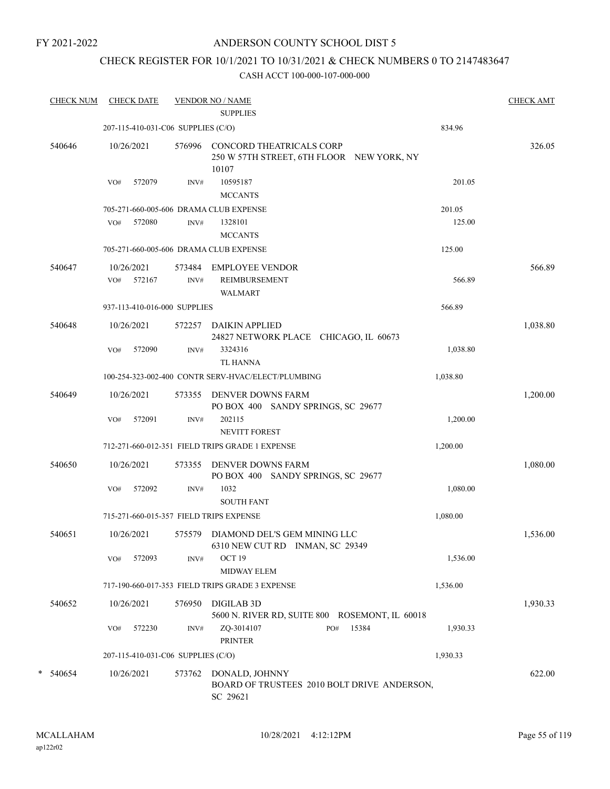### ANDERSON COUNTY SCHOOL DIST 5

## CHECK REGISTER FOR 10/1/2021 TO 10/31/2021 & CHECK NUMBERS 0 TO 2147483647

| <b>CHECK NUM</b> |     | <b>CHECK DATE</b> |                                    | <b>VENDOR NO / NAME</b><br><b>SUPPLIES</b>                                            |          | <b>CHECK AMT</b> |
|------------------|-----|-------------------|------------------------------------|---------------------------------------------------------------------------------------|----------|------------------|
|                  |     |                   | 207-115-410-031-C06 SUPPLIES (C/O) |                                                                                       | 834.96   |                  |
| 540646           |     | 10/26/2021        | 576996                             | <b>CONCORD THEATRICALS CORP</b><br>250 W 57TH STREET, 6TH FLOOR NEW YORK, NY<br>10107 |          | 326.05           |
|                  | VO# | 572079            | INV#                               | 10595187                                                                              | 201.05   |                  |
|                  |     |                   |                                    | <b>MCCANTS</b>                                                                        |          |                  |
|                  |     |                   |                                    | 705-271-660-005-606 DRAMA CLUB EXPENSE                                                | 201.05   |                  |
|                  | VO# | 572080            | INV#                               | 1328101<br><b>MCCANTS</b>                                                             | 125.00   |                  |
|                  |     |                   |                                    | 705-271-660-005-606 DRAMA CLUB EXPENSE                                                | 125.00   |                  |
| 540647           |     | 10/26/2021        | 573484                             | <b>EMPLOYEE VENDOR</b>                                                                |          | 566.89           |
|                  |     | VO# 572167        | INV#                               | REIMBURSEMENT<br><b>WALMART</b>                                                       | 566.89   |                  |
|                  |     |                   | 937-113-410-016-000 SUPPLIES       |                                                                                       | 566.89   |                  |
| 540648           |     | 10/26/2021        | 572257                             | <b>DAIKIN APPLIED</b><br>24827 NETWORK PLACE CHICAGO, IL 60673                        |          | 1,038.80         |
|                  | VO# | 572090            | INV#                               | 3324316<br><b>TL HANNA</b>                                                            | 1,038.80 |                  |
|                  |     |                   |                                    | 100-254-323-002-400 CONTR SERV-HVAC/ELECT/PLUMBING                                    | 1,038.80 |                  |
| 540649           |     | 10/26/2021        | 573355                             | DENVER DOWNS FARM<br>PO BOX 400 SANDY SPRINGS, SC 29677                               |          | 1,200.00         |
|                  | VO# | 572091            | INV#                               | 202115<br><b>NEVITT FOREST</b>                                                        | 1,200.00 |                  |
|                  |     |                   |                                    | 712-271-660-012-351 FIELD TRIPS GRADE 1 EXPENSE                                       | 1,200.00 |                  |
| 540650           |     | 10/26/2021        | 573355                             | DENVER DOWNS FARM<br>PO BOX 400 SANDY SPRINGS, SC 29677                               |          | 1,080.00         |
|                  | VO# | 572092            | INV#                               | 1032<br><b>SOUTH FANT</b>                                                             | 1,080.00 |                  |
|                  |     |                   |                                    | 715-271-660-015-357 FIELD TRIPS EXPENSE                                               | 1,080.00 |                  |
| 540651           |     | 10/26/2021        |                                    | 575579 DIAMOND DEL'S GEM MINING LLC<br>6310 NEW CUT RD INMAN, SC 29349                |          | 1,536.00         |
|                  | VO# | 572093            | INV#                               | OCT 19<br>MIDWAY ELEM                                                                 | 1,536.00 |                  |
|                  |     |                   |                                    | 717-190-660-017-353 FIELD TRIPS GRADE 3 EXPENSE                                       | 1,536.00 |                  |
| 540652           |     | 10/26/2021        | 576950                             | DIGILAB 3D<br>5600 N. RIVER RD, SUITE 800 ROSEMONT, IL 60018                          |          | 1,930.33         |
|                  | VO# | 572230            | INV#                               | ZQ-3014107<br>15384<br>PO#<br><b>PRINTER</b>                                          | 1,930.33 |                  |
|                  |     |                   | 207-115-410-031-C06 SUPPLIES (C/O) |                                                                                       | 1,930.33 |                  |
| * 540654         |     | 10/26/2021        | 573762                             | DONALD, JOHNNY<br>BOARD OF TRUSTEES 2010 BOLT DRIVE ANDERSON,<br>SC 29621             |          | 622.00           |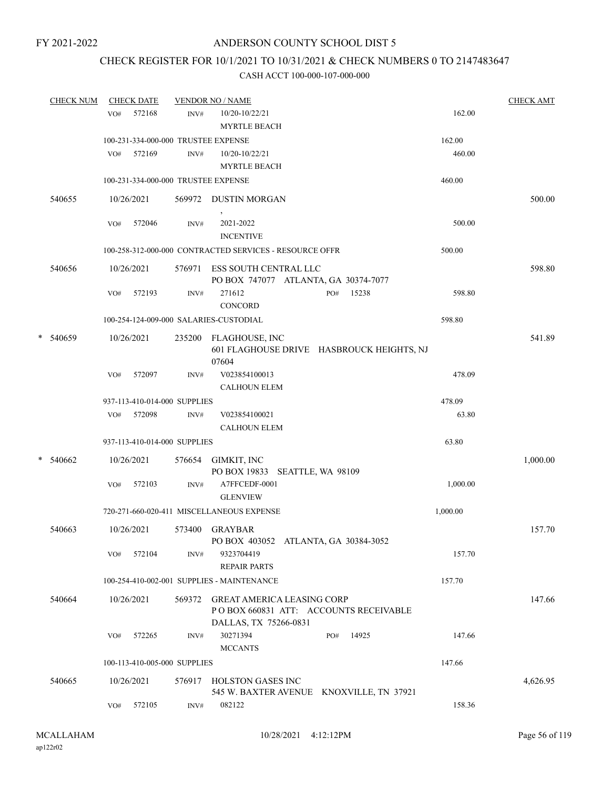## CHECK REGISTER FOR 10/1/2021 TO 10/31/2021 & CHECK NUMBERS 0 TO 2147483647

|   | <b>CHECK NUM</b> |     | <b>CHECK DATE</b>                   |        | <b>VENDOR NO / NAME</b>                                                                              |          | <b>CHECK AMT</b> |
|---|------------------|-----|-------------------------------------|--------|------------------------------------------------------------------------------------------------------|----------|------------------|
|   |                  | VO# | 572168                              | INV#   | 10/20-10/22/21<br><b>MYRTLE BEACH</b>                                                                | 162.00   |                  |
|   |                  |     | 100-231-334-000-000 TRUSTEE EXPENSE |        |                                                                                                      | 162.00   |                  |
|   |                  | VO# | 572169                              | INV#   | 10/20-10/22/21<br><b>MYRTLE BEACH</b>                                                                | 460.00   |                  |
|   |                  |     | 100-231-334-000-000 TRUSTEE EXPENSE |        |                                                                                                      | 460.00   |                  |
|   | 540655           |     | 10/26/2021                          |        | 569972 DUSTIN MORGAN                                                                                 |          | 500.00           |
|   |                  | VO# | 572046                              | INV#   | 2021-2022<br><b>INCENTIVE</b>                                                                        | 500.00   |                  |
|   |                  |     |                                     |        | 100-258-312-000-000 CONTRACTED SERVICES - RESOURCE OFFR                                              | 500.00   |                  |
|   | 540656           |     | 10/26/2021                          | 576971 | ESS SOUTH CENTRAL LLC<br>PO BOX 747077 ATLANTA, GA 30374-7077                                        |          | 598.80           |
|   |                  | VO# | 572193                              | INV#   | 271612<br>15238<br>PO#<br>CONCORD                                                                    | 598.80   |                  |
|   |                  |     |                                     |        | 100-254-124-009-000 SALARIES-CUSTODIAL                                                               | 598.80   |                  |
| * | 540659           |     | 10/26/2021                          |        | 235200 FLAGHOUSE, INC<br>601 FLAGHOUSE DRIVE HASBROUCK HEIGHTS, NJ<br>07604                          |          | 541.89           |
|   |                  | VO# | 572097                              | INV#   | V023854100013<br><b>CALHOUN ELEM</b>                                                                 | 478.09   |                  |
|   |                  |     | 937-113-410-014-000 SUPPLIES        |        |                                                                                                      | 478.09   |                  |
|   |                  |     | VO# 572098                          | INV#   | V023854100021<br><b>CALHOUN ELEM</b>                                                                 | 63.80    |                  |
|   |                  |     | 937-113-410-014-000 SUPPLIES        |        |                                                                                                      | 63.80    |                  |
| * | 540662           |     | 10/26/2021                          | 576654 | GIMKIT, INC<br>PO BOX 19833 SEATTLE, WA 98109                                                        |          | 1,000.00         |
|   |                  | VO# | 572103                              | INV#   | A7FFCEDF-0001<br><b>GLENVIEW</b>                                                                     | 1,000.00 |                  |
|   |                  |     |                                     |        | 720-271-660-020-411 MISCELLANEOUS EXPENSE                                                            | 1,000.00 |                  |
|   | 540663           |     | 10/26/2021                          |        | 573400 GRAYBAR<br>PO BOX 403052 ATLANTA, GA 30384-3052                                               |          | 157.70           |
|   |                  | VO# | 572104                              | INV#   | 9323704419<br><b>REPAIR PARTS</b>                                                                    | 157.70   |                  |
|   |                  |     |                                     |        | 100-254-410-002-001 SUPPLIES - MAINTENANCE                                                           | 157.70   |                  |
|   | 540664           |     | 10/26/2021                          | 569372 | <b>GREAT AMERICA LEASING CORP</b><br>PO BOX 660831 ATT: ACCOUNTS RECEIVABLE<br>DALLAS, TX 75266-0831 |          | 147.66           |
|   |                  |     | $VO#$ 572265                        | INV#   | 30271394<br>14925<br>PO#<br><b>MCCANTS</b>                                                           | 147.66   |                  |
|   |                  |     | 100-113-410-005-000 SUPPLIES        |        |                                                                                                      | 147.66   |                  |
|   | 540665           |     | 10/26/2021                          | 576917 | HOLSTON GASES INC<br>545 W. BAXTER AVENUE KNOXVILLE, TN 37921                                        |          | 4,626.95         |
|   |                  | VO# | 572105                              | INV#   | 082122                                                                                               | 158.36   |                  |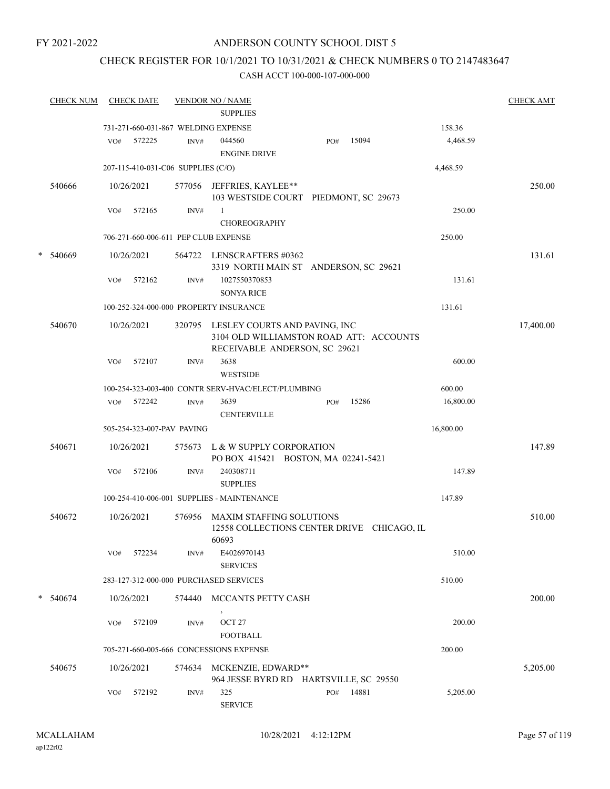### ANDERSON COUNTY SCHOOL DIST 5

## CHECK REGISTER FOR 10/1/2021 TO 10/31/2021 & CHECK NUMBERS 0 TO 2147483647

|   | <b>CHECK NUM</b> |     | <b>CHECK DATE</b> |                                    | <b>VENDOR NO / NAME</b><br><b>SUPPLIES</b>                                                                       |     |       |           | <b>CHECK AMT</b> |
|---|------------------|-----|-------------------|------------------------------------|------------------------------------------------------------------------------------------------------------------|-----|-------|-----------|------------------|
|   |                  |     |                   |                                    | 731-271-660-031-867 WELDING EXPENSE                                                                              |     |       | 158.36    |                  |
|   |                  | VO# | 572225            | INV#                               | 044560<br><b>ENGINE DRIVE</b>                                                                                    | PO# | 15094 | 4,468.59  |                  |
|   |                  |     |                   | 207-115-410-031-C06 SUPPLIES (C/O) |                                                                                                                  |     |       | 4,468.59  |                  |
|   | 540666           |     | 10/26/2021        |                                    | 577056 JEFFRIES, KAYLEE**<br>103 WESTSIDE COURT PIEDMONT, SC 29673                                               |     |       |           | 250.00           |
|   |                  | VO# | 572165            | INV#                               | 1<br><b>CHOREOGRAPHY</b>                                                                                         |     |       | 250.00    |                  |
|   |                  |     |                   |                                    | 706-271-660-006-611 PEP CLUB EXPENSE                                                                             |     |       | 250.00    |                  |
| * | 540669           |     | 10/26/2021        |                                    | 564722 LENSCRAFTERS #0362<br>3319 NORTH MAIN ST ANDERSON, SC 29621                                               |     |       |           | 131.61           |
|   |                  | VO# | 572162            | INV#                               | 1027550370853<br><b>SONYA RICE</b>                                                                               |     |       | 131.61    |                  |
|   |                  |     |                   |                                    | 100-252-324-000-000 PROPERTY INSURANCE                                                                           |     |       | 131.61    |                  |
|   | 540670           |     | 10/26/2021        |                                    | 320795 LESLEY COURTS AND PAVING, INC<br>3104 OLD WILLIAMSTON ROAD ATT: ACCOUNTS<br>RECEIVABLE ANDERSON, SC 29621 |     |       |           | 17,400.00        |
|   |                  | VO# | 572107            | INV#                               | 3638<br><b>WESTSIDE</b>                                                                                          |     |       | 600.00    |                  |
|   |                  |     |                   |                                    | 100-254-323-003-400 CONTR SERV-HVAC/ELECT/PLUMBING                                                               |     |       | 600.00    |                  |
|   |                  |     | VO# 572242        | INV#                               | 3639<br><b>CENTERVILLE</b>                                                                                       | PO# | 15286 | 16,800.00 |                  |
|   |                  |     |                   | 505-254-323-007-PAV PAVING         |                                                                                                                  |     |       | 16,800.00 |                  |
|   | 540671           |     | 10/26/2021        |                                    | 575673 L & W SUPPLY CORPORATION<br>PO BOX 415421 BOSTON, MA 02241-5421                                           |     |       |           | 147.89           |
|   |                  | VO# | 572106            | INV#                               | 240308711<br><b>SUPPLIES</b>                                                                                     |     |       | 147.89    |                  |
|   |                  |     |                   |                                    | 100-254-410-006-001 SUPPLIES - MAINTENANCE                                                                       |     |       | 147.89    |                  |
|   | 540672           |     | 10/26/2021        | 576956                             | <b>MAXIM STAFFING SOLUTIONS</b><br>12558 COLLECTIONS CENTER DRIVE CHICAGO, IL<br>60693                           |     |       |           | 510.00           |
|   |                  | VO# | 572234            | INV#                               | E4026970143<br><b>SERVICES</b>                                                                                   |     |       | 510.00    |                  |
|   |                  |     |                   |                                    | 283-127-312-000-000 PURCHASED SERVICES                                                                           |     |       | 510.00    |                  |
|   | $*$ 540674       |     | 10/26/2021        | 574440                             | MCCANTS PETTY CASH                                                                                               |     |       |           | 200.00           |
|   |                  |     | VO# 572109        | INV#                               | OCT <sub>27</sub><br><b>FOOTBALL</b>                                                                             |     |       | 200.00    |                  |
|   |                  |     |                   |                                    | 705-271-660-005-666 CONCESSIONS EXPENSE                                                                          |     |       | 200.00    |                  |
|   | 540675           |     | 10/26/2021        |                                    | 574634 MCKENZIE, EDWARD**<br>964 JESSE BYRD RD HARTSVILLE, SC 29550                                              |     |       |           | 5,205.00         |
|   |                  | VO# | 572192            | INV#                               | 325<br><b>SERVICE</b>                                                                                            | PO# | 14881 | 5,205.00  |                  |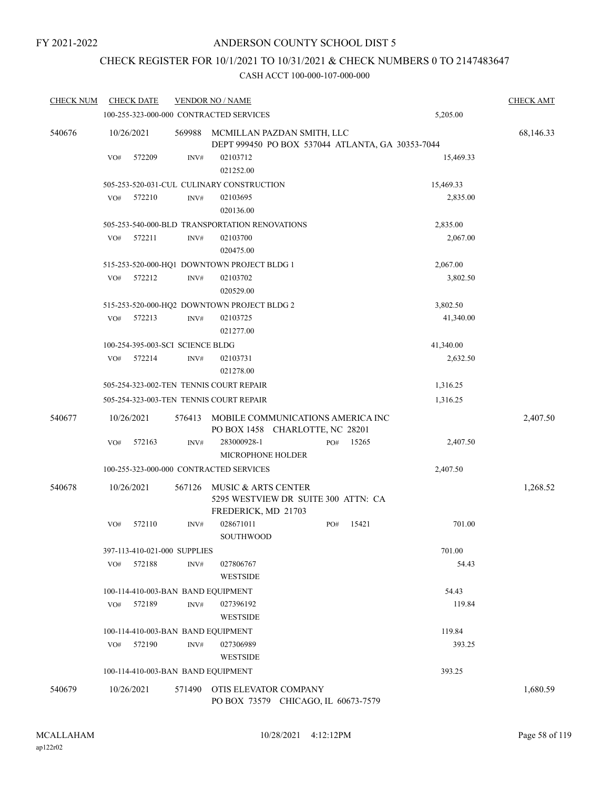## CHECK REGISTER FOR 10/1/2021 TO 10/31/2021 & CHECK NUMBERS 0 TO 2147483647

| <b>CHECK NUM</b> |     | <b>CHECK DATE</b> |                                  | <b>VENDOR NO / NAME</b>                                                           |          |          |           | <b>CHECK AMT</b> |  |  |
|------------------|-----|-------------------|----------------------------------|-----------------------------------------------------------------------------------|----------|----------|-----------|------------------|--|--|
|                  |     |                   |                                  | 100-255-323-000-000 CONTRACTED SERVICES                                           |          |          | 5,205.00  |                  |  |  |
| 540676           |     | 10/26/2021        | 569988                           | MCMILLAN PAZDAN SMITH, LLC<br>DEPT 999450 PO BOX 537044 ATLANTA, GA 30353-7044    |          |          |           | 68,146.33        |  |  |
|                  | VO# | 572209            | INV#                             | 02103712<br>021252.00                                                             |          |          | 15,469.33 |                  |  |  |
|                  |     |                   |                                  | 505-253-520-031-CUL CULINARY CONSTRUCTION                                         |          |          | 15,469.33 |                  |  |  |
|                  | VO# | 572210            | INV#                             | 02103695<br>020136.00                                                             |          |          | 2,835.00  |                  |  |  |
|                  |     |                   |                                  | 505-253-540-000-BLD TRANSPORTATION RENOVATIONS                                    |          |          | 2,835.00  |                  |  |  |
|                  | VO# | 572211            | INV#                             | 02103700<br>020475.00                                                             |          |          | 2,067.00  |                  |  |  |
|                  |     |                   |                                  | 515-253-520-000-HQ1 DOWNTOWN PROJECT BLDG 1                                       |          | 2,067.00 |           |                  |  |  |
|                  | VO# | 572212            | INV#                             | 02103702<br>020529.00                                                             | 3,802.50 |          |           |                  |  |  |
|                  |     |                   |                                  | 515-253-520-000-HQ2 DOWNTOWN PROJECT BLDG 2                                       |          |          | 3,802.50  |                  |  |  |
|                  | VO# | 572213            | INV#                             | 02103725<br>021277.00                                                             |          |          | 41,340.00 |                  |  |  |
|                  |     |                   | 100-254-395-003-SCI SCIENCE BLDG |                                                                                   |          |          | 41,340.00 |                  |  |  |
|                  | VO# | 572214            | INV#                             | 02103731<br>021278.00                                                             |          |          | 2,632.50  |                  |  |  |
|                  |     |                   |                                  | 505-254-323-002-TEN TENNIS COURT REPAIR                                           |          |          | 1,316.25  |                  |  |  |
|                  |     |                   |                                  | 505-254-323-003-TEN TENNIS COURT REPAIR                                           |          |          | 1,316.25  |                  |  |  |
| 540677           |     | 10/26/2021        | 576413                           | MOBILE COMMUNICATIONS AMERICA INC<br>PO BOX 1458 CHARLOTTE, NC 28201              |          |          |           | 2,407.50         |  |  |
|                  | VO# | 572163            | INV#                             | 283000928-1<br><b>MICROPHONE HOLDER</b>                                           | PO#      | 15265    | 2,407.50  |                  |  |  |
|                  |     |                   |                                  | 100-255-323-000-000 CONTRACTED SERVICES                                           |          |          | 2,407.50  |                  |  |  |
| 540678           |     | 10/26/2021        | 567126                           | MUSIC & ARTS CENTER<br>5295 WESTVIEW DR SUITE 300 ATTN: CA<br>FREDERICK, MD 21703 |          |          |           | 1,268.52         |  |  |
|                  | VO# | 572110            | INV#                             | 028671011<br><b>SOUTHWOOD</b>                                                     | PO#      | 15421    | 701.00    |                  |  |  |
|                  |     |                   | 397-113-410-021-000 SUPPLIES     |                                                                                   |          |          | 701.00    |                  |  |  |
|                  | VO# | 572188            | INV#                             | 027806767<br><b>WESTSIDE</b>                                                      |          |          | 54.43     |                  |  |  |
|                  |     |                   |                                  | 100-114-410-003-BAN BAND EQUIPMENT                                                |          |          | 54.43     |                  |  |  |
|                  | VO# | 572189            | INV#                             | 027396192<br><b>WESTSIDE</b>                                                      |          |          | 119.84    |                  |  |  |
|                  |     |                   |                                  | 100-114-410-003-BAN BAND EQUIPMENT                                                |          |          | 119.84    |                  |  |  |
|                  | VO# | 572190            | INV#                             | 027306989<br><b>WESTSIDE</b>                                                      |          |          | 393.25    |                  |  |  |
|                  |     |                   |                                  | 100-114-410-003-BAN BAND EQUIPMENT                                                |          |          | 393.25    |                  |  |  |
| 540679           |     | 10/26/2021        | 571490                           | OTIS ELEVATOR COMPANY<br>PO BOX 73579 CHICAGO, IL 60673-7579                      |          |          |           | 1,680.59         |  |  |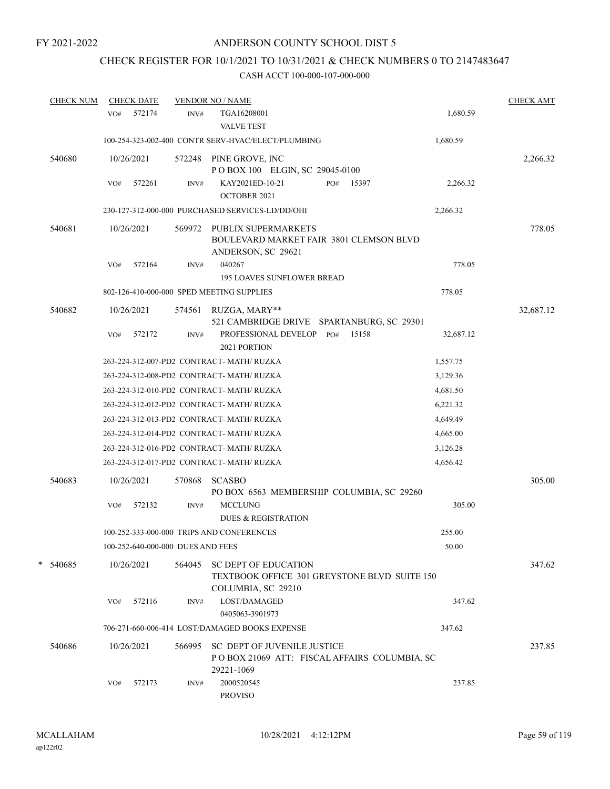## CHECK REGISTER FOR 10/1/2021 TO 10/31/2021 & CHECK NUMBERS 0 TO 2147483647

| <b>CHECK NUM</b> |     | <b>CHECK DATE</b> |                                   | <b>VENDOR NO / NAME</b>                                                                           |     |       |           | <b>CHECK AMT</b> |
|------------------|-----|-------------------|-----------------------------------|---------------------------------------------------------------------------------------------------|-----|-------|-----------|------------------|
|                  | VO# | 572174            | INV#                              | TGA16208001<br><b>VALVE TEST</b>                                                                  |     |       | 1,680.59  |                  |
|                  |     |                   |                                   | 100-254-323-002-400 CONTR SERV-HVAC/ELECT/PLUMBING                                                |     |       | 1,680.59  |                  |
| 540680           |     | 10/26/2021        |                                   | 572248 PINE GROVE, INC<br>POBOX 100 ELGIN, SC 29045-0100                                          |     |       |           | 2,266.32         |
|                  | VO# | 572261            | $\text{INV}\#$                    | KAY2021ED-10-21<br>OCTOBER 2021                                                                   | PO# | 15397 | 2,266.32  |                  |
|                  |     |                   |                                   | 230-127-312-000-000 PURCHASED SERVICES-LD/DD/OHI                                                  |     |       | 2,266.32  |                  |
| 540681           |     | 10/26/2021        | 569972                            | <b>PUBLIX SUPERMARKETS</b><br>BOULEVARD MARKET FAIR 3801 CLEMSON BLVD<br>ANDERSON, SC 29621       |     |       |           | 778.05           |
|                  | VO# | 572164            | INV#                              | 040267<br><b>195 LOAVES SUNFLOWER BREAD</b>                                                       |     |       | 778.05    |                  |
|                  |     |                   |                                   | 802-126-410-000-000 SPED MEETING SUPPLIES                                                         |     |       | 778.05    |                  |
| 540682           |     | 10/26/2021        | 574561                            | RUZGA, MARY**                                                                                     |     |       |           | 32,687.12        |
|                  |     |                   |                                   | 521 CAMBRIDGE DRIVE SPARTANBURG, SC 29301                                                         |     |       |           |                  |
|                  | VO# | 572172            | INV#                              | PROFESSIONAL DEVELOP<br>2021 PORTION                                                              | PO# | 15158 | 32,687.12 |                  |
|                  |     |                   |                                   | 263-224-312-007-PD2 CONTRACT- MATH/ RUZKA                                                         |     |       | 1,557.75  |                  |
|                  |     |                   |                                   | 263-224-312-008-PD2 CONTRACT- MATH/ RUZKA                                                         |     |       | 3,129.36  |                  |
|                  |     |                   |                                   | 263-224-312-010-PD2 CONTRACT-MATH/RUZKA                                                           |     |       | 4,681.50  |                  |
|                  |     |                   |                                   | 263-224-312-012-PD2 CONTRACT-MATH/RUZKA                                                           |     |       | 6,221.32  |                  |
|                  |     |                   |                                   | 263-224-312-013-PD2 CONTRACT- MATH/ RUZKA                                                         |     |       | 4,649.49  |                  |
|                  |     |                   |                                   | 263-224-312-014-PD2 CONTRACT-MATH/RUZKA                                                           |     |       | 4,665.00  |                  |
|                  |     |                   |                                   | 263-224-312-016-PD2 CONTRACT- MATH/ RUZKA                                                         |     |       | 3,126.28  |                  |
|                  |     |                   |                                   | 263-224-312-017-PD2 CONTRACT- MATH/ RUZKA                                                         |     |       | 4,656.42  |                  |
| 540683           |     | 10/26/2021        | 570868                            | <b>SCASBO</b><br>PO BOX 6563 MEMBERSHIP COLUMBIA, SC 29260                                        |     |       |           | 305.00           |
|                  | VO# | 572132            | INV#                              | <b>MCCLUNG</b><br><b>DUES &amp; REGISTRATION</b>                                                  |     |       | 305.00    |                  |
|                  |     |                   |                                   | 100-252-333-000-000 TRIPS AND CONFERENCES                                                         |     |       | 255.00    |                  |
|                  |     |                   | 100-252-640-000-000 DUES AND FEES |                                                                                                   |     |       | 50.00     |                  |
| * 540685         |     | 10/26/2021        | 564045                            | <b>SC DEPT OF EDUCATION</b><br>TEXTBOOK OFFICE 301 GREYSTONE BLVD SUITE 150<br>COLUMBIA, SC 29210 |     |       |           | 347.62           |
|                  | VO# | 572116            | INV#                              | LOST/DAMAGED<br>0405063-3901973                                                                   |     |       | 347.62    |                  |
|                  |     |                   |                                   | 706-271-660-006-414 LOST/DAMAGED BOOKS EXPENSE                                                    |     |       | 347.62    |                  |
|                  |     | 10/26/2021        |                                   |                                                                                                   |     |       |           |                  |
| 540686           |     |                   | 566995                            | <b>SC DEPT OF JUVENILE JUSTICE</b><br>POBOX 21069 ATT: FISCAL AFFAIRS COLUMBIA, SC<br>29221-1069  |     |       |           | 237.85           |
|                  | VO# | 572173            | INV#                              | 2000520545<br><b>PROVISO</b>                                                                      |     |       | 237.85    |                  |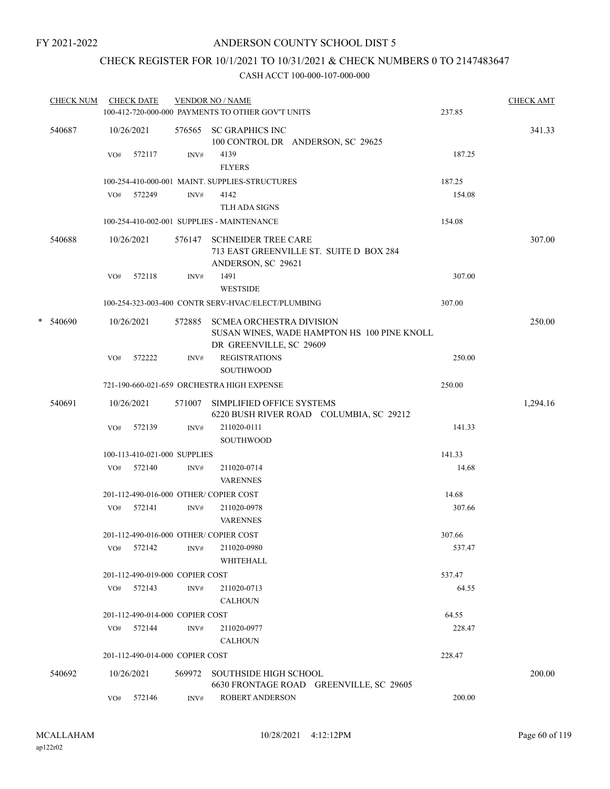## CHECK REGISTER FOR 10/1/2021 TO 10/31/2021 & CHECK NUMBERS 0 TO 2147483647

|   | <b>CHECK NUM</b> |     | <b>CHECK DATE</b>               |        | <b>VENDOR NO / NAME</b>                                                                                   |        | <b>CHECK AMT</b> |
|---|------------------|-----|---------------------------------|--------|-----------------------------------------------------------------------------------------------------------|--------|------------------|
|   |                  |     |                                 |        | 100-412-720-000-000 PAYMENTS TO OTHER GOV'T UNITS                                                         | 237.85 |                  |
|   | 540687           |     | 10/26/2021                      |        | 576565 SC GRAPHICS INC<br>100 CONTROL DR ANDERSON, SC 29625                                               |        | 341.33           |
|   |                  | VO# | 572117                          | INV#   | 4139<br><b>FLYERS</b>                                                                                     | 187.25 |                  |
|   |                  |     |                                 |        | 100-254-410-000-001 MAINT. SUPPLIES-STRUCTURES                                                            | 187.25 |                  |
|   |                  |     | VO# 572249                      | INV#   | 4142                                                                                                      | 154.08 |                  |
|   |                  |     |                                 |        | TLH ADA SIGNS                                                                                             |        |                  |
|   |                  |     |                                 |        | 100-254-410-002-001 SUPPLIES - MAINTENANCE                                                                | 154.08 |                  |
|   | 540688           |     | 10/26/2021                      | 576147 | <b>SCHNEIDER TREE CARE</b><br>713 EAST GREENVILLE ST. SUITE D BOX 284<br>ANDERSON, SC 29621               |        | 307.00           |
|   |                  | VO# | 572118                          | INV#   | 1491                                                                                                      | 307.00 |                  |
|   |                  |     |                                 |        | <b>WESTSIDE</b>                                                                                           |        |                  |
|   |                  |     |                                 |        | 100-254-323-003-400 CONTR SERV-HVAC/ELECT/PLUMBING                                                        | 307.00 |                  |
| * | 540690           |     | 10/26/2021                      | 572885 | <b>SCMEA ORCHESTRA DIVISION</b><br>SUSAN WINES, WADE HAMPTON HS 100 PINE KNOLL<br>DR GREENVILLE, SC 29609 |        | 250.00           |
|   |                  | VO# | 572222                          | INV#   | <b>REGISTRATIONS</b><br><b>SOUTHWOOD</b>                                                                  | 250.00 |                  |
|   |                  |     |                                 |        | 721-190-660-021-659 ORCHESTRA HIGH EXPENSE                                                                | 250.00 |                  |
|   | 540691           |     | 10/26/2021                      | 571007 | SIMPLIFIED OFFICE SYSTEMS<br>6220 BUSH RIVER ROAD COLUMBIA, SC 29212                                      |        | 1,294.16         |
|   |                  | VO# | 572139                          | INV#   | 211020-0111<br><b>SOUTHWOOD</b>                                                                           | 141.33 |                  |
|   |                  |     | 100-113-410-021-000 SUPPLIES    |        |                                                                                                           | 141.33 |                  |
|   |                  |     | VO# 572140                      | INV#   | 211020-0714<br><b>VARENNES</b>                                                                            | 14.68  |                  |
|   |                  |     |                                 |        | 201-112-490-016-000 OTHER/COPIER COST                                                                     | 14.68  |                  |
|   |                  |     | VO# 572141                      | INV#   | 211020-0978<br><b>VARENNES</b>                                                                            | 307.66 |                  |
|   |                  |     |                                 |        | 201-112-490-016-000 OTHER/COPIER COST                                                                     | 307.66 |                  |
|   |                  | VO# | 572142                          | INV#   | 211020-0980<br>WHITEHALL                                                                                  | 537.47 |                  |
|   |                  |     | 201-112-490-019-000 COPIER COST |        |                                                                                                           | 537.47 |                  |
|   |                  |     | VO# 572143                      | INV#   | 211020-0713<br><b>CALHOUN</b>                                                                             | 64.55  |                  |
|   |                  |     | 201-112-490-014-000 COPIER COST |        |                                                                                                           | 64.55  |                  |
|   |                  | VO# | 572144                          | INV#   | 211020-0977<br><b>CALHOUN</b>                                                                             | 228.47 |                  |
|   |                  |     | 201-112-490-014-000 COPIER COST |        |                                                                                                           | 228.47 |                  |
|   | 540692           |     | 10/26/2021                      | 569972 | <b>SOUTHSIDE HIGH SCHOOL</b><br>6630 FRONTAGE ROAD GREENVILLE, SC 29605                                   |        | 200.00           |
|   |                  | VO# | 572146                          | INV#   | ROBERT ANDERSON                                                                                           | 200.00 |                  |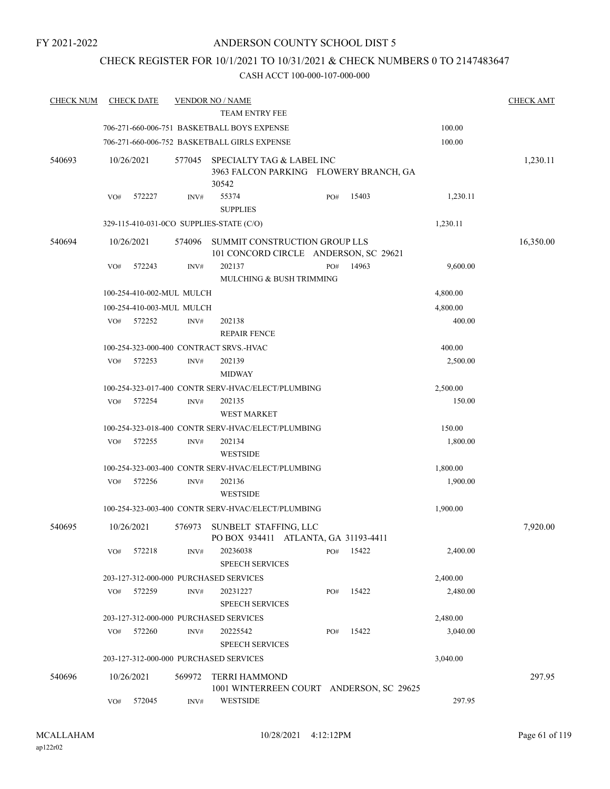## CHECK REGISTER FOR 10/1/2021 TO 10/31/2021 & CHECK NUMBERS 0 TO 2147483647

| <b>CHECK NUM</b> | <b>CHECK DATE</b>                        |        | <b>VENDOR NO / NAME</b>                                                      |     |       |          | <b>CHECK AMT</b> |
|------------------|------------------------------------------|--------|------------------------------------------------------------------------------|-----|-------|----------|------------------|
|                  |                                          |        | <b>TEAM ENTRY FEE</b>                                                        |     |       |          |                  |
|                  |                                          |        | 706-271-660-006-751 BASKETBALL BOYS EXPENSE                                  |     |       | 100.00   |                  |
|                  |                                          |        | 706-271-660-006-752 BASKETBALL GIRLS EXPENSE                                 |     |       | 100.00   |                  |
| 540693           | 10/26/2021                               | 577045 | SPECIALTY TAG & LABEL INC<br>3963 FALCON PARKING FLOWERY BRANCH, GA<br>30542 |     |       |          | 1,230.11         |
|                  | 572227<br>VO#                            | INV#   | 55374<br><b>SUPPLIES</b>                                                     | PO# | 15403 | 1,230.11 |                  |
|                  | 329-115-410-031-0CO SUPPLIES-STATE (C/O) |        |                                                                              |     |       | 1,230.11 |                  |
| 540694           | 10/26/2021                               | 574096 | SUMMIT CONSTRUCTION GROUP LLS<br>101 CONCORD CIRCLE ANDERSON, SC 29621       |     |       |          | 16,350.00        |
|                  | VO#<br>572243                            | INV#   | 202137<br>MULCHING & BUSH TRIMMING                                           | PO# | 14963 | 9,600.00 |                  |
|                  | 100-254-410-002-MUL MULCH                |        |                                                                              |     |       | 4,800.00 |                  |
|                  | 100-254-410-003-MUL MULCH                |        |                                                                              |     |       | 4,800.00 |                  |
|                  | 572252<br>VO#                            | INV#   | 202138                                                                       |     |       | 400.00   |                  |
|                  |                                          |        | <b>REPAIR FENCE</b>                                                          |     |       |          |                  |
|                  |                                          |        | 100-254-323-000-400 CONTRACT SRVS.-HVAC                                      |     |       | 400.00   |                  |
|                  | 572253<br>VO#                            | INV#   | 202139<br><b>MIDWAY</b>                                                      |     |       | 2,500.00 |                  |
|                  |                                          |        | 100-254-323-017-400 CONTR SERV-HVAC/ELECT/PLUMBING                           |     |       | 2,500.00 |                  |
|                  | VO#<br>572254                            | INV#   | 202135<br><b>WEST MARKET</b>                                                 |     |       | 150.00   |                  |
|                  |                                          |        | 100-254-323-018-400 CONTR SERV-HVAC/ELECT/PLUMBING                           |     |       | 150.00   |                  |
|                  | 572255<br>VO#                            | INV#   | 202134<br><b>WESTSIDE</b>                                                    |     |       | 1,800.00 |                  |
|                  |                                          |        | 100-254-323-003-400 CONTR SERV-HVAC/ELECT/PLUMBING                           |     |       | 1,800.00 |                  |
|                  | 572256<br>VO#                            | INV#   | 202136<br><b>WESTSIDE</b>                                                    |     |       | 1,900.00 |                  |
|                  |                                          |        | 100-254-323-003-400 CONTR SERV-HVAC/ELECT/PLUMBING                           |     |       | 1,900.00 |                  |
| 540695           | 10/26/2021                               | 576973 | SUNBELT STAFFING, LLC<br>PO BOX 934411 ATLANTA, GA 31193-4411                |     |       |          | 7,920.00         |
|                  | VO#<br>572218                            | INV#   | 20236038<br><b>SPEECH SERVICES</b>                                           | PO# | 15422 | 2,400.00 |                  |
|                  | 203-127-312-000-000 PURCHASED SERVICES   |        |                                                                              |     |       | 2,400.00 |                  |
|                  | 572259<br>VO#                            | INV#   | 20231227<br><b>SPEECH SERVICES</b>                                           | PO# | 15422 | 2,480.00 |                  |
|                  | 203-127-312-000-000 PURCHASED SERVICES   |        |                                                                              |     |       | 2,480.00 |                  |
|                  | 572260<br>VO#                            | INV#   | 20225542<br><b>SPEECH SERVICES</b>                                           | PO# | 15422 | 3,040.00 |                  |
|                  | 203-127-312-000-000 PURCHASED SERVICES   |        |                                                                              |     |       | 3,040.00 |                  |
| 540696           | 10/26/2021                               | 569972 | TERRI HAMMOND<br>1001 WINTERREEN COURT ANDERSON, SC 29625                    |     |       |          | 297.95           |
|                  | 572045<br>VO#                            | INV#   | <b>WESTSIDE</b>                                                              |     |       | 297.95   |                  |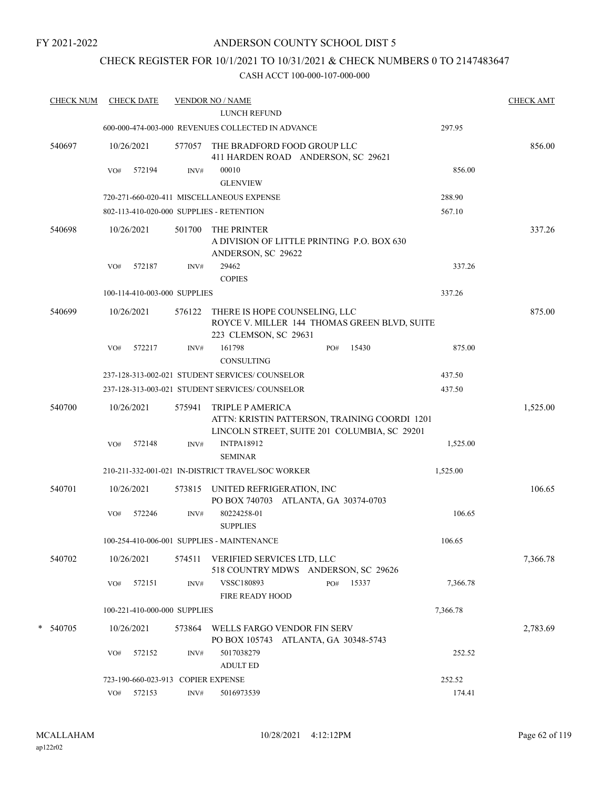### ANDERSON COUNTY SCHOOL DIST 5

## CHECK REGISTER FOR 10/1/2021 TO 10/31/2021 & CHECK NUMBERS 0 TO 2147483647

| <b>CHECK NUM</b> | <b>CHECK DATE</b>                        |        | <b>VENDOR NO / NAME</b>                                                                                           |          | <b>CHECK AMT</b> |
|------------------|------------------------------------------|--------|-------------------------------------------------------------------------------------------------------------------|----------|------------------|
|                  |                                          |        | LUNCH REFUND                                                                                                      |          |                  |
|                  |                                          |        | 600-000-474-003-000 REVENUES COLLECTED IN ADVANCE                                                                 | 297.95   |                  |
| 540697           | 10/26/2021                               | 577057 | THE BRADFORD FOOD GROUP LLC<br>411 HARDEN ROAD ANDERSON, SC 29621                                                 |          | 856.00           |
|                  | VO#<br>572194                            | INV#   | 00010<br><b>GLENVIEW</b>                                                                                          | 856.00   |                  |
|                  |                                          |        | 720-271-660-020-411 MISCELLANEOUS EXPENSE                                                                         | 288.90   |                  |
|                  | 802-113-410-020-000 SUPPLIES - RETENTION |        |                                                                                                                   | 567.10   |                  |
| 540698           | 10/26/2021                               | 501700 | THE PRINTER<br>A DIVISION OF LITTLE PRINTING P.O. BOX 630<br>ANDERSON, SC 29622                                   |          | 337.26           |
|                  | VO#<br>572187                            | INV#   | 29462<br><b>COPIES</b>                                                                                            | 337.26   |                  |
|                  | 100-114-410-003-000 SUPPLIES             |        |                                                                                                                   | 337.26   |                  |
| 540699           | 10/26/2021                               | 576122 | THERE IS HOPE COUNSELING, LLC<br>ROYCE V. MILLER 144 THOMAS GREEN BLVD, SUITE<br>223 CLEMSON, SC 29631            |          | 875.00           |
|                  | 572217<br>VO#                            | INV#   | 161798<br>15430<br>PO#<br>CONSULTING                                                                              | 875.00   |                  |
|                  |                                          |        | 237-128-313-002-021 STUDENT SERVICES/ COUNSELOR                                                                   | 437.50   |                  |
|                  |                                          |        | 237-128-313-003-021 STUDENT SERVICES/ COUNSELOR                                                                   | 437.50   |                  |
| 540700           | 10/26/2021                               | 575941 | TRIPLE P AMERICA<br>ATTN: KRISTIN PATTERSON, TRAINING COORDI 1201<br>LINCOLN STREET, SUITE 201 COLUMBIA, SC 29201 |          | 1,525.00         |
|                  | 572148<br>VO#                            | INV#   | <b>INTPA18912</b><br><b>SEMINAR</b>                                                                               | 1,525.00 |                  |
|                  |                                          |        | 210-211-332-001-021 IN-DISTRICT TRAVEL/SOC WORKER                                                                 | 1,525.00 |                  |
| 540701           | 10/26/2021                               | 573815 | UNITED REFRIGERATION, INC<br>PO BOX 740703 ATLANTA, GA 30374-0703                                                 |          | 106.65           |
|                  | VO#<br>572246                            | INV#   | 80224258-01<br><b>SUPPLIES</b>                                                                                    | 106.65   |                  |
|                  |                                          |        | 100-254-410-006-001 SUPPLIES - MAINTENANCE                                                                        | 106.65   |                  |
| 540702           | 10/26/2021                               |        | 574511 VERIFIED SERVICES LTD, LLC<br>518 COUNTRY MDWS ANDERSON, SC 29626                                          |          | 7,366.78         |
|                  | 572151<br>VO#                            | INV#   | VSSC180893<br>PO#<br>15337<br><b>FIRE READY HOOD</b>                                                              | 7,366.78 |                  |
|                  | 100-221-410-000-000 SUPPLIES             |        |                                                                                                                   | 7,366.78 |                  |
| * 540705         | 10/26/2021                               | 573864 | WELLS FARGO VENDOR FIN SERV<br>PO BOX 105743 ATLANTA, GA 30348-5743                                               |          | 2,783.69         |
|                  | 572152<br>VO#                            | INV#   | 5017038279<br><b>ADULT ED</b>                                                                                     | 252.52   |                  |
|                  | 723-190-660-023-913 COPIER EXPENSE       |        |                                                                                                                   | 252.52   |                  |
|                  | 572153<br>VO#                            | INV#   | 5016973539                                                                                                        | 174.41   |                  |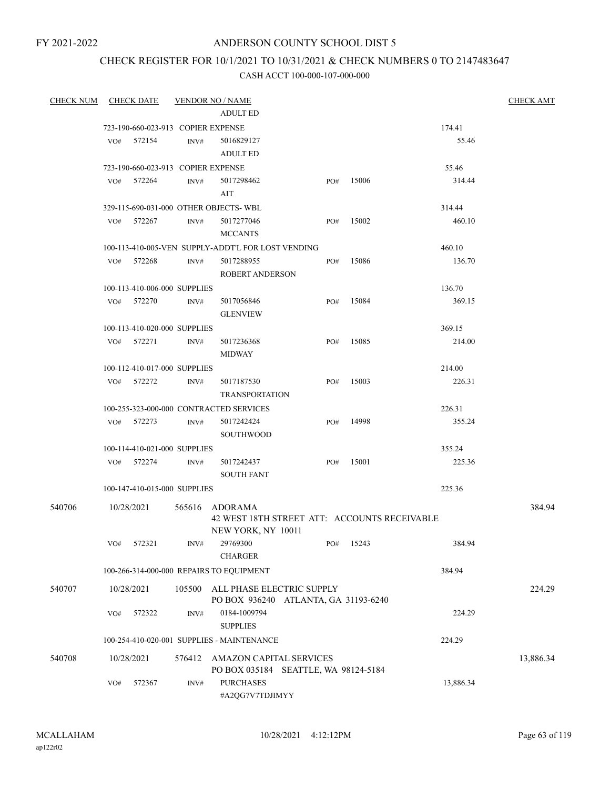### ANDERSON COUNTY SCHOOL DIST 5

# CHECK REGISTER FOR 10/1/2021 TO 10/31/2021 & CHECK NUMBERS 0 TO 2147483647

| <b>CHECK NUM</b> | CHECK DATE                         |        | <b>VENDOR NO / NAME</b>                            |                                              |       |           | <b>CHECK AMT</b> |
|------------------|------------------------------------|--------|----------------------------------------------------|----------------------------------------------|-------|-----------|------------------|
|                  |                                    |        | <b>ADULT ED</b>                                    |                                              |       |           |                  |
|                  | 723-190-660-023-913 COPIER EXPENSE |        |                                                    |                                              |       | 174.41    |                  |
|                  | 572154<br>VO#                      | INV#   | 5016829127<br><b>ADULT ED</b>                      |                                              |       | 55.46     |                  |
|                  | 723-190-660-023-913 COPIER EXPENSE |        |                                                    |                                              |       | 55.46     |                  |
|                  | VO# 572264                         | INV#   | 5017298462<br>AIT                                  | PO#                                          | 15006 | 314.44    |                  |
|                  |                                    |        | 329-115-690-031-000 OTHER OBJECTS-WBL              |                                              |       | 314.44    |                  |
|                  | VO# 572267                         | INV#   | 5017277046<br><b>MCCANTS</b>                       | PO#                                          | 15002 | 460.10    |                  |
|                  |                                    |        | 100-113-410-005-VEN SUPPLY-ADDT'L FOR LOST VENDING |                                              |       | 460.10    |                  |
|                  | 572268<br>VO#                      | INV#   | 5017288955<br><b>ROBERT ANDERSON</b>               | PO#                                          | 15086 | 136.70    |                  |
|                  | 100-113-410-006-000 SUPPLIES       |        |                                                    |                                              |       | 136.70    |                  |
|                  | 572270<br>VO#                      | INV#   | 5017056846<br><b>GLENVIEW</b>                      | PO#                                          | 15084 | 369.15    |                  |
|                  | 100-113-410-020-000 SUPPLIES       |        |                                                    |                                              |       | 369.15    |                  |
|                  | 572271<br>VO#                      | INV#   | 5017236368<br><b>MIDWAY</b>                        | PO#                                          | 15085 | 214.00    |                  |
|                  | 100-112-410-017-000 SUPPLIES       |        |                                                    |                                              |       | 214.00    |                  |
|                  | 572272<br>VO#                      | INV#   | 5017187530<br><b>TRANSPORTATION</b>                | PO#                                          | 15003 | 226.31    |                  |
|                  |                                    |        | 100-255-323-000-000 CONTRACTED SERVICES            |                                              |       | 226.31    |                  |
|                  | VO# 572273                         | INV#   | 5017242424<br><b>SOUTHWOOD</b>                     | PO#                                          | 14998 | 355.24    |                  |
|                  | 100-114-410-021-000 SUPPLIES       |        |                                                    |                                              |       | 355.24    |                  |
|                  | VO#<br>572274                      | INV#   | 5017242437<br><b>SOUTH FANT</b>                    | PO#                                          | 15001 | 225.36    |                  |
|                  | 100-147-410-015-000 SUPPLIES       |        |                                                    |                                              |       | 225.36    |                  |
| 540706           | 10/28/2021                         |        | 565616 ADORAMA                                     | 42 WEST 18TH STREET ATT: ACCOUNTS RECEIVABLE |       |           | 384.94           |
|                  |                                    |        | NEW YORK, NY 10011                                 |                                              |       |           |                  |
|                  | 572321<br>VO#                      | INV#   | 29769300<br><b>CHARGER</b>                         | PO#                                          | 15243 | 384.94    |                  |
|                  |                                    |        | 100-266-314-000-000 REPAIRS TO EQUIPMENT           |                                              |       | 384.94    |                  |
| 540707           | 10/28/2021                         | 105500 | ALL PHASE ELECTRIC SUPPLY                          | PO BOX 936240 ATLANTA, GA 31193-6240         |       |           | 224.29           |
|                  | 572322<br>VO#                      | INV#   | 0184-1009794<br><b>SUPPLIES</b>                    |                                              |       | 224.29    |                  |
|                  |                                    |        | 100-254-410-020-001 SUPPLIES - MAINTENANCE         |                                              |       | 224.29    |                  |
| 540708           | 10/28/2021                         | 576412 | AMAZON CAPITAL SERVICES                            | PO BOX 035184 SEATTLE, WA 98124-5184         |       |           | 13,886.34        |
|                  | VO#<br>572367                      | INV#   | <b>PURCHASES</b><br>#A2QG7V7TDJIMYY                |                                              |       | 13,886.34 |                  |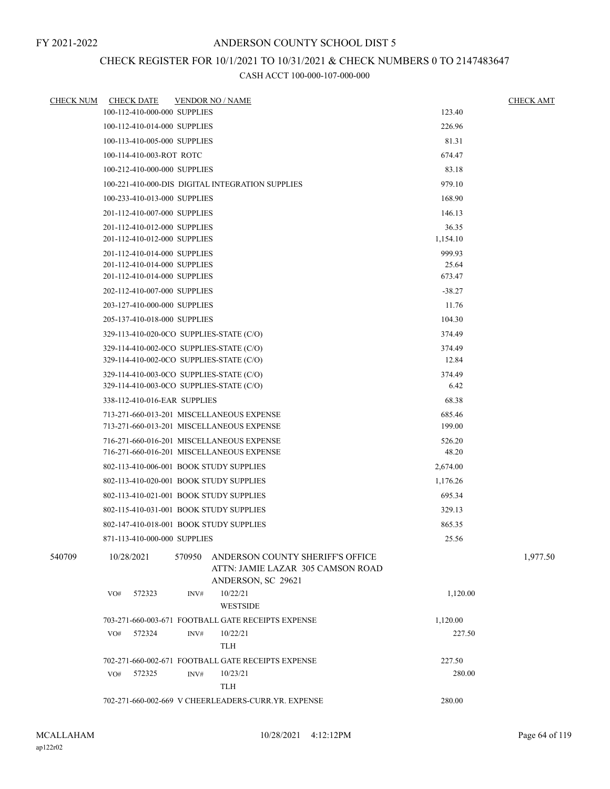## CHECK REGISTER FOR 10/1/2021 TO 10/31/2021 & CHECK NUMBERS 0 TO 2147483647

| <b>CHECK NUM</b> | <b>CHECK DATE</b>                        |        | <b>VENDOR NO / NAME</b>                                                                     |                  | <b>CHECK AMT</b> |
|------------------|------------------------------------------|--------|---------------------------------------------------------------------------------------------|------------------|------------------|
|                  | 100-112-410-000-000 SUPPLIES             |        |                                                                                             | 123.40           |                  |
|                  | 100-112-410-014-000 SUPPLIES             |        |                                                                                             | 226.96           |                  |
|                  | 100-113-410-005-000 SUPPLIES             |        |                                                                                             | 81.31            |                  |
|                  | 100-114-410-003-ROT ROTC                 |        |                                                                                             | 674.47           |                  |
|                  | 100-212-410-000-000 SUPPLIES             |        |                                                                                             | 83.18            |                  |
|                  |                                          |        | 100-221-410-000-DIS DIGITAL INTEGRATION SUPPLIES                                            | 979.10           |                  |
|                  | 100-233-410-013-000 SUPPLIES             |        |                                                                                             | 168.90           |                  |
|                  | 201-112-410-007-000 SUPPLIES             |        |                                                                                             | 146.13           |                  |
|                  | 201-112-410-012-000 SUPPLIES             |        |                                                                                             | 36.35            |                  |
|                  | 201-112-410-012-000 SUPPLIES             |        |                                                                                             | 1,154.10         |                  |
|                  | 201-112-410-014-000 SUPPLIES             |        |                                                                                             | 999.93           |                  |
|                  | 201-112-410-014-000 SUPPLIES             |        |                                                                                             | 25.64            |                  |
|                  | 201-112-410-014-000 SUPPLIES             |        |                                                                                             | 673.47           |                  |
|                  | 202-112-410-007-000 SUPPLIES             |        |                                                                                             | $-38.27$         |                  |
|                  | 203-127-410-000-000 SUPPLIES             |        |                                                                                             | 11.76            |                  |
|                  | 205-137-410-018-000 SUPPLIES             |        |                                                                                             | 104.30           |                  |
|                  | 329-113-410-020-0CO SUPPLIES-STATE (C/O) |        |                                                                                             | 374.49           |                  |
|                  | 329-114-410-002-0CO SUPPLIES-STATE (C/O) |        |                                                                                             | 374.49           |                  |
|                  | 329-114-410-002-0CO SUPPLIES-STATE (C/O) |        |                                                                                             | 12.84            |                  |
|                  | 329-114-410-003-0CO SUPPLIES-STATE (C/O) |        |                                                                                             | 374.49           |                  |
|                  | 329-114-410-003-0CO SUPPLIES-STATE (C/O) |        |                                                                                             | 6.42             |                  |
|                  | 338-112-410-016-EAR SUPPLIES             |        |                                                                                             | 68.38            |                  |
|                  |                                          |        | 713-271-660-013-201 MISCELLANEOUS EXPENSE<br>713-271-660-013-201 MISCELLANEOUS EXPENSE      | 685.46<br>199.00 |                  |
|                  |                                          |        | 716-271-660-016-201 MISCELLANEOUS EXPENSE                                                   | 526.20           |                  |
|                  |                                          |        | 716-271-660-016-201 MISCELLANEOUS EXPENSE                                                   | 48.20            |                  |
|                  | 802-113-410-006-001 BOOK STUDY SUPPLIES  |        |                                                                                             | 2,674.00         |                  |
|                  | 802-113-410-020-001 BOOK STUDY SUPPLIES  |        |                                                                                             | 1,176.26         |                  |
|                  | 802-113-410-021-001 BOOK STUDY SUPPLIES  |        |                                                                                             | 695.34           |                  |
|                  | 802-115-410-031-001 BOOK STUDY SUPPLIES  |        |                                                                                             | 329.13           |                  |
|                  | 802-147-410-018-001 BOOK STUDY SUPPLIES  |        |                                                                                             | 865.35           |                  |
|                  | 871-113-410-000-000 SUPPLIES             |        |                                                                                             | 25.56            |                  |
| 540709           | 10/28/2021                               | 570950 | ANDERSON COUNTY SHERIFF'S OFFICE<br>ATTN: JAMIE LAZAR 305 CAMSON ROAD<br>ANDERSON, SC 29621 |                  | 1,977.50         |
|                  | 572323<br>VO#                            | INV#   | 10/22/21<br><b>WESTSIDE</b>                                                                 | 1,120.00         |                  |
|                  |                                          |        | 703-271-660-003-671 FOOTBALL GATE RECEIPTS EXPENSE                                          | 1,120.00         |                  |
|                  | VO#<br>572324                            | INV#   | 10/22/21<br>TLH                                                                             | 227.50           |                  |
|                  |                                          |        | 702-271-660-002-671 FOOTBALL GATE RECEIPTS EXPENSE                                          | 227.50           |                  |
|                  | 572325<br>VO#                            | INV#   | 10/23/21                                                                                    | 280.00           |                  |
|                  |                                          |        | <b>TLH</b>                                                                                  |                  |                  |
|                  |                                          |        | 702-271-660-002-669 V CHEERLEADERS-CURR.YR. EXPENSE                                         | 280.00           |                  |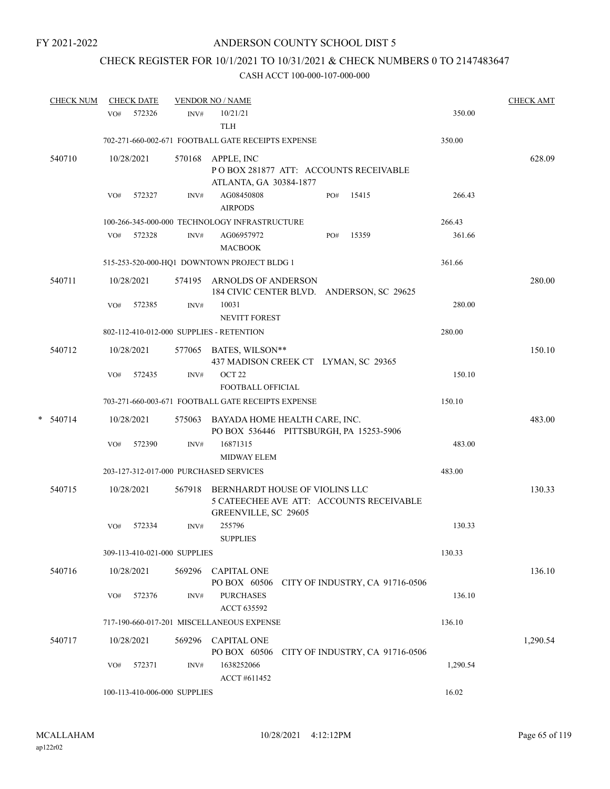# CHECK REGISTER FOR 10/1/2021 TO 10/31/2021 & CHECK NUMBERS 0 TO 2147483647

|   | <b>CHECK NUM</b> | <b>CHECK DATE</b> |                                          | <b>VENDOR NO / NAME</b>                                                                                   |     |                                 |          | <b>CHECK AMT</b> |
|---|------------------|-------------------|------------------------------------------|-----------------------------------------------------------------------------------------------------------|-----|---------------------------------|----------|------------------|
|   |                  | VO#               | 572326<br>INV#                           | 10/21/21<br><b>TLH</b>                                                                                    |     |                                 | 350.00   |                  |
|   |                  |                   |                                          | 702-271-660-002-671 FOOTBALL GATE RECEIPTS EXPENSE                                                        |     |                                 | 350.00   |                  |
|   | 540710           | 10/28/2021        | 570168                                   | APPLE, INC<br>PO BOX 281877 ATT: ACCOUNTS RECEIVABLE<br>ATLANTA, GA 30384-1877                            |     |                                 |          | 628.09           |
|   |                  | VO#               | 572327<br>INV#                           | AG08450808<br><b>AIRPODS</b>                                                                              | PO# | 15415                           | 266.43   |                  |
|   |                  |                   |                                          | 100-266-345-000-000 TECHNOLOGY INFRASTRUCTURE                                                             |     |                                 | 266.43   |                  |
|   |                  | VO# 572328        | INV#                                     | AG06957972<br><b>MACBOOK</b>                                                                              | PO# | 15359                           | 361.66   |                  |
|   |                  |                   |                                          | 515-253-520-000-HQ1 DOWNTOWN PROJECT BLDG 1                                                               |     |                                 | 361.66   |                  |
|   | 540711           | 10/28/2021        | 574195                                   | ARNOLDS OF ANDERSON<br>184 CIVIC CENTER BLVD. ANDERSON, SC 29625                                          |     |                                 |          | 280.00           |
|   |                  | VO#               | 572385<br>INV#                           | 10031<br><b>NEVITT FOREST</b>                                                                             |     |                                 | 280.00   |                  |
|   |                  |                   | 802-112-410-012-000 SUPPLIES - RETENTION |                                                                                                           |     |                                 | 280.00   |                  |
|   | 540712           | 10/28/2021        |                                          | 577065 BATES, WILSON**<br>437 MADISON CREEK CT LYMAN, SC 29365                                            |     |                                 |          | 150.10           |
|   |                  | VO#               | 572435<br>INV#                           | OCT <sub>22</sub><br>FOOTBALL OFFICIAL                                                                    |     |                                 | 150.10   |                  |
|   |                  |                   |                                          | 703-271-660-003-671 FOOTBALL GATE RECEIPTS EXPENSE                                                        |     |                                 | 150.10   |                  |
| * | 540714           | 10/28/2021        | 575063                                   | BAYADA HOME HEALTH CARE, INC.<br>PO BOX 536446 PITTSBURGH, PA 15253-5906                                  |     |                                 |          | 483.00           |
|   |                  | VO#               | 572390<br>$\text{INV}\#$                 | 16871315<br><b>MIDWAY ELEM</b>                                                                            |     |                                 | 483.00   |                  |
|   |                  |                   | 203-127-312-017-000 PURCHASED SERVICES   |                                                                                                           |     |                                 | 483.00   |                  |
|   | 540715           | 10/28/2021        |                                          | 567918 BERNHARDT HOUSE OF VIOLINS LLC<br>5 CATEECHEE AVE ATT: ACCOUNTS RECEIVABLE<br>GREENVILLE, SC 29605 |     |                                 |          | 130.33           |
|   |                  | VO#               | 572334<br>INV#                           | 255796<br><b>SUPPLIES</b>                                                                                 |     |                                 | 130.33   |                  |
|   |                  |                   | 309-113-410-021-000 SUPPLIES             |                                                                                                           |     |                                 | 130.33   |                  |
|   | 540716           | 10/28/2021        | 569296                                   | <b>CAPITAL ONE</b><br>PO BOX 60506                                                                        |     | CITY OF INDUSTRY, CA 91716-0506 |          | 136.10           |
|   |                  | VO#               | 572376<br>INV#                           | <b>PURCHASES</b><br>ACCT 635592                                                                           |     |                                 | 136.10   |                  |
|   |                  |                   |                                          | 717-190-660-017-201 MISCELLANEOUS EXPENSE                                                                 |     |                                 | 136.10   |                  |
|   | 540717           | 10/28/2021        | 569296                                   | <b>CAPITAL ONE</b><br>PO BOX 60506                                                                        |     | CITY OF INDUSTRY, CA 91716-0506 |          | 1,290.54         |
|   |                  | VO#               | 572371<br>INV#                           | 1638252066<br>ACCT #611452                                                                                |     |                                 | 1,290.54 |                  |
|   |                  |                   | 100-113-410-006-000 SUPPLIES             |                                                                                                           |     |                                 | 16.02    |                  |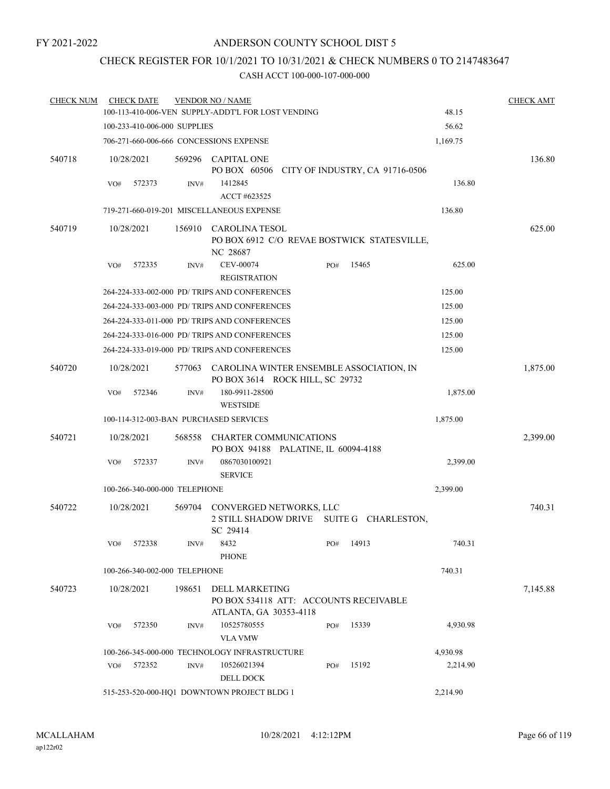# CHECK REGISTER FOR 10/1/2021 TO 10/31/2021 & CHECK NUMBERS 0 TO 2147483647

| <b>CHECK NUM</b> |            | <b>CHECK DATE</b>             |        | <b>VENDOR NO / NAME</b><br>100-113-410-006-VEN SUPPLY-ADDT'L FOR LOST VENDING             |     |           | 48.15    | <b>CHECK AMT</b> |
|------------------|------------|-------------------------------|--------|-------------------------------------------------------------------------------------------|-----|-----------|----------|------------------|
|                  |            | 100-233-410-006-000 SUPPLIES  |        |                                                                                           |     |           | 56.62    |                  |
|                  |            |                               |        |                                                                                           |     |           |          |                  |
|                  |            |                               |        | 706-271-660-006-666 CONCESSIONS EXPENSE                                                   |     |           | 1,169.75 |                  |
| 540718           | 10/28/2021 |                               |        | 569296 CAPITAL ONE<br>PO BOX 60506 CITY OF INDUSTRY, CA 91716-0506                        |     |           |          | 136.80           |
|                  | VO#        | 572373                        | INV#   | 1412845<br>ACCT #623525                                                                   |     |           | 136.80   |                  |
|                  |            |                               |        | 719-271-660-019-201 MISCELLANEOUS EXPENSE                                                 |     |           | 136.80   |                  |
| 540719           | 10/28/2021 |                               |        | 156910 CAROLINA TESOL<br>PO BOX 6912 C/O REVAE BOSTWICK STATESVILLE,<br>NC 28687          |     |           |          | 625.00           |
|                  | VO#        | 572335                        | INV#   | CEV-00074<br><b>REGISTRATION</b>                                                          | PO# | 15465     | 625.00   |                  |
|                  |            |                               |        | 264-224-333-002-000 PD/ TRIPS AND CONFERENCES                                             |     |           | 125.00   |                  |
|                  |            |                               |        | 264-224-333-003-000 PD/ TRIPS AND CONFERENCES                                             |     |           | 125.00   |                  |
|                  |            |                               |        | 264-224-333-011-000 PD/ TRIPS AND CONFERENCES                                             |     |           | 125.00   |                  |
|                  |            |                               |        | 264-224-333-016-000 PD/ TRIPS AND CONFERENCES                                             |     |           | 125.00   |                  |
|                  |            |                               |        | 264-224-333-019-000 PD/ TRIPS AND CONFERENCES                                             |     |           | 125.00   |                  |
| 540720           | 10/28/2021 |                               |        | 577063 CAROLINA WINTER ENSEMBLE ASSOCIATION, IN<br>PO BOX 3614 ROCK HILL, SC 29732        |     |           |          | 1,875.00         |
|                  | VO#        | 572346                        | INV#   | 180-9911-28500<br><b>WESTSIDE</b>                                                         |     |           | 1,875.00 |                  |
|                  |            |                               |        | 100-114-312-003-BAN PURCHASED SERVICES                                                    |     |           | 1,875.00 |                  |
| 540721           | 10/28/2021 |                               | 568558 | CHARTER COMMUNICATIONS<br>PO BOX 94188 PALATINE, IL 60094-4188                            |     |           |          | 2,399.00         |
|                  | VO#        | 572337                        | INV#   | 0867030100921<br><b>SERVICE</b>                                                           |     |           | 2,399.00 |                  |
|                  |            | 100-266-340-000-000 TELEPHONE |        |                                                                                           |     |           | 2,399.00 |                  |
| 540722           | 10/28/2021 |                               |        | 569704 CONVERGED NETWORKS, LLC<br>2 STILL SHADOW DRIVE SUITE G CHARLESTON,<br>SC 29414    |     |           |          | 740.31           |
|                  | VO#        | 572338                        | INV#   | 8432<br><b>PHONE</b>                                                                      |     | PO# 14913 | 740.31   |                  |
|                  |            | 100-266-340-002-000 TELEPHONE |        |                                                                                           |     |           | 740.31   |                  |
| 540723           | 10/28/2021 |                               | 198651 | <b>DELL MARKETING</b><br>PO BOX 534118 ATT: ACCOUNTS RECEIVABLE<br>ATLANTA, GA 30353-4118 |     |           |          | 7,145.88         |
|                  | VO#        | 572350                        | INV#   | 10525780555<br><b>VLA VMW</b>                                                             | PO# | 15339     | 4,930.98 |                  |
|                  |            |                               |        | 100-266-345-000-000 TECHNOLOGY INFRASTRUCTURE                                             |     |           | 4,930.98 |                  |
|                  | VO#        | 572352                        | INV#   | 10526021394<br><b>DELL DOCK</b>                                                           | PO# | 15192     | 2,214.90 |                  |
|                  |            |                               |        | 515-253-520-000-HQ1 DOWNTOWN PROJECT BLDG 1                                               |     |           | 2,214.90 |                  |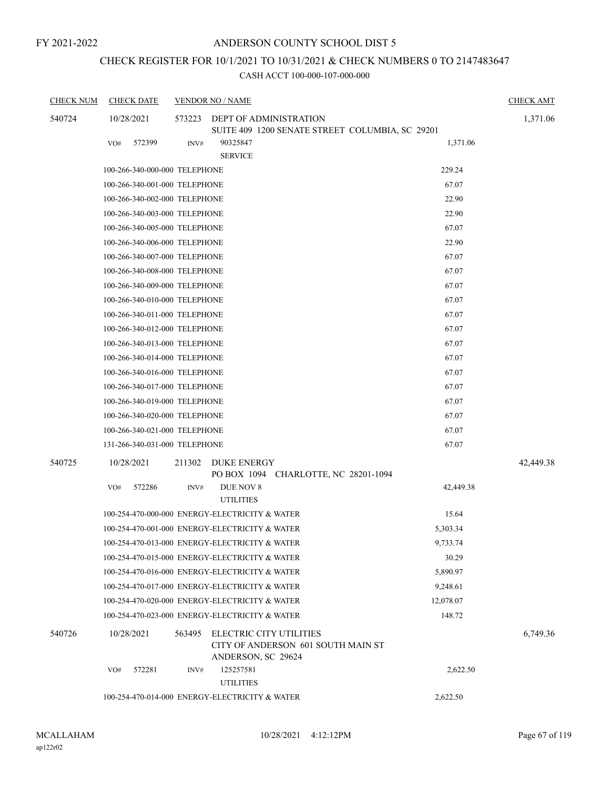# CHECK REGISTER FOR 10/1/2021 TO 10/31/2021 & CHECK NUMBERS 0 TO 2147483647

| <b>CHECK NUM</b> | <b>CHECK DATE</b>             |        | <b>VENDOR NO / NAME</b>                                                             |           | <b>CHECK AMT</b> |
|------------------|-------------------------------|--------|-------------------------------------------------------------------------------------|-----------|------------------|
| 540724           | 10/28/2021                    | 573223 | DEPT OF ADMINISTRATION                                                              |           | 1,371.06         |
|                  |                               |        | SUITE 409 1200 SENATE STREET COLUMBIA, SC 29201                                     |           |                  |
|                  | 572399<br>VO#                 | INV#   | 90325847                                                                            | 1,371.06  |                  |
|                  |                               |        | <b>SERVICE</b>                                                                      |           |                  |
|                  | 100-266-340-000-000 TELEPHONE |        |                                                                                     | 229.24    |                  |
|                  | 100-266-340-001-000 TELEPHONE |        |                                                                                     | 67.07     |                  |
|                  | 100-266-340-002-000 TELEPHONE |        |                                                                                     | 22.90     |                  |
|                  | 100-266-340-003-000 TELEPHONE |        |                                                                                     | 22.90     |                  |
|                  | 100-266-340-005-000 TELEPHONE |        |                                                                                     | 67.07     |                  |
|                  | 100-266-340-006-000 TELEPHONE |        |                                                                                     | 22.90     |                  |
|                  | 100-266-340-007-000 TELEPHONE |        |                                                                                     | 67.07     |                  |
|                  | 100-266-340-008-000 TELEPHONE |        |                                                                                     | 67.07     |                  |
|                  | 100-266-340-009-000 TELEPHONE |        |                                                                                     | 67.07     |                  |
|                  | 100-266-340-010-000 TELEPHONE |        |                                                                                     | 67.07     |                  |
|                  | 100-266-340-011-000 TELEPHONE |        |                                                                                     | 67.07     |                  |
|                  | 100-266-340-012-000 TELEPHONE |        |                                                                                     | 67.07     |                  |
|                  | 100-266-340-013-000 TELEPHONE |        |                                                                                     | 67.07     |                  |
|                  | 100-266-340-014-000 TELEPHONE |        |                                                                                     | 67.07     |                  |
|                  | 100-266-340-016-000 TELEPHONE |        |                                                                                     | 67.07     |                  |
|                  | 100-266-340-017-000 TELEPHONE |        |                                                                                     | 67.07     |                  |
|                  | 100-266-340-019-000 TELEPHONE |        |                                                                                     | 67.07     |                  |
|                  | 100-266-340-020-000 TELEPHONE |        |                                                                                     | 67.07     |                  |
|                  | 100-266-340-021-000 TELEPHONE |        |                                                                                     | 67.07     |                  |
|                  | 131-266-340-031-000 TELEPHONE |        |                                                                                     | 67.07     |                  |
| 540725           | 10/28/2021                    | 211302 | DUKE ENERGY<br>PO BOX 1094 CHARLOTTE, NC 28201-1094                                 |           | 42,449.38        |
|                  | 572286<br>VO#                 | INV#   | DUE NOV 8                                                                           | 42,449.38 |                  |
|                  |                               |        | <b>UTILITIES</b>                                                                    |           |                  |
|                  |                               |        | 100-254-470-000-000 ENERGY-ELECTRICITY & WATER                                      | 15.64     |                  |
|                  |                               |        | 100-254-470-001-000 ENERGY-ELECTRICITY & WATER                                      | 5,303.34  |                  |
|                  |                               |        | 100-254-470-013-000 ENERGY-ELECTRICITY & WATER                                      | 9,733.74  |                  |
|                  |                               |        | 100-254-470-015-000 ENERGY-ELECTRICITY & WATER                                      | 30.29     |                  |
|                  |                               |        | 100-254-470-016-000 ENERGY-ELECTRICITY & WATER                                      | 5,890.97  |                  |
|                  |                               |        | 100-254-470-017-000 ENERGY-ELECTRICITY & WATER                                      | 9,248.61  |                  |
|                  |                               |        | 100-254-470-020-000 ENERGY-ELECTRICITY & WATER                                      | 12,078.07 |                  |
|                  |                               |        | 100-254-470-023-000 ENERGY-ELECTRICITY & WATER                                      | 148.72    |                  |
| 540726           | 10/28/2021                    | 563495 | ELECTRIC CITY UTILITIES<br>CITY OF ANDERSON 601 SOUTH MAIN ST<br>ANDERSON, SC 29624 |           | 6,749.36         |
|                  | 572281<br>VO#                 | INV#   | 125257581<br><b>UTILITIES</b>                                                       | 2,622.50  |                  |
|                  |                               |        | 100-254-470-014-000 ENERGY-ELECTRICITY & WATER                                      | 2,622.50  |                  |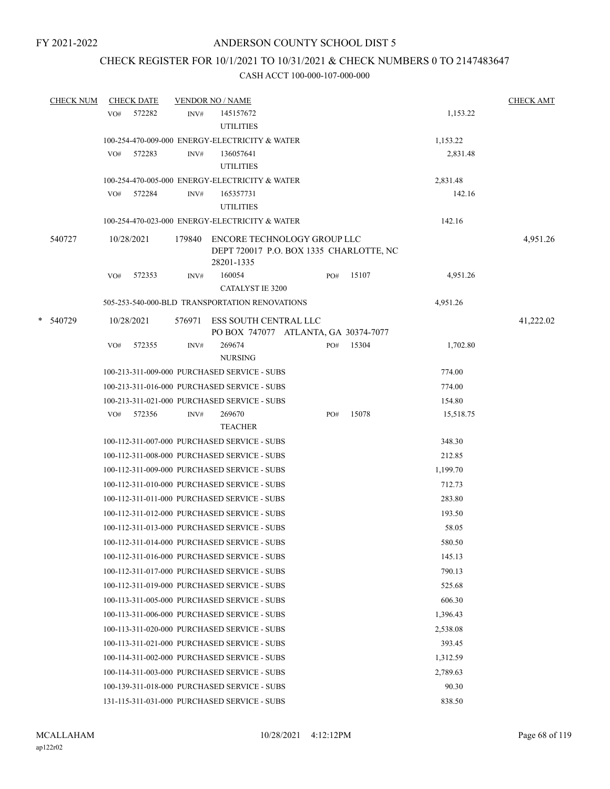## CHECK REGISTER FOR 10/1/2021 TO 10/31/2021 & CHECK NUMBERS 0 TO 2147483647

| <b>CHECK NUM</b> |     | <b>CHECK DATE</b> |        | <b>VENDOR NO / NAME</b>                                                              |     |       |           | <b>CHECK AMT</b> |
|------------------|-----|-------------------|--------|--------------------------------------------------------------------------------------|-----|-------|-----------|------------------|
|                  | VO# | 572282            | INV#   | 145157672                                                                            |     |       | 1,153.22  |                  |
|                  |     |                   |        | <b>UTILITIES</b>                                                                     |     |       |           |                  |
|                  |     |                   |        | 100-254-470-009-000 ENERGY-ELECTRICITY & WATER                                       |     |       | 1,153.22  |                  |
|                  | VO# | 572283            | INV#   | 136057641                                                                            |     |       | 2,831.48  |                  |
|                  |     |                   |        | <b>UTILITIES</b>                                                                     |     |       |           |                  |
|                  |     |                   |        | 100-254-470-005-000 ENERGY-ELECTRICITY & WATER                                       |     |       | 2,831.48  |                  |
|                  |     | VO# 572284        | INV#   | 165357731                                                                            |     |       | 142.16    |                  |
|                  |     |                   |        | <b>UTILITIES</b>                                                                     |     |       |           |                  |
|                  |     |                   |        | 100-254-470-023-000 ENERGY-ELECTRICITY & WATER                                       |     |       | 142.16    |                  |
| 540727           |     | 10/28/2021        | 179840 | ENCORE TECHNOLOGY GROUP LLC<br>DEPT 720017 P.O. BOX 1335 CHARLOTTE, NC<br>28201-1335 |     |       |           | 4,951.26         |
|                  | VO# | 572353            | INV#   | 160054                                                                               | PO# | 15107 | 4,951.26  |                  |
|                  |     |                   |        | <b>CATALYST IE 3200</b>                                                              |     |       |           |                  |
|                  |     |                   |        | 505-253-540-000-BLD TRANSPORTATION RENOVATIONS                                       |     |       | 4,951.26  |                  |
| * 540729         |     | 10/28/2021        | 576971 | ESS SOUTH CENTRAL LLC<br>PO BOX 747077 ATLANTA, GA 30374-7077                        |     |       |           | 41,222.02        |
|                  | VO# | 572355            | INV#   | 269674                                                                               | PO# | 15304 | 1,702.80  |                  |
|                  |     |                   |        | <b>NURSING</b>                                                                       |     |       |           |                  |
|                  |     |                   |        | 100-213-311-009-000 PURCHASED SERVICE - SUBS                                         |     |       | 774.00    |                  |
|                  |     |                   |        | 100-213-311-016-000 PURCHASED SERVICE - SUBS                                         |     |       | 774.00    |                  |
|                  |     |                   |        | 100-213-311-021-000 PURCHASED SERVICE - SUBS                                         |     |       | 154.80    |                  |
|                  | VO# | 572356            | INV#   | 269670                                                                               | PO# | 15078 | 15,518.75 |                  |
|                  |     |                   |        | <b>TEACHER</b>                                                                       |     |       |           |                  |
|                  |     |                   |        | 100-112-311-007-000 PURCHASED SERVICE - SUBS                                         |     |       | 348.30    |                  |
|                  |     |                   |        | 100-112-311-008-000 PURCHASED SERVICE - SUBS                                         |     |       | 212.85    |                  |
|                  |     |                   |        | 100-112-311-009-000 PURCHASED SERVICE - SUBS                                         |     |       | 1,199.70  |                  |
|                  |     |                   |        | 100-112-311-010-000 PURCHASED SERVICE - SUBS                                         |     |       | 712.73    |                  |
|                  |     |                   |        | 100-112-311-011-000 PURCHASED SERVICE - SUBS                                         |     |       | 283.80    |                  |
|                  |     |                   |        | 100-112-311-012-000 PURCHASED SERVICE - SUBS                                         |     |       | 193.50    |                  |
|                  |     |                   |        | 100-112-311-013-000 PURCHASED SERVICE - SUBS                                         |     |       | 58.05     |                  |
|                  |     |                   |        | 100-112-311-014-000 PURCHASED SERVICE - SUBS                                         |     |       | 580.50    |                  |
|                  |     |                   |        | 100-112-311-016-000 PURCHASED SERVICE - SUBS                                         |     |       | 145.13    |                  |
|                  |     |                   |        | 100-112-311-017-000 PURCHASED SERVICE - SUBS                                         |     |       | 790.13    |                  |
|                  |     |                   |        | 100-112-311-019-000 PURCHASED SERVICE - SUBS                                         |     |       | 525.68    |                  |
|                  |     |                   |        | 100-113-311-005-000 PURCHASED SERVICE - SUBS                                         |     |       | 606.30    |                  |
|                  |     |                   |        | 100-113-311-006-000 PURCHASED SERVICE - SUBS                                         |     |       | 1,396.43  |                  |
|                  |     |                   |        | 100-113-311-020-000 PURCHASED SERVICE - SUBS                                         |     |       | 2,538.08  |                  |
|                  |     |                   |        | 100-113-311-021-000 PURCHASED SERVICE - SUBS                                         |     |       | 393.45    |                  |
|                  |     |                   |        | 100-114-311-002-000 PURCHASED SERVICE - SUBS                                         |     |       | 1,312.59  |                  |
|                  |     |                   |        | 100-114-311-003-000 PURCHASED SERVICE - SUBS                                         |     |       | 2,789.63  |                  |
|                  |     |                   |        | 100-139-311-018-000 PURCHASED SERVICE - SUBS                                         |     |       | 90.30     |                  |
|                  |     |                   |        | 131-115-311-031-000 PURCHASED SERVICE - SUBS                                         |     |       | 838.50    |                  |
|                  |     |                   |        |                                                                                      |     |       |           |                  |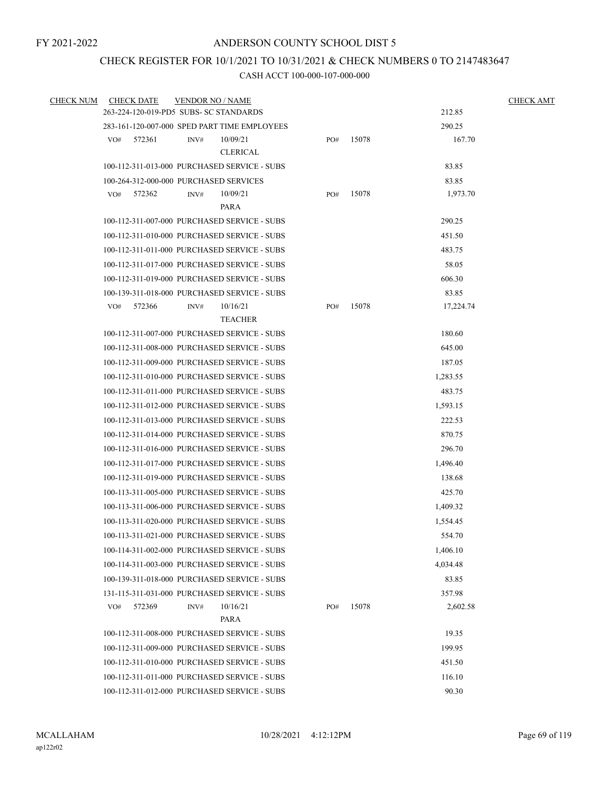## CHECK REGISTER FOR 10/1/2021 TO 10/31/2021 & CHECK NUMBERS 0 TO 2147483647

| <b>CHECK NUM</b> | <b>CHECK DATE</b> | <b>VENDOR NO / NAME</b>                              |     |       |           | <b>CHECK AMT</b> |
|------------------|-------------------|------------------------------------------------------|-----|-------|-----------|------------------|
|                  |                   | 263-224-120-019-PD5 SUBS- SC STANDARDS               |     |       | 212.85    |                  |
|                  |                   | 283-161-120-007-000 SPED PART TIME EMPLOYEES         |     |       | 290.25    |                  |
|                  | 572361<br>VO#     | 10/09/21<br>INV#                                     | PO# | 15078 | 167.70    |                  |
|                  |                   | <b>CLERICAL</b>                                      |     |       |           |                  |
|                  |                   | 100-112-311-013-000 PURCHASED SERVICE - SUBS         |     |       | 83.85     |                  |
|                  |                   | 100-264-312-000-000 PURCHASED SERVICES               |     |       | 83.85     |                  |
|                  | 572362<br>VO#     | 10/09/21<br>INV#                                     | PO# | 15078 | 1,973.70  |                  |
|                  |                   | PARA<br>100-112-311-007-000 PURCHASED SERVICE - SUBS |     |       | 290.25    |                  |
|                  |                   | 100-112-311-010-000 PURCHASED SERVICE - SUBS         |     |       | 451.50    |                  |
|                  |                   | 100-112-311-011-000 PURCHASED SERVICE - SUBS         |     |       | 483.75    |                  |
|                  |                   | 100-112-311-017-000 PURCHASED SERVICE - SUBS         |     |       | 58.05     |                  |
|                  |                   | 100-112-311-019-000 PURCHASED SERVICE - SUBS         |     |       | 606.30    |                  |
|                  |                   | 100-139-311-018-000 PURCHASED SERVICE - SUBS         |     |       | 83.85     |                  |
|                  | 572366<br>VO#     | 10/16/21<br>INV#                                     | PO# | 15078 | 17,224.74 |                  |
|                  |                   | <b>TEACHER</b>                                       |     |       |           |                  |
|                  |                   | 100-112-311-007-000 PURCHASED SERVICE - SUBS         |     |       | 180.60    |                  |
|                  |                   | 100-112-311-008-000 PURCHASED SERVICE - SUBS         |     |       | 645.00    |                  |
|                  |                   | 100-112-311-009-000 PURCHASED SERVICE - SUBS         |     |       | 187.05    |                  |
|                  |                   | 100-112-311-010-000 PURCHASED SERVICE - SUBS         |     |       | 1,283.55  |                  |
|                  |                   | 100-112-311-011-000 PURCHASED SERVICE - SUBS         |     |       | 483.75    |                  |
|                  |                   | 100-112-311-012-000 PURCHASED SERVICE - SUBS         |     |       | 1,593.15  |                  |
|                  |                   | 100-112-311-013-000 PURCHASED SERVICE - SUBS         |     |       | 222.53    |                  |
|                  |                   | 100-112-311-014-000 PURCHASED SERVICE - SUBS         |     |       | 870.75    |                  |
|                  |                   | 100-112-311-016-000 PURCHASED SERVICE - SUBS         |     |       | 296.70    |                  |
|                  |                   | 100-112-311-017-000 PURCHASED SERVICE - SUBS         |     |       | 1,496.40  |                  |
|                  |                   | 100-112-311-019-000 PURCHASED SERVICE - SUBS         |     |       | 138.68    |                  |
|                  |                   | 100-113-311-005-000 PURCHASED SERVICE - SUBS         |     |       | 425.70    |                  |
|                  |                   | 100-113-311-006-000 PURCHASED SERVICE - SUBS         |     |       | 1,409.32  |                  |
|                  |                   | 100-113-311-020-000 PURCHASED SERVICE - SUBS         |     |       | 1,554.45  |                  |
|                  |                   | 100-113-311-021-000 PURCHASED SERVICE - SUBS         |     |       | 554.70    |                  |
|                  |                   | 100-114-311-002-000 PURCHASED SERVICE - SUBS         |     |       | 1,406.10  |                  |
|                  |                   | 100-114-311-003-000 PURCHASED SERVICE - SUBS         |     |       | 4,034.48  |                  |
|                  |                   | 100-139-311-018-000 PURCHASED SERVICE - SUBS         |     |       | 83.85     |                  |
|                  |                   | 131-115-311-031-000 PURCHASED SERVICE - SUBS         |     |       | 357.98    |                  |
|                  | 572369<br>VO#     | 10/16/21<br>INV#                                     | PO# | 15078 | 2,602.58  |                  |
|                  |                   | PARA                                                 |     |       |           |                  |
|                  |                   | 100-112-311-008-000 PURCHASED SERVICE - SUBS         |     |       | 19.35     |                  |
|                  |                   | 100-112-311-009-000 PURCHASED SERVICE - SUBS         |     |       | 199.95    |                  |
|                  |                   | 100-112-311-010-000 PURCHASED SERVICE - SUBS         |     |       | 451.50    |                  |
|                  |                   | 100-112-311-011-000 PURCHASED SERVICE - SUBS         |     |       | 116.10    |                  |
|                  |                   | 100-112-311-012-000 PURCHASED SERVICE - SUBS         |     |       | 90.30     |                  |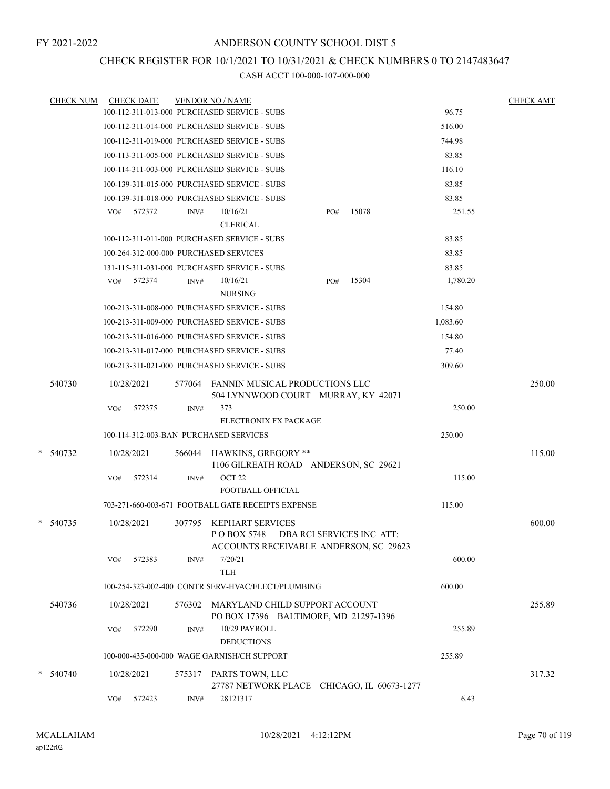## CHECK REGISTER FOR 10/1/2021 TO 10/31/2021 & CHECK NUMBERS 0 TO 2147483647

| <b>CHECK NUM</b> |     | <b>CHECK DATE</b> |        | <b>VENDOR NO / NAME</b>                                                      |     |                           |          | <b>CHECK AMT</b> |
|------------------|-----|-------------------|--------|------------------------------------------------------------------------------|-----|---------------------------|----------|------------------|
|                  |     |                   |        | 100-112-311-013-000 PURCHASED SERVICE - SUBS                                 |     |                           | 96.75    |                  |
|                  |     |                   |        | 100-112-311-014-000 PURCHASED SERVICE - SUBS                                 |     |                           | 516.00   |                  |
|                  |     |                   |        | 100-112-311-019-000 PURCHASED SERVICE - SUBS                                 |     |                           | 744.98   |                  |
|                  |     |                   |        | 100-113-311-005-000 PURCHASED SERVICE - SUBS                                 |     |                           | 83.85    |                  |
|                  |     |                   |        | 100-114-311-003-000 PURCHASED SERVICE - SUBS                                 |     |                           | 116.10   |                  |
|                  |     |                   |        | 100-139-311-015-000 PURCHASED SERVICE - SUBS                                 |     |                           | 83.85    |                  |
|                  |     |                   |        | 100-139-311-018-000 PURCHASED SERVICE - SUBS                                 |     |                           | 83.85    |                  |
|                  | VO# | 572372            | INV#   | 10/16/21                                                                     | PO# | 15078                     | 251.55   |                  |
|                  |     |                   |        | <b>CLERICAL</b>                                                              |     |                           |          |                  |
|                  |     |                   |        | 100-112-311-011-000 PURCHASED SERVICE - SUBS                                 |     |                           | 83.85    |                  |
|                  |     |                   |        | 100-264-312-000-000 PURCHASED SERVICES                                       |     |                           | 83.85    |                  |
|                  |     |                   |        | 131-115-311-031-000 PURCHASED SERVICE - SUBS                                 |     |                           | 83.85    |                  |
|                  | VO# | 572374            | INV#   | 10/16/21<br><b>NURSING</b>                                                   | PO# | 15304                     | 1,780.20 |                  |
|                  |     |                   |        | 100-213-311-008-000 PURCHASED SERVICE - SUBS                                 |     |                           | 154.80   |                  |
|                  |     |                   |        | 100-213-311-009-000 PURCHASED SERVICE - SUBS                                 |     |                           | 1,083.60 |                  |
|                  |     |                   |        | 100-213-311-016-000 PURCHASED SERVICE - SUBS                                 |     |                           | 154.80   |                  |
|                  |     |                   |        | 100-213-311-017-000 PURCHASED SERVICE - SUBS                                 |     |                           | 77.40    |                  |
|                  |     |                   |        | 100-213-311-021-000 PURCHASED SERVICE - SUBS                                 |     |                           | 309.60   |                  |
| 540730           |     | 10/28/2021        |        | 577064 FANNIN MUSICAL PRODUCTIONS LLC<br>504 LYNNWOOD COURT MURRAY, KY 42071 |     |                           |          | 250.00           |
|                  | VO# | 572375            | INV#   | 373                                                                          |     |                           | 250.00   |                  |
|                  |     |                   |        | ELECTRONIX FX PACKAGE                                                        |     |                           |          |                  |
|                  |     |                   |        | 100-114-312-003-BAN PURCHASED SERVICES                                       |     |                           | 250.00   |                  |
| * 540732         |     | 10/28/2021        |        | 566044 HAWKINS, GREGORY **<br>1106 GILREATH ROAD ANDERSON, SC 29621          |     |                           |          | 115.00           |
|                  | VO# | 572314            | INV#   | OCT <sub>22</sub>                                                            |     |                           | 115.00   |                  |
|                  |     |                   |        | <b>FOOTBALL OFFICIAL</b>                                                     |     |                           |          |                  |
|                  |     |                   |        | 703-271-660-003-671 FOOTBALL GATE RECEIPTS EXPENSE                           |     |                           | 115.00   |                  |
| * 540735         |     | 10/28/2021        | 307795 | KEPHART SERVICES<br>P O BOX 5748<br>ACCOUNTS RECEIVABLE ANDERSON, SC 29623   |     | DBA RCI SERVICES INC ATT: |          | 600.00           |
|                  | VO# | 572383            | INV#   | 7/20/21<br><b>TLH</b>                                                        |     |                           | 600.00   |                  |
|                  |     |                   |        | 100-254-323-002-400 CONTR SERV-HVAC/ELECT/PLUMBING                           |     |                           | 600.00   |                  |
| 540736           |     | 10/28/2021        | 576302 | MARYLAND CHILD SUPPORT ACCOUNT<br>PO BOX 17396 BALTIMORE, MD 21297-1396      |     |                           |          | 255.89           |
|                  | VO# | 572290            | INV#   | 10/29 PAYROLL<br><b>DEDUCTIONS</b>                                           |     |                           | 255.89   |                  |
|                  |     |                   |        | 100-000-435-000-000 WAGE GARNISH/CH SUPPORT                                  |     |                           | 255.89   |                  |
| $* 540740$       |     | 10/28/2021        |        | 575317 PARTS TOWN, LLC<br>27787 NETWORK PLACE CHICAGO, IL 60673-1277         |     |                           |          | 317.32           |
|                  | VO# | 572423            | INV#   | 28121317                                                                     |     |                           | 6.43     |                  |
|                  |     |                   |        |                                                                              |     |                           |          |                  |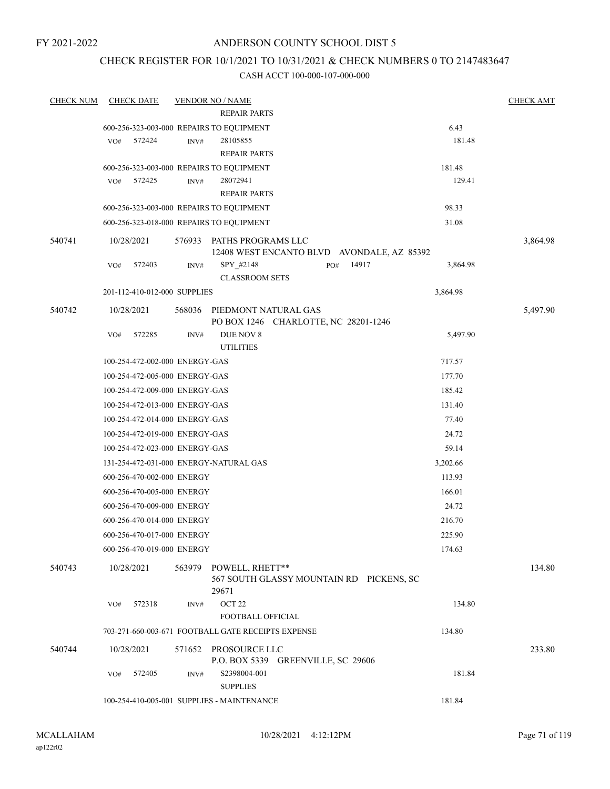## CHECK REGISTER FOR 10/1/2021 TO 10/31/2021 & CHECK NUMBERS 0 TO 2147483647

| <b>CHECK NUM</b> |     | <b>CHECK DATE</b>              |        | <b>VENDOR NO / NAME</b>                            |                                            |       |          | <b>CHECK AMT</b> |
|------------------|-----|--------------------------------|--------|----------------------------------------------------|--------------------------------------------|-------|----------|------------------|
|                  |     |                                |        | <b>REPAIR PARTS</b>                                |                                            |       |          |                  |
|                  |     |                                |        | 600-256-323-003-000 REPAIRS TO EQUIPMENT           |                                            |       | 6.43     |                  |
|                  | VO# | 572424                         | INV#   | 28105855                                           |                                            |       | 181.48   |                  |
|                  |     |                                |        | <b>REPAIR PARTS</b>                                |                                            |       |          |                  |
|                  |     |                                |        | 600-256-323-003-000 REPAIRS TO EQUIPMENT           |                                            |       | 181.48   |                  |
|                  | VO# | 572425                         | INV#   | 28072941                                           |                                            |       | 129.41   |                  |
|                  |     |                                |        | <b>REPAIR PARTS</b>                                |                                            |       |          |                  |
|                  |     |                                |        | 600-256-323-003-000 REPAIRS TO EQUIPMENT           |                                            |       | 98.33    |                  |
|                  |     |                                |        | 600-256-323-018-000 REPAIRS TO EQUIPMENT           |                                            |       | 31.08    |                  |
| 540741           |     | 10/28/2021                     | 576933 | PATHS PROGRAMS LLC                                 | 12408 WEST ENCANTO BLVD AVONDALE, AZ 85392 |       |          | 3,864.98         |
|                  | VO# | 572403                         | INV#   | SPY_#2148                                          | PO#                                        | 14917 | 3,864.98 |                  |
|                  |     |                                |        | <b>CLASSROOM SETS</b>                              |                                            |       |          |                  |
|                  |     | 201-112-410-012-000 SUPPLIES   |        |                                                    |                                            |       | 3,864.98 |                  |
| 540742           |     | 10/28/2021                     | 568036 | PIEDMONT NATURAL GAS                               |                                            |       |          | 5,497.90         |
|                  |     |                                |        |                                                    | PO BOX 1246 CHARLOTTE, NC 28201-1246       |       |          |                  |
|                  | VO# | 572285                         | INV#   | DUE NOV 8                                          |                                            |       | 5,497.90 |                  |
|                  |     |                                |        | <b>UTILITIES</b>                                   |                                            |       |          |                  |
|                  |     | 100-254-472-002-000 ENERGY-GAS |        |                                                    |                                            |       | 717.57   |                  |
|                  |     | 100-254-472-005-000 ENERGY-GAS |        |                                                    |                                            |       | 177.70   |                  |
|                  |     | 100-254-472-009-000 ENERGY-GAS |        |                                                    |                                            |       | 185.42   |                  |
|                  |     | 100-254-472-013-000 ENERGY-GAS |        |                                                    |                                            |       | 131.40   |                  |
|                  |     | 100-254-472-014-000 ENERGY-GAS |        |                                                    |                                            |       | 77.40    |                  |
|                  |     | 100-254-472-019-000 ENERGY-GAS |        |                                                    |                                            |       | 24.72    |                  |
|                  |     | 100-254-472-023-000 ENERGY-GAS |        |                                                    |                                            |       | 59.14    |                  |
|                  |     |                                |        | 131-254-472-031-000 ENERGY-NATURAL GAS             |                                            |       | 3,202.66 |                  |
|                  |     | 600-256-470-002-000 ENERGY     |        |                                                    |                                            |       | 113.93   |                  |
|                  |     | 600-256-470-005-000 ENERGY     |        |                                                    |                                            |       | 166.01   |                  |
|                  |     | 600-256-470-009-000 ENERGY     |        |                                                    |                                            |       | 24.72    |                  |
|                  |     | 600-256-470-014-000 ENERGY     |        |                                                    |                                            |       | 216.70   |                  |
|                  |     | 600-256-470-017-000 ENERGY     |        |                                                    |                                            |       | 225.90   |                  |
|                  |     | 600-256-470-019-000 ENERGY     |        |                                                    |                                            |       | 174.63   |                  |
| 540743           |     | 10/28/2021                     | 563979 | POWELL, RHETT**<br>29671                           | 567 SOUTH GLASSY MOUNTAIN RD PICKENS, SC   |       |          | 134.80           |
|                  | VO# | 572318                         | INV#   | OCT <sub>22</sub>                                  |                                            |       | 134.80   |                  |
|                  |     |                                |        | FOOTBALL OFFICIAL                                  |                                            |       |          |                  |
|                  |     |                                |        | 703-271-660-003-671 FOOTBALL GATE RECEIPTS EXPENSE |                                            |       | 134.80   |                  |
| 540744           |     | 10/28/2021                     | 571652 | PROSOURCE LLC                                      |                                            |       |          | 233.80           |
|                  |     |                                |        |                                                    | P.O. BOX 5339 GREENVILLE, SC 29606         |       |          |                  |
|                  | VO# | 572405                         | INV#   | S2398004-001<br><b>SUPPLIES</b>                    |                                            |       | 181.84   |                  |
|                  |     |                                |        | 100-254-410-005-001 SUPPLIES - MAINTENANCE         |                                            |       | 181.84   |                  |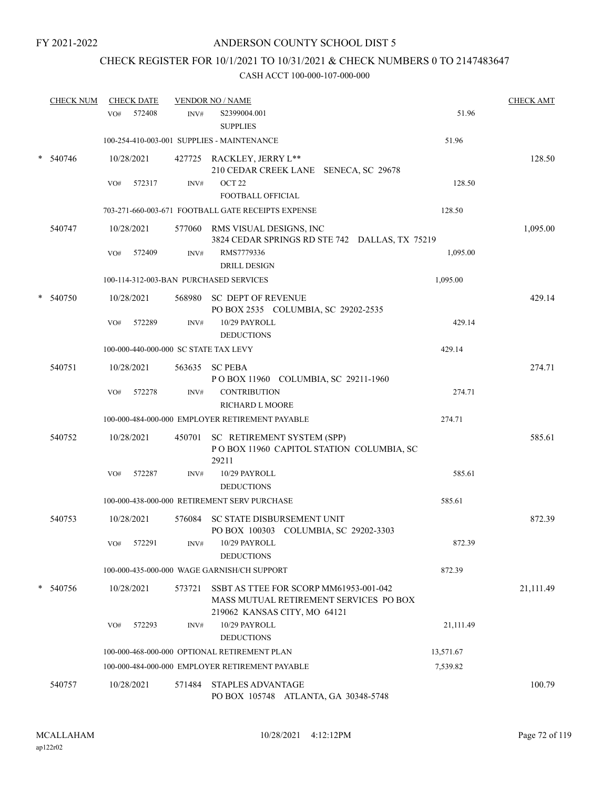# CHECK REGISTER FOR 10/1/2021 TO 10/31/2021 & CHECK NUMBERS 0 TO 2147483647

| <b>CHECK NUM</b> |     | <b>CHECK DATE</b> |        | <b>VENDOR NO / NAME</b>                                                                                          |           | <b>CHECK AMT</b> |
|------------------|-----|-------------------|--------|------------------------------------------------------------------------------------------------------------------|-----------|------------------|
|                  | VO# | 572408            | INV#   | S2399004.001<br><b>SUPPLIES</b>                                                                                  | 51.96     |                  |
|                  |     |                   |        | 100-254-410-003-001 SUPPLIES - MAINTENANCE                                                                       | 51.96     |                  |
| 540746           |     | 10/28/2021        |        | 427725 RACKLEY, JERRY L**<br>210 CEDAR CREEK LANE SENECA, SC 29678                                               |           | 128.50           |
|                  | VO# | 572317            | INV#   | OCT <sub>22</sub><br>FOOTBALL OFFICIAL                                                                           | 128.50    |                  |
|                  |     |                   |        | 703-271-660-003-671 FOOTBALL GATE RECEIPTS EXPENSE                                                               | 128.50    |                  |
| 540747           |     | 10/28/2021        |        | 577060 RMS VISUAL DESIGNS, INC<br>3824 CEDAR SPRINGS RD STE 742 DALLAS, TX 75219                                 |           | 1,095.00         |
|                  | VO# | 572409            | INV#   | RMS7779336<br><b>DRILL DESIGN</b>                                                                                | 1,095.00  |                  |
|                  |     |                   |        | 100-114-312-003-BAN PURCHASED SERVICES                                                                           | 1,095.00  |                  |
| 540750           |     | 10/28/2021        |        | 568980 SC DEPT OF REVENUE<br>PO BOX 2535 COLUMBIA, SC 29202-2535                                                 |           | 429.14           |
|                  | VO# | 572289            | INV#   | 10/29 PAYROLL<br><b>DEDUCTIONS</b>                                                                               | 429.14    |                  |
|                  |     |                   |        | 100-000-440-000-000 SC STATE TAX LEVY                                                                            | 429.14    |                  |
| 540751           |     | 10/28/2021        |        | 563635 SC PEBA<br>POBOX 11960 COLUMBIA, SC 29211-1960                                                            |           | 274.71           |
|                  | VO# | 572278            | INV#   | <b>CONTRIBUTION</b><br>RICHARD L MOORE                                                                           | 274.71    |                  |
|                  |     |                   |        | 100-000-484-000-000 EMPLOYER RETIREMENT PAYABLE                                                                  | 274.71    |                  |
| 540752           |     | 10/28/2021        |        | 450701 SC RETIREMENT SYSTEM (SPP)<br>POBOX 11960 CAPITOL STATION COLUMBIA, SC<br>29211                           |           | 585.61           |
|                  | VO# | 572287            | INV#   | 10/29 PAYROLL<br><b>DEDUCTIONS</b>                                                                               | 585.61    |                  |
|                  |     |                   |        | 100-000-438-000-000 RETIREMENT SERV PURCHASE                                                                     | 585.61    |                  |
| 540753           |     | 10/28/2021        | 576084 | SC STATE DISBURSEMENT UNIT<br>PO BOX 100303 COLUMBIA, SC 29202-3303                                              |           | 872.39           |
|                  | VO# | 572291            | INV#   | 10/29 PAYROLL<br><b>DEDUCTIONS</b>                                                                               | 872.39    |                  |
|                  |     |                   |        | 100-000-435-000-000 WAGE GARNISH/CH SUPPORT                                                                      | 872.39    |                  |
| 540756           |     | 10/28/2021        | 573721 | SSBT AS TTEE FOR SCORP MM61953-001-042<br>MASS MUTUAL RETIREMENT SERVICES PO BOX<br>219062 KANSAS CITY, MO 64121 |           | 21,111.49        |
|                  | VO# | 572293            | INV#   | 10/29 PAYROLL<br><b>DEDUCTIONS</b>                                                                               | 21,111.49 |                  |
|                  |     |                   |        | 100-000-468-000-000 OPTIONAL RETIREMENT PLAN                                                                     | 13,571.67 |                  |
|                  |     |                   |        | 100-000-484-000-000 EMPLOYER RETIREMENT PAYABLE                                                                  | 7,539.82  |                  |
| 540757           |     | 10/28/2021        | 571484 | <b>STAPLES ADVANTAGE</b><br>PO BOX 105748 ATLANTA, GA 30348-5748                                                 |           | 100.79           |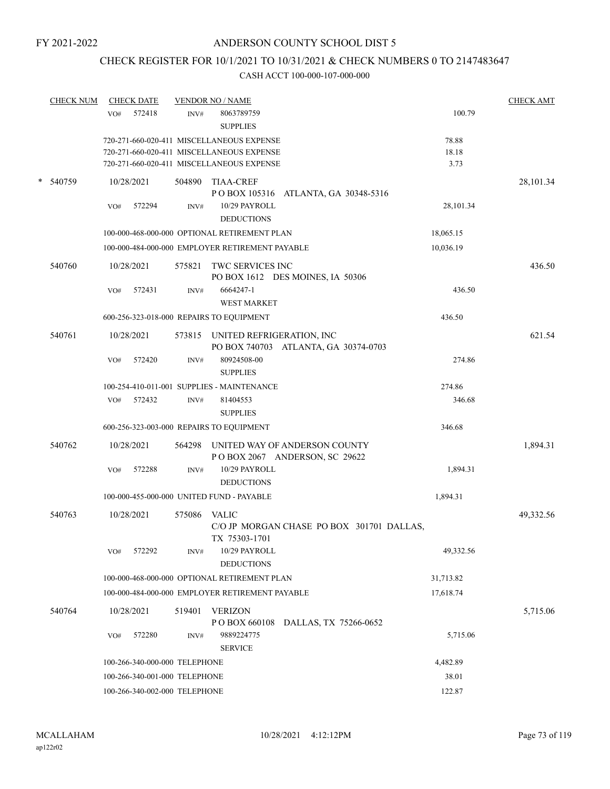# CHECK REGISTER FOR 10/1/2021 TO 10/31/2021 & CHECK NUMBERS 0 TO 2147483647

|        | <b>CHECK NUM</b> |     | <b>CHECK DATE</b> |                               | <b>VENDOR NO / NAME</b>                         |                                                                |           | <b>CHECK AMT</b> |
|--------|------------------|-----|-------------------|-------------------------------|-------------------------------------------------|----------------------------------------------------------------|-----------|------------------|
|        |                  | VO# | 572418            | INV#                          | 8063789759<br><b>SUPPLIES</b>                   |                                                                | 100.79    |                  |
|        |                  |     |                   |                               | 720-271-660-020-411 MISCELLANEOUS EXPENSE       |                                                                | 78.88     |                  |
|        |                  |     |                   |                               | 720-271-660-020-411 MISCELLANEOUS EXPENSE       |                                                                | 18.18     |                  |
|        |                  |     |                   |                               | 720-271-660-020-411 MISCELLANEOUS EXPENSE       |                                                                | 3.73      |                  |
| $\ast$ | 540759           |     | 10/28/2021        | 504890                        | <b>TIAA-CREF</b>                                | POBOX 105316 ATLANTA, GA 30348-5316                            |           | 28,101.34        |
|        |                  | VO# | 572294            | INV#                          | 10/29 PAYROLL<br><b>DEDUCTIONS</b>              |                                                                | 28,101.34 |                  |
|        |                  |     |                   |                               | 100-000-468-000-000 OPTIONAL RETIREMENT PLAN    |                                                                | 18,065.15 |                  |
|        |                  |     |                   |                               | 100-000-484-000-000 EMPLOYER RETIREMENT PAYABLE |                                                                | 10,036.19 |                  |
|        | 540760           |     | 10/28/2021        | 575821                        | TWC SERVICES INC                                | PO BOX 1612 DES MOINES, IA 50306                               |           | 436.50           |
|        |                  | VO# | 572431            | INV#                          | 6664247-1<br><b>WEST MARKET</b>                 |                                                                | 436.50    |                  |
|        |                  |     |                   |                               | 600-256-323-018-000 REPAIRS TO EQUIPMENT        |                                                                | 436.50    |                  |
|        |                  |     |                   |                               |                                                 |                                                                |           |                  |
|        | 540761           |     | 10/28/2021        |                               | 573815 UNITED REFRIGERATION, INC                | PO BOX 740703 ATLANTA, GA 30374-0703                           |           | 621.54           |
|        |                  | VO# | 572420            | $\text{INV}\#$                | 80924508-00                                     |                                                                | 274.86    |                  |
|        |                  |     |                   |                               | <b>SUPPLIES</b>                                 |                                                                |           |                  |
|        |                  |     |                   |                               | 100-254-410-011-001 SUPPLIES - MAINTENANCE      |                                                                | 274.86    |                  |
|        |                  | VO# | 572432            | INV#                          | 81404553                                        |                                                                | 346.68    |                  |
|        |                  |     |                   |                               | <b>SUPPLIES</b>                                 |                                                                |           |                  |
|        |                  |     |                   |                               | 600-256-323-003-000 REPAIRS TO EQUIPMENT        |                                                                | 346.68    |                  |
|        | 540762           |     | 10/28/2021        | 564298                        |                                                 | UNITED WAY OF ANDERSON COUNTY<br>POBOX 2067 ANDERSON, SC 29622 |           | 1,894.31         |
|        |                  | VO# | 572288            | INV#                          | 10/29 PAYROLL                                   |                                                                | 1,894.31  |                  |
|        |                  |     |                   |                               | <b>DEDUCTIONS</b>                               |                                                                |           |                  |
|        |                  |     |                   |                               | 100-000-455-000-000 UNITED FUND - PAYABLE       |                                                                | 1,894.31  |                  |
|        | 540763           |     | 10/28/2021        | 575086                        | <b>VALIC</b>                                    |                                                                |           | 49,332.56        |
|        |                  |     |                   |                               | TX 75303-1701                                   | C/O JP MORGAN CHASE PO BOX 301701 DALLAS,                      |           |                  |
|        |                  | VO# | 572292            | INV#                          | 10/29 PAYROLL<br><b>DEDUCTIONS</b>              |                                                                | 49,332.56 |                  |
|        |                  |     |                   |                               | 100-000-468-000-000 OPTIONAL RETIREMENT PLAN    |                                                                | 31,713.82 |                  |
|        |                  |     |                   |                               | 100-000-484-000-000 EMPLOYER RETIREMENT PAYABLE |                                                                | 17,618.74 |                  |
|        | 540764           |     | 10/28/2021        | 519401                        | <b>VERIZON</b>                                  |                                                                |           | 5,715.06         |
|        |                  |     |                   |                               | PO BOX 660108                                   | DALLAS, TX 75266-0652                                          |           |                  |
|        |                  | VO# | 572280            | INV#                          | 9889224775                                      |                                                                | 5,715.06  |                  |
|        |                  |     |                   |                               | <b>SERVICE</b>                                  |                                                                |           |                  |
|        |                  |     |                   | 100-266-340-000-000 TELEPHONE |                                                 |                                                                | 4,482.89  |                  |
|        |                  |     |                   | 100-266-340-001-000 TELEPHONE |                                                 |                                                                | 38.01     |                  |
|        |                  |     |                   | 100-266-340-002-000 TELEPHONE |                                                 |                                                                | 122.87    |                  |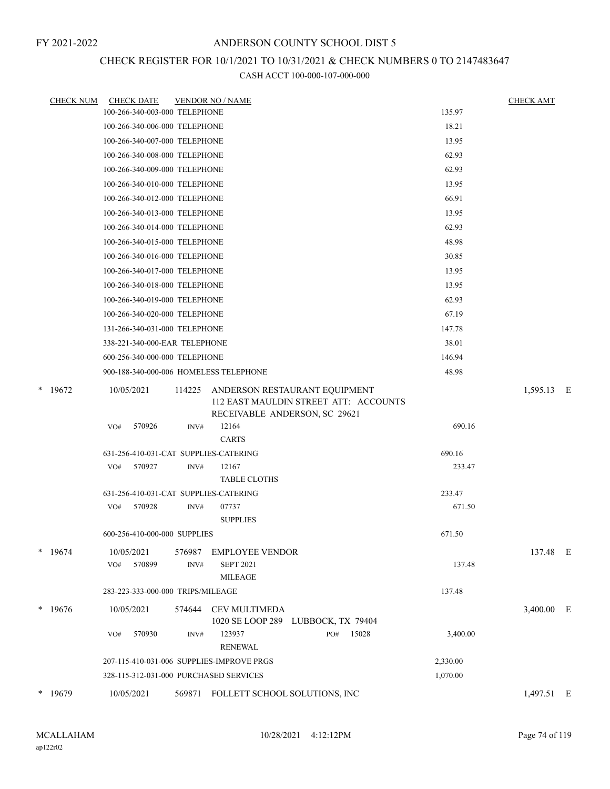## CHECK REGISTER FOR 10/1/2021 TO 10/31/2021 & CHECK NUMBERS 0 TO 2147483647

| <b>CHECK NUM</b> | <b>CHECK DATE</b>                         |                | <b>VENDOR NO / NAME</b>                                                                                 |          | <b>CHECK AMT</b> |  |
|------------------|-------------------------------------------|----------------|---------------------------------------------------------------------------------------------------------|----------|------------------|--|
|                  | 100-266-340-003-000 TELEPHONE             |                |                                                                                                         | 135.97   |                  |  |
|                  | 100-266-340-006-000 TELEPHONE             |                |                                                                                                         | 18.21    |                  |  |
|                  | 100-266-340-007-000 TELEPHONE             |                |                                                                                                         | 13.95    |                  |  |
|                  | 100-266-340-008-000 TELEPHONE             |                |                                                                                                         | 62.93    |                  |  |
|                  | 100-266-340-009-000 TELEPHONE             |                |                                                                                                         | 62.93    |                  |  |
|                  | 100-266-340-010-000 TELEPHONE             |                |                                                                                                         | 13.95    |                  |  |
|                  | 100-266-340-012-000 TELEPHONE             |                |                                                                                                         | 66.91    |                  |  |
|                  | 100-266-340-013-000 TELEPHONE             |                |                                                                                                         | 13.95    |                  |  |
|                  | 100-266-340-014-000 TELEPHONE             |                |                                                                                                         | 62.93    |                  |  |
|                  | 100-266-340-015-000 TELEPHONE             |                |                                                                                                         | 48.98    |                  |  |
|                  | 100-266-340-016-000 TELEPHONE             |                |                                                                                                         | 30.85    |                  |  |
|                  | 100-266-340-017-000 TELEPHONE             |                |                                                                                                         | 13.95    |                  |  |
|                  | 100-266-340-018-000 TELEPHONE             |                |                                                                                                         | 13.95    |                  |  |
|                  | 100-266-340-019-000 TELEPHONE             |                |                                                                                                         | 62.93    |                  |  |
|                  | 100-266-340-020-000 TELEPHONE             |                |                                                                                                         | 67.19    |                  |  |
|                  | 131-266-340-031-000 TELEPHONE             |                |                                                                                                         | 147.78   |                  |  |
|                  | 338-221-340-000-EAR TELEPHONE             |                |                                                                                                         | 38.01    |                  |  |
|                  | 600-256-340-000-000 TELEPHONE             |                |                                                                                                         | 146.94   |                  |  |
|                  | 900-188-340-000-006 HOMELESS TELEPHONE    |                |                                                                                                         | 48.98    |                  |  |
| $*$ 19672        | 10/05/2021                                | 114225         | ANDERSON RESTAURANT EQUIPMENT<br>112 EAST MAULDIN STREET ATT: ACCOUNTS<br>RECEIVABLE ANDERSON, SC 29621 |          | 1,595.13 E       |  |
|                  | VO#<br>570926                             | INV#           | 12164<br><b>CARTS</b>                                                                                   | 690.16   |                  |  |
|                  | 631-256-410-031-CAT SUPPLIES-CATERING     |                |                                                                                                         | 690.16   |                  |  |
|                  | 570927<br>VO#                             | INV#           | 12167<br><b>TABLE CLOTHS</b>                                                                            | 233.47   |                  |  |
|                  | 631-256-410-031-CAT SUPPLIES-CATERING     |                |                                                                                                         | 233.47   |                  |  |
|                  | VO# 570928                                | INV#           | 07737<br><b>SUPPLIES</b>                                                                                | 671.50   |                  |  |
|                  | 600-256-410-000-000 SUPPLIES              |                |                                                                                                         | 671.50   |                  |  |
| $*$ 19674        | 10/05/2021<br>570899<br>VO#               | 576987<br>INV# | <b>EMPLOYEE VENDOR</b><br><b>SEPT 2021</b><br><b>MILEAGE</b>                                            | 137.48   | 137.48 E         |  |
|                  | 283-223-333-000-000 TRIPS/MILEAGE         |                |                                                                                                         | 137.48   |                  |  |
|                  | 10/05/2021                                |                |                                                                                                         |          |                  |  |
| $*$ 19676        | 570930<br>VO#                             | 574644<br>INV# | <b>CEV MULTIMEDA</b><br>1020 SE LOOP 289 LUBBOCK, TX 79404<br>123937<br>15028<br>PO#<br><b>RENEWAL</b>  | 3,400.00 | 3,400.00 E       |  |
|                  | 207-115-410-031-006 SUPPLIES-IMPROVE PRGS |                |                                                                                                         | 2,330.00 |                  |  |
|                  | 328-115-312-031-000 PURCHASED SERVICES    |                |                                                                                                         | 1,070.00 |                  |  |
| * 19679          | 10/05/2021                                |                | 569871 FOLLETT SCHOOL SOLUTIONS, INC                                                                    |          | 1,497.51 E       |  |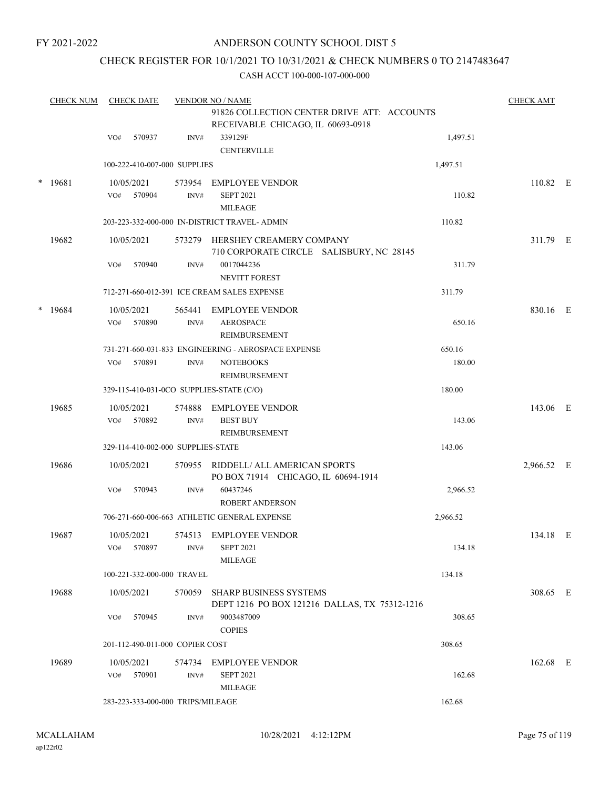#### ANDERSON COUNTY SCHOOL DIST 5

## CHECK REGISTER FOR 10/1/2021 TO 10/31/2021 & CHECK NUMBERS 0 TO 2147483647

|        | <b>CHECK NUM</b> |     | <b>CHECK DATE</b>    |                                    | <b>VENDOR NO / NAME</b>                                                          |          | <b>CHECK AMT</b> |  |
|--------|------------------|-----|----------------------|------------------------------------|----------------------------------------------------------------------------------|----------|------------------|--|
|        |                  |     |                      |                                    | 91826 COLLECTION CENTER DRIVE ATT: ACCOUNTS<br>RECEIVABLE CHICAGO, IL 60693-0918 |          |                  |  |
|        |                  | VO# | 570937               | INV#                               | 339129F<br><b>CENTERVILLE</b>                                                    | 1,497.51 |                  |  |
|        |                  |     |                      | 100-222-410-007-000 SUPPLIES       |                                                                                  | 1,497.51 |                  |  |
| $\ast$ | 19681            | VO# | 10/05/2021<br>570904 | 573954<br>INV#                     | <b>EMPLOYEE VENDOR</b><br><b>SEPT 2021</b><br><b>MILEAGE</b>                     | 110.82   | 110.82 E         |  |
|        |                  |     |                      |                                    | 203-223-332-000-000 IN-DISTRICT TRAVEL- ADMIN                                    | 110.82   |                  |  |
|        | 19682            |     | 10/05/2021           | 573279                             | HERSHEY CREAMERY COMPANY<br>710 CORPORATE CIRCLE SALISBURY, NC 28145             |          | 311.79 E         |  |
|        |                  | VO# | 570940               | INV#                               | 0017044236<br><b>NEVITT FOREST</b>                                               | 311.79   |                  |  |
|        |                  |     |                      |                                    | 712-271-660-012-391 ICE CREAM SALES EXPENSE                                      | 311.79   |                  |  |
|        | * 19684          | VO# | 10/05/2021<br>570890 | 565441<br>INV#                     | <b>EMPLOYEE VENDOR</b><br><b>AEROSPACE</b><br>REIMBURSEMENT                      | 650.16   | 830.16 E         |  |
|        |                  |     |                      |                                    | 731-271-660-031-833 ENGINEERING - AEROSPACE EXPENSE                              | 650.16   |                  |  |
|        |                  | VO# | 570891               | INV#                               | <b>NOTEBOOKS</b><br>REIMBURSEMENT                                                | 180.00   |                  |  |
|        |                  |     |                      |                                    | 329-115-410-031-0CO SUPPLIES-STATE (C/O)                                         | 180.00   |                  |  |
|        | 19685            | VO# | 10/05/2021<br>570892 | 574888<br>INV#                     | <b>EMPLOYEE VENDOR</b><br><b>BEST BUY</b><br>REIMBURSEMENT                       | 143.06   | 143.06 E         |  |
|        |                  |     |                      | 329-114-410-002-000 SUPPLIES-STATE |                                                                                  | 143.06   |                  |  |
|        | 19686            |     | 10/05/2021           | 570955                             | RIDDELL/ ALL AMERICAN SPORTS<br>PO BOX 71914 CHICAGO, IL 60694-1914              |          | 2,966.52 E       |  |
|        |                  | VO# | 570943               | INV#                               | 60437246<br><b>ROBERT ANDERSON</b>                                               | 2,966.52 |                  |  |
|        |                  |     |                      |                                    | 706-271-660-006-663 ATHLETIC GENERAL EXPENSE                                     | 2,966.52 |                  |  |
|        | 19687            | VO# | 10/05/2021<br>570897 | INV#                               | 574513 EMPLOYEE VENDOR<br><b>SEPT 2021</b><br><b>MILEAGE</b>                     | 134.18   | 134.18 E         |  |
|        |                  |     |                      | 100-221-332-000-000 TRAVEL         |                                                                                  | 134.18   |                  |  |
|        | 19688            |     | 10/05/2021           | 570059                             | <b>SHARP BUSINESS SYSTEMS</b><br>DEPT 1216 PO BOX 121216 DALLAS, TX 75312-1216   |          | 308.65 E         |  |
|        |                  | VO# | 570945               | INV#                               | 9003487009<br><b>COPIES</b>                                                      | 308.65   |                  |  |
|        |                  |     |                      | 201-112-490-011-000 COPIER COST    |                                                                                  | 308.65   |                  |  |
|        | 19689            | VO# | 10/05/2021<br>570901 | 574734<br>INV#                     | <b>EMPLOYEE VENDOR</b><br><b>SEPT 2021</b><br><b>MILEAGE</b>                     | 162.68   | 162.68 E         |  |
|        |                  |     |                      | 283-223-333-000-000 TRIPS/MILEAGE  |                                                                                  | 162.68   |                  |  |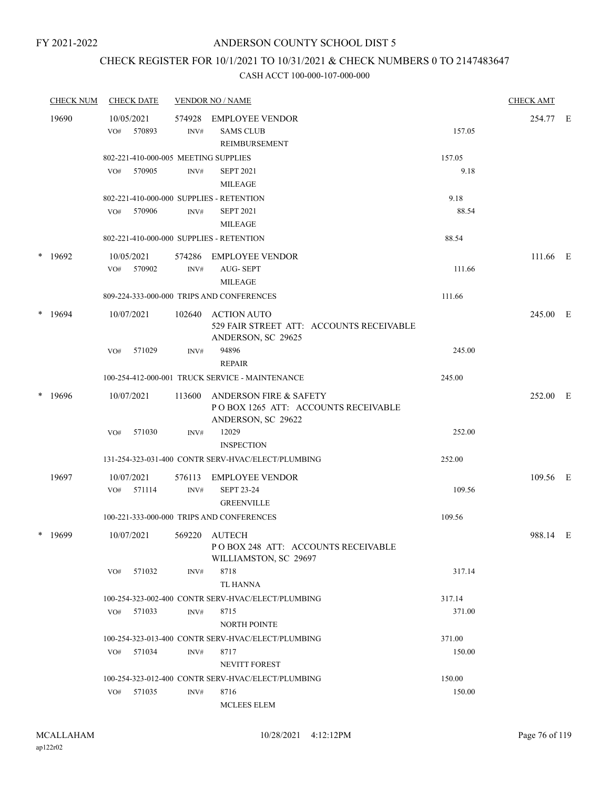## CHECK REGISTER FOR 10/1/2021 TO 10/31/2021 & CHECK NUMBERS 0 TO 2147483647

|   | <b>CHECK NUM</b> |     | <b>CHECK DATE</b>    |                | <b>VENDOR NO / NAME</b>                                                                        |                | <b>CHECK AMT</b> |  |
|---|------------------|-----|----------------------|----------------|------------------------------------------------------------------------------------------------|----------------|------------------|--|
|   | 19690            | VO# | 10/05/2021<br>570893 | 574928<br>INV# | <b>EMPLOYEE VENDOR</b><br><b>SAMS CLUB</b><br><b>REIMBURSEMENT</b>                             | 157.05         | 254.77 E         |  |
|   |                  | VO# | 570905               | INV#           | 802-221-410-000-005 MEETING SUPPLIES<br><b>SEPT 2021</b>                                       | 157.05<br>9.18 |                  |  |
|   |                  |     |                      |                | MILEAGE<br>802-221-410-000-000 SUPPLIES - RETENTION                                            | 9.18           |                  |  |
|   |                  | VO# | 570906               | INV#           | <b>SEPT 2021</b><br><b>MILEAGE</b>                                                             | 88.54          |                  |  |
|   |                  |     |                      |                | 802-221-410-000-000 SUPPLIES - RETENTION                                                       | 88.54          |                  |  |
|   | $*$ 19692        | VO# | 10/05/2021<br>570902 | 574286<br>INV# | EMPLOYEE VENDOR<br><b>AUG-SEPT</b><br><b>MILEAGE</b>                                           | 111.66         | 111.66 E         |  |
|   |                  |     |                      |                | 809-224-333-000-000 TRIPS AND CONFERENCES                                                      | 111.66         |                  |  |
| * | 19694            |     | 10/07/2021           | 102640         | <b>ACTION AUTO</b><br>529 FAIR STREET ATT: ACCOUNTS RECEIVABLE<br>ANDERSON, SC 29625           |                | 245.00 E         |  |
|   |                  | VO# | 571029               | INV#           | 94896<br><b>REPAIR</b>                                                                         | 245.00         |                  |  |
|   |                  |     |                      |                | 100-254-412-000-001 TRUCK SERVICE - MAINTENANCE                                                | 245.00         |                  |  |
| * | 19696            |     | 10/07/2021           | 113600         | <b>ANDERSON FIRE &amp; SAFETY</b><br>POBOX 1265 ATT: ACCOUNTS RECEIVABLE<br>ANDERSON, SC 29622 |                | 252.00 E         |  |
|   |                  | VO# | 571030               | INV#           | 12029<br><b>INSPECTION</b>                                                                     | 252.00         |                  |  |
|   |                  |     |                      |                | 131-254-323-031-400 CONTR SERV-HVAC/ELECT/PLUMBING                                             | 252.00         |                  |  |
|   | 19697            |     | 10/07/2021           | 576113         | <b>EMPLOYEE VENDOR</b>                                                                         |                | 109.56 E         |  |
|   |                  | VO# | 571114               | INV#           | <b>SEPT 23-24</b><br><b>GREENVILLE</b>                                                         | 109.56         |                  |  |
|   |                  |     |                      |                | 100-221-333-000-000 TRIPS AND CONFERENCES                                                      | 109.56         |                  |  |
|   | $*$ 19699        |     | 10/07/2021           | 569220         | AUTECH<br>PO BOX 248 ATT: ACCOUNTS RECEIVABLE<br>WILLIAMSTON, SC 29697                         |                | 988.14 E         |  |
|   |                  | VO# | 571032               | INV#           | 8718<br>TL HANNA                                                                               | 317.14         |                  |  |
|   |                  |     |                      |                | 100-254-323-002-400 CONTR SERV-HVAC/ELECT/PLUMBING                                             | 317.14         |                  |  |
|   |                  | VO# | 571033               | $\text{INV}\#$ | 8715<br><b>NORTH POINTE</b>                                                                    | 371.00         |                  |  |
|   |                  |     |                      |                | 100-254-323-013-400 CONTR SERV-HVAC/ELECT/PLUMBING                                             | 371.00         |                  |  |
|   |                  | VO# | 571034               | INV#           | 8717<br><b>NEVITT FOREST</b>                                                                   | 150.00         |                  |  |
|   |                  |     |                      |                | 100-254-323-012-400 CONTR SERV-HVAC/ELECT/PLUMBING                                             | 150.00         |                  |  |
|   |                  |     | VO# 571035           | INV#           | 8716<br><b>MCLEES ELEM</b>                                                                     | 150.00         |                  |  |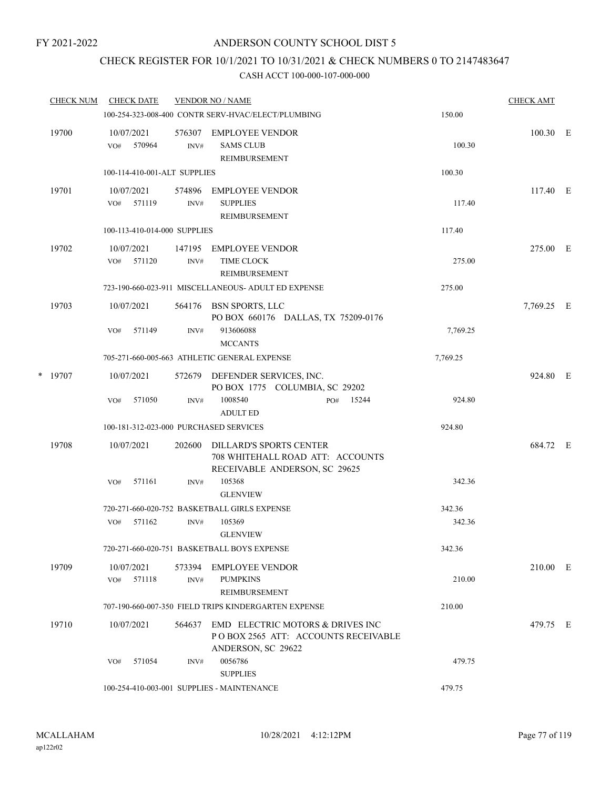## CHECK REGISTER FOR 10/1/2021 TO 10/31/2021 & CHECK NUMBERS 0 TO 2147483647

|   | <b>CHECK NUM</b> |     | <b>CHECK DATE</b>    |                              | <b>VENDOR NO / NAME</b>                                                                             |     |       |          | <b>CHECK AMT</b> |  |
|---|------------------|-----|----------------------|------------------------------|-----------------------------------------------------------------------------------------------------|-----|-------|----------|------------------|--|
|   |                  |     |                      |                              | 100-254-323-008-400 CONTR SERV-HVAC/ELECT/PLUMBING                                                  |     |       | 150.00   |                  |  |
|   | 19700            | VO# | 10/07/2021<br>570964 | 576307<br>INV#               | EMPLOYEE VENDOR<br><b>SAMS CLUB</b><br><b>REIMBURSEMENT</b>                                         |     |       | 100.30   | $100.30$ E       |  |
|   |                  |     |                      | 100-114-410-001-ALT SUPPLIES |                                                                                                     |     |       | 100.30   |                  |  |
|   | 19701            | VO# | 10/07/2021<br>571119 | 574896<br>INV#               | <b>EMPLOYEE VENDOR</b><br><b>SUPPLIES</b><br><b>REIMBURSEMENT</b>                                   |     |       | 117.40   | 117.40 E         |  |
|   |                  |     |                      | 100-113-410-014-000 SUPPLIES |                                                                                                     |     |       | 117.40   |                  |  |
|   | 19702            | VO# | 10/07/2021<br>571120 | INV#                         | 147195 EMPLOYEE VENDOR<br>TIME CLOCK<br>REIMBURSEMENT                                               |     |       | 275.00   | 275.00 E         |  |
|   |                  |     |                      |                              | 723-190-660-023-911 MISCELLANEOUS- ADULT ED EXPENSE                                                 |     |       | 275.00   |                  |  |
|   | 19703            |     | 10/07/2021           | 564176                       | BSN SPORTS, LLC<br>PO BOX 660176 DALLAS, TX 75209-0176                                              |     |       |          | 7,769.25 E       |  |
|   |                  | VO# | 571149               | INV#                         | 913606088<br><b>MCCANTS</b>                                                                         |     |       | 7,769.25 |                  |  |
|   |                  |     |                      |                              | 705-271-660-005-663 ATHLETIC GENERAL EXPENSE                                                        |     |       | 7,769.25 |                  |  |
| * | 19707            |     | 10/07/2021           |                              | 572679 DEFENDER SERVICES, INC.<br>PO BOX 1775 COLUMBIA, SC 29202                                    |     |       |          | 924.80 E         |  |
|   |                  | VO# | 571050               | INV#                         | 1008540<br><b>ADULT ED</b>                                                                          | PO# | 15244 | 924.80   |                  |  |
|   |                  |     |                      |                              | 100-181-312-023-000 PURCHASED SERVICES                                                              |     |       | 924.80   |                  |  |
|   | 19708            |     | 10/07/2021           | 202600                       | <b>DILLARD'S SPORTS CENTER</b><br>708 WHITEHALL ROAD ATT: ACCOUNTS<br>RECEIVABLE ANDERSON, SC 29625 |     |       |          | 684.72 E         |  |
|   |                  | VO# | 571161               | INV#                         | 105368<br><b>GLENVIEW</b>                                                                           |     |       | 342.36   |                  |  |
|   |                  |     |                      |                              | 720-271-660-020-752 BASKETBALL GIRLS EXPENSE                                                        |     |       | 342.36   |                  |  |
|   |                  | VO# | 571162               | INV#                         | 105369<br><b>GLENVIEW</b>                                                                           |     |       | 342.36   |                  |  |
|   |                  |     |                      |                              | 720-271-660-020-751 BASKETBALL BOYS EXPENSE                                                         |     |       | 342.36   |                  |  |
|   | 19709            | VO# | 10/07/2021<br>571118 | 573394<br>INV#               | EMPLOYEE VENDOR<br><b>PUMPKINS</b><br><b>REIMBURSEMENT</b>                                          |     |       | 210.00   | 210.00 E         |  |
|   |                  |     |                      |                              | 707-190-660-007-350 FIELD TRIPS KINDERGARTEN EXPENSE                                                |     |       | 210.00   |                  |  |
|   | 19710            |     | 10/07/2021           | 564637                       | EMD ELECTRIC MOTORS & DRIVES INC<br>POBOX 2565 ATT: ACCOUNTS RECEIVABLE<br>ANDERSON, SC 29622       |     |       |          | 479.75 E         |  |
|   |                  | VO# | 571054               | INV#                         | 0056786<br><b>SUPPLIES</b>                                                                          |     |       | 479.75   |                  |  |
|   |                  |     |                      |                              | 100-254-410-003-001 SUPPLIES - MAINTENANCE                                                          |     |       | 479.75   |                  |  |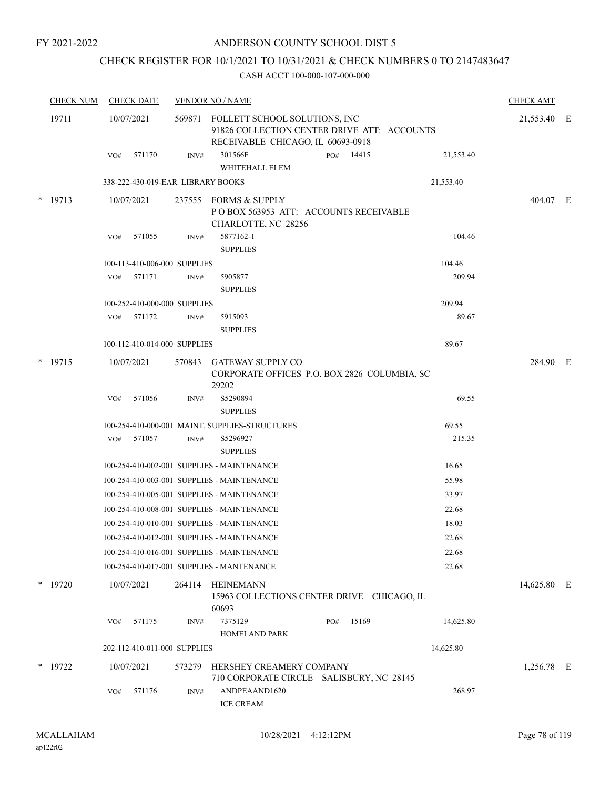#### ANDERSON COUNTY SCHOOL DIST 5

# CHECK REGISTER FOR 10/1/2021 TO 10/31/2021 & CHECK NUMBERS 0 TO 2147483647

| <b>CHECK NUM</b> |           | <b>CHECK DATE</b>                 |        | <b>VENDOR NO / NAME</b>                                                                                           |              | <b>CHECK AMT</b> |             |  |
|------------------|-----------|-----------------------------------|--------|-------------------------------------------------------------------------------------------------------------------|--------------|------------------|-------------|--|
|                  | 19711     | 10/07/2021                        | 569871 | FOLLETT SCHOOL SOLUTIONS, INC<br>91826 COLLECTION CENTER DRIVE ATT: ACCOUNTS<br>RECEIVABLE CHICAGO, IL 60693-0918 |              |                  | 21,553.40 E |  |
|                  |           | 571170<br>VO#                     | INV#   | 301566F<br>WHITEHALL ELEM                                                                                         | PO# 14415    | 21,553.40        |             |  |
|                  |           | 338-222-430-019-EAR LIBRARY BOOKS |        |                                                                                                                   |              | 21,553.40        |             |  |
|                  | $*$ 19713 | 10/07/2021                        | 237555 | FORMS & SUPPLY<br>PO BOX 563953 ATT: ACCOUNTS RECEIVABLE<br>CHARLOTTE, NC 28256                                   |              |                  | 404.07 E    |  |
|                  |           | 571055<br>VO#                     | INV#   | 5877162-1                                                                                                         |              | 104.46           |             |  |
|                  |           |                                   |        | <b>SUPPLIES</b>                                                                                                   |              |                  |             |  |
|                  |           | 100-113-410-006-000 SUPPLIES      |        |                                                                                                                   |              | 104.46           |             |  |
|                  |           | 571171<br>VO#                     | INV#   | 5905877<br><b>SUPPLIES</b>                                                                                        |              | 209.94           |             |  |
|                  |           | 100-252-410-000-000 SUPPLIES      |        |                                                                                                                   |              | 209.94           |             |  |
|                  |           | VO# 571172                        | INV#   | 5915093<br><b>SUPPLIES</b>                                                                                        |              | 89.67            |             |  |
|                  |           | 100-112-410-014-000 SUPPLIES      |        |                                                                                                                   |              | 89.67            |             |  |
|                  |           |                                   |        |                                                                                                                   |              |                  |             |  |
|                  | $*$ 19715 | 10/07/2021                        | 570843 | <b>GATEWAY SUPPLY CO</b><br>CORPORATE OFFICES P.O. BOX 2826 COLUMBIA, SC<br>29202                                 |              |                  | 284.90 E    |  |
|                  |           | 571056<br>VO#                     | INV#   | S5290894<br><b>SUPPLIES</b>                                                                                       |              | 69.55            |             |  |
|                  |           |                                   |        | 100-254-410-000-001 MAINT. SUPPLIES-STRUCTURES                                                                    |              | 69.55            |             |  |
|                  |           | 571057<br>VO#                     | INV#   | S5296927<br><b>SUPPLIES</b>                                                                                       |              | 215.35           |             |  |
|                  |           |                                   |        | 100-254-410-002-001 SUPPLIES - MAINTENANCE                                                                        |              | 16.65            |             |  |
|                  |           |                                   |        | 100-254-410-003-001 SUPPLIES - MAINTENANCE                                                                        |              | 55.98            |             |  |
|                  |           |                                   |        | 100-254-410-005-001 SUPPLIES - MAINTENANCE                                                                        |              | 33.97            |             |  |
|                  |           |                                   |        | 100-254-410-008-001 SUPPLIES - MAINTENANCE                                                                        |              | 22.68            |             |  |
|                  |           |                                   |        | 100-254-410-010-001 SUPPLIES - MAINTENANCE                                                                        |              | 18.03            |             |  |
|                  |           |                                   |        | 100-254-410-012-001 SUPPLIES - MAINTENANCE                                                                        |              | 22.68            |             |  |
|                  |           |                                   |        | 100-254-410-016-001 SUPPLIES - MAINTENANCE                                                                        |              | 22.68            |             |  |
|                  |           |                                   |        | 100-254-410-017-001 SUPPLIES - MANTENANCE                                                                         |              | 22.68            |             |  |
|                  | * 19720   | 10/07/2021                        | 264114 | HEINEMANN<br>15963 COLLECTIONS CENTER DRIVE CHICAGO, IL<br>60693                                                  |              |                  | 14,625.80 E |  |
|                  |           | 571175<br>VO#                     | INV#   | 7375129<br>HOMELAND PARK                                                                                          | 15169<br>PO# | 14,625.80        |             |  |
|                  |           | 202-112-410-011-000 SUPPLIES      |        |                                                                                                                   |              | 14,625.80        |             |  |
|                  | $*$ 19722 | 10/07/2021                        | 573279 | HERSHEY CREAMERY COMPANY<br>710 CORPORATE CIRCLE SALISBURY, NC 28145                                              |              |                  | 1,256.78 E  |  |
|                  |           | 571176<br>VO#                     | INV#   | ANDPEAAND1620<br><b>ICE CREAM</b>                                                                                 |              | 268.97           |             |  |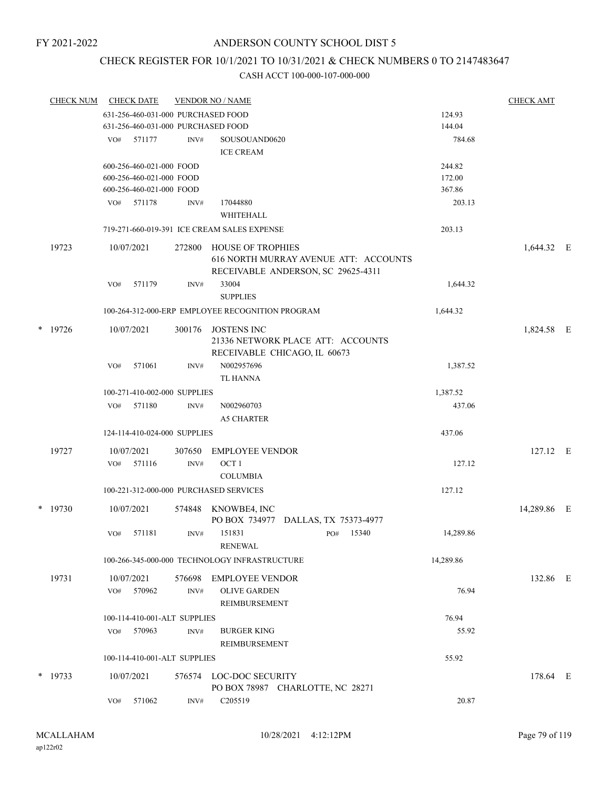## CHECK REGISTER FOR 10/1/2021 TO 10/31/2021 & CHECK NUMBERS 0 TO 2147483647

| <b>CHECK NUM</b> |     | <b>CHECK DATE</b>                  |        | <b>VENDOR NO / NAME</b>                                                                                 |              |           | <b>CHECK AMT</b> |  |
|------------------|-----|------------------------------------|--------|---------------------------------------------------------------------------------------------------------|--------------|-----------|------------------|--|
|                  |     | 631-256-460-031-000 PURCHASED FOOD |        |                                                                                                         |              | 124.93    |                  |  |
|                  |     | 631-256-460-031-000 PURCHASED FOOD |        |                                                                                                         |              | 144.04    |                  |  |
|                  |     | VO# 571177                         | INV#   | SOUSOUAND0620                                                                                           |              | 784.68    |                  |  |
|                  |     |                                    |        | <b>ICE CREAM</b>                                                                                        |              |           |                  |  |
|                  |     | 600-256-460-021-000 FOOD           |        |                                                                                                         |              | 244.82    |                  |  |
|                  |     | 600-256-460-021-000 FOOD           |        |                                                                                                         |              | 172.00    |                  |  |
|                  |     | 600-256-460-021-000 FOOD           |        |                                                                                                         |              | 367.86    |                  |  |
|                  | VO# | 571178                             | INV#   | 17044880<br>WHITEHALL                                                                                   |              | 203.13    |                  |  |
|                  |     |                                    |        | 719-271-660-019-391 ICE CREAM SALES EXPENSE                                                             |              | 203.13    |                  |  |
| 19723            |     | 10/07/2021                         | 272800 | <b>HOUSE OF TROPHIES</b><br>616 NORTH MURRAY AVENUE ATT: ACCOUNTS<br>RECEIVABLE ANDERSON, SC 29625-4311 |              |           | 1,644.32 E       |  |
|                  | VO# | 571179                             | INV#   | 33004                                                                                                   |              | 1,644.32  |                  |  |
|                  |     |                                    |        | <b>SUPPLIES</b>                                                                                         |              |           |                  |  |
|                  |     |                                    |        | 100-264-312-000-ERP EMPLOYEE RECOGNITION PROGRAM                                                        |              | 1,644.32  |                  |  |
| $*$ 19726        |     | 10/07/2021                         | 300176 | <b>JOSTENS INC</b><br>21336 NETWORK PLACE ATT: ACCOUNTS<br>RECEIVABLE CHICAGO, IL 60673                 |              |           | 1,824.58 E       |  |
|                  | VO# | 571061                             | INV#   | N002957696<br>TL HANNA                                                                                  |              | 1,387.52  |                  |  |
|                  |     | 100-271-410-002-000 SUPPLIES       |        |                                                                                                         |              | 1,387.52  |                  |  |
|                  | VO# | 571180                             | INV#   | N002960703<br><b>A5 CHARTER</b>                                                                         |              | 437.06    |                  |  |
|                  |     | 124-114-410-024-000 SUPPLIES       |        |                                                                                                         |              | 437.06    |                  |  |
| 19727            |     | 10/07/2021                         | 307650 | <b>EMPLOYEE VENDOR</b>                                                                                  |              |           | 127.12 E         |  |
|                  | VO# | 571116                             | INV#   | OCT <sub>1</sub><br><b>COLUMBIA</b>                                                                     |              | 127.12    |                  |  |
|                  |     |                                    |        | 100-221-312-000-000 PURCHASED SERVICES                                                                  |              | 127.12    |                  |  |
| $*$ 19730        |     | 10/07/2021                         | 574848 | KNOWBE4, INC<br>PO BOX 734977 DALLAS, TX 75373-4977                                                     |              |           | 14,289.86 E      |  |
|                  | VO# | 571181                             | INV#   | 151831<br><b>RENEWAL</b>                                                                                | 15340<br>PO# | 14,289.86 |                  |  |
|                  |     |                                    |        | 100-266-345-000-000 TECHNOLOGY INFRASTRUCTURE                                                           |              | 14,289.86 |                  |  |
| 19731            |     | 10/07/2021                         | 576698 | EMPLOYEE VENDOR                                                                                         |              |           | 132.86 E         |  |
|                  | VO# | 570962                             | INV#   | <b>OLIVE GARDEN</b><br>REIMBURSEMENT                                                                    |              | 76.94     |                  |  |
|                  |     | 100-114-410-001-ALT SUPPLIES       |        |                                                                                                         |              | 76.94     |                  |  |
|                  | VO# | 570963                             | INV#   | <b>BURGER KING</b><br>REIMBURSEMENT                                                                     |              | 55.92     |                  |  |
|                  |     | 100-114-410-001-ALT SUPPLIES       |        |                                                                                                         |              | 55.92     |                  |  |
| $*$ 19733        |     | 10/07/2021                         | 576574 | LOC-DOC SECURITY<br>PO BOX 78987 CHARLOTTE, NC 28271                                                    |              |           | 178.64 E         |  |
|                  | VO# | 571062                             | INV#   | C205519                                                                                                 |              | 20.87     |                  |  |
|                  |     |                                    |        |                                                                                                         |              |           |                  |  |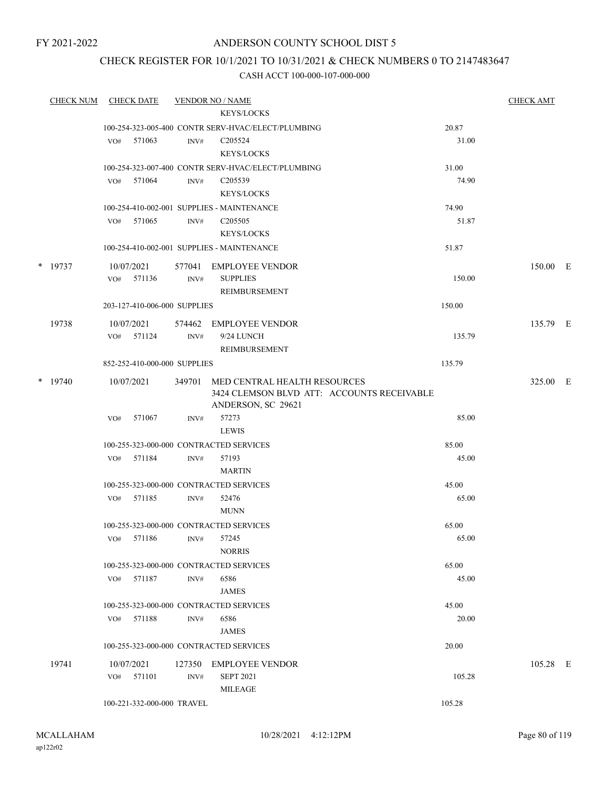## ANDERSON COUNTY SCHOOL DIST 5

## CHECK REGISTER FOR 10/1/2021 TO 10/31/2021 & CHECK NUMBERS 0 TO 2147483647

| <b>CHECK NUM</b> |     | <b>CHECK DATE</b>            |                  | <b>VENDOR NO / NAME</b>                            |                | <b>CHECK AMT</b> |  |
|------------------|-----|------------------------------|------------------|----------------------------------------------------|----------------|------------------|--|
|                  |     |                              |                  | <b>KEYS/LOCKS</b>                                  |                |                  |  |
|                  |     |                              |                  | 100-254-323-005-400 CONTR SERV-HVAC/ELECT/PLUMBING | 20.87          |                  |  |
|                  |     | VO# 571063                   | INV#             | C <sub>205524</sub>                                | 31.00          |                  |  |
|                  |     |                              |                  | <b>KEYS/LOCKS</b>                                  |                |                  |  |
|                  |     |                              |                  | 100-254-323-007-400 CONTR SERV-HVAC/ELECT/PLUMBING | 31.00          |                  |  |
|                  |     | $VO#$ 571064                 | INV#             | C205539                                            | 74.90          |                  |  |
|                  |     |                              |                  | <b>KEYS/LOCKS</b>                                  |                |                  |  |
|                  |     |                              |                  | 100-254-410-002-001 SUPPLIES - MAINTENANCE         | 74.90          |                  |  |
|                  |     | VO# 571065                   | INV#             | C <sub>205505</sub><br><b>KEYS/LOCKS</b>           | 51.87          |                  |  |
|                  |     |                              |                  |                                                    |                |                  |  |
|                  |     |                              |                  | 100-254-410-002-001 SUPPLIES - MAINTENANCE         | 51.87          |                  |  |
| $*$ 19737        |     | 10/07/2021                   |                  | 577041 EMPLOYEE VENDOR                             |                | 150.00 E         |  |
|                  |     | VO# 571136                   | INV#             | <b>SUPPLIES</b>                                    | 150.00         |                  |  |
|                  |     |                              |                  | REIMBURSEMENT                                      |                |                  |  |
|                  |     | 203-127-410-006-000 SUPPLIES |                  |                                                    | 150.00         |                  |  |
| 19738            |     | 10/07/2021                   |                  | 574462 EMPLOYEE VENDOR                             |                | 135.79 E         |  |
|                  |     | VO# 571124                   | INV#             | 9/24 LUNCH                                         | 135.79         |                  |  |
|                  |     |                              |                  | <b>REIMBURSEMENT</b>                               |                |                  |  |
|                  |     | 852-252-410-000-000 SUPPLIES |                  |                                                    | 135.79         |                  |  |
| $*$ 19740        |     | 10/07/2021                   | 349701           | MED CENTRAL HEALTH RESOURCES                       |                | 325.00 E         |  |
|                  |     |                              |                  | 3424 CLEMSON BLVD ATT: ACCOUNTS RECEIVABLE         |                |                  |  |
|                  |     |                              |                  | ANDERSON, SC 29621                                 |                |                  |  |
|                  | VO# | 571067                       | INV#             | 57273                                              | 85.00          |                  |  |
|                  |     |                              |                  | <b>LEWIS</b>                                       |                |                  |  |
|                  |     | VO# 571184                   | INV#             | 100-255-323-000-000 CONTRACTED SERVICES<br>57193   | 85.00<br>45.00 |                  |  |
|                  |     |                              |                  | <b>MARTIN</b>                                      |                |                  |  |
|                  |     |                              |                  | 100-255-323-000-000 CONTRACTED SERVICES            | 45.00          |                  |  |
|                  |     | VO# 571185                   | INV#             | 52476                                              | 65.00          |                  |  |
|                  |     |                              |                  | <b>MUNN</b>                                        |                |                  |  |
|                  |     |                              |                  | 100-255-323-000-000 CONTRACTED SERVICES            | 65.00          |                  |  |
|                  |     | VO# 571186 INV# 57245        |                  |                                                    | 65.00          |                  |  |
|                  |     |                              |                  | <b>NORRIS</b>                                      |                |                  |  |
|                  |     |                              |                  | 100-255-323-000-000 CONTRACTED SERVICES            | 65.00          |                  |  |
|                  |     | VO# 571187                   | INV#             | 6586                                               | 45.00          |                  |  |
|                  |     |                              |                  | JAMES                                              |                |                  |  |
|                  |     |                              |                  | 100-255-323-000-000 CONTRACTED SERVICES            | 45.00          |                  |  |
|                  |     | VO# 571188                   | INV#             | 6586                                               | 20.00          |                  |  |
|                  |     |                              |                  | <b>JAMES</b>                                       |                |                  |  |
|                  |     |                              |                  | 100-255-323-000-000 CONTRACTED SERVICES            | 20.00          |                  |  |
| 19741            |     | 10/07/2021                   |                  | 127350 EMPLOYEE VENDOR                             |                | 105.28 E         |  |
|                  |     | VO# 571101                   | $\mathrm{INV}\#$ | <b>SEPT 2021</b>                                   | 105.28         |                  |  |
|                  |     |                              |                  | MILEAGE                                            |                |                  |  |
|                  |     | 100-221-332-000-000 TRAVEL   |                  |                                                    | 105.28         |                  |  |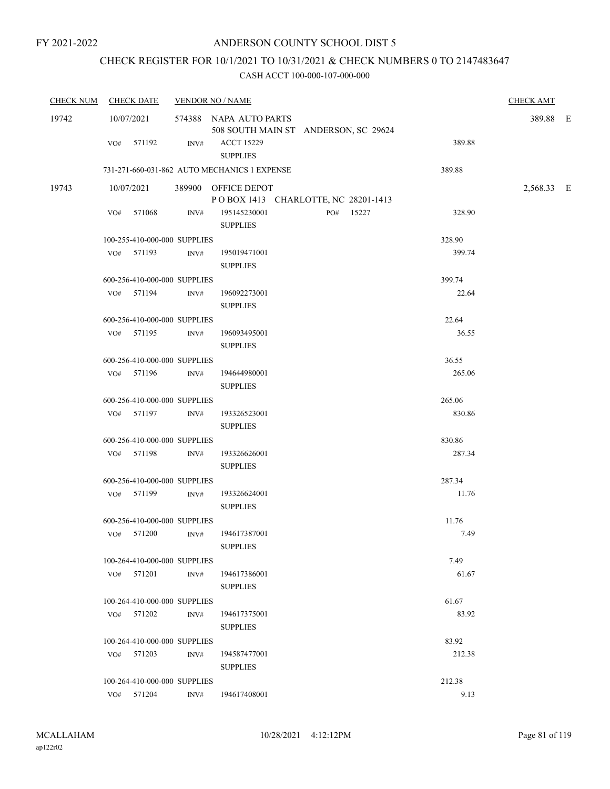# CHECK REGISTER FOR 10/1/2021 TO 10/31/2021 & CHECK NUMBERS 0 TO 2147483647

| <b>CHECK NUM</b> | <b>CHECK DATE</b>            | <b>VENDOR NO / NAME</b> |                                                                |        | <b>CHECK AMT</b> |  |
|------------------|------------------------------|-------------------------|----------------------------------------------------------------|--------|------------------|--|
| 19742            | 10/07/2021                   |                         | 574388 NAPA AUTO PARTS<br>508 SOUTH MAIN ST ANDERSON, SC 29624 |        | 389.88 E         |  |
|                  | VO# 571192                   | INV#                    | <b>ACCT 15229</b><br><b>SUPPLIES</b>                           | 389.88 |                  |  |
|                  |                              |                         | 731-271-660-031-862 AUTO MECHANICS 1 EXPENSE                   | 389.88 |                  |  |
| 19743            | 10/07/2021                   |                         | 389900 OFFICE DEPOT<br>POBOX 1413 CHARLOTTE, NC 28201-1413     |        | 2,568.33 E       |  |
|                  | VO# 571068                   | INV#                    | 195145230001<br>PO# 15227<br><b>SUPPLIES</b>                   | 328.90 |                  |  |
|                  | 100-255-410-000-000 SUPPLIES |                         |                                                                | 328.90 |                  |  |
|                  | VO# 571193                   | INV#                    | 195019471001<br><b>SUPPLIES</b>                                | 399.74 |                  |  |
|                  | 600-256-410-000-000 SUPPLIES |                         |                                                                | 399.74 |                  |  |
|                  | VO# 571194                   | INV#                    | 196092273001<br><b>SUPPLIES</b>                                | 22.64  |                  |  |
|                  | 600-256-410-000-000 SUPPLIES |                         |                                                                | 22.64  |                  |  |
|                  | VO# 571195                   | INV#                    | 196093495001<br><b>SUPPLIES</b>                                | 36.55  |                  |  |
|                  | 600-256-410-000-000 SUPPLIES |                         |                                                                | 36.55  |                  |  |
|                  | VO# 571196                   | INV#                    | 194644980001<br><b>SUPPLIES</b>                                | 265.06 |                  |  |
|                  | 600-256-410-000-000 SUPPLIES |                         |                                                                | 265.06 |                  |  |
|                  | VO# 571197                   | INV#                    | 193326523001<br><b>SUPPLIES</b>                                | 830.86 |                  |  |
|                  | 600-256-410-000-000 SUPPLIES |                         |                                                                | 830.86 |                  |  |
|                  | VO# 571198                   | INV#                    | 193326626001<br><b>SUPPLIES</b>                                | 287.34 |                  |  |
|                  | 600-256-410-000-000 SUPPLIES |                         |                                                                | 287.34 |                  |  |
|                  | VO# 571199                   | INV#                    | 193326624001<br><b>SUPPLIES</b>                                | 11.76  |                  |  |
|                  | 600-256-410-000-000 SUPPLIES |                         |                                                                | 11.76  |                  |  |
|                  | VO# 571200                   | INV#                    | 194617387001<br><b>SUPPLIES</b>                                | 7.49   |                  |  |
|                  | 100-264-410-000-000 SUPPLIES |                         |                                                                | 7.49   |                  |  |
|                  | VO# 571201                   | INV#                    | 194617386001<br><b>SUPPLIES</b>                                | 61.67  |                  |  |
|                  | 100-264-410-000-000 SUPPLIES |                         |                                                                | 61.67  |                  |  |
|                  | VO# 571202                   | INV#                    | 194617375001<br><b>SUPPLIES</b>                                | 83.92  |                  |  |
|                  | 100-264-410-000-000 SUPPLIES |                         |                                                                | 83.92  |                  |  |
|                  | VO# 571203                   | INV#                    | 194587477001<br><b>SUPPLIES</b>                                | 212.38 |                  |  |
|                  | 100-264-410-000-000 SUPPLIES |                         |                                                                | 212.38 |                  |  |
|                  | VO# 571204                   | INV#                    | 194617408001                                                   | 9.13   |                  |  |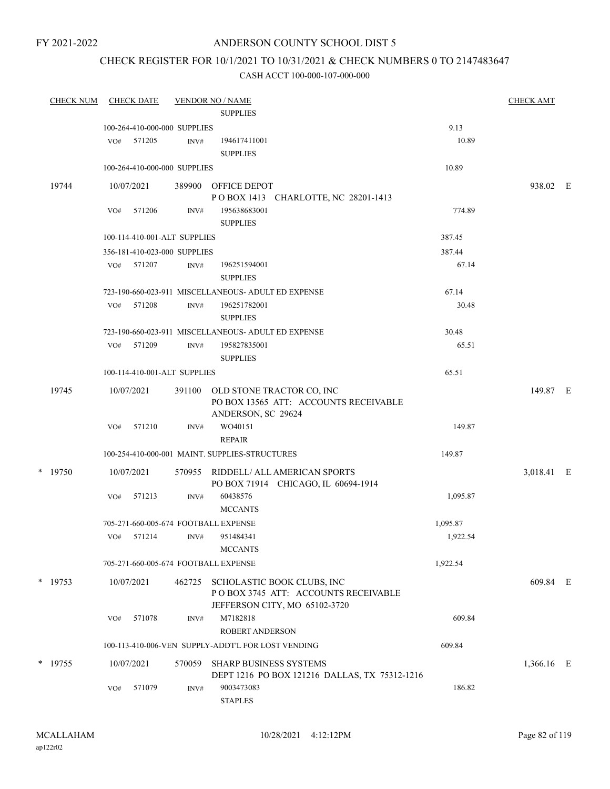## ANDERSON COUNTY SCHOOL DIST 5

## CHECK REGISTER FOR 10/1/2021 TO 10/31/2021 & CHECK NUMBERS 0 TO 2147483647

| <b>CHECK NUM</b> |           | <b>CHECK DATE</b> |                              | <b>VENDOR NO / NAME</b><br><b>SUPPLIES</b> |                                                                                                    | <b>CHECK AMT</b> |            |  |
|------------------|-----------|-------------------|------------------------------|--------------------------------------------|----------------------------------------------------------------------------------------------------|------------------|------------|--|
|                  |           |                   | 100-264-410-000-000 SUPPLIES |                                            |                                                                                                    | 9.13             |            |  |
|                  |           |                   | VO# 571205                   | INV#                                       | 194617411001<br><b>SUPPLIES</b>                                                                    | 10.89            |            |  |
|                  |           |                   | 100-264-410-000-000 SUPPLIES |                                            |                                                                                                    | 10.89            |            |  |
|                  | 19744     |                   | 10/07/2021                   |                                            | 389900 OFFICE DEPOT<br>POBOX 1413 CHARLOTTE, NC 28201-1413                                         |                  | 938.02 E   |  |
|                  |           | VO#               | 571206                       | INV#                                       | 195638683001<br><b>SUPPLIES</b>                                                                    | 774.89           |            |  |
|                  |           |                   | 100-114-410-001-ALT SUPPLIES |                                            |                                                                                                    | 387.45           |            |  |
|                  |           |                   | 356-181-410-023-000 SUPPLIES |                                            |                                                                                                    | 387.44           |            |  |
|                  |           |                   | VO# 571207                   | INV#                                       | 196251594001<br><b>SUPPLIES</b>                                                                    | 67.14            |            |  |
|                  |           |                   |                              |                                            | 723-190-660-023-911 MISCELLANEOUS- ADULT ED EXPENSE                                                | 67.14            |            |  |
|                  |           | VO#               | 571208                       | INV#                                       | 196251782001<br><b>SUPPLIES</b>                                                                    | 30.48            |            |  |
|                  |           |                   |                              |                                            | 723-190-660-023-911 MISCELLANEOUS- ADULT ED EXPENSE                                                | 30.48            |            |  |
|                  |           | VO#               | 571209                       | INV#                                       | 195827835001<br><b>SUPPLIES</b>                                                                    | 65.51            |            |  |
|                  |           |                   | 100-114-410-001-ALT SUPPLIES |                                            |                                                                                                    | 65.51            |            |  |
|                  | 19745     |                   | 10/07/2021                   | 391100                                     | OLD STONE TRACTOR CO, INC<br>PO BOX 13565 ATT: ACCOUNTS RECEIVABLE<br>ANDERSON, SC 29624           |                  | 149.87 E   |  |
|                  |           | VO#               | 571210                       | INV#                                       | WO40151<br><b>REPAIR</b>                                                                           | 149.87           |            |  |
|                  |           |                   |                              |                                            | 100-254-410-000-001 MAINT. SUPPLIES-STRUCTURES                                                     | 149.87           |            |  |
|                  | $*$ 19750 |                   | 10/07/2021                   | 570955                                     | RIDDELL/ ALL AMERICAN SPORTS<br>PO BOX 71914 CHICAGO, IL 60694-1914                                |                  | 3,018.41 E |  |
|                  |           | VO#               | 571213                       | INV#                                       | 60438576<br><b>MCCANTS</b>                                                                         | 1,095.87         |            |  |
|                  |           |                   |                              |                                            | 705-271-660-005-674 FOOTBALL EXPENSE                                                               | 1,095.87         |            |  |
|                  |           | VO#               | 571214                       | INV#                                       | 951484341<br><b>MCCANTS</b>                                                                        | 1,922.54         |            |  |
|                  |           |                   |                              |                                            | 705-271-660-005-674 FOOTBALL EXPENSE                                                               | 1,922.54         |            |  |
|                  | $*$ 19753 |                   | 10/07/2021                   | 462725                                     | SCHOLASTIC BOOK CLUBS, INC<br>POBOX 3745 ATT: ACCOUNTS RECEIVABLE<br>JEFFERSON CITY, MO 65102-3720 |                  | 609.84 E   |  |
|                  |           | VO#               | 571078                       | INV#                                       | M7182818<br><b>ROBERT ANDERSON</b>                                                                 | 609.84           |            |  |
|                  |           |                   |                              |                                            | 100-113-410-006-VEN SUPPLY-ADDT'L FOR LOST VENDING                                                 | 609.84           |            |  |
|                  | * 19755   |                   | 10/07/2021                   | 570059                                     | <b>SHARP BUSINESS SYSTEMS</b><br>DEPT 1216 PO BOX 121216 DALLAS, TX 75312-1216                     |                  | 1,366.16 E |  |
|                  |           | VO#               | 571079                       | INV#                                       | 9003473083<br><b>STAPLES</b>                                                                       | 186.82           |            |  |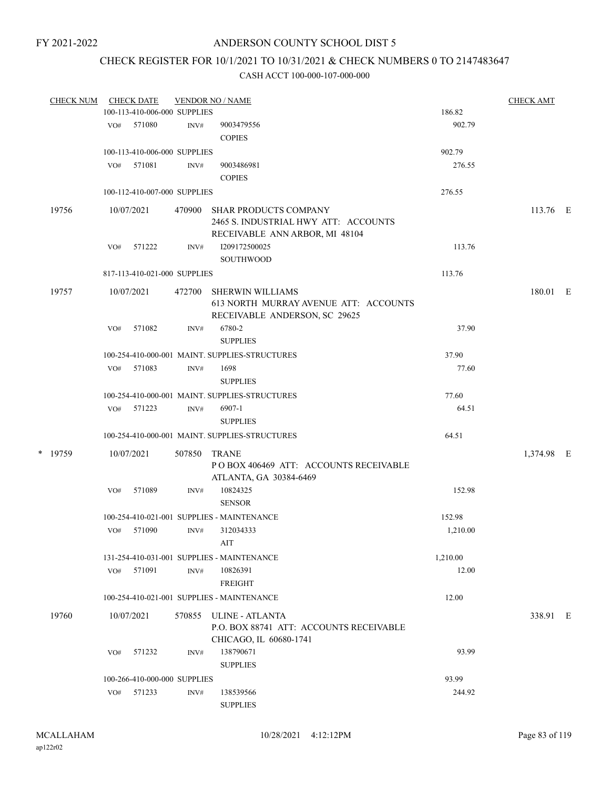## CHECK REGISTER FOR 10/1/2021 TO 10/31/2021 & CHECK NUMBERS 0 TO 2147483647

| <b>CHECK NUM</b> |         | <b>CHECK DATE</b><br><b>VENDOR NO / NAME</b><br><b>CHECK AMT</b> |                              |        |                                                                                                        |          |            |  |  |  |
|------------------|---------|------------------------------------------------------------------|------------------------------|--------|--------------------------------------------------------------------------------------------------------|----------|------------|--|--|--|
|                  |         |                                                                  | 100-113-410-006-000 SUPPLIES |        |                                                                                                        | 186.82   |            |  |  |  |
|                  |         |                                                                  | VO# 571080                   | INV#   | 9003479556                                                                                             | 902.79   |            |  |  |  |
|                  |         |                                                                  |                              |        | <b>COPIES</b>                                                                                          |          |            |  |  |  |
|                  |         |                                                                  | 100-113-410-006-000 SUPPLIES |        |                                                                                                        | 902.79   |            |  |  |  |
|                  |         | VO#                                                              | 571081                       | INV#   | 9003486981                                                                                             | 276.55   |            |  |  |  |
|                  |         |                                                                  |                              |        | <b>COPIES</b>                                                                                          |          |            |  |  |  |
|                  |         |                                                                  | 100-112-410-007-000 SUPPLIES |        |                                                                                                        | 276.55   |            |  |  |  |
|                  | 19756   |                                                                  | 10/07/2021                   | 470900 | <b>SHAR PRODUCTS COMPANY</b><br>2465 S. INDUSTRIAL HWY ATT: ACCOUNTS<br>RECEIVABLE ANN ARBOR, MI 48104 |          | 113.76 E   |  |  |  |
|                  |         |                                                                  | VO# 571222                   | INV#   | 1209172500025                                                                                          | 113.76   |            |  |  |  |
|                  |         |                                                                  |                              |        | <b>SOUTHWOOD</b>                                                                                       |          |            |  |  |  |
|                  |         |                                                                  | 817-113-410-021-000 SUPPLIES |        |                                                                                                        | 113.76   |            |  |  |  |
|                  | 19757   |                                                                  | 10/07/2021                   | 472700 | <b>SHERWIN WILLIAMS</b><br>613 NORTH MURRAY AVENUE ATT: ACCOUNTS<br>RECEIVABLE ANDERSON, SC 29625      |          | 180.01 E   |  |  |  |
|                  |         | VO#                                                              | 571082                       | INV#   | 6780-2<br><b>SUPPLIES</b>                                                                              | 37.90    |            |  |  |  |
|                  |         |                                                                  |                              |        | 100-254-410-000-001 MAINT. SUPPLIES-STRUCTURES                                                         | 37.90    |            |  |  |  |
|                  |         | VO#                                                              | 571083                       | INV#   | 1698                                                                                                   | 77.60    |            |  |  |  |
|                  |         |                                                                  |                              |        | <b>SUPPLIES</b>                                                                                        |          |            |  |  |  |
|                  |         |                                                                  |                              |        | 100-254-410-000-001 MAINT. SUPPLIES-STRUCTURES                                                         | 77.60    |            |  |  |  |
|                  |         |                                                                  | VO# 571223                   | INV#   | 6907-1<br><b>SUPPLIES</b>                                                                              | 64.51    |            |  |  |  |
|                  |         |                                                                  |                              |        | 100-254-410-000-001 MAINT. SUPPLIES-STRUCTURES                                                         | 64.51    |            |  |  |  |
|                  | * 19759 |                                                                  | 10/07/2021                   | 507850 | <b>TRANE</b><br>POBOX 406469 ATT: ACCOUNTS RECEIVABLE                                                  |          | 1,374.98 E |  |  |  |
|                  |         | VO#                                                              | 571089                       | INV#   | ATLANTA, GA 30384-6469<br>10824325<br><b>SENSOR</b>                                                    | 152.98   |            |  |  |  |
|                  |         |                                                                  |                              |        |                                                                                                        |          |            |  |  |  |
|                  |         |                                                                  |                              |        | 100-254-410-021-001 SUPPLIES - MAINTENANCE                                                             | 152.98   |            |  |  |  |
|                  |         |                                                                  | VO# 571090                   | INV#   | 312034333<br>$\rm AIT$                                                                                 | 1,210.00 |            |  |  |  |
|                  |         |                                                                  |                              |        | 131-254-410-031-001 SUPPLIES - MAINTENANCE                                                             | 1,210.00 |            |  |  |  |
|                  |         | VO#                                                              | 571091                       | INV#   | 10826391<br><b>FREIGHT</b>                                                                             | 12.00    |            |  |  |  |
|                  |         |                                                                  |                              |        | 100-254-410-021-001 SUPPLIES - MAINTENANCE                                                             | 12.00    |            |  |  |  |
|                  | 19760   |                                                                  | 10/07/2021                   | 570855 | ULINE - ATLANTA<br>P.O. BOX 88741 ATT: ACCOUNTS RECEIVABLE<br>CHICAGO, IL 60680-1741                   |          | 338.91 E   |  |  |  |
|                  |         | VO#                                                              | 571232                       | INV#   | 138790671<br><b>SUPPLIES</b>                                                                           | 93.99    |            |  |  |  |
|                  |         |                                                                  | 100-266-410-000-000 SUPPLIES |        |                                                                                                        | 93.99    |            |  |  |  |
|                  |         | VO#                                                              | 571233                       | INV#   | 138539566                                                                                              | 244.92   |            |  |  |  |
|                  |         |                                                                  |                              |        | <b>SUPPLIES</b>                                                                                        |          |            |  |  |  |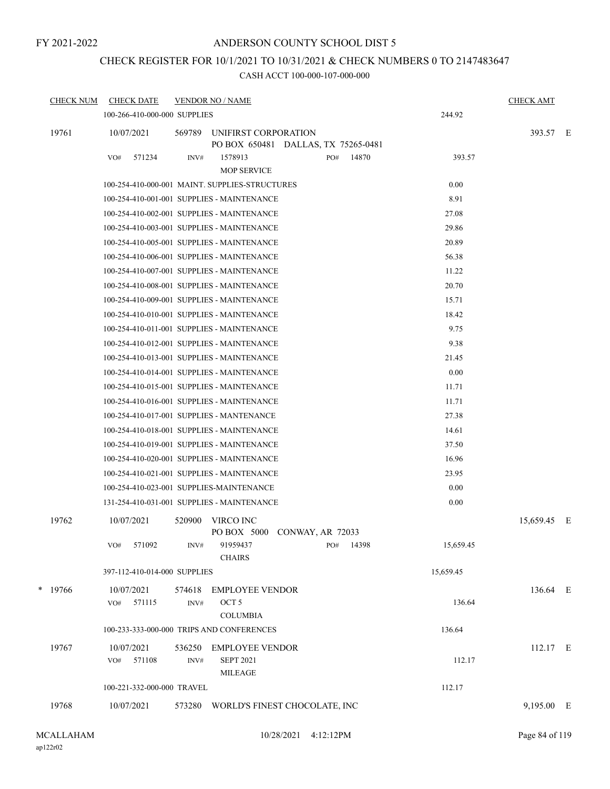#### ANDERSON COUNTY SCHOOL DIST 5

# CHECK REGISTER FOR 10/1/2021 TO 10/31/2021 & CHECK NUMBERS 0 TO 2147483647

| <b>CHECK NUM</b> | <b>CHECK DATE</b>                              | <b>VENDOR NO / NAME</b>  |                                                       |                                                             |       |           | <b>CHECK AMT</b> |  |
|------------------|------------------------------------------------|--------------------------|-------------------------------------------------------|-------------------------------------------------------------|-------|-----------|------------------|--|
|                  | 100-266-410-000-000 SUPPLIES                   |                          |                                                       |                                                             |       | 244.92    |                  |  |
| 19761            | 10/07/2021                                     | 569789                   |                                                       | UNIFIRST CORPORATION<br>PO BOX 650481 DALLAS, TX 75265-0481 |       |           | 393.57 E         |  |
|                  | 571234<br>VO#                                  | INV#                     | 1578913<br>MOP SERVICE                                | PO#                                                         | 14870 | 393.57    |                  |  |
|                  | 100-254-410-000-001 MAINT. SUPPLIES-STRUCTURES |                          |                                                       |                                                             |       | 0.00      |                  |  |
|                  | 100-254-410-001-001 SUPPLIES - MAINTENANCE     |                          |                                                       |                                                             |       | 8.91      |                  |  |
|                  | 100-254-410-002-001 SUPPLIES - MAINTENANCE     |                          |                                                       |                                                             |       | 27.08     |                  |  |
|                  | 100-254-410-003-001 SUPPLIES - MAINTENANCE     |                          |                                                       |                                                             |       | 29.86     |                  |  |
|                  | 100-254-410-005-001 SUPPLIES - MAINTENANCE     |                          |                                                       |                                                             |       | 20.89     |                  |  |
|                  | 100-254-410-006-001 SUPPLIES - MAINTENANCE     |                          |                                                       |                                                             |       | 56.38     |                  |  |
|                  | 100-254-410-007-001 SUPPLIES - MAINTENANCE     |                          |                                                       |                                                             |       | 11.22     |                  |  |
|                  | 100-254-410-008-001 SUPPLIES - MAINTENANCE     |                          |                                                       |                                                             |       | 20.70     |                  |  |
|                  | 100-254-410-009-001 SUPPLIES - MAINTENANCE     |                          |                                                       |                                                             |       | 15.71     |                  |  |
|                  | 100-254-410-010-001 SUPPLIES - MAINTENANCE     |                          |                                                       |                                                             |       | 18.42     |                  |  |
|                  | 100-254-410-011-001 SUPPLIES - MAINTENANCE     |                          |                                                       |                                                             |       | 9.75      |                  |  |
|                  | 100-254-410-012-001 SUPPLIES - MAINTENANCE     |                          |                                                       |                                                             |       | 9.38      |                  |  |
|                  | 100-254-410-013-001 SUPPLIES - MAINTENANCE     |                          |                                                       |                                                             |       | 21.45     |                  |  |
|                  | 100-254-410-014-001 SUPPLIES - MAINTENANCE     |                          |                                                       |                                                             |       | 0.00      |                  |  |
|                  | 100-254-410-015-001 SUPPLIES - MAINTENANCE     |                          |                                                       |                                                             |       | 11.71     |                  |  |
|                  | 100-254-410-016-001 SUPPLIES - MAINTENANCE     |                          |                                                       |                                                             |       | 11.71     |                  |  |
|                  | 100-254-410-017-001 SUPPLIES - MANTENANCE      |                          |                                                       |                                                             |       | 27.38     |                  |  |
|                  | 100-254-410-018-001 SUPPLIES - MAINTENANCE     |                          |                                                       |                                                             |       | 14.61     |                  |  |
|                  | 100-254-410-019-001 SUPPLIES - MAINTENANCE     |                          |                                                       |                                                             |       | 37.50     |                  |  |
|                  | 100-254-410-020-001 SUPPLIES - MAINTENANCE     |                          |                                                       |                                                             |       | 16.96     |                  |  |
|                  | 100-254-410-021-001 SUPPLIES - MAINTENANCE     |                          |                                                       |                                                             |       | 23.95     |                  |  |
|                  | 100-254-410-023-001 SUPPLIES-MAINTENANCE       |                          |                                                       |                                                             |       | 0.00      |                  |  |
|                  | 131-254-410-031-001 SUPPLIES - MAINTENANCE     |                          |                                                       |                                                             |       | 0.00      |                  |  |
| 19762            | 10/07/2021                                     | 520900<br>VIRCO INC      |                                                       | PO BOX 5000 CONWAY, AR 72033                                |       |           | 15,659.45 E      |  |
|                  | 571092<br>VO#                                  | INV#                     | 91959437<br><b>CHAIRS</b>                             | PO#                                                         | 14398 | 15,659.45 |                  |  |
|                  | 397-112-410-014-000 SUPPLIES                   |                          |                                                       |                                                             |       | 15,659.45 |                  |  |
| * 19766          | 10/07/2021                                     | 574618                   | <b>EMPLOYEE VENDOR</b>                                |                                                             |       |           | 136.64 E         |  |
|                  | 571115<br>VO#                                  | OCT <sub>5</sub><br>INV# | <b>COLUMBIA</b>                                       |                                                             |       | 136.64    |                  |  |
|                  | 100-233-333-000-000 TRIPS AND CONFERENCES      |                          |                                                       |                                                             |       | 136.64    |                  |  |
| 19767            | 10/07/2021<br>571108<br>VO#                    | 536250<br>INV#           | EMPLOYEE VENDOR<br><b>SEPT 2021</b><br><b>MILEAGE</b> |                                                             |       | 112.17    | 112.17 E         |  |
|                  | 100-221-332-000-000 TRAVEL                     |                          |                                                       |                                                             |       | 112.17    |                  |  |
|                  |                                                |                          |                                                       |                                                             |       |           |                  |  |
| 19768            | 10/07/2021                                     | 573280                   |                                                       | WORLD'S FINEST CHOCOLATE, INC                               |       |           | 9,195.00 E       |  |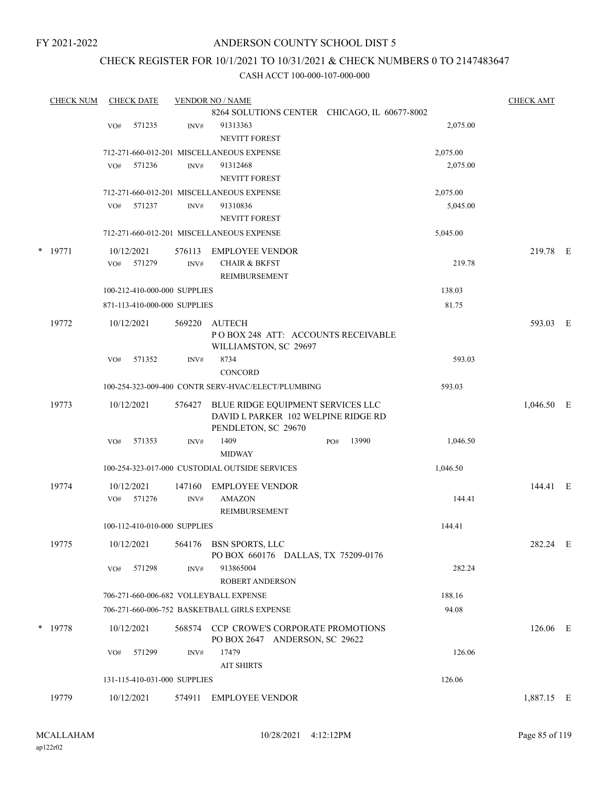#### ANDERSON COUNTY SCHOOL DIST 5

## CHECK REGISTER FOR 10/1/2021 TO 10/31/2021 & CHECK NUMBERS 0 TO 2147483647

| <b>CHECK NUM</b> |     | <b>CHECK DATE</b>            |        | <b>VENDOR NO / NAME</b>                            |                                              |          | <b>CHECK AMT</b> |  |
|------------------|-----|------------------------------|--------|----------------------------------------------------|----------------------------------------------|----------|------------------|--|
|                  |     |                              |        |                                                    | 8264 SOLUTIONS CENTER CHICAGO, IL 60677-8002 |          |                  |  |
|                  | VO# | 571235                       | INV#   | 91313363                                           |                                              | 2,075.00 |                  |  |
|                  |     |                              |        | <b>NEVITT FOREST</b>                               |                                              |          |                  |  |
|                  |     |                              |        | 712-271-660-012-201 MISCELLANEOUS EXPENSE          |                                              | 2,075.00 |                  |  |
|                  | VO# | 571236                       | INV#   | 91312468                                           |                                              | 2,075.00 |                  |  |
|                  |     |                              |        | <b>NEVITT FOREST</b>                               |                                              |          |                  |  |
|                  |     |                              |        | 712-271-660-012-201 MISCELLANEOUS EXPENSE          |                                              | 2,075.00 |                  |  |
|                  | VO# | 571237                       | INV#   | 91310836                                           |                                              | 5,045.00 |                  |  |
|                  |     |                              |        | <b>NEVITT FOREST</b>                               |                                              |          |                  |  |
|                  |     |                              |        | 712-271-660-012-201 MISCELLANEOUS EXPENSE          |                                              | 5,045.00 |                  |  |
| $*$ 19771        |     | 10/12/2021                   | 576113 | <b>EMPLOYEE VENDOR</b>                             |                                              |          | 219.78 E         |  |
|                  | VO# | 571279                       | INV#   | <b>CHAIR &amp; BKFST</b>                           |                                              | 219.78   |                  |  |
|                  |     |                              |        | REIMBURSEMENT                                      |                                              |          |                  |  |
|                  |     | 100-212-410-000-000 SUPPLIES |        |                                                    |                                              | 138.03   |                  |  |
|                  |     | 871-113-410-000-000 SUPPLIES |        |                                                    |                                              | 81.75    |                  |  |
| 19772            |     | 10/12/2021                   | 569220 | AUTECH                                             |                                              |          | 593.03 E         |  |
|                  |     |                              |        | POBOX 248 ATT: ACCOUNTS RECEIVABLE                 |                                              |          |                  |  |
|                  |     |                              |        | WILLIAMSTON, SC 29697                              |                                              |          |                  |  |
|                  | VO# | 571352                       | INV#   | 8734                                               |                                              | 593.03   |                  |  |
|                  |     |                              |        | <b>CONCORD</b>                                     |                                              |          |                  |  |
|                  |     |                              |        | 100-254-323-009-400 CONTR SERV-HVAC/ELECT/PLUMBING |                                              | 593.03   |                  |  |
| 19773            |     | 10/12/2021                   | 576427 | BLUE RIDGE EQUIPMENT SERVICES LLC                  |                                              |          | $1,046.50$ E     |  |
|                  |     |                              |        | DAVID L PARKER 102 WELPINE RIDGE RD                |                                              |          |                  |  |
|                  |     |                              |        | PENDLETON, SC 29670                                |                                              |          |                  |  |
|                  | VO# | 571353                       | INV#   | 1409                                               | 13990<br>PO#                                 | 1,046.50 |                  |  |
|                  |     |                              |        | <b>MIDWAY</b>                                      |                                              |          |                  |  |
|                  |     |                              |        | 100-254-323-017-000 CUSTODIAL OUTSIDE SERVICES     |                                              | 1,046.50 |                  |  |
| 19774            |     | 10/12/2021                   | 147160 | <b>EMPLOYEE VENDOR</b>                             |                                              |          | 144.41 E         |  |
|                  | VO# | 571276                       | INV#   | <b>AMAZON</b>                                      |                                              | 144.41   |                  |  |
|                  |     |                              |        | REIMBURSEMENT                                      |                                              |          |                  |  |
|                  |     | 100-112-410-010-000 SUPPLIES |        |                                                    |                                              | 144.41   |                  |  |
| 19775            |     | 10/12/2021                   |        | 564176 BSN SPORTS, LLC                             |                                              |          | 282.24 E         |  |
|                  |     |                              |        | PO BOX 660176 DALLAS, TX 75209-0176                |                                              |          |                  |  |
|                  | VO# | 571298                       | INV#   | 913865004                                          |                                              | 282.24   |                  |  |
|                  |     |                              |        | ROBERT ANDERSON                                    |                                              |          |                  |  |
|                  |     |                              |        | 706-271-660-006-682 VOLLEYBALL EXPENSE             |                                              | 188.16   |                  |  |
|                  |     |                              |        | 706-271-660-006-752 BASKETBALL GIRLS EXPENSE       |                                              | 94.08    |                  |  |
| $*$ 19778        |     | 10/12/2021                   |        | 568574 CCP CROWE'S CORPORATE PROMOTIONS            |                                              |          | 126.06 E         |  |
|                  |     |                              |        | PO BOX 2647 ANDERSON, SC 29622                     |                                              |          |                  |  |
|                  | VO# | 571299                       | INV#   | 17479                                              |                                              | 126.06   |                  |  |
|                  |     |                              |        | <b>AIT SHIRTS</b>                                  |                                              |          |                  |  |
|                  |     | 131-115-410-031-000 SUPPLIES |        |                                                    |                                              | 126.06   |                  |  |
| 19779            |     | 10/12/2021                   | 574911 | <b>EMPLOYEE VENDOR</b>                             |                                              |          | 1,887.15 E       |  |
|                  |     |                              |        |                                                    |                                              |          |                  |  |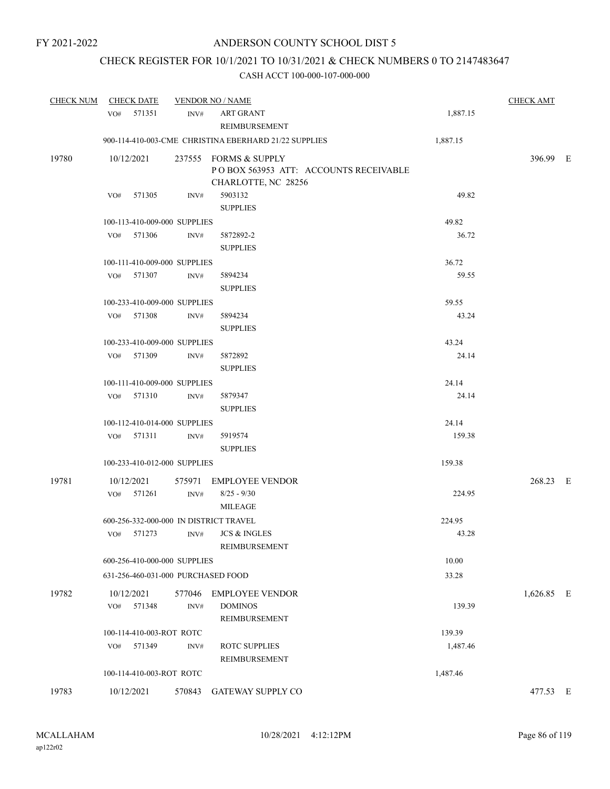# CHECK REGISTER FOR 10/1/2021 TO 10/31/2021 & CHECK NUMBERS 0 TO 2147483647

| <b>CHECK NUM</b> | <b>CHECK DATE</b>                                    |                | <b>VENDOR NO / NAME</b>                                                               |                 | <b>CHECK AMT</b> |  |
|------------------|------------------------------------------------------|----------------|---------------------------------------------------------------------------------------|-----------------|------------------|--|
|                  | VO# 571351                                           | INV#           | <b>ART GRANT</b><br>REIMBURSEMENT                                                     | 1,887.15        |                  |  |
|                  |                                                      |                | 900-114-410-003-CME CHRISTINA EBERHARD 21/22 SUPPLIES                                 | 1,887.15        |                  |  |
| 19780            | 10/12/2021                                           |                | 237555 FORMS & SUPPLY<br>POBOX 563953 ATT: ACCOUNTS RECEIVABLE<br>CHARLOTTE, NC 28256 |                 | 396.99 E         |  |
|                  | 571305<br>VO#                                        | INV#           | 5903132<br><b>SUPPLIES</b>                                                            | 49.82           |                  |  |
|                  | 100-113-410-009-000 SUPPLIES                         |                |                                                                                       | 49.82           |                  |  |
|                  | VO#<br>571306                                        | INV#           | 5872892-2<br><b>SUPPLIES</b>                                                          | 36.72           |                  |  |
|                  | 100-111-410-009-000 SUPPLIES                         |                |                                                                                       | 36.72           |                  |  |
|                  | VO# 571307                                           | INV#           | 5894234<br><b>SUPPLIES</b>                                                            | 59.55           |                  |  |
|                  | 100-233-410-009-000 SUPPLIES                         |                |                                                                                       | 59.55           |                  |  |
|                  | VO# 571308                                           | INV#           | 5894234<br><b>SUPPLIES</b>                                                            | 43.24           |                  |  |
|                  | 100-233-410-009-000 SUPPLIES                         |                |                                                                                       | 43.24           |                  |  |
|                  | 571309<br>VO#                                        | INV#           | 5872892<br><b>SUPPLIES</b>                                                            | 24.14           |                  |  |
|                  | 100-111-410-009-000 SUPPLIES                         |                |                                                                                       | 24.14           |                  |  |
|                  | VO# 571310                                           | INV#           | 5879347<br><b>SUPPLIES</b>                                                            | 24.14           |                  |  |
|                  | 100-112-410-014-000 SUPPLIES                         |                |                                                                                       | 24.14           |                  |  |
|                  | VO# 571311                                           | INV#           | 5919574<br><b>SUPPLIES</b>                                                            | 159.38          |                  |  |
|                  | 100-233-410-012-000 SUPPLIES                         |                |                                                                                       | 159.38          |                  |  |
| 19781            | 10/12/2021<br>VO# 571261                             | INV#           | 575971 EMPLOYEE VENDOR<br>$8/25 - 9/30$                                               | 224.95          | 268.23 E         |  |
|                  |                                                      |                | <b>MILEAGE</b>                                                                        |                 |                  |  |
|                  | 600-256-332-000-000 IN DISTRICT TRAVEL<br>VO# 571273 | INV#           | <b>JCS &amp; INGLES</b><br>REIMBURSEMENT                                              | 224.95<br>43.28 |                  |  |
|                  | 600-256-410-000-000 SUPPLIES                         |                |                                                                                       | 10.00           |                  |  |
|                  | 631-256-460-031-000 PURCHASED FOOD                   |                |                                                                                       | 33.28           |                  |  |
| 19782            | 10/12/2021<br>571348<br>VO#                          | 577046<br>INV# | <b>EMPLOYEE VENDOR</b><br><b>DOMINOS</b><br>REIMBURSEMENT                             | 139.39          | 1,626.85 E       |  |
|                  | 100-114-410-003-ROT ROTC                             |                |                                                                                       | 139.39          |                  |  |
|                  | VO# 571349                                           | INV#           | <b>ROTC SUPPLIES</b><br>REIMBURSEMENT                                                 | 1,487.46        |                  |  |
|                  | 100-114-410-003-ROT ROTC                             |                |                                                                                       | 1,487.46        |                  |  |
| 19783            | 10/12/2021                                           | 570843         | GATEWAY SUPPLY CO                                                                     |                 | 477.53 E         |  |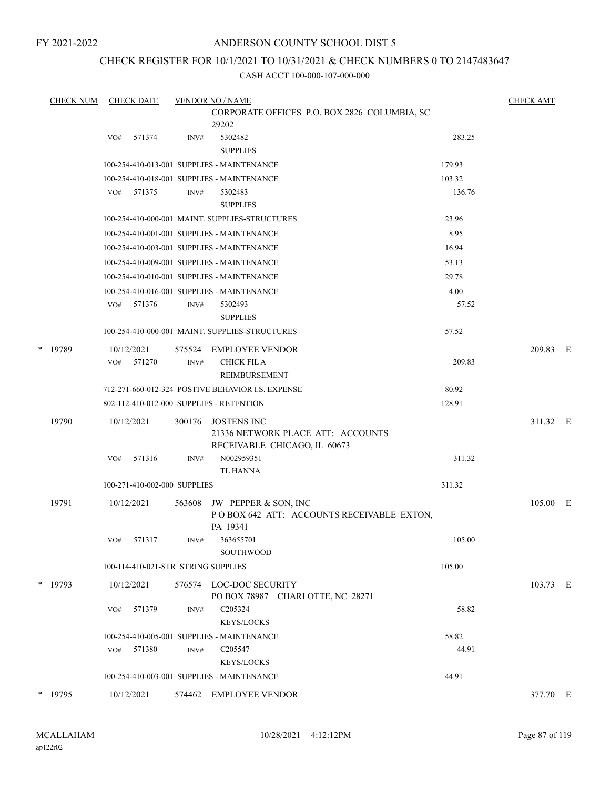## ANDERSON COUNTY SCHOOL DIST 5

## CHECK REGISTER FOR 10/1/2021 TO 10/31/2021 & CHECK NUMBERS 0 TO 2147483647

|   | <b>CHECK NUM</b> | <b>CHECK DATE</b>                        |        | <b>VENDOR NO / NAME</b>                                                                 |        | <b>CHECK AMT</b> |  |
|---|------------------|------------------------------------------|--------|-----------------------------------------------------------------------------------------|--------|------------------|--|
|   |                  |                                          |        | CORPORATE OFFICES P.O. BOX 2826 COLUMBIA, SC                                            |        |                  |  |
|   |                  |                                          |        | 29202                                                                                   |        |                  |  |
|   |                  | 571374<br>VO#                            | INV#   | 5302482<br><b>SUPPLIES</b>                                                              | 283.25 |                  |  |
|   |                  |                                          |        | 100-254-410-013-001 SUPPLIES - MAINTENANCE                                              | 179.93 |                  |  |
|   |                  |                                          |        | 100-254-410-018-001 SUPPLIES - MAINTENANCE                                              | 103.32 |                  |  |
|   |                  | 571375<br>VO#                            | INV#   | 5302483                                                                                 | 136.76 |                  |  |
|   |                  |                                          |        | <b>SUPPLIES</b>                                                                         |        |                  |  |
|   |                  |                                          |        | 100-254-410-000-001 MAINT. SUPPLIES-STRUCTURES                                          | 23.96  |                  |  |
|   |                  |                                          |        | 100-254-410-001-001 SUPPLIES - MAINTENANCE                                              | 8.95   |                  |  |
|   |                  |                                          |        | 100-254-410-003-001 SUPPLIES - MAINTENANCE                                              | 16.94  |                  |  |
|   |                  |                                          |        | 100-254-410-009-001 SUPPLIES - MAINTENANCE                                              | 53.13  |                  |  |
|   |                  |                                          |        | 100-254-410-010-001 SUPPLIES - MAINTENANCE                                              | 29.78  |                  |  |
|   |                  |                                          |        | 100-254-410-016-001 SUPPLIES - MAINTENANCE                                              | 4.00   |                  |  |
|   |                  | VO# 571376                               | INV#   | 5302493<br><b>SUPPLIES</b>                                                              | 57.52  |                  |  |
|   |                  |                                          |        | 100-254-410-000-001 MAINT. SUPPLIES-STRUCTURES                                          | 57.52  |                  |  |
| * | 19789            | 10/12/2021                               | 575524 | <b>EMPLOYEE VENDOR</b>                                                                  |        | 209.83 E         |  |
|   |                  | 571270<br>VO#                            | INV#   | <b>CHICK FIL A</b>                                                                      | 209.83 |                  |  |
|   |                  |                                          |        | REIMBURSEMENT                                                                           |        |                  |  |
|   |                  |                                          |        | 712-271-660-012-324 POSTIVE BEHAVIOR I.S. EXPENSE                                       | 80.92  |                  |  |
|   |                  | 802-112-410-012-000 SUPPLIES - RETENTION |        |                                                                                         | 128.91 |                  |  |
|   | 19790            | 10/12/2021                               | 300176 | <b>JOSTENS INC</b><br>21336 NETWORK PLACE ATT: ACCOUNTS<br>RECEIVABLE CHICAGO, IL 60673 |        | 311.32 E         |  |
|   |                  | 571316<br>VO#                            | INV#   | N002959351<br><b>TL HANNA</b>                                                           | 311.32 |                  |  |
|   |                  | 100-271-410-002-000 SUPPLIES             |        |                                                                                         | 311.32 |                  |  |
|   | 19791            | 10/12/2021                               | 563608 | JW PEPPER & SON, INC<br>POBOX 642 ATT: ACCOUNTS RECEIVABLE EXTON,<br>PA 19341           |        | 105.00 E         |  |
|   |                  | 571317<br>VO#                            | INV#   | 363655701<br>SOUTHWOOD                                                                  | 105.00 |                  |  |
|   |                  | 100-114-410-021-STR STRING SUPPLIES      |        |                                                                                         | 105.00 |                  |  |
|   |                  |                                          |        |                                                                                         |        |                  |  |
|   | * 19793          | 10/12/2021                               |        | 576574 LOC-DOC SECURITY<br>PO BOX 78987 CHARLOTTE, NC 28271                             |        | 103.73 E         |  |
|   |                  | 571379<br>VO#                            | INV#   | C205324<br><b>KEYS/LOCKS</b>                                                            | 58.82  |                  |  |
|   |                  |                                          |        | 100-254-410-005-001 SUPPLIES - MAINTENANCE                                              | 58.82  |                  |  |
|   |                  | 571380<br>VO#                            | INV#   | C205547                                                                                 | 44.91  |                  |  |
|   |                  |                                          |        | <b>KEYS/LOCKS</b>                                                                       |        |                  |  |
|   |                  |                                          |        | 100-254-410-003-001 SUPPLIES - MAINTENANCE                                              | 44.91  |                  |  |
|   | * 19795          | 10/12/2021                               |        | 574462 EMPLOYEE VENDOR                                                                  |        | 377.70 E         |  |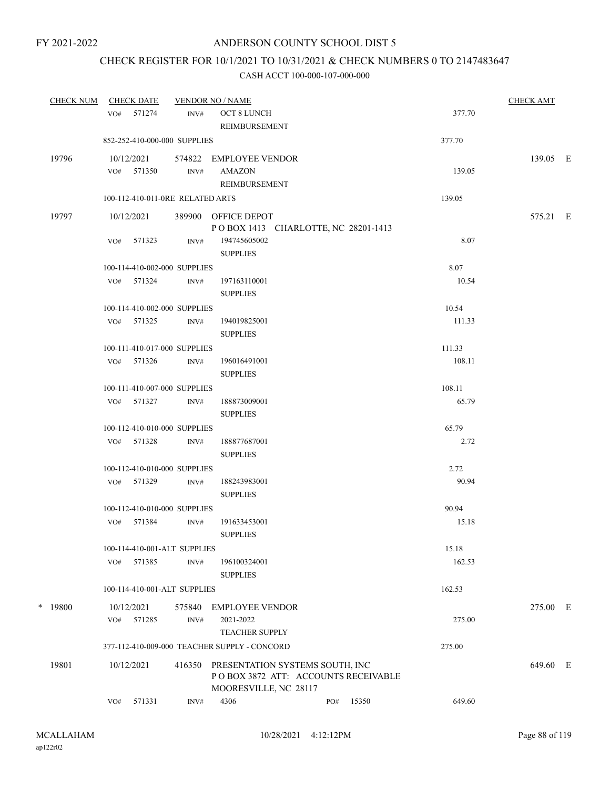# CHECK REGISTER FOR 10/1/2021 TO 10/31/2021 & CHECK NUMBERS 0 TO 2147483647

|   | <b>CHECK NUM</b> |     | <b>CHECK DATE</b>                |                | <b>VENDOR NO / NAME</b>                      |     |       |                  | <b>CHECK AMT</b> |  |
|---|------------------|-----|----------------------------------|----------------|----------------------------------------------|-----|-------|------------------|------------------|--|
|   |                  |     | VO# 571274                       | INV#           | OCT 8 LUNCH                                  |     |       | 377.70           |                  |  |
|   |                  |     |                                  |                | REIMBURSEMENT                                |     |       |                  |                  |  |
|   |                  |     | 852-252-410-000-000 SUPPLIES     |                |                                              |     |       | 377.70           |                  |  |
|   | 19796            |     | 10/12/2021                       |                | 574822 EMPLOYEE VENDOR                       |     |       |                  | 139.05 E         |  |
|   |                  |     | VO# 571350                       | INV#           | <b>AMAZON</b>                                |     |       | 139.05           |                  |  |
|   |                  |     |                                  |                | REIMBURSEMENT                                |     |       |                  |                  |  |
|   |                  |     | 100-112-410-011-0RE RELATED ARTS |                |                                              |     |       | 139.05           |                  |  |
|   | 19797            |     | 10/12/2021                       |                | 389900 OFFICE DEPOT                          |     |       |                  | 575.21 E         |  |
|   |                  |     |                                  |                | POBOX 1413 CHARLOTTE, NC 28201-1413          |     |       |                  |                  |  |
|   |                  |     | VO# 571323                       | INV#           | 194745605002<br><b>SUPPLIES</b>              |     |       | 8.07             |                  |  |
|   |                  |     | 100-114-410-002-000 SUPPLIES     |                |                                              |     |       | 8.07             |                  |  |
|   |                  |     | VO# 571324                       | INV#           | 197163110001                                 |     |       | 10.54            |                  |  |
|   |                  |     |                                  |                | <b>SUPPLIES</b>                              |     |       |                  |                  |  |
|   |                  |     | 100-114-410-002-000 SUPPLIES     |                |                                              |     |       | 10.54            |                  |  |
|   |                  |     | VO# 571325                       | INV#           | 194019825001                                 |     |       | 111.33           |                  |  |
|   |                  |     |                                  |                | <b>SUPPLIES</b>                              |     |       |                  |                  |  |
|   |                  |     | 100-111-410-017-000 SUPPLIES     |                | 196016491001                                 |     |       | 111.33<br>108.11 |                  |  |
|   |                  |     | VO# 571326                       | INV#           | <b>SUPPLIES</b>                              |     |       |                  |                  |  |
|   |                  |     | 100-111-410-007-000 SUPPLIES     |                |                                              |     |       | 108.11           |                  |  |
|   |                  |     | VO# 571327                       | INV#           | 188873009001                                 |     |       | 65.79            |                  |  |
|   |                  |     |                                  |                | <b>SUPPLIES</b>                              |     |       |                  |                  |  |
|   |                  |     | 100-112-410-010-000 SUPPLIES     |                |                                              |     |       | 65.79            |                  |  |
|   |                  |     | VO# 571328                       | INV#           | 188877687001                                 |     |       | 2.72             |                  |  |
|   |                  |     |                                  |                | <b>SUPPLIES</b>                              |     |       |                  |                  |  |
|   |                  |     | 100-112-410-010-000 SUPPLIES     |                |                                              |     |       | 2.72             |                  |  |
|   |                  |     | VO# 571329                       | INV#           | 188243983001                                 |     |       | 90.94            |                  |  |
|   |                  |     |                                  |                | <b>SUPPLIES</b>                              |     |       |                  |                  |  |
|   |                  |     | 100-112-410-010-000 SUPPLIES     |                |                                              |     |       | 90.94            |                  |  |
|   |                  |     | VO# 571384                       | $\text{INV}\#$ | 191633453001                                 |     |       | 15.18            |                  |  |
|   |                  |     |                                  |                | <b>SUPPLIES</b>                              |     |       |                  |                  |  |
|   |                  |     | 100-114-410-001-ALT SUPPLIES     |                |                                              |     |       | 15.18            |                  |  |
|   |                  | VO# | 571385                           | INV#           | 196100324001<br><b>SUPPLIES</b>              |     |       | 162.53           |                  |  |
|   |                  |     | 100-114-410-001-ALT SUPPLIES     |                |                                              |     |       | 162.53           |                  |  |
| * | 19800            |     | 10/12/2021                       | 575840         | <b>EMPLOYEE VENDOR</b>                       |     |       |                  | 275.00 E         |  |
|   |                  |     | VO# 571285                       | INV#           | 2021-2022                                    |     |       | 275.00           |                  |  |
|   |                  |     |                                  |                | <b>TEACHER SUPPLY</b>                        |     |       |                  |                  |  |
|   |                  |     |                                  |                | 377-112-410-009-000 TEACHER SUPPLY - CONCORD |     |       | 275.00           |                  |  |
|   | 19801            |     | 10/12/2021                       | 416350         | PRESENTATION SYSTEMS SOUTH, INC              |     |       |                  | 649.60 E         |  |
|   |                  |     |                                  |                | POBOX 3872 ATT: ACCOUNTS RECEIVABLE          |     |       |                  |                  |  |
|   |                  |     |                                  |                | MOORESVILLE, NC 28117                        |     |       |                  |                  |  |
|   |                  | VO# | 571331                           | INV#           | 4306                                         | PO# | 15350 | 649.60           |                  |  |
|   |                  |     |                                  |                |                                              |     |       |                  |                  |  |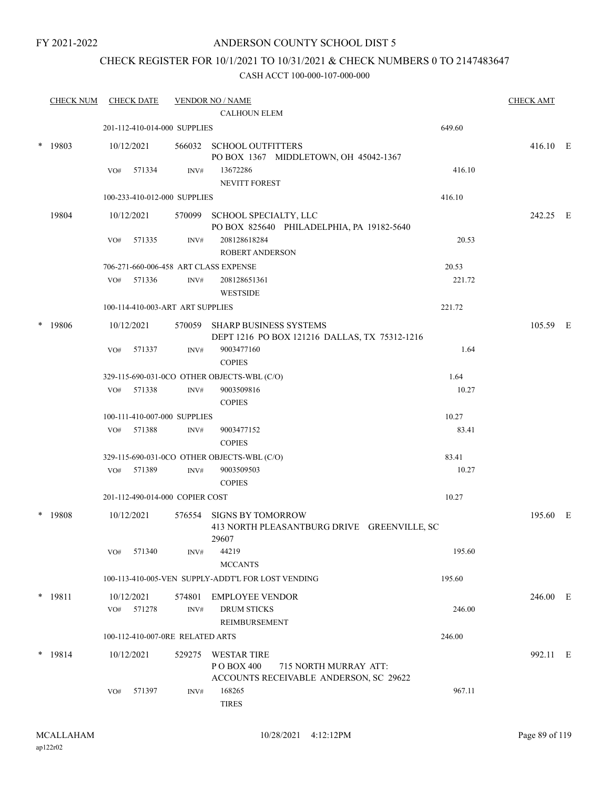#### ANDERSON COUNTY SCHOOL DIST 5

# CHECK REGISTER FOR 10/1/2021 TO 10/31/2021 & CHECK NUMBERS 0 TO 2147483647

| <b>CHECK NUM</b> |     | <b>CHECK DATE</b>    |                                  | <b>VENDOR NO / NAME</b>                                                        |                                             | <b>CHECK AMT</b> |  |
|------------------|-----|----------------------|----------------------------------|--------------------------------------------------------------------------------|---------------------------------------------|------------------|--|
|                  |     |                      |                                  | <b>CALHOUN ELEM</b>                                                            |                                             |                  |  |
|                  |     |                      | 201-112-410-014-000 SUPPLIES     |                                                                                | 649.60                                      |                  |  |
| $*$ 19803        |     | 10/12/2021           |                                  | 566032 SCHOOL OUTFITTERS<br>PO BOX 1367 MIDDLETOWN, OH 45042-1367              |                                             | 416.10 E         |  |
|                  | VO# | 571334               | INV#                             | 13672286<br><b>NEVITT FOREST</b>                                               | 416.10                                      |                  |  |
|                  |     |                      | 100-233-410-012-000 SUPPLIES     |                                                                                | 416.10                                      |                  |  |
| 19804            |     | 10/12/2021           | 570099                           | SCHOOL SPECIALTY, LLC<br>PO BOX 825640 PHILADELPHIA, PA 19182-5640             |                                             | 242.25 E         |  |
|                  | VO# | 571335               | INV#                             | 208128618284<br><b>ROBERT ANDERSON</b>                                         | 20.53                                       |                  |  |
|                  |     |                      |                                  | 706-271-660-006-458 ART CLASS EXPENSE                                          | 20.53                                       |                  |  |
|                  |     | VO# 571336           | INV#                             | 208128651361<br><b>WESTSIDE</b>                                                | 221.72                                      |                  |  |
|                  |     |                      | 100-114-410-003-ART ART SUPPLIES |                                                                                | 221.72                                      |                  |  |
| 19806            |     | 10/12/2021           |                                  | 570059 SHARP BUSINESS SYSTEMS<br>DEPT 1216 PO BOX 121216 DALLAS, TX 75312-1216 |                                             | 105.59 E         |  |
|                  | VO# | 571337               | INV#                             | 9003477160<br><b>COPIES</b>                                                    | 1.64                                        |                  |  |
|                  |     |                      |                                  | 329-115-690-031-0CO OTHER OBJECTS-WBL (C/O)                                    | 1.64                                        |                  |  |
|                  | VO# | 571338               | INV#                             | 9003509816<br><b>COPIES</b>                                                    | 10.27                                       |                  |  |
|                  |     |                      | 100-111-410-007-000 SUPPLIES     |                                                                                | 10.27                                       |                  |  |
|                  | VO# | 571388               | INV#                             | 9003477152<br><b>COPIES</b>                                                    | 83.41                                       |                  |  |
|                  |     |                      |                                  | 329-115-690-031-0CO OTHER OBJECTS-WBL (C/O)                                    | 83.41                                       |                  |  |
|                  | VO# | 571389               | INV#                             | 9003509503<br><b>COPIES</b>                                                    | 10.27                                       |                  |  |
|                  |     |                      | 201-112-490-014-000 COPIER COST  |                                                                                | 10.27                                       |                  |  |
| 19808            |     | 10/12/2021           | 576554                           | <b>SIGNS BY TOMORROW</b>                                                       | 413 NORTH PLEASANTBURG DRIVE GREENVILLE, SC | 195.60 E         |  |
|                  | VO# | 571340               | INV#                             | 29607<br>44219<br><b>MCCANTS</b>                                               | 195.60                                      |                  |  |
|                  |     |                      |                                  | 100-113-410-005-VEN SUPPLY-ADDT'L FOR LOST VENDING                             | 195.60                                      |                  |  |
| * 19811          | VO# | 10/12/2021<br>571278 | 574801<br>$\text{INV}\#$         | <b>EMPLOYEE VENDOR</b><br><b>DRUM STICKS</b>                                   | 246.00                                      | 246.00 E         |  |
|                  |     |                      |                                  | REIMBURSEMENT                                                                  |                                             |                  |  |
|                  |     |                      | 100-112-410-007-0RE RELATED ARTS |                                                                                | 246.00                                      |                  |  |
| * 19814          |     | 10/12/2021           | 529275                           | <b>WESTAR TIRE</b><br>PO BOX 400<br>ACCOUNTS RECEIVABLE ANDERSON, SC 29622     | 715 NORTH MURRAY ATT:                       | 992.11 E         |  |
|                  | VO# | 571397               | INV#                             | 168265<br><b>TIRES</b>                                                         | 967.11                                      |                  |  |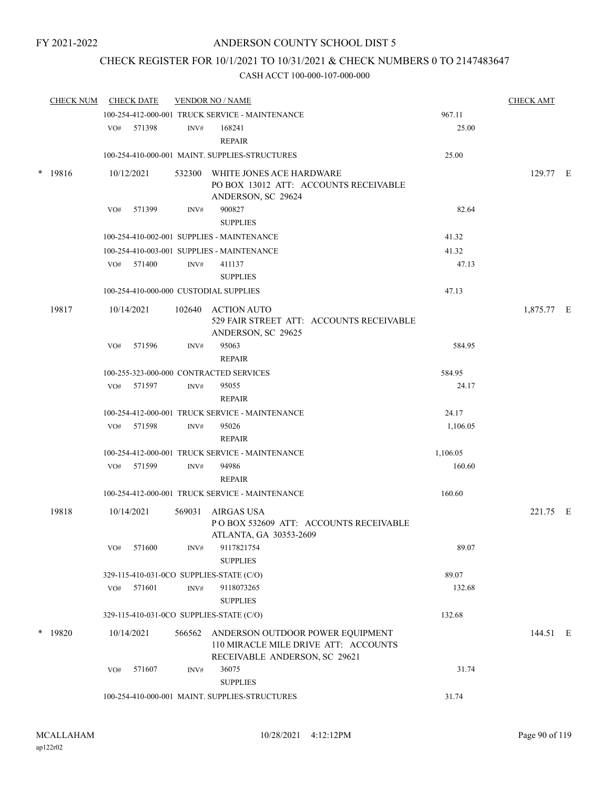## CHECK REGISTER FOR 10/1/2021 TO 10/31/2021 & CHECK NUMBERS 0 TO 2147483647

| <b>CHECK NUM</b> |     | <b>CHECK DATE</b> |                | <b>VENDOR NO / NAME</b>                                                                                   |          | <b>CHECK AMT</b> |  |
|------------------|-----|-------------------|----------------|-----------------------------------------------------------------------------------------------------------|----------|------------------|--|
|                  |     |                   |                | 100-254-412-000-001 TRUCK SERVICE - MAINTENANCE                                                           | 967.11   |                  |  |
|                  |     | VO# 571398        | INV#           | 168241<br><b>REPAIR</b>                                                                                   | 25.00    |                  |  |
|                  |     |                   |                | 100-254-410-000-001 MAINT. SUPPLIES-STRUCTURES                                                            | 25.00    |                  |  |
| $*$ 19816        |     | 10/12/2021        |                | 532300 WHITE JONES ACE HARDWARE<br>PO BOX 13012 ATT: ACCOUNTS RECEIVABLE<br>ANDERSON, SC 29624            |          | 129.77 E         |  |
|                  | VO# | 571399            | INV#           | 900827<br><b>SUPPLIES</b>                                                                                 | 82.64    |                  |  |
|                  |     |                   |                | 100-254-410-002-001 SUPPLIES - MAINTENANCE                                                                | 41.32    |                  |  |
|                  |     |                   |                | 100-254-410-003-001 SUPPLIES - MAINTENANCE                                                                | 41.32    |                  |  |
|                  |     | VO# 571400        | INV#           | 411137<br><b>SUPPLIES</b>                                                                                 | 47.13    |                  |  |
|                  |     |                   |                | 100-254-410-000-000 CUSTODIAL SUPPLIES                                                                    | 47.13    |                  |  |
| 19817            |     | 10/14/2021        |                | 102640 ACTION AUTO<br>529 FAIR STREET ATT: ACCOUNTS RECEIVABLE<br>ANDERSON, SC 29625                      |          | 1,875.77 E       |  |
|                  | VO# | 571596            | INV#           | 95063<br><b>REPAIR</b>                                                                                    | 584.95   |                  |  |
|                  |     |                   |                | 100-255-323-000-000 CONTRACTED SERVICES                                                                   | 584.95   |                  |  |
|                  | VO# | 571597            | INV#           | 95055<br>REPAIR                                                                                           | 24.17    |                  |  |
|                  |     |                   |                | 100-254-412-000-001 TRUCK SERVICE - MAINTENANCE                                                           | 24.17    |                  |  |
|                  | VO# | 571598            | INV#           | 95026<br><b>REPAIR</b>                                                                                    | 1,106.05 |                  |  |
|                  |     |                   |                | 100-254-412-000-001 TRUCK SERVICE - MAINTENANCE                                                           | 1,106.05 |                  |  |
|                  | VO# | 571599            | INV#           | 94986<br><b>REPAIR</b>                                                                                    | 160.60   |                  |  |
|                  |     |                   |                | 100-254-412-000-001 TRUCK SERVICE - MAINTENANCE                                                           | 160.60   |                  |  |
| 19818            |     | 10/14/2021        | 569031         | AIRGAS USA<br>POBOX 532609 ATT: ACCOUNTS RECEIVABLE<br>ATLANTA, GA 30353-2609                             |          | 221.75 E         |  |
|                  | VO# | 571600            | INV#           | 9117821754<br><b>SUPPLIES</b>                                                                             | 89.07    |                  |  |
|                  |     |                   |                | 329-115-410-031-0CO SUPPLIES-STATE (C/O)                                                                  | 89.07    |                  |  |
|                  | VO# | 571601            | $\text{INV}\#$ | 9118073265<br><b>SUPPLIES</b>                                                                             | 132.68   |                  |  |
|                  |     |                   |                | 329-115-410-031-0CO SUPPLIES-STATE (C/O)                                                                  | 132.68   |                  |  |
| $*$ 19820        |     | 10/14/2021        | 566562         | ANDERSON OUTDOOR POWER EQUIPMENT<br>110 MIRACLE MILE DRIVE ATT: ACCOUNTS<br>RECEIVABLE ANDERSON, SC 29621 |          | 144.51 E         |  |
|                  | VO# | 571607            | INV#           | 36075<br><b>SUPPLIES</b>                                                                                  | 31.74    |                  |  |
|                  |     |                   |                | 100-254-410-000-001 MAINT. SUPPLIES-STRUCTURES                                                            | 31.74    |                  |  |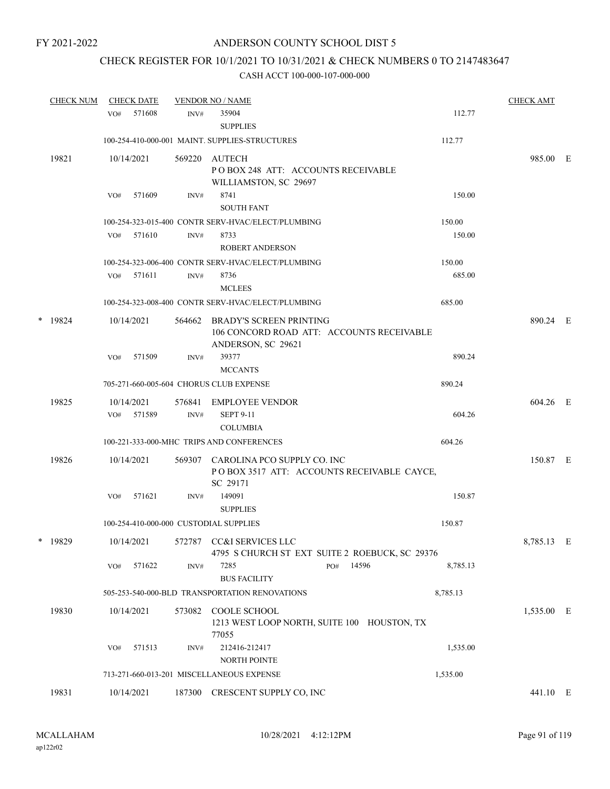# CHECK REGISTER FOR 10/1/2021 TO 10/31/2021 & CHECK NUMBERS 0 TO 2147483647

|       | <b>CHECK NUM</b> | <b>CHECK DATE</b> |            |        | <b>VENDOR NO / NAME</b>                                                                           |              |          |            |  |
|-------|------------------|-------------------|------------|--------|---------------------------------------------------------------------------------------------------|--------------|----------|------------|--|
|       |                  | VO#               | 571608     | INV#   | 35904<br><b>SUPPLIES</b>                                                                          |              | 112.77   |            |  |
|       |                  |                   |            |        | 100-254-410-000-001 MAINT. SUPPLIES-STRUCTURES                                                    |              | 112.77   |            |  |
| 19821 |                  |                   | 10/14/2021 |        | 569220 AUTECH<br>POBOX 248 ATT: ACCOUNTS RECEIVABLE<br>WILLIAMSTON, SC 29697                      |              |          | 985.00 E   |  |
|       |                  | VO#               | 571609     | INV#   | 8741                                                                                              |              | 150.00   |            |  |
|       |                  |                   |            |        | <b>SOUTH FANT</b>                                                                                 |              |          |            |  |
|       |                  |                   |            |        | 100-254-323-015-400 CONTR SERV-HVAC/ELECT/PLUMBING                                                |              | 150.00   |            |  |
|       |                  | VO#               | 571610     | INV#   | 8733<br><b>ROBERT ANDERSON</b>                                                                    |              | 150.00   |            |  |
|       |                  |                   |            |        | 100-254-323-006-400 CONTR SERV-HVAC/ELECT/PLUMBING                                                |              | 150.00   |            |  |
|       |                  | VO#               | 571611     | INV#   | 8736<br><b>MCLEES</b>                                                                             |              | 685.00   |            |  |
|       |                  |                   |            |        | 100-254-323-008-400 CONTR SERV-HVAC/ELECT/PLUMBING                                                |              | 685.00   |            |  |
|       | $*$ 19824        |                   | 10/14/2021 | 564662 | <b>BRADY'S SCREEN PRINTING</b><br>106 CONCORD ROAD ATT: ACCOUNTS RECEIVABLE<br>ANDERSON, SC 29621 |              |          | 890.24 E   |  |
|       |                  | VO#               | 571509     | INV#   | 39377<br><b>MCCANTS</b>                                                                           |              | 890.24   |            |  |
|       |                  |                   |            |        | 705-271-660-005-604 CHORUS CLUB EXPENSE                                                           |              | 890.24   |            |  |
|       | 19825            |                   | 10/14/2021 | 576841 | EMPLOYEE VENDOR                                                                                   |              |          | 604.26 E   |  |
|       |                  |                   | VO# 571589 | INV#   | <b>SEPT 9-11</b><br><b>COLUMBIA</b>                                                               |              | 604.26   |            |  |
|       |                  |                   |            |        | 100-221-333-000-MHC TRIPS AND CONFERENCES                                                         |              | 604.26   |            |  |
|       | 19826            |                   | 10/14/2021 | 569307 | CAROLINA PCO SUPPLY CO. INC<br>POBOX 3517 ATT: ACCOUNTS RECEIVABLE CAYCE,<br>SC 29171             |              |          | 150.87 E   |  |
|       |                  | VO#               | 571621     | INV#   | 149091<br><b>SUPPLIES</b>                                                                         |              | 150.87   |            |  |
|       |                  |                   |            |        | 100-254-410-000-000 CUSTODIAL SUPPLIES                                                            |              | 150.87   |            |  |
|       | * 19829          |                   | 10/14/2021 |        | 572787 CC&I SERVICES LLC<br>4795 S CHURCH ST EXT SUITE 2 ROEBUCK, SC 29376                        |              |          | 8,785.13 E |  |
|       |                  | VO#               | 571622     | INV#   | 7285<br><b>BUS FACILITY</b>                                                                       | 14596<br>PO# | 8,785.13 |            |  |
|       |                  |                   |            |        | 505-253-540-000-BLD TRANSPORTATION RENOVATIONS                                                    |              | 8,785.13 |            |  |
|       | 19830            |                   | 10/14/2021 | 573082 | COOLE SCHOOL<br>1213 WEST LOOP NORTH, SUITE 100 HOUSTON, TX<br>77055                              |              |          | 1,535.00 E |  |
|       |                  | VO#               | 571513     | INV#   | 212416-212417<br><b>NORTH POINTE</b>                                                              |              | 1,535.00 |            |  |
|       |                  |                   |            |        | 713-271-660-013-201 MISCELLANEOUS EXPENSE                                                         |              | 1,535.00 |            |  |
|       | 19831            |                   | 10/14/2021 |        | 187300 CRESCENT SUPPLY CO, INC                                                                    |              |          | 441.10 E   |  |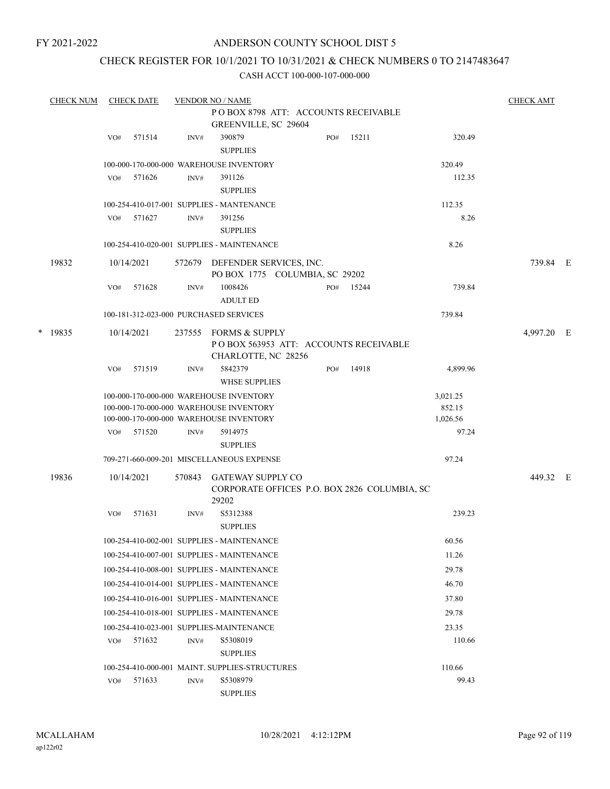#### ANDERSON COUNTY SCHOOL DIST 5

## CHECK REGISTER FOR 10/1/2021 TO 10/31/2021 & CHECK NUMBERS 0 TO 2147483647

|  | <b>CHECK NUM</b> |     | <b>CHECK DATE</b> |        | <b>VENDOR NO / NAME</b>                                                                                                       |     |       |                                | <b>CHECK AMT</b> |  |
|--|------------------|-----|-------------------|--------|-------------------------------------------------------------------------------------------------------------------------------|-----|-------|--------------------------------|------------------|--|
|  |                  |     |                   |        | POBOX 8798 ATT: ACCOUNTS RECEIVABLE<br><b>GREENVILLE, SC 29604</b>                                                            |     |       |                                |                  |  |
|  |                  | VO# | 571514            | INV#   | 390879<br><b>SUPPLIES</b>                                                                                                     | PO# | 15211 | 320.49                         |                  |  |
|  |                  |     |                   |        | 100-000-170-000-000 WAREHOUSE INVENTORY                                                                                       |     |       | 320.49                         |                  |  |
|  |                  | VO# | 571626            | INV#   | 391126<br><b>SUPPLIES</b>                                                                                                     |     |       | 112.35                         |                  |  |
|  |                  |     |                   |        | 100-254-410-017-001 SUPPLIES - MANTENANCE                                                                                     |     |       | 112.35                         |                  |  |
|  |                  | VO# | 571627            | INV#   | 391256<br><b>SUPPLIES</b>                                                                                                     |     |       | 8.26                           |                  |  |
|  |                  |     |                   |        | 100-254-410-020-001 SUPPLIES - MAINTENANCE                                                                                    |     |       | 8.26                           |                  |  |
|  | 19832            |     | 10/14/2021        |        | 572679 DEFENDER SERVICES, INC.<br>PO BOX 1775 COLUMBIA, SC 29202                                                              |     |       |                                | 739.84 E         |  |
|  |                  | VO# | 571628            | INV#   | 1008426<br><b>ADULT ED</b>                                                                                                    | PO# | 15244 | 739.84                         |                  |  |
|  |                  |     |                   |        | 100-181-312-023-000 PURCHASED SERVICES                                                                                        |     |       | 739.84                         |                  |  |
|  | $*$ 19835        |     | 10/14/2021        | 237555 | <b>FORMS &amp; SUPPLY</b><br>POBOX 563953 ATT: ACCOUNTS RECEIVABLE<br>CHARLOTTE, NC 28256                                     |     |       |                                | 4,997.20 E       |  |
|  |                  | VO# | 571519            | INV#   | 5842379<br><b>WHSE SUPPLIES</b>                                                                                               | PO# | 14918 | 4,899.96                       |                  |  |
|  |                  |     |                   |        | 100-000-170-000-000 WAREHOUSE INVENTORY<br>100-000-170-000-000 WAREHOUSE INVENTORY<br>100-000-170-000-000 WAREHOUSE INVENTORY |     |       | 3,021.25<br>852.15<br>1,026.56 |                  |  |
|  |                  | VO# | 571520            | INV#   | 5914975<br><b>SUPPLIES</b>                                                                                                    |     |       | 97.24                          |                  |  |
|  |                  |     |                   |        | 709-271-660-009-201 MISCELLANEOUS EXPENSE                                                                                     |     |       | 97.24                          |                  |  |
|  | 19836            |     | 10/14/2021        | 570843 | <b>GATEWAY SUPPLY CO</b><br>CORPORATE OFFICES P.O. BOX 2826 COLUMBIA, SC<br>29202                                             |     |       |                                | 449.32 E         |  |
|  |                  | VO# | 571631            | INV#   | S5312388<br><b>SUPPLIES</b>                                                                                                   |     |       | 239.23                         |                  |  |
|  |                  |     |                   |        | 100-254-410-002-001 SUPPLIES - MAINTENANCE                                                                                    |     |       | 60.56                          |                  |  |
|  |                  |     |                   |        | 100-254-410-007-001 SUPPLIES - MAINTENANCE                                                                                    |     |       | 11.26                          |                  |  |
|  |                  |     |                   |        | 100-254-410-008-001 SUPPLIES - MAINTENANCE                                                                                    |     |       | 29.78                          |                  |  |
|  |                  |     |                   |        | 100-254-410-014-001 SUPPLIES - MAINTENANCE                                                                                    |     |       | 46.70                          |                  |  |
|  |                  |     |                   |        | 100-254-410-016-001 SUPPLIES - MAINTENANCE                                                                                    |     |       | 37.80                          |                  |  |
|  |                  |     |                   |        | 100-254-410-018-001 SUPPLIES - MAINTENANCE                                                                                    |     |       | 29.78                          |                  |  |
|  |                  |     |                   |        | 100-254-410-023-001 SUPPLIES-MAINTENANCE                                                                                      |     |       | 23.35                          |                  |  |
|  |                  | VO# | 571632            | INV#   | S5308019<br><b>SUPPLIES</b>                                                                                                   |     |       | 110.66                         |                  |  |
|  |                  |     |                   |        | 100-254-410-000-001 MAINT. SUPPLIES-STRUCTURES                                                                                |     |       | 110.66                         |                  |  |
|  |                  | VO# | 571633            | INV#   | S5308979<br><b>SUPPLIES</b>                                                                                                   |     |       | 99.43                          |                  |  |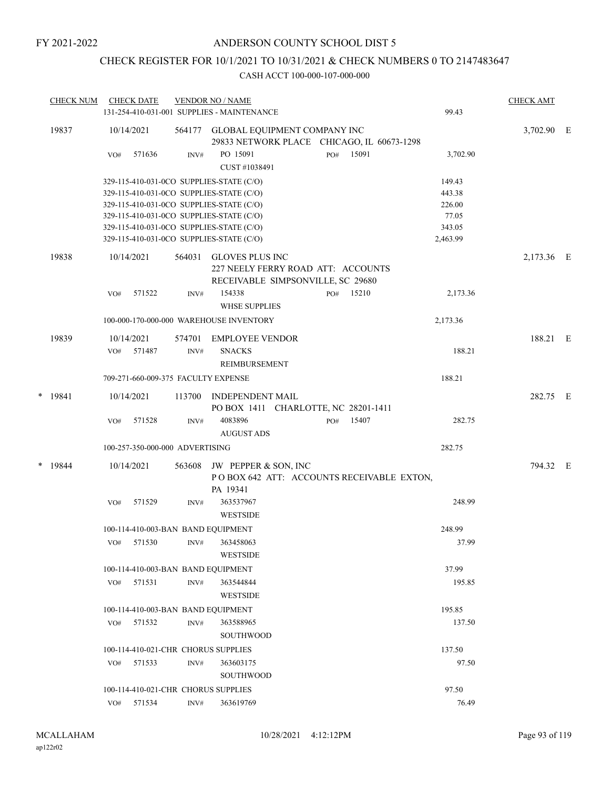# CHECK REGISTER FOR 10/1/2021 TO 10/31/2021 & CHECK NUMBERS 0 TO 2147483647

|   | <b>CHECK NUM</b> |     | <b>CHECK DATE</b> |                                 | <b>VENDOR NO / NAME</b>                                                           |     |           |          | <b>CHECK AMT</b> |  |
|---|------------------|-----|-------------------|---------------------------------|-----------------------------------------------------------------------------------|-----|-----------|----------|------------------|--|
|   |                  |     |                   |                                 | 131-254-410-031-001 SUPPLIES - MAINTENANCE                                        |     |           | 99.43    |                  |  |
|   | 19837            |     | 10/14/2021        |                                 | 564177 GLOBAL EQUIPMENT COMPANY INC<br>29833 NETWORK PLACE CHICAGO, IL 60673-1298 |     |           |          | 3,702.90 E       |  |
|   |                  | VO# | 571636            | INV#                            | PO 15091<br>CUST #1038491                                                         | PO# | 15091     | 3,702.90 |                  |  |
|   |                  |     |                   |                                 | 329-115-410-031-0CO SUPPLIES-STATE (C/O)                                          |     |           | 149.43   |                  |  |
|   |                  |     |                   |                                 | 329-115-410-031-0CO SUPPLIES-STATE (C/O)                                          |     |           | 443.38   |                  |  |
|   |                  |     |                   |                                 | 329-115-410-031-0CO SUPPLIES-STATE (C/O)                                          |     |           | 226.00   |                  |  |
|   |                  |     |                   |                                 | 329-115-410-031-0CO SUPPLIES-STATE (C/O)                                          |     |           | 77.05    |                  |  |
|   |                  |     |                   |                                 | 329-115-410-031-0CO SUPPLIES-STATE (C/O)                                          |     |           | 343.05   |                  |  |
|   |                  |     |                   |                                 | 329-115-410-031-0CO SUPPLIES-STATE (C/O)                                          |     |           | 2,463.99 |                  |  |
|   | 19838            |     | 10/14/2021        |                                 | 564031 GLOVES PLUS INC<br>227 NEELY FERRY ROAD ATT: ACCOUNTS                      |     |           |          | 2,173.36 E       |  |
|   |                  |     |                   |                                 | RECEIVABLE SIMPSONVILLE, SC 29680                                                 |     |           |          |                  |  |
|   |                  | VO# | 571522            | INV#                            | 154338<br><b>WHSE SUPPLIES</b>                                                    |     | PO# 15210 | 2,173.36 |                  |  |
|   |                  |     |                   |                                 | 100-000-170-000-000 WAREHOUSE INVENTORY                                           |     |           | 2,173.36 |                  |  |
|   | 19839            |     | 10/14/2021        | 574701                          | <b>EMPLOYEE VENDOR</b>                                                            |     |           |          | 188.21 E         |  |
|   |                  |     | VO# 571487        | INV#                            | <b>SNACKS</b>                                                                     |     |           | 188.21   |                  |  |
|   |                  |     |                   |                                 | REIMBURSEMENT                                                                     |     |           |          |                  |  |
|   |                  |     |                   |                                 | 709-271-660-009-375 FACULTY EXPENSE                                               |     |           | 188.21   |                  |  |
| * | 19841            |     | 10/14/2021        | 113700                          | <b>INDEPENDENT MAIL</b><br>PO BOX 1411 CHARLOTTE, NC 28201-1411                   |     |           |          | 282.75 E         |  |
|   |                  | VO# | 571528            | INV#                            | 4083896<br><b>AUGUST ADS</b>                                                      | PO# | 15407     | 282.75   |                  |  |
|   |                  |     |                   | 100-257-350-000-000 ADVERTISING |                                                                                   |     |           | 282.75   |                  |  |
|   | $*$ 19844        |     |                   |                                 |                                                                                   |     |           |          | 794.32 E         |  |
|   |                  |     | 10/14/2021        | 563608                          | JW PEPPER & SON, INC<br>POBOX 642 ATT: ACCOUNTS RECEIVABLE EXTON,<br>PA 19341     |     |           |          |                  |  |
|   |                  | VO# | 571529            | INV#                            | 363537967<br><b>WESTSIDE</b>                                                      |     |           | 248.99   |                  |  |
|   |                  |     |                   |                                 | 100-114-410-003-BAN BAND EQUIPMENT                                                |     |           | 248.99   |                  |  |
|   |                  |     |                   |                                 | VO# 571530 INV# 363458063<br><b>WESTSIDE</b>                                      |     |           | 37.99    |                  |  |
|   |                  |     |                   |                                 | 100-114-410-003-BAN BAND EQUIPMENT                                                |     |           | 37.99    |                  |  |
|   |                  | VO# | 571531            | INV#                            | 363544844<br><b>WESTSIDE</b>                                                      |     |           | 195.85   |                  |  |
|   |                  |     |                   |                                 | 100-114-410-003-BAN BAND EQUIPMENT                                                |     |           | 195.85   |                  |  |
|   |                  | VO# | 571532            | INV#                            | 363588965                                                                         |     |           | 137.50   |                  |  |
|   |                  |     |                   |                                 | <b>SOUTHWOOD</b>                                                                  |     |           |          |                  |  |
|   |                  |     |                   |                                 | 100-114-410-021-CHR CHORUS SUPPLIES                                               |     |           | 137.50   |                  |  |
|   |                  | VO# | 571533            | INV#                            | 363603175                                                                         |     |           | 97.50    |                  |  |
|   |                  |     |                   |                                 | <b>SOUTHWOOD</b>                                                                  |     |           |          |                  |  |
|   |                  |     |                   |                                 | 100-114-410-021-CHR CHORUS SUPPLIES                                               |     |           | 97.50    |                  |  |
|   |                  | VO# | 571534            | INV#                            | 363619769                                                                         |     |           | 76.49    |                  |  |
|   |                  |     |                   |                                 |                                                                                   |     |           |          |                  |  |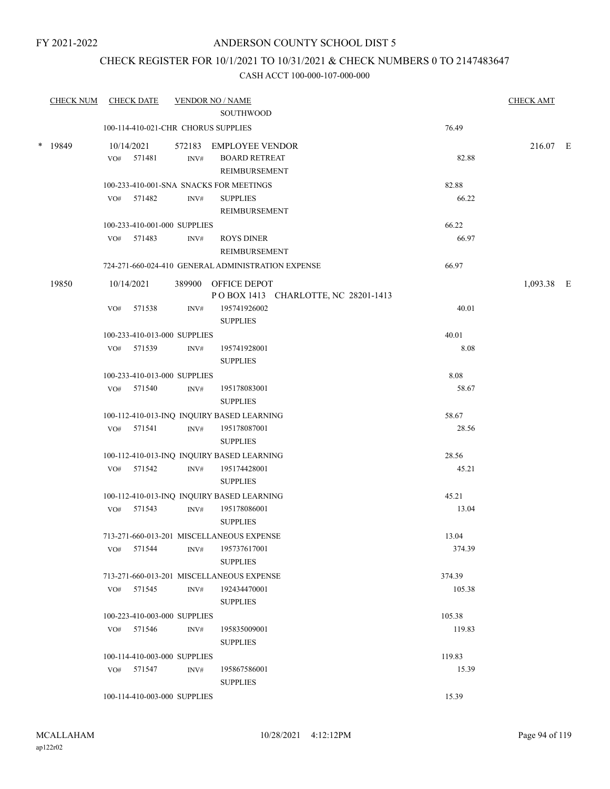## CHECK REGISTER FOR 10/1/2021 TO 10/31/2021 & CHECK NUMBERS 0 TO 2147483647

| <b>CHECK NUM</b> |     | <b>CHECK DATE</b>            |                | <b>VENDOR NO / NAME</b>                            |        | <b>CHECK AMT</b> |  |
|------------------|-----|------------------------------|----------------|----------------------------------------------------|--------|------------------|--|
|                  |     |                              |                | <b>SOUTHWOOD</b>                                   |        |                  |  |
|                  |     |                              |                | 100-114-410-021-CHR CHORUS SUPPLIES                | 76.49  |                  |  |
| * 19849          |     | 10/14/2021                   |                | 572183 EMPLOYEE VENDOR                             |        | 216.07 E         |  |
|                  |     | VO# 571481                   | INV#           | <b>BOARD RETREAT</b>                               | 82.88  |                  |  |
|                  |     |                              |                | REIMBURSEMENT                                      |        |                  |  |
|                  |     |                              |                | 100-233-410-001-SNA SNACKS FOR MEETINGS            | 82.88  |                  |  |
|                  |     | VO# 571482                   | INV#           | <b>SUPPLIES</b>                                    | 66.22  |                  |  |
|                  |     |                              |                | REIMBURSEMENT                                      |        |                  |  |
|                  |     | 100-233-410-001-000 SUPPLIES |                |                                                    | 66.22  |                  |  |
|                  |     | VO# 571483                   | INV#           | <b>ROYS DINER</b>                                  | 66.97  |                  |  |
|                  |     |                              |                | REIMBURSEMENT                                      |        |                  |  |
|                  |     |                              |                | 724-271-660-024-410 GENERAL ADMINISTRATION EXPENSE | 66.97  |                  |  |
| 19850            |     | 10/14/2021                   |                | 389900 OFFICE DEPOT                                |        | $1,093.38$ E     |  |
|                  |     |                              |                | POBOX 1413 CHARLOTTE, NC 28201-1413                |        |                  |  |
|                  | VO# | 571538                       | $\text{INV}\#$ | 195741926002                                       | 40.01  |                  |  |
|                  |     |                              |                | <b>SUPPLIES</b>                                    |        |                  |  |
|                  |     | 100-233-410-013-000 SUPPLIES |                |                                                    | 40.01  |                  |  |
|                  |     | VO# 571539                   | INV#           | 195741928001<br><b>SUPPLIES</b>                    | 8.08   |                  |  |
|                  |     | 100-233-410-013-000 SUPPLIES |                |                                                    | 8.08   |                  |  |
|                  |     | VO# 571540                   | INV#           | 195178083001                                       | 58.67  |                  |  |
|                  |     |                              |                | <b>SUPPLIES</b>                                    |        |                  |  |
|                  |     |                              |                | 100-112-410-013-INQ INQUIRY BASED LEARNING         | 58.67  |                  |  |
|                  |     | VO# 571541                   | INV#           | 195178087001                                       | 28.56  |                  |  |
|                  |     |                              |                | <b>SUPPLIES</b>                                    |        |                  |  |
|                  |     |                              |                | 100-112-410-013-INQ INQUIRY BASED LEARNING         | 28.56  |                  |  |
|                  |     | VO# 571542                   | INV#           | 195174428001                                       | 45.21  |                  |  |
|                  |     |                              |                | <b>SUPPLIES</b>                                    |        |                  |  |
|                  |     |                              |                | 100-112-410-013-INQ INQUIRY BASED LEARNING         | 45.21  |                  |  |
|                  |     | VO# 571543                   | INV#           | 195178086001                                       | 13.04  |                  |  |
|                  |     |                              |                | <b>SUPPLIES</b>                                    |        |                  |  |
|                  |     |                              |                | 713-271-660-013-201 MISCELLANEOUS EXPENSE          | 13.04  |                  |  |
|                  | VO# | 571544                       | INV#           | 195737617001                                       | 374.39 |                  |  |
|                  |     |                              |                | <b>SUPPLIES</b>                                    |        |                  |  |
|                  |     |                              |                | 713-271-660-013-201 MISCELLANEOUS EXPENSE          | 374.39 |                  |  |
|                  | VO# | 571545                       | INV#           | 192434470001                                       | 105.38 |                  |  |
|                  |     |                              |                | <b>SUPPLIES</b>                                    |        |                  |  |
|                  |     | 100-223-410-003-000 SUPPLIES |                |                                                    | 105.38 |                  |  |
|                  |     | VO# 571546                   | INV#           | 195835009001                                       | 119.83 |                  |  |
|                  |     |                              |                | <b>SUPPLIES</b>                                    |        |                  |  |
|                  |     | 100-114-410-003-000 SUPPLIES |                |                                                    | 119.83 |                  |  |
|                  |     | VO# 571547                   | INV#           | 195867586001                                       | 15.39  |                  |  |
|                  |     |                              |                | <b>SUPPLIES</b>                                    |        |                  |  |
|                  |     | 100-114-410-003-000 SUPPLIES |                |                                                    | 15.39  |                  |  |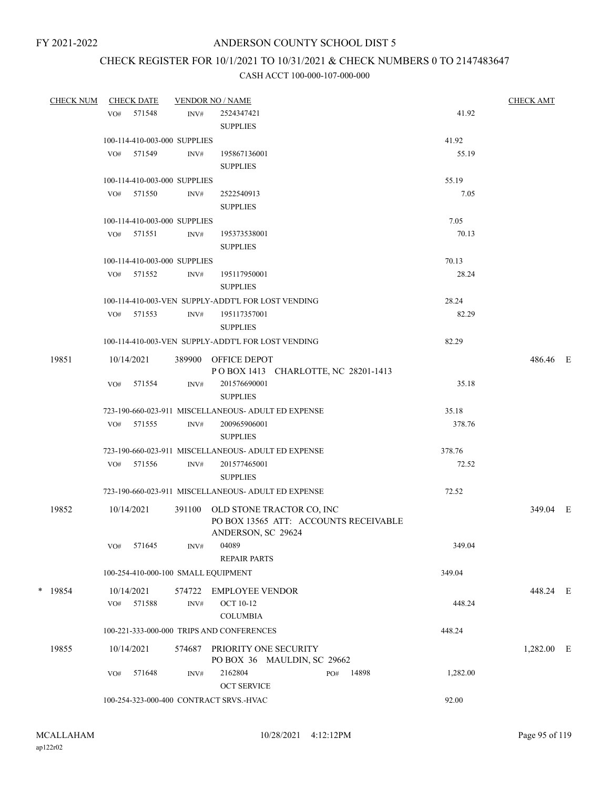# CHECK REGISTER FOR 10/1/2021 TO 10/31/2021 & CHECK NUMBERS 0 TO 2147483647

| <b>CHECK NUM</b> | <b>CHECK DATE</b>                       |        | <b>VENDOR NO / NAME</b>                              |     |       | <b>CHECK AMT</b> |            |  |
|------------------|-----------------------------------------|--------|------------------------------------------------------|-----|-------|------------------|------------|--|
|                  | VO# 571548                              | INV#   | 2524347421                                           |     |       | 41.92            |            |  |
|                  |                                         |        | <b>SUPPLIES</b>                                      |     |       |                  |            |  |
|                  | 100-114-410-003-000 SUPPLIES            |        |                                                      |     |       | 41.92            |            |  |
|                  | VO# 571549                              | INV#   | 195867136001                                         |     |       | 55.19            |            |  |
|                  |                                         |        | <b>SUPPLIES</b>                                      |     |       |                  |            |  |
|                  | 100-114-410-003-000 SUPPLIES            |        |                                                      |     |       | 55.19            |            |  |
|                  | VO# 571550                              | INV#   | 2522540913                                           |     |       | 7.05             |            |  |
|                  |                                         |        | <b>SUPPLIES</b>                                      |     |       |                  |            |  |
|                  | 100-114-410-003-000 SUPPLIES            |        |                                                      |     |       | 7.05             |            |  |
|                  | VO# 571551                              | INV#   | 195373538001                                         |     |       | 70.13            |            |  |
|                  |                                         |        | <b>SUPPLIES</b>                                      |     |       |                  |            |  |
|                  | 100-114-410-003-000 SUPPLIES            |        |                                                      |     |       | 70.13            |            |  |
|                  | VO# 571552                              | INV#   | 195117950001                                         |     |       | 28.24            |            |  |
|                  |                                         |        | <b>SUPPLIES</b>                                      |     |       |                  |            |  |
|                  |                                         |        | 100-114-410-003-VEN SUPPLY-ADDT'L FOR LOST VENDING   |     |       | 28.24            |            |  |
|                  | VO# 571553                              | INV#   | 195117357001                                         |     |       | 82.29            |            |  |
|                  |                                         |        | <b>SUPPLIES</b>                                      |     |       |                  |            |  |
|                  |                                         |        | 100-114-410-003-VEN SUPPLY-ADDT'L FOR LOST VENDING   |     |       | 82.29            |            |  |
| 19851            | 10/14/2021                              |        | 389900 OFFICE DEPOT                                  |     |       |                  | 486.46 E   |  |
|                  |                                         |        | POBOX 1413 CHARLOTTE, NC 28201-1413                  |     |       |                  |            |  |
|                  | 571554<br>VO#                           | INV#   | 201576690001                                         |     |       | 35.18            |            |  |
|                  |                                         |        | <b>SUPPLIES</b>                                      |     |       |                  |            |  |
|                  |                                         |        | 723-190-660-023-911 MISCELLANEOUS- ADULT ED EXPENSE  |     |       | 35.18            |            |  |
|                  | VO# 571555                              | INV#   | 200965906001                                         |     |       | 378.76           |            |  |
|                  |                                         |        | <b>SUPPLIES</b>                                      |     |       |                  |            |  |
|                  |                                         |        | 723-190-660-023-911 MISCELLANEOUS- ADULT ED EXPENSE  |     |       | 378.76           |            |  |
|                  | VO# 571556                              | INV#   | 201577465001                                         |     |       | 72.52            |            |  |
|                  |                                         |        | <b>SUPPLIES</b>                                      |     |       |                  |            |  |
|                  |                                         |        | 723-190-660-023-911 MISCELLANEOUS- ADULT ED EXPENSE  |     |       | 72.52            |            |  |
| 19852            | 10/14/2021                              |        | 391100 OLD STONE TRACTOR CO, INC                     |     |       |                  | 349.04 E   |  |
|                  |                                         |        | PO BOX 13565 ATT: ACCOUNTS RECEIVABLE                |     |       |                  |            |  |
|                  |                                         |        | ANDERSON, SC 29624                                   |     |       |                  |            |  |
|                  | 571645<br>VO#                           | INV#   | 04089                                                |     |       | 349.04           |            |  |
|                  |                                         |        | <b>REPAIR PARTS</b>                                  |     |       |                  |            |  |
|                  | 100-254-410-000-100 SMALL EQUIPMENT     |        |                                                      |     |       | 349.04           |            |  |
| $*$ 19854        | 10/14/2021                              | 574722 | <b>EMPLOYEE VENDOR</b>                               |     |       |                  | 448.24 E   |  |
|                  | 571588<br>VO#                           | INV#   | <b>OCT 10-12</b>                                     |     |       | 448.24           |            |  |
|                  |                                         |        | <b>COLUMBIA</b>                                      |     |       |                  |            |  |
|                  |                                         |        | 100-221-333-000-000 TRIPS AND CONFERENCES            |     |       | 448.24           |            |  |
|                  |                                         |        |                                                      |     |       |                  |            |  |
| 19855            | 10/14/2021                              | 574687 | PRIORITY ONE SECURITY<br>PO BOX 36 MAULDIN, SC 29662 |     |       |                  | 1,282.00 E |  |
|                  | 571648<br>VO#                           | INV#   | 2162804                                              | PO# | 14898 | 1,282.00         |            |  |
|                  |                                         |        | <b>OCT SERVICE</b>                                   |     |       |                  |            |  |
|                  | 100-254-323-000-400 CONTRACT SRVS.-HVAC |        |                                                      |     |       | 92.00            |            |  |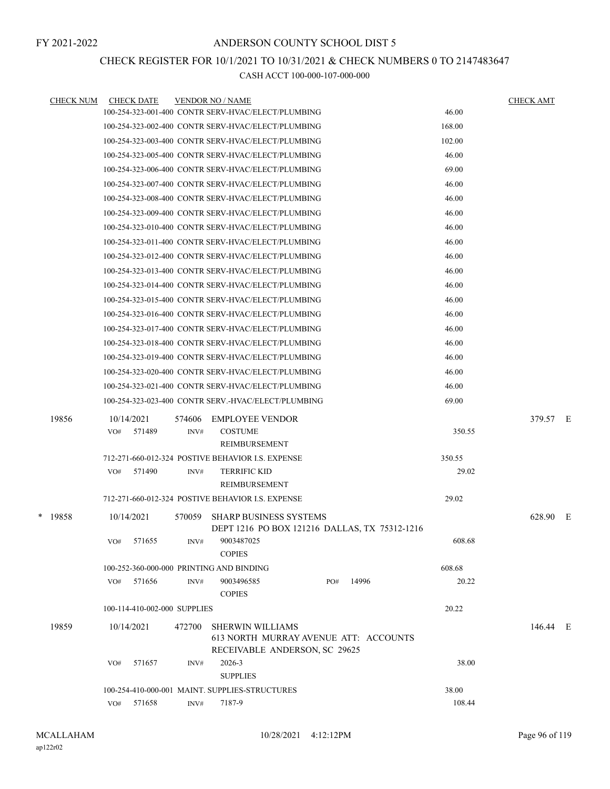## CHECK REGISTER FOR 10/1/2021 TO 10/31/2021 & CHECK NUMBERS 0 TO 2147483647

| <b>CHECK DATE</b> |                                              |                         |                                                                                                                                                                                                                                                                                                                                  |                                                                                                                                                                                                                                                                                                                                                                                                                                                                                                                                                                                                                                                                                                                                                                                                                                                                                                                                                                                                                                                                                                                                                                                                                                                               | <b>CHECK AMT</b>                                                                                                   |          |
|-------------------|----------------------------------------------|-------------------------|----------------------------------------------------------------------------------------------------------------------------------------------------------------------------------------------------------------------------------------------------------------------------------------------------------------------------------|---------------------------------------------------------------------------------------------------------------------------------------------------------------------------------------------------------------------------------------------------------------------------------------------------------------------------------------------------------------------------------------------------------------------------------------------------------------------------------------------------------------------------------------------------------------------------------------------------------------------------------------------------------------------------------------------------------------------------------------------------------------------------------------------------------------------------------------------------------------------------------------------------------------------------------------------------------------------------------------------------------------------------------------------------------------------------------------------------------------------------------------------------------------------------------------------------------------------------------------------------------------|--------------------------------------------------------------------------------------------------------------------|----------|
|                   |                                              |                         |                                                                                                                                                                                                                                                                                                                                  | 46.00                                                                                                                                                                                                                                                                                                                                                                                                                                                                                                                                                                                                                                                                                                                                                                                                                                                                                                                                                                                                                                                                                                                                                                                                                                                         |                                                                                                                    |          |
|                   |                                              |                         |                                                                                                                                                                                                                                                                                                                                  | 168.00                                                                                                                                                                                                                                                                                                                                                                                                                                                                                                                                                                                                                                                                                                                                                                                                                                                                                                                                                                                                                                                                                                                                                                                                                                                        |                                                                                                                    |          |
|                   |                                              |                         |                                                                                                                                                                                                                                                                                                                                  | 102.00                                                                                                                                                                                                                                                                                                                                                                                                                                                                                                                                                                                                                                                                                                                                                                                                                                                                                                                                                                                                                                                                                                                                                                                                                                                        |                                                                                                                    |          |
|                   |                                              |                         |                                                                                                                                                                                                                                                                                                                                  | 46.00                                                                                                                                                                                                                                                                                                                                                                                                                                                                                                                                                                                                                                                                                                                                                                                                                                                                                                                                                                                                                                                                                                                                                                                                                                                         |                                                                                                                    |          |
|                   |                                              |                         |                                                                                                                                                                                                                                                                                                                                  | 69.00                                                                                                                                                                                                                                                                                                                                                                                                                                                                                                                                                                                                                                                                                                                                                                                                                                                                                                                                                                                                                                                                                                                                                                                                                                                         |                                                                                                                    |          |
|                   |                                              |                         |                                                                                                                                                                                                                                                                                                                                  | 46.00                                                                                                                                                                                                                                                                                                                                                                                                                                                                                                                                                                                                                                                                                                                                                                                                                                                                                                                                                                                                                                                                                                                                                                                                                                                         |                                                                                                                    |          |
|                   |                                              |                         |                                                                                                                                                                                                                                                                                                                                  | 46.00                                                                                                                                                                                                                                                                                                                                                                                                                                                                                                                                                                                                                                                                                                                                                                                                                                                                                                                                                                                                                                                                                                                                                                                                                                                         |                                                                                                                    |          |
|                   |                                              |                         |                                                                                                                                                                                                                                                                                                                                  | 46.00                                                                                                                                                                                                                                                                                                                                                                                                                                                                                                                                                                                                                                                                                                                                                                                                                                                                                                                                                                                                                                                                                                                                                                                                                                                         |                                                                                                                    |          |
|                   |                                              |                         |                                                                                                                                                                                                                                                                                                                                  | 46.00                                                                                                                                                                                                                                                                                                                                                                                                                                                                                                                                                                                                                                                                                                                                                                                                                                                                                                                                                                                                                                                                                                                                                                                                                                                         |                                                                                                                    |          |
|                   |                                              |                         |                                                                                                                                                                                                                                                                                                                                  | 46.00                                                                                                                                                                                                                                                                                                                                                                                                                                                                                                                                                                                                                                                                                                                                                                                                                                                                                                                                                                                                                                                                                                                                                                                                                                                         |                                                                                                                    |          |
|                   |                                              |                         |                                                                                                                                                                                                                                                                                                                                  | 46.00                                                                                                                                                                                                                                                                                                                                                                                                                                                                                                                                                                                                                                                                                                                                                                                                                                                                                                                                                                                                                                                                                                                                                                                                                                                         |                                                                                                                    |          |
|                   |                                              |                         |                                                                                                                                                                                                                                                                                                                                  | 46.00                                                                                                                                                                                                                                                                                                                                                                                                                                                                                                                                                                                                                                                                                                                                                                                                                                                                                                                                                                                                                                                                                                                                                                                                                                                         |                                                                                                                    |          |
|                   |                                              |                         |                                                                                                                                                                                                                                                                                                                                  | 46.00                                                                                                                                                                                                                                                                                                                                                                                                                                                                                                                                                                                                                                                                                                                                                                                                                                                                                                                                                                                                                                                                                                                                                                                                                                                         |                                                                                                                    |          |
|                   |                                              |                         |                                                                                                                                                                                                                                                                                                                                  | 46.00                                                                                                                                                                                                                                                                                                                                                                                                                                                                                                                                                                                                                                                                                                                                                                                                                                                                                                                                                                                                                                                                                                                                                                                                                                                         |                                                                                                                    |          |
|                   |                                              |                         |                                                                                                                                                                                                                                                                                                                                  | 46.00                                                                                                                                                                                                                                                                                                                                                                                                                                                                                                                                                                                                                                                                                                                                                                                                                                                                                                                                                                                                                                                                                                                                                                                                                                                         |                                                                                                                    |          |
|                   |                                              |                         |                                                                                                                                                                                                                                                                                                                                  | 46.00                                                                                                                                                                                                                                                                                                                                                                                                                                                                                                                                                                                                                                                                                                                                                                                                                                                                                                                                                                                                                                                                                                                                                                                                                                                         |                                                                                                                    |          |
|                   |                                              |                         |                                                                                                                                                                                                                                                                                                                                  | 46.00                                                                                                                                                                                                                                                                                                                                                                                                                                                                                                                                                                                                                                                                                                                                                                                                                                                                                                                                                                                                                                                                                                                                                                                                                                                         |                                                                                                                    |          |
|                   |                                              |                         |                                                                                                                                                                                                                                                                                                                                  | 46.00                                                                                                                                                                                                                                                                                                                                                                                                                                                                                                                                                                                                                                                                                                                                                                                                                                                                                                                                                                                                                                                                                                                                                                                                                                                         |                                                                                                                    |          |
|                   |                                              |                         |                                                                                                                                                                                                                                                                                                                                  | 46.00                                                                                                                                                                                                                                                                                                                                                                                                                                                                                                                                                                                                                                                                                                                                                                                                                                                                                                                                                                                                                                                                                                                                                                                                                                                         |                                                                                                                    |          |
|                   |                                              |                         |                                                                                                                                                                                                                                                                                                                                  | 46.00                                                                                                                                                                                                                                                                                                                                                                                                                                                                                                                                                                                                                                                                                                                                                                                                                                                                                                                                                                                                                                                                                                                                                                                                                                                         |                                                                                                                    |          |
|                   |                                              |                         |                                                                                                                                                                                                                                                                                                                                  | 69.00                                                                                                                                                                                                                                                                                                                                                                                                                                                                                                                                                                                                                                                                                                                                                                                                                                                                                                                                                                                                                                                                                                                                                                                                                                                         |                                                                                                                    |          |
|                   |                                              |                         |                                                                                                                                                                                                                                                                                                                                  |                                                                                                                                                                                                                                                                                                                                                                                                                                                                                                                                                                                                                                                                                                                                                                                                                                                                                                                                                                                                                                                                                                                                                                                                                                                               |                                                                                                                    |          |
| 571489<br>VO#     | INV#                                         | <b>COSTUME</b>          |                                                                                                                                                                                                                                                                                                                                  | 350.55                                                                                                                                                                                                                                                                                                                                                                                                                                                                                                                                                                                                                                                                                                                                                                                                                                                                                                                                                                                                                                                                                                                                                                                                                                                        |                                                                                                                    |          |
|                   |                                              | REIMBURSEMENT           |                                                                                                                                                                                                                                                                                                                                  |                                                                                                                                                                                                                                                                                                                                                                                                                                                                                                                                                                                                                                                                                                                                                                                                                                                                                                                                                                                                                                                                                                                                                                                                                                                               |                                                                                                                    |          |
|                   |                                              |                         |                                                                                                                                                                                                                                                                                                                                  | 350.55                                                                                                                                                                                                                                                                                                                                                                                                                                                                                                                                                                                                                                                                                                                                                                                                                                                                                                                                                                                                                                                                                                                                                                                                                                                        |                                                                                                                    |          |
| 571490<br>VO#     | INV#                                         | <b>TERRIFIC KID</b>     |                                                                                                                                                                                                                                                                                                                                  | 29.02                                                                                                                                                                                                                                                                                                                                                                                                                                                                                                                                                                                                                                                                                                                                                                                                                                                                                                                                                                                                                                                                                                                                                                                                                                                         |                                                                                                                    |          |
|                   |                                              | <b>REIMBURSEMENT</b>    |                                                                                                                                                                                                                                                                                                                                  |                                                                                                                                                                                                                                                                                                                                                                                                                                                                                                                                                                                                                                                                                                                                                                                                                                                                                                                                                                                                                                                                                                                                                                                                                                                               |                                                                                                                    |          |
|                   |                                              |                         |                                                                                                                                                                                                                                                                                                                                  | 29.02                                                                                                                                                                                                                                                                                                                                                                                                                                                                                                                                                                                                                                                                                                                                                                                                                                                                                                                                                                                                                                                                                                                                                                                                                                                         |                                                                                                                    |          |
| 10/14/2021        | 570059                                       |                         |                                                                                                                                                                                                                                                                                                                                  |                                                                                                                                                                                                                                                                                                                                                                                                                                                                                                                                                                                                                                                                                                                                                                                                                                                                                                                                                                                                                                                                                                                                                                                                                                                               | 628.90 E                                                                                                           |          |
|                   |                                              |                         |                                                                                                                                                                                                                                                                                                                                  |                                                                                                                                                                                                                                                                                                                                                                                                                                                                                                                                                                                                                                                                                                                                                                                                                                                                                                                                                                                                                                                                                                                                                                                                                                                               |                                                                                                                    |          |
| VO# 571655        |                                              | 9003487025              |                                                                                                                                                                                                                                                                                                                                  | 608.68                                                                                                                                                                                                                                                                                                                                                                                                                                                                                                                                                                                                                                                                                                                                                                                                                                                                                                                                                                                                                                                                                                                                                                                                                                                        |                                                                                                                    |          |
|                   |                                              | <b>COPIES</b>           |                                                                                                                                                                                                                                                                                                                                  |                                                                                                                                                                                                                                                                                                                                                                                                                                                                                                                                                                                                                                                                                                                                                                                                                                                                                                                                                                                                                                                                                                                                                                                                                                                               |                                                                                                                    |          |
|                   |                                              |                         |                                                                                                                                                                                                                                                                                                                                  |                                                                                                                                                                                                                                                                                                                                                                                                                                                                                                                                                                                                                                                                                                                                                                                                                                                                                                                                                                                                                                                                                                                                                                                                                                                               |                                                                                                                    |          |
|                   |                                              |                         |                                                                                                                                                                                                                                                                                                                                  |                                                                                                                                                                                                                                                                                                                                                                                                                                                                                                                                                                                                                                                                                                                                                                                                                                                                                                                                                                                                                                                                                                                                                                                                                                                               |                                                                                                                    |          |
|                   |                                              |                         |                                                                                                                                                                                                                                                                                                                                  |                                                                                                                                                                                                                                                                                                                                                                                                                                                                                                                                                                                                                                                                                                                                                                                                                                                                                                                                                                                                                                                                                                                                                                                                                                                               |                                                                                                                    |          |
|                   |                                              |                         |                                                                                                                                                                                                                                                                                                                                  |                                                                                                                                                                                                                                                                                                                                                                                                                                                                                                                                                                                                                                                                                                                                                                                                                                                                                                                                                                                                                                                                                                                                                                                                                                                               |                                                                                                                    |          |
| 10/14/2021        | 472700                                       | <b>SHERWIN WILLIAMS</b> |                                                                                                                                                                                                                                                                                                                                  |                                                                                                                                                                                                                                                                                                                                                                                                                                                                                                                                                                                                                                                                                                                                                                                                                                                                                                                                                                                                                                                                                                                                                                                                                                                               | 146.44 E                                                                                                           |          |
|                   |                                              |                         |                                                                                                                                                                                                                                                                                                                                  |                                                                                                                                                                                                                                                                                                                                                                                                                                                                                                                                                                                                                                                                                                                                                                                                                                                                                                                                                                                                                                                                                                                                                                                                                                                               |                                                                                                                    |          |
| 571657<br>VO#     | INV#                                         | 2026-3                  |                                                                                                                                                                                                                                                                                                                                  | 38.00                                                                                                                                                                                                                                                                                                                                                                                                                                                                                                                                                                                                                                                                                                                                                                                                                                                                                                                                                                                                                                                                                                                                                                                                                                                         |                                                                                                                    |          |
|                   |                                              | <b>SUPPLIES</b>         |                                                                                                                                                                                                                                                                                                                                  |                                                                                                                                                                                                                                                                                                                                                                                                                                                                                                                                                                                                                                                                                                                                                                                                                                                                                                                                                                                                                                                                                                                                                                                                                                                               |                                                                                                                    |          |
|                   |                                              |                         |                                                                                                                                                                                                                                                                                                                                  | 38.00                                                                                                                                                                                                                                                                                                                                                                                                                                                                                                                                                                                                                                                                                                                                                                                                                                                                                                                                                                                                                                                                                                                                                                                                                                                         |                                                                                                                    |          |
| 571658<br>VO#     | INV#                                         | 7187-9                  |                                                                                                                                                                                                                                                                                                                                  | 108.44                                                                                                                                                                                                                                                                                                                                                                                                                                                                                                                                                                                                                                                                                                                                                                                                                                                                                                                                                                                                                                                                                                                                                                                                                                                        |                                                                                                                    |          |
|                   | <b>CHECK NUM</b><br>10/14/2021<br>VO# 571656 | 574606<br>INV#          | <b>VENDOR NO / NAME</b><br><b>EMPLOYEE VENDOR</b><br>712-271-660-012-324 POSTIVE BEHAVIOR I.S. EXPENSE<br>712-271-660-012-324 POSTIVE BEHAVIOR I.S. EXPENSE<br>INV#<br>100-252-360-000-000 PRINTING AND BINDING<br>9003496585<br><b>COPIES</b><br>100-114-410-002-000 SUPPLIES<br>100-254-410-000-001 MAINT. SUPPLIES-STRUCTURES | 100-254-323-001-400 CONTR SERV-HVAC/ELECT/PLUMBING<br>100-254-323-002-400 CONTR SERV-HVAC/ELECT/PLUMBING<br>100-254-323-003-400 CONTR SERV-HVAC/ELECT/PLUMBING<br>100-254-323-005-400 CONTR SERV-HVAC/ELECT/PLUMBING<br>100-254-323-006-400 CONTR SERV-HVAC/ELECT/PLUMBING<br>100-254-323-007-400 CONTR SERV-HVAC/ELECT/PLUMBING<br>100-254-323-008-400 CONTR SERV-HVAC/ELECT/PLUMBING<br>100-254-323-009-400 CONTR SERV-HVAC/ELECT/PLUMBING<br>100-254-323-010-400 CONTR SERV-HVAC/ELECT/PLUMBING<br>100-254-323-011-400 CONTR SERV-HVAC/ELECT/PLUMBING<br>100-254-323-012-400 CONTR SERV-HVAC/ELECT/PLUMBING<br>100-254-323-013-400 CONTR SERV-HVAC/ELECT/PLUMBING<br>100-254-323-014-400 CONTR SERV-HVAC/ELECT/PLUMBING<br>100-254-323-015-400 CONTR SERV-HVAC/ELECT/PLUMBING<br>100-254-323-016-400 CONTR SERV-HVAC/ELECT/PLUMBING<br>100-254-323-017-400 CONTR SERV-HVAC/ELECT/PLUMBING<br>100-254-323-018-400 CONTR SERV-HVAC/ELECT/PLUMBING<br>100-254-323-019-400 CONTR SERV-HVAC/ELECT/PLUMBING<br>100-254-323-020-400 CONTR SERV-HVAC/ELECT/PLUMBING<br>100-254-323-021-400 CONTR SERV-HVAC/ELECT/PLUMBING<br>100-254-323-023-400 CONTR SERV.-HVAC/ELECT/PLUMBING<br><b>SHARP BUSINESS SYSTEMS</b><br>14996<br>PO#<br>RECEIVABLE ANDERSON, SC 29625 | DEPT 1216 PO BOX 121216 DALLAS, TX 75312-1216<br>608.68<br>20.22<br>20.22<br>613 NORTH MURRAY AVENUE ATT: ACCOUNTS | 379.57 E |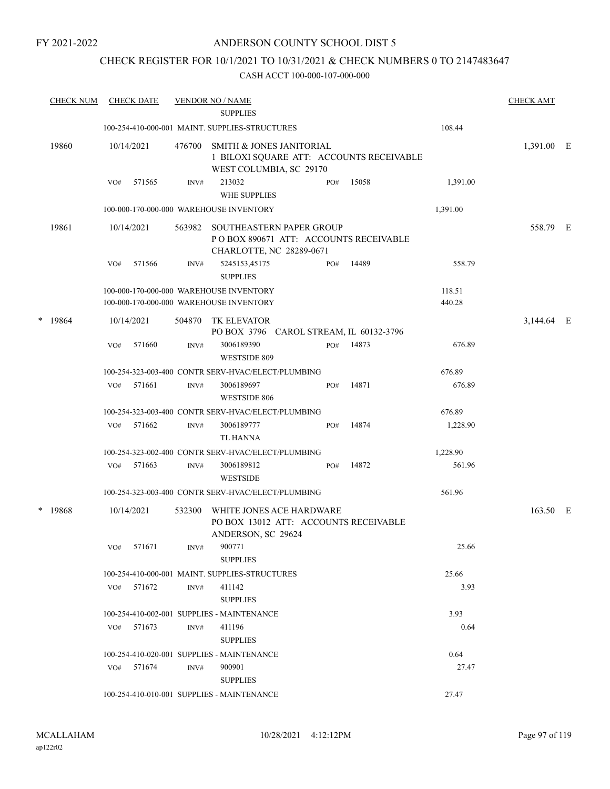#### ANDERSON COUNTY SCHOOL DIST 5

## CHECK REGISTER FOR 10/1/2021 TO 10/31/2021 & CHECK NUMBERS 0 TO 2147483647

|   | <b>CHECK NUM</b> |     | <b>CHECK DATE</b> |        | <b>VENDOR NO / NAME</b><br><b>SUPPLIES</b>                                                     |     |                                          |                  | <b>CHECK AMT</b> |  |
|---|------------------|-----|-------------------|--------|------------------------------------------------------------------------------------------------|-----|------------------------------------------|------------------|------------------|--|
|   |                  |     |                   |        | 100-254-410-000-001 MAINT. SUPPLIES-STRUCTURES                                                 |     |                                          | 108.44           |                  |  |
|   | 19860            |     | 10/14/2021        | 476700 | <b>SMITH &amp; JONES JANITORIAL</b><br>WEST COLUMBIA, SC 29170                                 |     | 1 BILOXI SQUARE ATT: ACCOUNTS RECEIVABLE |                  | 1,391.00 E       |  |
|   |                  | VO# | 571565            | INV#   | 213032<br><b>WHE SUPPLIES</b>                                                                  | PO# | 15058                                    | 1,391.00         |                  |  |
|   |                  |     |                   |        | 100-000-170-000-000 WAREHOUSE INVENTORY                                                        |     |                                          | 1,391.00         |                  |  |
|   | 19861            |     | 10/14/2021        | 563982 | SOUTHEASTERN PAPER GROUP<br>PO BOX 890671 ATT: ACCOUNTS RECEIVABLE<br>CHARLOTTE, NC 28289-0671 |     |                                          |                  | 558.79 E         |  |
|   |                  | VO# | 571566            | INV#   | 5245153,45175<br><b>SUPPLIES</b>                                                               | PO# | 14489                                    | 558.79           |                  |  |
|   |                  |     |                   |        | 100-000-170-000-000 WAREHOUSE INVENTORY<br>100-000-170-000-000 WAREHOUSE INVENTORY             |     |                                          | 118.51<br>440.28 |                  |  |
| * | 19864            |     | 10/14/2021        | 504870 | TK ELEVATOR<br>PO BOX 3796 CAROL STREAM, IL 60132-3796                                         |     |                                          |                  | 3,144.64 E       |  |
|   |                  | VO# | 571660            | INV#   | 3006189390<br>WESTSIDE 809                                                                     | PO# | 14873                                    | 676.89           |                  |  |
|   |                  |     |                   |        | 100-254-323-003-400 CONTR SERV-HVAC/ELECT/PLUMBING                                             |     |                                          | 676.89           |                  |  |
|   |                  | VO# | 571661            | INV#   | 3006189697<br>WESTSIDE 806                                                                     | PO# | 14871                                    | 676.89           |                  |  |
|   |                  |     |                   |        | 100-254-323-003-400 CONTR SERV-HVAC/ELECT/PLUMBING                                             |     |                                          | 676.89           |                  |  |
|   |                  | VO# | 571662            | INV#   | 3006189777<br>TL HANNA                                                                         | PO# | 14874                                    | 1,228.90         |                  |  |
|   |                  |     |                   |        | 100-254-323-002-400 CONTR SERV-HVAC/ELECT/PLUMBING                                             |     |                                          | 1,228.90         |                  |  |
|   |                  | VO# | 571663            | INV#   | 3006189812<br><b>WESTSIDE</b>                                                                  | PO# | 14872                                    | 561.96           |                  |  |
|   |                  |     |                   |        | 100-254-323-003-400 CONTR SERV-HVAC/ELECT/PLUMBING                                             |     |                                          | 561.96           |                  |  |
|   | $*$ 19868        |     | 10/14/2021        | 532300 | WHITE JONES ACE HARDWARE<br>PO BOX 13012 ATT: ACCOUNTS RECEIVABLE<br>ANDERSON, SC 29624        |     |                                          |                  | 163.50 E         |  |
|   |                  | VO# | 571671            | INV#   | 900771<br><b>SUPPLIES</b>                                                                      |     |                                          | 25.66            |                  |  |
|   |                  |     |                   |        | 100-254-410-000-001 MAINT. SUPPLIES-STRUCTURES                                                 |     |                                          | 25.66            |                  |  |
|   |                  | VO# | 571672            | INV#   | 411142<br><b>SUPPLIES</b>                                                                      |     |                                          | 3.93             |                  |  |
|   |                  |     |                   |        | 100-254-410-002-001 SUPPLIES - MAINTENANCE                                                     |     |                                          | 3.93             |                  |  |
|   |                  | VO# | 571673            | INV#   | 411196<br><b>SUPPLIES</b>                                                                      |     |                                          | 0.64             |                  |  |
|   |                  |     |                   |        | 100-254-410-020-001 SUPPLIES - MAINTENANCE                                                     |     |                                          | 0.64             |                  |  |
|   |                  |     | VO# 571674        | INV#   | 900901<br><b>SUPPLIES</b>                                                                      |     |                                          | 27.47            |                  |  |
|   |                  |     |                   |        | 100-254-410-010-001 SUPPLIES - MAINTENANCE                                                     |     |                                          | 27.47            |                  |  |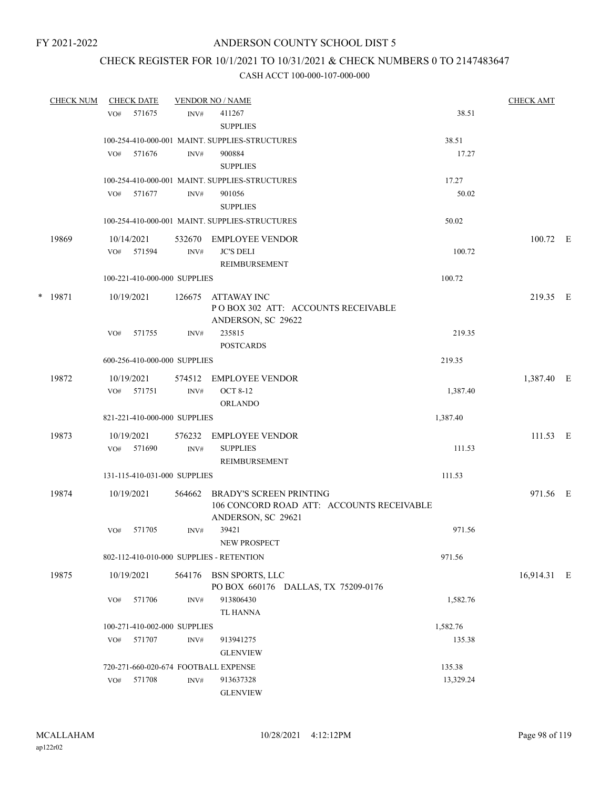## CHECK REGISTER FOR 10/1/2021 TO 10/31/2021 & CHECK NUMBERS 0 TO 2147483647

| <b>CHECK NUM</b> |                 | <b>CHECK DATE</b>            |                | <b>VENDOR NO / NAME</b>                                                                    |           | <b>CHECK AMT</b> |  |
|------------------|-----------------|------------------------------|----------------|--------------------------------------------------------------------------------------------|-----------|------------------|--|
|                  | VO <sub>#</sub> | 571675                       | INV#           | 411267<br><b>SUPPLIES</b>                                                                  | 38.51     |                  |  |
|                  |                 |                              |                | 100-254-410-000-001 MAINT. SUPPLIES-STRUCTURES                                             | 38.51     |                  |  |
|                  | VO#             | 571676                       | INV#           | 900884<br><b>SUPPLIES</b>                                                                  | 17.27     |                  |  |
|                  |                 |                              |                | 100-254-410-000-001 MAINT. SUPPLIES-STRUCTURES                                             | 17.27     |                  |  |
|                  |                 | VO# 571677                   | INV#           | 901056<br><b>SUPPLIES</b>                                                                  | 50.02     |                  |  |
|                  |                 |                              |                | 100-254-410-000-001 MAINT. SUPPLIES-STRUCTURES                                             | 50.02     |                  |  |
| 19869            |                 | 10/14/2021                   | 532670         | EMPLOYEE VENDOR                                                                            |           | 100.72 E         |  |
|                  | VO#             | 571594                       | INV#           | <b>JC'S DELI</b><br>REIMBURSEMENT                                                          | 100.72    |                  |  |
|                  |                 | 100-221-410-000-000 SUPPLIES |                |                                                                                            | 100.72    |                  |  |
| * 19871          |                 | 10/19/2021                   | 126675         | ATTAWAY INC<br>PO BOX 302 ATT: ACCOUNTS RECEIVABLE<br>ANDERSON, SC 29622                   |           | 219.35 E         |  |
|                  | VO#             | 571755                       | INV#           | 235815<br><b>POSTCARDS</b>                                                                 | 219.35    |                  |  |
|                  |                 | 600-256-410-000-000 SUPPLIES |                |                                                                                            | 219.35    |                  |  |
| 19872            |                 | 10/19/2021<br>VO# 571751     | 574512<br>INV# | EMPLOYEE VENDOR<br><b>OCT 8-12</b>                                                         | 1,387.40  | 1,387.40 E       |  |
|                  |                 |                              |                | <b>ORLANDO</b>                                                                             |           |                  |  |
|                  |                 | 821-221-410-000-000 SUPPLIES |                |                                                                                            | 1,387.40  |                  |  |
| 19873            |                 | 10/19/2021                   | 576232         | EMPLOYEE VENDOR                                                                            |           | $111.53 \t E$    |  |
|                  |                 | VO# 571690                   | INV#           | <b>SUPPLIES</b><br>REIMBURSEMENT                                                           | 111.53    |                  |  |
|                  |                 | 131-115-410-031-000 SUPPLIES |                |                                                                                            | 111.53    |                  |  |
| 19874            |                 | 10/19/2021                   | 564662         | BRADY'S SCREEN PRINTING<br>106 CONCORD ROAD ATT: ACCOUNTS RECEIVABLE<br>ANDERSON, SC 29621 |           | 971.56 E         |  |
|                  | VO#             | 571705                       | INV#           | 39421<br>NEW PROSPECT                                                                      | 971.56    |                  |  |
|                  |                 |                              |                | 802-112-410-010-000 SUPPLIES - RETENTION                                                   | 971.56    |                  |  |
| 19875            |                 | 10/19/2021                   |                | 564176 BSN SPORTS, LLC<br>PO BOX 660176 DALLAS, TX 75209-0176                              |           | 16,914.31 E      |  |
|                  | VO#             | 571706                       | INV#           | 913806430<br><b>TL HANNA</b>                                                               | 1,582.76  |                  |  |
|                  |                 | 100-271-410-002-000 SUPPLIES |                |                                                                                            | 1,582.76  |                  |  |
|                  | VO#             | 571707                       | INV#           | 913941275<br><b>GLENVIEW</b>                                                               | 135.38    |                  |  |
|                  |                 |                              |                | 720-271-660-020-674 FOOTBALL EXPENSE                                                       | 135.38    |                  |  |
|                  | VO#             | 571708                       | INV#           | 913637328<br><b>GLENVIEW</b>                                                               | 13,329.24 |                  |  |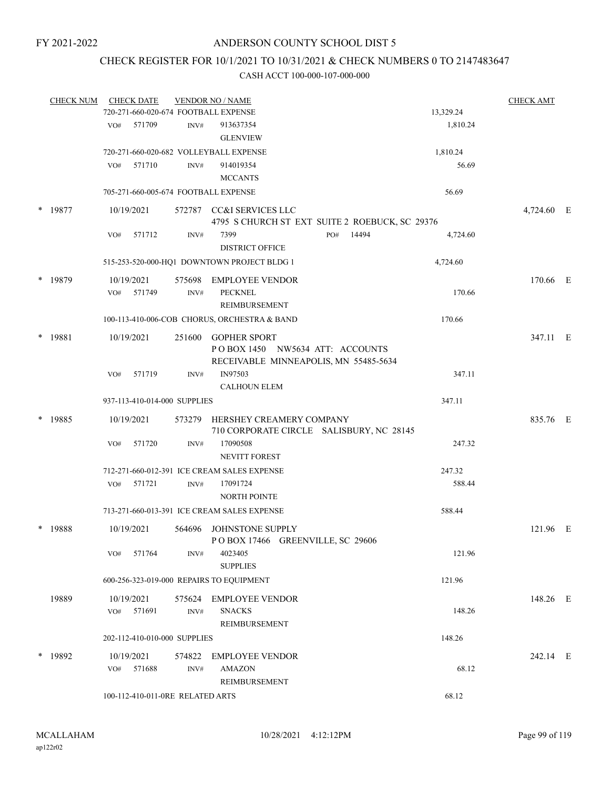## CHECK REGISTER FOR 10/1/2021 TO 10/31/2021 & CHECK NUMBERS 0 TO 2147483647

|        | <b>CHECK NUM</b> |     | <b>CHECK DATE</b>        |                                  | <b>VENDOR NO / NAME</b>                                                                         |                                                |           | <b>CHECK AMT</b> |  |
|--------|------------------|-----|--------------------------|----------------------------------|-------------------------------------------------------------------------------------------------|------------------------------------------------|-----------|------------------|--|
|        |                  |     |                          |                                  | 720-271-660-020-674 FOOTBALL EXPENSE                                                            |                                                | 13,329.24 |                  |  |
|        |                  | VO# | 571709                   | INV#                             | 913637354<br><b>GLENVIEW</b>                                                                    |                                                | 1,810.24  |                  |  |
|        |                  |     |                          |                                  | 720-271-660-020-682 VOLLEYBALL EXPENSE                                                          |                                                | 1,810.24  |                  |  |
|        |                  | VO# | 571710                   | INV#                             | 914019354<br><b>MCCANTS</b>                                                                     |                                                | 56.69     |                  |  |
|        |                  |     |                          |                                  | 705-271-660-005-674 FOOTBALL EXPENSE                                                            |                                                | 56.69     |                  |  |
|        | * 19877          |     | 10/19/2021               |                                  | 572787 CC&I SERVICES LLC                                                                        | 4795 S CHURCH ST EXT SUITE 2 ROEBUCK, SC 29376 |           | 4,724.60 E       |  |
|        |                  | VO# | 571712                   | INV#                             | 7399<br><b>DISTRICT OFFICE</b>                                                                  | 14494<br>PO#                                   | 4,724.60  |                  |  |
|        |                  |     |                          |                                  | 515-253-520-000-HQ1 DOWNTOWN PROJECT BLDG 1                                                     |                                                | 4,724.60  |                  |  |
| $\ast$ | 19879            | VO# | 10/19/2021<br>571749     | 575698<br>INV#                   | <b>EMPLOYEE VENDOR</b><br><b>PECKNEL</b><br>REIMBURSEMENT                                       |                                                | 170.66    | 170.66 E         |  |
|        |                  |     |                          |                                  | 100-113-410-006-COB CHORUS, ORCHESTRA & BAND                                                    |                                                | 170.66    |                  |  |
|        | * 19881          |     | 10/19/2021               | 251600                           | <b>GOPHER SPORT</b><br>POBOX 1450 NW5634 ATT: ACCOUNTS<br>RECEIVABLE MINNEAPOLIS, MN 55485-5634 |                                                |           | 347.11 E         |  |
|        |                  | VO# | 571719                   | INV#                             | IN97503<br><b>CALHOUN ELEM</b>                                                                  |                                                | 347.11    |                  |  |
|        |                  |     |                          | 937-113-410-014-000 SUPPLIES     |                                                                                                 |                                                | 347.11    |                  |  |
|        | * 19885          |     | 10/19/2021               |                                  | 573279 HERSHEY CREAMERY COMPANY                                                                 | 710 CORPORATE CIRCLE SALISBURY, NC 28145       |           | 835.76 E         |  |
|        |                  | VO# | 571720                   | INV#                             | 17090508<br><b>NEVITT FOREST</b>                                                                |                                                | 247.32    |                  |  |
|        |                  |     |                          |                                  | 712-271-660-012-391 ICE CREAM SALES EXPENSE                                                     |                                                | 247.32    |                  |  |
|        |                  | VO# | 571721                   | INV#                             | 17091724<br>NORTH POINTE                                                                        |                                                | 588.44    |                  |  |
|        |                  |     |                          |                                  | 713-271-660-013-391 ICE CREAM SALES EXPENSE                                                     |                                                | 588.44    |                  |  |
| $\ast$ | 19888            |     | 10/19/2021               | 564696                           | JOHNSTONE SUPPLY<br>POBOX 17466 GREENVILLE, SC 29606                                            |                                                |           | 121.96 E         |  |
|        |                  |     | VO# 571764               | INV#                             | 4023405<br><b>SUPPLIES</b>                                                                      |                                                | 121.96    |                  |  |
|        |                  |     |                          |                                  | 600-256-323-019-000 REPAIRS TO EQUIPMENT                                                        |                                                | 121.96    |                  |  |
|        | 19889            |     | 10/19/2021<br>VO# 571691 | $\mathrm{INV}\#$                 | 575624 EMPLOYEE VENDOR<br><b>SNACKS</b>                                                         |                                                | 148.26    | 148.26 E         |  |
|        |                  |     |                          |                                  | <b>REIMBURSEMENT</b>                                                                            |                                                |           |                  |  |
|        |                  |     |                          | 202-112-410-010-000 SUPPLIES     |                                                                                                 |                                                | 148.26    |                  |  |
|        | * 19892          |     | 10/19/2021<br>VO# 571688 | INV#                             | 574822 EMPLOYEE VENDOR<br>AMAZON                                                                |                                                | 68.12     | 242.14 E         |  |
|        |                  |     |                          | 100-112-410-011-0RE RELATED ARTS | REIMBURSEMENT                                                                                   |                                                | 68.12     |                  |  |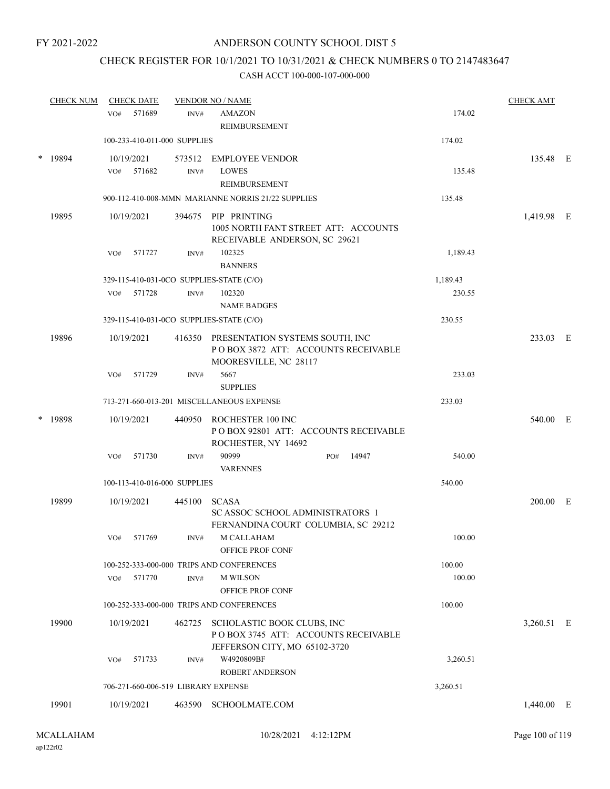## CHECK REGISTER FOR 10/1/2021 TO 10/31/2021 & CHECK NUMBERS 0 TO 2147483647

|        | <b>CHECK NUM</b> |     | <b>CHECK DATE</b>    |                              | <b>VENDOR NO / NAME</b>                                                                                |     |       |          | <b>CHECK AMT</b> |  |
|--------|------------------|-----|----------------------|------------------------------|--------------------------------------------------------------------------------------------------------|-----|-------|----------|------------------|--|
|        |                  | VO# | 571689               | INV#                         | <b>AMAZON</b><br><b>REIMBURSEMENT</b>                                                                  |     |       | 174.02   |                  |  |
|        |                  |     |                      | 100-233-410-011-000 SUPPLIES |                                                                                                        |     |       | 174.02   |                  |  |
| *      | 19894            | VO# | 10/19/2021<br>571682 | 573512<br>$\text{INV}\#$     | <b>EMPLOYEE VENDOR</b><br><b>LOWES</b><br>REIMBURSEMENT                                                |     |       | 135.48   | 135.48 E         |  |
|        |                  |     |                      |                              | 900-112-410-008-MMN MARIANNE NORRIS 21/22 SUPPLIES                                                     |     |       | 135.48   |                  |  |
|        | 19895            |     | 10/19/2021           |                              | 394675 PIP PRINTING<br>1005 NORTH FANT STREET ATT: ACCOUNTS<br>RECEIVABLE ANDERSON, SC 29621           |     |       |          | 1,419.98 E       |  |
|        |                  | VO# | 571727               | INV#                         | 102325                                                                                                 |     |       | 1,189.43 |                  |  |
|        |                  |     |                      |                              | <b>BANNERS</b>                                                                                         |     |       |          |                  |  |
|        |                  |     |                      |                              | 329-115-410-031-0CO SUPPLIES-STATE (C/O)                                                               |     |       | 1,189.43 |                  |  |
|        |                  | VO# | 571728               | INV#                         | 102320                                                                                                 |     |       | 230.55   |                  |  |
|        |                  |     |                      |                              | <b>NAME BADGES</b>                                                                                     |     |       |          |                  |  |
|        |                  |     |                      |                              | 329-115-410-031-0CO SUPPLIES-STATE (C/O)                                                               |     |       | 230.55   |                  |  |
|        | 19896            |     | 10/19/2021           |                              | 416350 PRESENTATION SYSTEMS SOUTH, INC<br>POBOX 3872 ATT: ACCOUNTS RECEIVABLE<br>MOORESVILLE, NC 28117 |     |       |          | 233.03 E         |  |
|        |                  | VO# | 571729               | INV#                         | 5667<br><b>SUPPLIES</b>                                                                                |     |       | 233.03   |                  |  |
|        |                  |     |                      |                              | 713-271-660-013-201 MISCELLANEOUS EXPENSE                                                              |     |       | 233.03   |                  |  |
| $\ast$ | 19898            |     | 10/19/2021           | 440950                       | ROCHESTER 100 INC<br>POBOX 92801 ATT: ACCOUNTS RECEIVABLE<br>ROCHESTER, NY 14692                       |     |       |          | 540.00 E         |  |
|        |                  | VO# | 571730               | INV#                         | 90999<br><b>VARENNES</b>                                                                               | PO# | 14947 | 540.00   |                  |  |
|        |                  |     |                      | 100-113-410-016-000 SUPPLIES |                                                                                                        |     |       | 540.00   |                  |  |
|        | 19899            |     | 10/19/2021           | 445100                       | <b>SCASA</b><br><b>SC ASSOC SCHOOL ADMINISTRATORS 1</b>                                                |     |       |          | $200.00$ E       |  |
|        |                  | VO# | 571769               | INV#                         | FERNANDINA COURT COLUMBIA, SC 29212<br>M CALLAHAM<br>OFFICE PROF CONF                                  |     |       | 100.00   |                  |  |
|        |                  |     |                      |                              | 100-252-333-000-000 TRIPS AND CONFERENCES                                                              |     |       | 100.00   |                  |  |
|        |                  | VO# | 571770               | INV#                         | <b>M WILSON</b><br>OFFICE PROF CONF                                                                    |     |       | 100.00   |                  |  |
|        |                  |     |                      |                              | 100-252-333-000-000 TRIPS AND CONFERENCES                                                              |     |       | 100.00   |                  |  |
|        | 19900            |     | 10/19/2021           | 462725                       | SCHOLASTIC BOOK CLUBS, INC<br>POBOX 3745 ATT: ACCOUNTS RECEIVABLE<br>JEFFERSON CITY, MO 65102-3720     |     |       |          | 3,260.51 E       |  |
|        |                  | VO# | 571733               | INV#                         | W4920809BF<br><b>ROBERT ANDERSON</b>                                                                   |     |       | 3,260.51 |                  |  |
|        |                  |     |                      |                              | 706-271-660-006-519 LIBRARY EXPENSE                                                                    |     |       | 3,260.51 |                  |  |
|        | 19901            |     | 10/19/2021           |                              | 463590 SCHOOLMATE.COM                                                                                  |     |       |          | $1,440.00$ E     |  |
|        |                  |     |                      |                              |                                                                                                        |     |       |          |                  |  |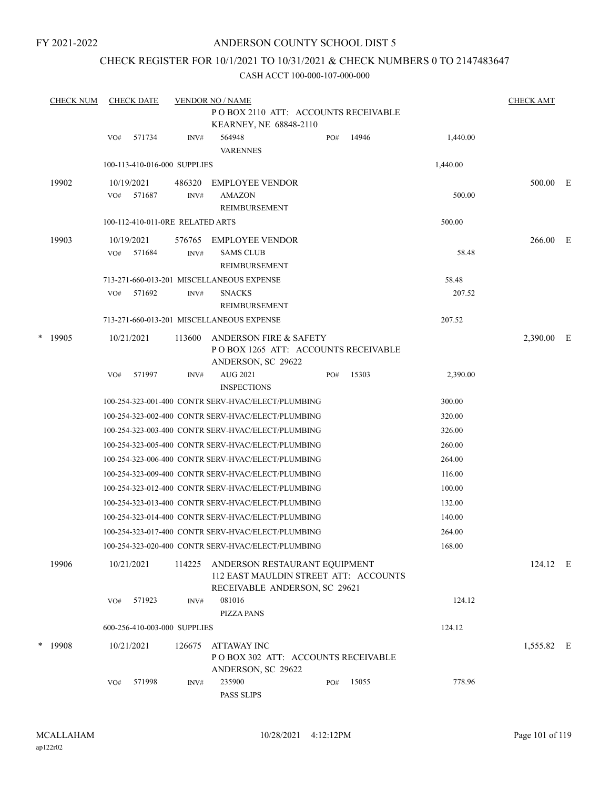## ANDERSON COUNTY SCHOOL DIST 5

## CHECK REGISTER FOR 10/1/2021 TO 10/31/2021 & CHECK NUMBERS 0 TO 2147483647

|   | <b>CHECK NUM</b> |     | <b>CHECK DATE</b>                |                | <b>VENDOR NO / NAME</b>                                                                                 |     |     |       |                 | <b>CHECK AMT</b> |  |
|---|------------------|-----|----------------------------------|----------------|---------------------------------------------------------------------------------------------------------|-----|-----|-------|-----------------|------------------|--|
|   |                  |     |                                  |                | POBOX 2110 ATT: ACCOUNTS RECEIVABLE<br>KEARNEY, NE 68848-2110                                           |     |     |       |                 |                  |  |
|   |                  | VO# | 571734                           | INV#           | 564948<br><b>VARENNES</b>                                                                               | PO# |     | 14946 | 1,440.00        |                  |  |
|   |                  |     | 100-113-410-016-000 SUPPLIES     |                |                                                                                                         |     |     |       | 1,440.00        |                  |  |
|   | 19902            | VO# | 10/19/2021<br>571687             | 486320<br>INV# | <b>EMPLOYEE VENDOR</b><br><b>AMAZON</b><br>REIMBURSEMENT                                                |     |     |       | 500.00          | 500.00 E         |  |
|   |                  |     | 100-112-410-011-0RE RELATED ARTS |                |                                                                                                         |     |     |       | 500.00          |                  |  |
|   | 19903            | VO# | 10/19/2021<br>571684             | 576765<br>INV# | <b>EMPLOYEE VENDOR</b><br><b>SAMS CLUB</b><br>REIMBURSEMENT                                             |     |     |       | 58.48           | 266.00 E         |  |
|   |                  | VO# | 571692                           | INV#           | 713-271-660-013-201 MISCELLANEOUS EXPENSE<br><b>SNACKS</b><br>REIMBURSEMENT                             |     |     |       | 58.48<br>207.52 |                  |  |
|   |                  |     |                                  |                | 713-271-660-013-201 MISCELLANEOUS EXPENSE                                                               |     |     |       | 207.52          |                  |  |
| * | 19905            |     | 10/21/2021                       | 113600         | <b>ANDERSON FIRE &amp; SAFETY</b><br>POBOX 1265 ATT: ACCOUNTS RECEIVABLE<br>ANDERSON, SC 29622          |     |     |       |                 | 2,390.00 E       |  |
|   |                  | VO# | 571997                           | INV#           | AUG 2021<br><b>INSPECTIONS</b>                                                                          | PO# |     | 15303 | 2,390.00        |                  |  |
|   |                  |     |                                  |                | 100-254-323-001-400 CONTR SERV-HVAC/ELECT/PLUMBING                                                      |     |     |       | 300.00          |                  |  |
|   |                  |     |                                  |                | 100-254-323-002-400 CONTR SERV-HVAC/ELECT/PLUMBING                                                      |     |     |       | 320.00          |                  |  |
|   |                  |     |                                  |                | 100-254-323-003-400 CONTR SERV-HVAC/ELECT/PLUMBING                                                      |     |     |       | 326.00          |                  |  |
|   |                  |     |                                  |                | 100-254-323-005-400 CONTR SERV-HVAC/ELECT/PLUMBING                                                      |     |     |       | 260.00          |                  |  |
|   |                  |     |                                  |                | 100-254-323-006-400 CONTR SERV-HVAC/ELECT/PLUMBING                                                      |     |     |       | 264.00          |                  |  |
|   |                  |     |                                  |                | 100-254-323-009-400 CONTR SERV-HVAC/ELECT/PLUMBING                                                      |     |     |       | 116.00          |                  |  |
|   |                  |     |                                  |                | 100-254-323-012-400 CONTR SERV-HVAC/ELECT/PLUMBING                                                      |     |     |       | 100.00          |                  |  |
|   |                  |     |                                  |                | 100-254-323-013-400 CONTR SERV-HVAC/ELECT/PLUMBING                                                      |     |     |       | 132.00          |                  |  |
|   |                  |     |                                  |                | 100-254-323-014-400 CONTR SERV-HVAC/ELECT/PLUMBING                                                      |     |     |       | 140.00          |                  |  |
|   |                  |     |                                  |                | 100-254-323-017-400 CONTR SERV-HVAC/ELECT/PLUMBING                                                      |     |     |       | 264.00          |                  |  |
|   |                  |     |                                  |                | 100-254-323-020-400 CONTR SERV-HVAC/ELECT/PLUMBING                                                      |     |     |       | 168.00          |                  |  |
|   | 19906            |     | 10/21/2021                       | 114225         | ANDERSON RESTAURANT EQUIPMENT<br>112 EAST MAULDIN STREET ATT: ACCOUNTS<br>RECEIVABLE ANDERSON, SC 29621 |     |     |       |                 | 124.12 E         |  |
|   |                  | VO# | 571923                           | INV#           | 081016<br><b>PIZZA PANS</b>                                                                             |     |     |       | 124.12          |                  |  |
|   |                  |     | 600-256-410-003-000 SUPPLIES     |                |                                                                                                         |     |     |       | 124.12          |                  |  |
|   | * 19908          |     | 10/21/2021                       | 126675         | ATTAWAY INC<br>POBOX 302 ATT: ACCOUNTS RECEIVABLE<br>ANDERSON, SC 29622                                 |     |     |       |                 | 1,555.82 E       |  |
|   |                  | VO# | 571998                           | INV#           | 235900<br>PASS SLIPS                                                                                    |     | PO# | 15055 | 778.96          |                  |  |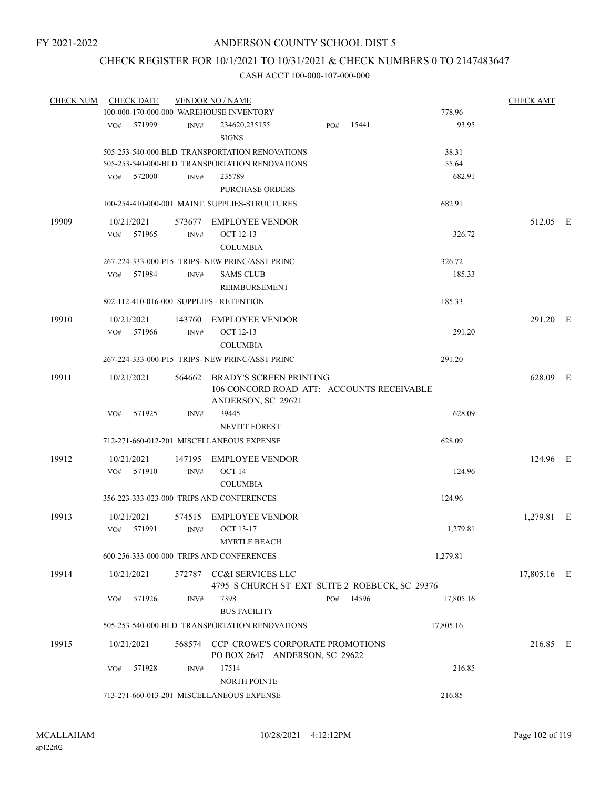## CHECK REGISTER FOR 10/1/2021 TO 10/31/2021 & CHECK NUMBERS 0 TO 2147483647

| <b>CHECK NUM</b> |     | <b>CHECK DATE</b> |        | <b>VENDOR NO / NAME</b>                                                       |     |       |           | <b>CHECK AMT</b> |  |
|------------------|-----|-------------------|--------|-------------------------------------------------------------------------------|-----|-------|-----------|------------------|--|
|                  |     |                   |        | 100-000-170-000-000 WAREHOUSE INVENTORY                                       |     |       | 778.96    |                  |  |
|                  | VO# | 571999            | INV#   | 234620,235155<br><b>SIGNS</b>                                                 | PO# | 15441 | 93.95     |                  |  |
|                  |     |                   |        | 505-253-540-000-BLD TRANSPORTATION RENOVATIONS                                |     |       | 38.31     |                  |  |
|                  |     |                   |        | 505-253-540-000-BLD TRANSPORTATION RENOVATIONS                                |     |       | 55.64     |                  |  |
|                  |     | VO# 572000        | INV#   | 235789<br><b>PURCHASE ORDERS</b>                                              |     |       | 682.91    |                  |  |
|                  |     |                   |        | 100-254-410-000-001 MAINT, SUPPLIES-STRUCTURES                                |     |       | 682.91    |                  |  |
| 19909            |     | 10/21/2021        | 573677 | EMPLOYEE VENDOR                                                               |     |       |           | 512.05 E         |  |
|                  | VO# | 571965            | INV#   | <b>OCT 12-13</b><br><b>COLUMBIA</b>                                           |     |       | 326.72    |                  |  |
|                  |     |                   |        | 267-224-333-000-P15 TRIPS- NEW PRINC/ASST PRINC                               |     |       | 326.72    |                  |  |
|                  | VO# | 571984            | INV#   | <b>SAMS CLUB</b><br>REIMBURSEMENT                                             |     |       | 185.33    |                  |  |
|                  |     |                   |        | 802-112-410-016-000 SUPPLIES - RETENTION                                      |     |       | 185.33    |                  |  |
| 19910            |     | 10/21/2021        | 143760 | <b>EMPLOYEE VENDOR</b>                                                        |     |       |           | 291.20 E         |  |
|                  |     | VO# 571966        | INV#   | <b>OCT 12-13</b>                                                              |     |       | 291.20    |                  |  |
|                  |     |                   |        | <b>COLUMBIA</b>                                                               |     |       |           |                  |  |
|                  |     |                   |        | 267-224-333-000-P15 TRIPS- NEW PRINC/ASST PRINC                               |     |       | 291.20    |                  |  |
| 19911            |     | 10/21/2021        |        | 564662 BRADY'S SCREEN PRINTING<br>106 CONCORD ROAD ATT: ACCOUNTS RECEIVABLE   |     |       |           | 628.09 E         |  |
|                  | VO# | 571925            | INV#   | ANDERSON, SC 29621<br>39445                                                   |     |       | 628.09    |                  |  |
|                  |     |                   |        | NEVITT FOREST                                                                 |     |       |           |                  |  |
|                  |     |                   |        | 712-271-660-012-201 MISCELLANEOUS EXPENSE                                     |     |       | 628.09    |                  |  |
| 19912            |     | 10/21/2021        |        | 147195 EMPLOYEE VENDOR                                                        |     |       |           | 124.96 E         |  |
|                  | VO# | 571910            | INV#   | OCT 14                                                                        |     |       | 124.96    |                  |  |
|                  |     |                   |        | <b>COLUMBIA</b>                                                               |     |       |           |                  |  |
|                  |     |                   |        | 356-223-333-023-000 TRIPS AND CONFERENCES                                     |     |       | 124.96    |                  |  |
| 19913            |     | 10/21/2021        |        | 574515 EMPLOYEE VENDOR                                                        |     |       |           | 1,279.81 E       |  |
|                  | VO# | 571991            | INV#   | <b>OCT 13-17</b><br>MYRTLE BEACH                                              |     |       | 1,279.81  |                  |  |
|                  |     |                   |        | 600-256-333-000-000 TRIPS AND CONFERENCES                                     |     |       | 1,279.81  |                  |  |
| 19914            |     | 10/21/2021        |        | 572787 CC&I SERVICES LLC                                                      |     |       |           | 17,805.16 E      |  |
|                  | VO# | 571926            | INV#   | 4795 S CHURCH ST EXT SUITE 2 ROEBUCK, SC 29376<br>7398<br><b>BUS FACILITY</b> | PO# | 14596 | 17,805.16 |                  |  |
|                  |     |                   |        | 505-253-540-000-BLD TRANSPORTATION RENOVATIONS                                |     |       | 17,805.16 |                  |  |
| 19915            |     | 10/21/2021        |        | 568574 CCP CROWE'S CORPORATE PROMOTIONS<br>PO BOX 2647 ANDERSON, SC 29622     |     |       |           | 216.85 E         |  |
|                  | VO# | 571928            | INV#   | 17514<br>NORTH POINTE                                                         |     |       | 216.85    |                  |  |
|                  |     |                   |        | 713-271-660-013-201 MISCELLANEOUS EXPENSE                                     |     |       | 216.85    |                  |  |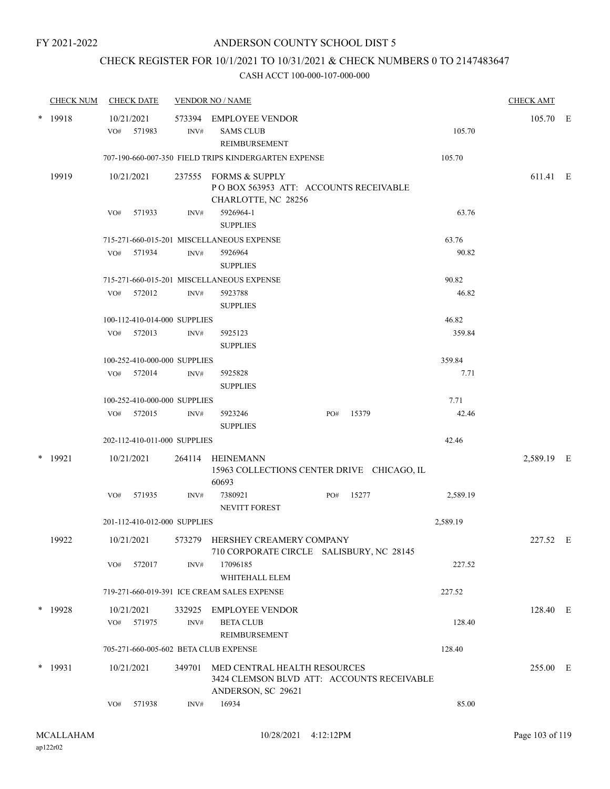# CHECK REGISTER FOR 10/1/2021 TO 10/31/2021 & CHECK NUMBERS 0 TO 2147483647

|        | <b>CHECK NUM</b> |     | <b>CHECK DATE</b>            |                | <b>VENDOR NO / NAME</b>                                                                          |     |       |          | <b>CHECK AMT</b> |  |
|--------|------------------|-----|------------------------------|----------------|--------------------------------------------------------------------------------------------------|-----|-------|----------|------------------|--|
|        | * 19918          |     | 10/21/2021<br>VO# 571983     | INV#           | 573394 EMPLOYEE VENDOR<br><b>SAMS CLUB</b><br>REIMBURSEMENT                                      |     |       | 105.70   | 105.70 E         |  |
|        |                  |     |                              |                | 707-190-660-007-350 FIELD TRIPS KINDERGARTEN EXPENSE                                             |     |       | 105.70   |                  |  |
|        | 19919            |     | 10/21/2021                   |                | 237555 FORMS & SUPPLY<br>PO BOX 563953 ATT: ACCOUNTS RECEIVABLE<br>CHARLOTTE, NC 28256           |     |       |          | 611.41 E         |  |
|        |                  | VO# | 571933                       | INV#           | 5926964-1<br><b>SUPPLIES</b>                                                                     |     |       | 63.76    |                  |  |
|        |                  |     |                              |                | 715-271-660-015-201 MISCELLANEOUS EXPENSE                                                        |     |       | 63.76    |                  |  |
|        |                  |     | VO# 571934                   | INV#           | 5926964<br><b>SUPPLIES</b>                                                                       |     |       | 90.82    |                  |  |
|        |                  |     |                              |                | 715-271-660-015-201 MISCELLANEOUS EXPENSE                                                        |     |       | 90.82    |                  |  |
|        |                  |     | VO# 572012                   | INV#           | 5923788<br><b>SUPPLIES</b>                                                                       |     |       | 46.82    |                  |  |
|        |                  |     | 100-112-410-014-000 SUPPLIES |                |                                                                                                  |     |       | 46.82    |                  |  |
|        |                  |     | VO# 572013                   | INV#           | 5925123<br><b>SUPPLIES</b>                                                                       |     |       | 359.84   |                  |  |
|        |                  |     | 100-252-410-000-000 SUPPLIES |                |                                                                                                  |     |       | 359.84   |                  |  |
|        |                  |     | VO# 572014                   | INV#           | 5925828<br><b>SUPPLIES</b>                                                                       |     |       | 7.71     |                  |  |
|        |                  |     | 100-252-410-000-000 SUPPLIES |                |                                                                                                  |     |       | 7.71     |                  |  |
|        |                  |     | VO# 572015                   | INV#           | 5923246<br><b>SUPPLIES</b>                                                                       | PO# | 15379 | 42.46    |                  |  |
|        |                  |     | 202-112-410-011-000 SUPPLIES |                |                                                                                                  |     |       | 42.46    |                  |  |
| $\ast$ | 19921            |     | 10/21/2021                   |                | 264114 HEINEMANN<br>15963 COLLECTIONS CENTER DRIVE CHICAGO, IL<br>60693                          |     |       |          | 2,589.19 E       |  |
|        |                  | VO# | 571935                       | INV#           | 7380921<br><b>NEVITT FOREST</b>                                                                  | PO# | 15277 | 2,589.19 |                  |  |
|        |                  |     | 201-112-410-012-000 SUPPLIES |                |                                                                                                  |     |       | 2,589.19 |                  |  |
|        | 19922            |     | 10/21/2021                   |                | 573279 HERSHEY CREAMERY COMPANY<br>710 CORPORATE CIRCLE SALISBURY, NC 28145                      |     |       |          | 227.52 E         |  |
|        |                  | VO# | 572017                       | INV#           | 17096185<br>WHITEHALL ELEM                                                                       |     |       | 227.52   |                  |  |
|        |                  |     |                              |                | 719-271-660-019-391 ICE CREAM SALES EXPENSE                                                      |     |       | 227.52   |                  |  |
|        | * 19928          |     | 10/21/2021<br>VO# 571975     | 332925<br>INV# | <b>EMPLOYEE VENDOR</b><br><b>BETA CLUB</b><br><b>REIMBURSEMENT</b>                               |     |       | 128.40   | 128.40 E         |  |
|        |                  |     |                              |                | 705-271-660-005-602 BETA CLUB EXPENSE                                                            |     |       | 128.40   |                  |  |
|        | $*$ 19931        |     | 10/21/2021                   | 349701         | MED CENTRAL HEALTH RESOURCES<br>3424 CLEMSON BLVD ATT: ACCOUNTS RECEIVABLE<br>ANDERSON, SC 29621 |     |       |          | 255.00 E         |  |
|        |                  | VO# | 571938                       | INV#           | 16934                                                                                            |     |       | 85.00    |                  |  |
|        |                  |     |                              |                |                                                                                                  |     |       |          |                  |  |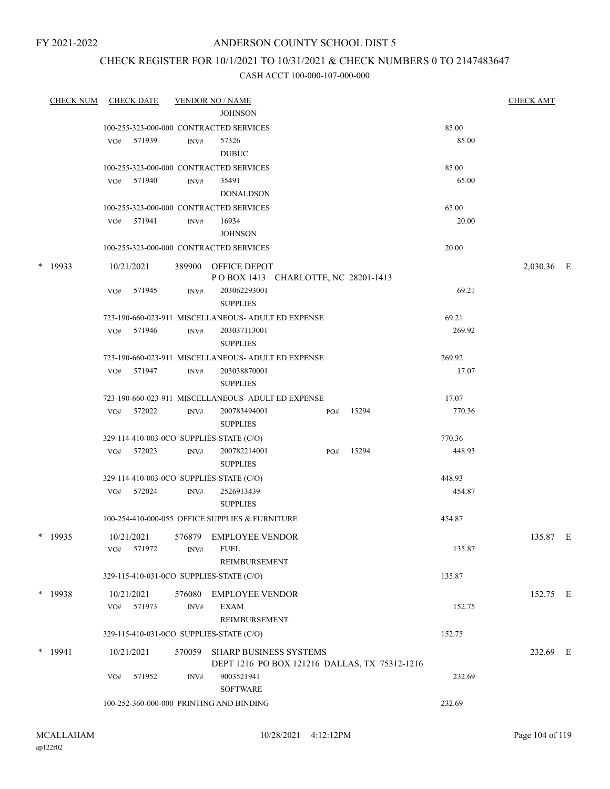#### ANDERSON COUNTY SCHOOL DIST 5

## CHECK REGISTER FOR 10/1/2021 TO 10/31/2021 & CHECK NUMBERS 0 TO 2147483647

|        | <b>CHECK NUM</b> | <b>CHECK DATE</b> |        |                  | <b>VENDOR NO / NAME</b>                                             |     |                                               |                 | <b>CHECK AMT</b> |  |
|--------|------------------|-------------------|--------|------------------|---------------------------------------------------------------------|-----|-----------------------------------------------|-----------------|------------------|--|
|        |                  |                   |        |                  | <b>JOHNSON</b>                                                      |     |                                               |                 |                  |  |
|        |                  |                   |        |                  | 100-255-323-000-000 CONTRACTED SERVICES                             |     |                                               | 85.00           |                  |  |
|        |                  | VO#               | 571939 | INV#             | 57326                                                               |     |                                               | 85.00           |                  |  |
|        |                  |                   |        |                  | <b>DUBUC</b>                                                        |     |                                               |                 |                  |  |
|        |                  |                   |        |                  | 100-255-323-000-000 CONTRACTED SERVICES                             |     |                                               | 85.00           |                  |  |
|        |                  | VO# 571940        |        | INV#             | 35491                                                               |     |                                               | 65.00           |                  |  |
|        |                  |                   |        |                  | <b>DONALDSON</b>                                                    |     |                                               |                 |                  |  |
|        |                  |                   |        |                  | 100-255-323-000-000 CONTRACTED SERVICES                             |     |                                               | 65.00           |                  |  |
|        |                  | VO# 571941        |        | INV#             | 16934                                                               |     |                                               | 20.00           |                  |  |
|        |                  |                   |        |                  | <b>JOHNSON</b>                                                      |     |                                               |                 |                  |  |
|        |                  |                   |        |                  | 100-255-323-000-000 CONTRACTED SERVICES                             |     |                                               | 20.00           |                  |  |
| $\ast$ | 19933            | 10/21/2021        |        |                  | 389900 OFFICE DEPOT<br>POBOX 1413 CHARLOTTE, NC 28201-1413          |     |                                               |                 | 2,030.36 E       |  |
|        |                  | VO#               | 571945 | INV#             | 203062293001                                                        |     |                                               | 69.21           |                  |  |
|        |                  |                   |        |                  | <b>SUPPLIES</b>                                                     |     |                                               |                 |                  |  |
|        |                  | VO#               | 571946 | INV#             | 723-190-660-023-911 MISCELLANEOUS- ADULT ED EXPENSE<br>203037113001 |     |                                               | 69.21<br>269.92 |                  |  |
|        |                  |                   |        |                  | <b>SUPPLIES</b>                                                     |     |                                               |                 |                  |  |
|        |                  |                   |        |                  | 723-190-660-023-911 MISCELLANEOUS- ADULT ED EXPENSE                 |     |                                               | 269.92          |                  |  |
|        |                  | VO#               | 571947 | INV#             | 203038870001<br><b>SUPPLIES</b>                                     |     |                                               | 17.07           |                  |  |
|        |                  |                   |        |                  | 723-190-660-023-911 MISCELLANEOUS- ADULT ED EXPENSE                 |     |                                               | 17.07           |                  |  |
|        |                  | VO#               | 572022 | INV#             | 200783494001<br><b>SUPPLIES</b>                                     | PO# | 15294                                         | 770.36          |                  |  |
|        |                  |                   |        |                  | 329-114-410-003-0CO SUPPLIES-STATE (C/O)                            |     |                                               | 770.36          |                  |  |
|        |                  | VO#               | 572023 | INV#             | 200782214001<br><b>SUPPLIES</b>                                     | PO# | 15294                                         | 448.93          |                  |  |
|        |                  |                   |        |                  | 329-114-410-003-0CO SUPPLIES-STATE (C/O)                            |     |                                               | 448.93          |                  |  |
|        |                  | VO#               | 572024 | $\mathrm{INV}\#$ | 2526913439                                                          |     |                                               | 454.87          |                  |  |
|        |                  |                   |        |                  | <b>SUPPLIES</b>                                                     |     |                                               |                 |                  |  |
|        |                  |                   |        |                  | 100-254-410-000-055 OFFICE SUPPLIES & FURNITURE                     |     |                                               | 454.87          |                  |  |
|        | * 19935          | 10/21/2021        |        |                  | 576879 EMPLOYEE VENDOR                                              |     |                                               |                 | 135.87 E         |  |
|        |                  | VO#               | 571972 | INV#             | <b>FUEL</b><br><b>REIMBURSEMENT</b>                                 |     |                                               | 135.87          |                  |  |
|        |                  |                   |        |                  | 329-115-410-031-0CO SUPPLIES-STATE (C/O)                            |     |                                               | 135.87          |                  |  |
|        | $*$ 19938        | 10/21/2021        |        | 576080           | <b>EMPLOYEE VENDOR</b>                                              |     |                                               |                 | 152.75 E         |  |
|        |                  | VO#               | 571973 | INV#             | <b>EXAM</b><br>REIMBURSEMENT                                        |     |                                               | 152.75          |                  |  |
|        |                  |                   |        |                  | 329-115-410-031-0CO SUPPLIES-STATE (C/O)                            |     |                                               | 152.75          |                  |  |
|        | $*$ 19941        | 10/21/2021        |        |                  | 570059 SHARP BUSINESS SYSTEMS                                       |     |                                               |                 | 232.69 E         |  |
|        |                  | VO#               | 571952 | INV#             | 9003521941<br><b>SOFTWARE</b>                                       |     | DEPT 1216 PO BOX 121216 DALLAS, TX 75312-1216 | 232.69          |                  |  |
|        |                  |                   |        |                  | 100-252-360-000-000 PRINTING AND BINDING                            |     |                                               | 232.69          |                  |  |
|        |                  |                   |        |                  |                                                                     |     |                                               |                 |                  |  |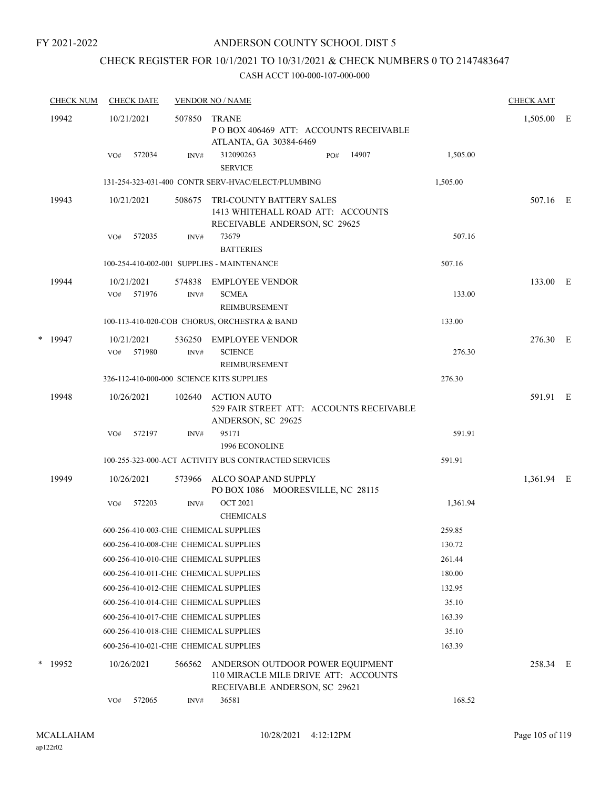## ANDERSON COUNTY SCHOOL DIST 5

# CHECK REGISTER FOR 10/1/2021 TO 10/31/2021 & CHECK NUMBERS 0 TO 2147483647

|   | <b>CHECK NUM</b> |     | <b>CHECK DATE</b>    |                | <b>VENDOR NO / NAME</b>                                                                                   |          | <b>CHECK AMT</b> |  |
|---|------------------|-----|----------------------|----------------|-----------------------------------------------------------------------------------------------------------|----------|------------------|--|
|   | 19942            |     | 10/21/2021           | 507850         | <b>TRANE</b><br>PO BOX 406469 ATT: ACCOUNTS RECEIVABLE<br>ATLANTA, GA 30384-6469                          |          | 1,505.00 E       |  |
|   |                  | VO# | 572034               | INV#           | 312090263<br>14907<br>PO#<br><b>SERVICE</b>                                                               | 1,505.00 |                  |  |
|   |                  |     |                      |                | 131-254-323-031-400 CONTR SERV-HVAC/ELECT/PLUMBING                                                        | 1,505.00 |                  |  |
|   | 19943            |     | 10/21/2021           | 508675         | TRI-COUNTY BATTERY SALES<br>1413 WHITEHALL ROAD ATT: ACCOUNTS<br>RECEIVABLE ANDERSON, SC 29625            |          | 507.16 E         |  |
|   |                  | VO# | 572035               | INV#           | 73679<br><b>BATTERIES</b>                                                                                 | 507.16   |                  |  |
|   |                  |     |                      |                | 100-254-410-002-001 SUPPLIES - MAINTENANCE                                                                | 507.16   |                  |  |
|   | 19944            | VO# | 10/21/2021<br>571976 | 574838<br>INV# | EMPLOYEE VENDOR<br><b>SCMEA</b><br>REIMBURSEMENT                                                          | 133.00   | 133.00 E         |  |
|   |                  |     |                      |                | 100-113-410-020-COB CHORUS, ORCHESTRA & BAND                                                              | 133.00   |                  |  |
| * | 19947            | VO# | 10/21/2021<br>571980 | 536250<br>INV# | <b>EMPLOYEE VENDOR</b><br><b>SCIENCE</b>                                                                  | 276.30   | 276.30 E         |  |
|   |                  |     |                      |                | REIMBURSEMENT<br>326-112-410-000-000 SCIENCE KITS SUPPLIES                                                | 276.30   |                  |  |
|   | 19948            |     | 10/26/2021           | 102640         | <b>ACTION AUTO</b><br>529 FAIR STREET ATT: ACCOUNTS RECEIVABLE<br>ANDERSON, SC 29625                      |          | 591.91 E         |  |
|   |                  | VO# | 572197               | INV#           | 95171<br>1996 ECONOLINE                                                                                   | 591.91   |                  |  |
|   |                  |     |                      |                | 100-255-323-000-ACT ACTIVITY BUS CONTRACTED SERVICES                                                      | 591.91   |                  |  |
|   | 19949            |     | 10/26/2021           | 573966         | ALCO SOAP AND SUPPLY<br>PO BOX 1086 MOORESVILLE, NC 28115                                                 |          | 1,361.94 E       |  |
|   |                  | VO# | 572203               | INV#           | <b>OCT 2021</b><br><b>CHEMICALS</b>                                                                       | 1,361.94 |                  |  |
|   |                  |     |                      |                | 600-256-410-003-CHE CHEMICAL SUPPLIES                                                                     | 259.85   |                  |  |
|   |                  |     |                      |                | 600-256-410-008-CHE CHEMICAL SUPPLIES                                                                     | 130.72   |                  |  |
|   |                  |     |                      |                | 600-256-410-010-CHE CHEMICAL SUPPLIES                                                                     | 261.44   |                  |  |
|   |                  |     |                      |                | 600-256-410-011-CHE CHEMICAL SUPPLIES                                                                     | 180.00   |                  |  |
|   |                  |     |                      |                | 600-256-410-012-CHE CHEMICAL SUPPLIES                                                                     | 132.95   |                  |  |
|   |                  |     |                      |                | 600-256-410-014-CHE CHEMICAL SUPPLIES                                                                     | 35.10    |                  |  |
|   |                  |     |                      |                | 600-256-410-017-CHE CHEMICAL SUPPLIES                                                                     | 163.39   |                  |  |
|   |                  |     |                      |                | 600-256-410-018-CHE CHEMICAL SUPPLIES                                                                     | 35.10    |                  |  |
|   |                  |     |                      |                | 600-256-410-021-CHE CHEMICAL SUPPLIES                                                                     | 163.39   |                  |  |
| * | 19952            |     | 10/26/2021           | 566562         | ANDERSON OUTDOOR POWER EQUIPMENT<br>110 MIRACLE MILE DRIVE ATT: ACCOUNTS<br>RECEIVABLE ANDERSON, SC 29621 |          | 258.34 E         |  |
|   |                  | VO# | 572065               | INV#           | 36581                                                                                                     | 168.52   |                  |  |
|   |                  |     |                      |                |                                                                                                           |          |                  |  |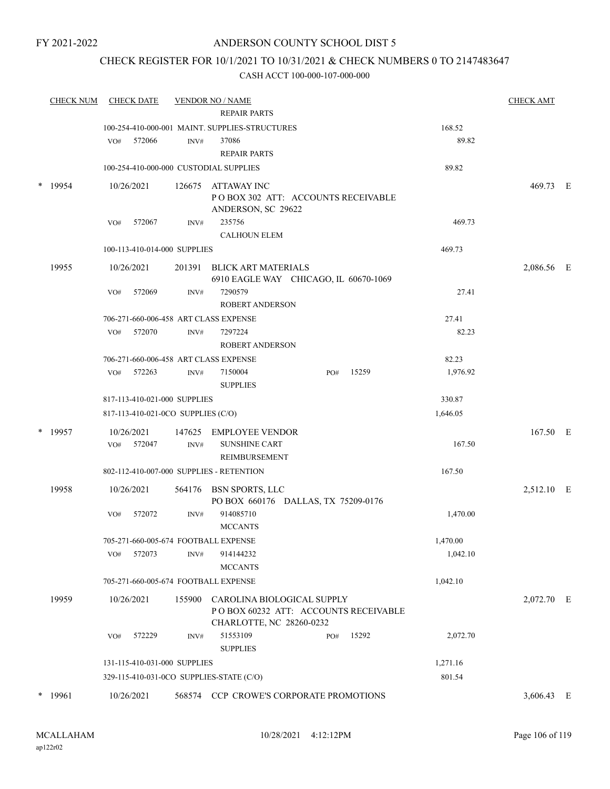#### ANDERSON COUNTY SCHOOL DIST 5

## CHECK REGISTER FOR 10/1/2021 TO 10/31/2021 & CHECK NUMBERS 0 TO 2147483647

|   | <b>CHECK NUM</b> | <b>CHECK DATE</b> |                                    |      | <b>VENDOR NO / NAME</b>                                             |     |       |          | <b>CHECK AMT</b> |  |
|---|------------------|-------------------|------------------------------------|------|---------------------------------------------------------------------|-----|-------|----------|------------------|--|
|   |                  |                   |                                    |      | <b>REPAIR PARTS</b>                                                 |     |       |          |                  |  |
|   |                  |                   |                                    |      | 100-254-410-000-001 MAINT, SUPPLIES-STRUCTURES                      |     |       | 168.52   |                  |  |
|   |                  | VO#               | 572066                             | INV# | 37086                                                               |     |       | 89.82    |                  |  |
|   |                  |                   |                                    |      | <b>REPAIR PARTS</b>                                                 |     |       |          |                  |  |
|   |                  |                   |                                    |      | 100-254-410-000-000 CUSTODIAL SUPPLIES                              |     |       | 89.82    |                  |  |
|   | 19954            | 10/26/2021        |                                    |      | 126675 ATTAWAY INC                                                  |     |       |          | 469.73 E         |  |
|   |                  |                   |                                    |      | POBOX 302 ATT: ACCOUNTS RECEIVABLE                                  |     |       |          |                  |  |
|   |                  |                   |                                    |      | ANDERSON, SC 29622                                                  |     |       |          |                  |  |
|   |                  | VO#               | 572067                             | INV# | 235756                                                              |     |       | 469.73   |                  |  |
|   |                  |                   |                                    |      | <b>CALHOUN ELEM</b>                                                 |     |       |          |                  |  |
|   |                  |                   | 100-113-410-014-000 SUPPLIES       |      |                                                                     |     |       | 469.73   |                  |  |
|   | 19955            | 10/26/2021        |                                    |      | 201391 BLICK ART MATERIALS<br>6910 EAGLE WAY CHICAGO, IL 60670-1069 |     |       |          | 2,086.56 E       |  |
|   |                  | VO#               | 572069                             | INV# | 7290579                                                             |     |       | 27.41    |                  |  |
|   |                  |                   |                                    |      | <b>ROBERT ANDERSON</b>                                              |     |       |          |                  |  |
|   |                  |                   |                                    |      | 706-271-660-006-458 ART CLASS EXPENSE                               |     |       | 27.41    |                  |  |
|   |                  | VO# 572070        |                                    | INV# | 7297224                                                             |     |       | 82.23    |                  |  |
|   |                  |                   |                                    |      | ROBERT ANDERSON                                                     |     |       |          |                  |  |
|   |                  |                   |                                    |      | 706-271-660-006-458 ART CLASS EXPENSE                               |     |       | 82.23    |                  |  |
|   |                  | VO# 572263        |                                    | INV# | 7150004                                                             | PO# | 15259 | 1,976.92 |                  |  |
|   |                  |                   |                                    |      | <b>SUPPLIES</b>                                                     |     |       |          |                  |  |
|   |                  |                   | 817-113-410-021-000 SUPPLIES       |      |                                                                     |     |       | 330.87   |                  |  |
|   |                  |                   | 817-113-410-021-0CO SUPPLIES (C/O) |      |                                                                     |     |       | 1,646.05 |                  |  |
| * | 19957            | 10/26/2021        |                                    |      | 147625 EMPLOYEE VENDOR                                              |     |       |          | 167.50 E         |  |
|   |                  | VO# 572047        |                                    | INV# | <b>SUNSHINE CART</b>                                                |     |       | 167.50   |                  |  |
|   |                  |                   |                                    |      | REIMBURSEMENT                                                       |     |       |          |                  |  |
|   |                  |                   |                                    |      | 802-112-410-007-000 SUPPLIES - RETENTION                            |     |       | 167.50   |                  |  |
|   | 19958            | 10/26/2021        |                                    |      | 564176 BSN SPORTS, LLC                                              |     |       |          | 2,512.10 E       |  |
|   |                  |                   |                                    |      | PO BOX 660176 DALLAS, TX 75209-0176                                 |     |       |          |                  |  |
|   |                  | VO#               | 572072                             | INV# | 914085710                                                           |     |       | 1,470.00 |                  |  |
|   |                  |                   |                                    |      | <b>MCCANTS</b>                                                      |     |       |          |                  |  |
|   |                  |                   |                                    |      | 705-271-660-005-674 FOOTBALL EXPENSE                                |     |       | 1,470.00 |                  |  |
|   |                  | VO#               | 572073                             | INV# | 914144232                                                           |     |       | 1,042.10 |                  |  |
|   |                  |                   |                                    |      | <b>MCCANTS</b>                                                      |     |       |          |                  |  |
|   |                  |                   |                                    |      | 705-271-660-005-674 FOOTBALL EXPENSE                                |     |       | 1,042.10 |                  |  |
|   | 19959            | 10/26/2021        |                                    |      | 155900 CAROLINA BIOLOGICAL SUPPLY                                   |     |       |          | 2,072.70 E       |  |
|   |                  |                   |                                    |      | POBOX 60232 ATT: ACCOUNTS RECEIVABLE                                |     |       |          |                  |  |
|   |                  |                   |                                    |      | CHARLOTTE, NC 28260-0232                                            |     |       |          |                  |  |
|   |                  | VO#               | 572229                             | INV# | 51553109                                                            | PO# | 15292 | 2,072.70 |                  |  |
|   |                  |                   |                                    |      | <b>SUPPLIES</b>                                                     |     |       |          |                  |  |
|   |                  |                   | 131-115-410-031-000 SUPPLIES       |      |                                                                     |     |       | 1,271.16 |                  |  |
|   |                  |                   |                                    |      | 329-115-410-031-0CO SUPPLIES-STATE (C/O)                            |     |       | 801.54   |                  |  |
|   | $*$ 19961        | 10/26/2021        |                                    |      | 568574 CCP CROWE'S CORPORATE PROMOTIONS                             |     |       |          | 3,606.43 E       |  |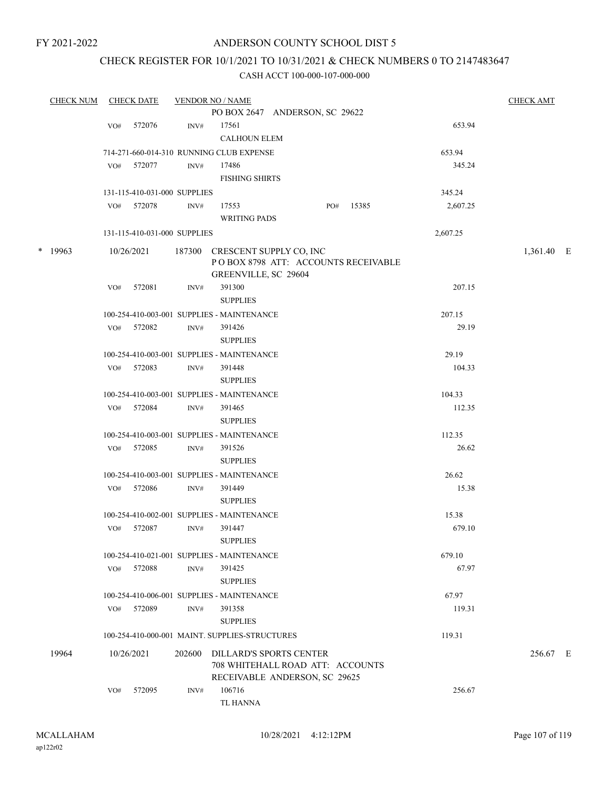#### ANDERSON COUNTY SCHOOL DIST 5

## CHECK REGISTER FOR 10/1/2021 TO 10/31/2021 & CHECK NUMBERS 0 TO 2147483647

|           | <b>CHECK NUM</b> |     | <b>CHECK DATE</b>            |                  | <b>VENDOR NO / NAME</b>                                               |     |       |          | <b>CHECK AMT</b> |  |
|-----------|------------------|-----|------------------------------|------------------|-----------------------------------------------------------------------|-----|-------|----------|------------------|--|
|           |                  |     |                              |                  | PO BOX 2647 ANDERSON, SC 29622                                        |     |       |          |                  |  |
|           |                  | VO# | 572076                       | INV#             | 17561                                                                 |     |       | 653.94   |                  |  |
|           |                  |     |                              |                  | <b>CALHOUN ELEM</b>                                                   |     |       |          |                  |  |
|           |                  |     |                              |                  | 714-271-660-014-310 RUNNING CLUB EXPENSE                              |     |       | 653.94   |                  |  |
|           |                  | VO# | 572077                       | INV#             | 17486                                                                 |     |       | 345.24   |                  |  |
|           |                  |     |                              |                  | <b>FISHING SHIRTS</b>                                                 |     |       |          |                  |  |
|           |                  |     | 131-115-410-031-000 SUPPLIES |                  |                                                                       |     |       | 345.24   |                  |  |
|           |                  | VO# | 572078                       | $\text{INV}\#$   | 17553                                                                 | PO# | 15385 | 2,607.25 |                  |  |
|           |                  |     |                              |                  | <b>WRITING PADS</b>                                                   |     |       |          |                  |  |
|           |                  |     | 131-115-410-031-000 SUPPLIES |                  |                                                                       |     |       | 2,607.25 |                  |  |
| $*$ 19963 |                  |     |                              |                  |                                                                       |     |       |          |                  |  |
|           |                  |     | 10/26/2021                   |                  | 187300 CRESCENT SUPPLY CO, INC<br>POBOX 8798 ATT: ACCOUNTS RECEIVABLE |     |       |          | 1,361.40 E       |  |
|           |                  |     |                              |                  | GREENVILLE, SC 29604                                                  |     |       |          |                  |  |
|           |                  | VO# | 572081                       | INV#             | 391300                                                                |     |       | 207.15   |                  |  |
|           |                  |     |                              |                  | <b>SUPPLIES</b>                                                       |     |       |          |                  |  |
|           |                  |     |                              |                  | 100-254-410-003-001 SUPPLIES - MAINTENANCE                            |     |       | 207.15   |                  |  |
|           |                  |     | VO# 572082                   | INV#             | 391426                                                                |     |       | 29.19    |                  |  |
|           |                  |     |                              |                  | <b>SUPPLIES</b>                                                       |     |       |          |                  |  |
|           |                  |     |                              |                  | 100-254-410-003-001 SUPPLIES - MAINTENANCE                            |     |       | 29.19    |                  |  |
|           |                  | VO# | 572083                       | $\mathrm{INV}\#$ | 391448                                                                |     |       | 104.33   |                  |  |
|           |                  |     |                              |                  | <b>SUPPLIES</b>                                                       |     |       |          |                  |  |
|           |                  |     |                              |                  | 100-254-410-003-001 SUPPLIES - MAINTENANCE                            |     |       | 104.33   |                  |  |
|           |                  | VO# | 572084                       | INV#             | 391465                                                                |     |       | 112.35   |                  |  |
|           |                  |     |                              |                  | <b>SUPPLIES</b>                                                       |     |       |          |                  |  |
|           |                  |     |                              |                  | 100-254-410-003-001 SUPPLIES - MAINTENANCE                            |     |       | 112.35   |                  |  |
|           |                  | VO# | 572085                       | INV#             | 391526                                                                |     |       | 26.62    |                  |  |
|           |                  |     |                              |                  | <b>SUPPLIES</b>                                                       |     |       |          |                  |  |
|           |                  |     |                              |                  | 100-254-410-003-001 SUPPLIES - MAINTENANCE                            |     |       | 26.62    |                  |  |
|           |                  | VO# | 572086                       | INV#             | 391449                                                                |     |       | 15.38    |                  |  |
|           |                  |     |                              |                  | <b>SUPPLIES</b>                                                       |     |       |          |                  |  |
|           |                  |     |                              |                  | 100-254-410-002-001 SUPPLIES - MAINTENANCE                            |     |       | 15.38    |                  |  |
|           |                  | VO# | 572087                       | INV#             | 391447                                                                |     |       | 679.10   |                  |  |
|           |                  |     |                              |                  | <b>SUPPLIES</b>                                                       |     |       |          |                  |  |
|           |                  |     |                              |                  | 100-254-410-021-001 SUPPLIES - MAINTENANCE                            |     |       | 679.10   |                  |  |
|           |                  | VO# | 572088                       | INV#             | 391425                                                                |     |       | 67.97    |                  |  |
|           |                  |     |                              |                  | <b>SUPPLIES</b>                                                       |     |       |          |                  |  |
|           |                  |     |                              |                  | 100-254-410-006-001 SUPPLIES - MAINTENANCE                            |     |       | 67.97    |                  |  |
|           |                  |     | VO# 572089                   | INV#             | 391358                                                                |     |       | 119.31   |                  |  |
|           |                  |     |                              |                  | <b>SUPPLIES</b>                                                       |     |       |          |                  |  |
|           |                  |     |                              |                  | 100-254-410-000-001 MAINT. SUPPLIES-STRUCTURES                        |     |       | 119.31   |                  |  |
| 19964     |                  |     | 10/26/2021                   |                  | 202600 DILLARD'S SPORTS CENTER                                        |     |       |          | 256.67 E         |  |
|           |                  |     |                              |                  | 708 WHITEHALL ROAD ATT: ACCOUNTS                                      |     |       |          |                  |  |
|           |                  |     |                              |                  | RECEIVABLE ANDERSON, SC 29625                                         |     |       |          |                  |  |
|           |                  | VO# | 572095                       | INV#             | 106716                                                                |     |       | 256.67   |                  |  |
|           |                  |     |                              |                  | TL HANNA                                                              |     |       |          |                  |  |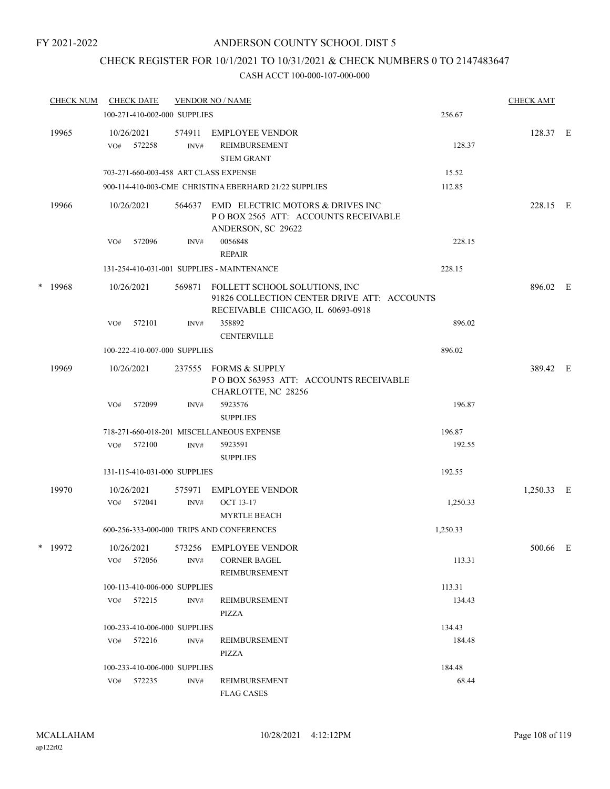# CHECK REGISTER FOR 10/1/2021 TO 10/31/2021 & CHECK NUMBERS 0 TO 2147483647

|   | <b>CHECK NUM</b> |     | <b>CHECK DATE</b>        |                              | <b>VENDOR NO / NAME</b>                                                                                           |          | <b>CHECK AMT</b> |  |
|---|------------------|-----|--------------------------|------------------------------|-------------------------------------------------------------------------------------------------------------------|----------|------------------|--|
|   |                  |     |                          | 100-271-410-002-000 SUPPLIES |                                                                                                                   | 256.67   |                  |  |
|   | 19965            | VO# | 10/26/2021<br>572258     | 574911<br>INV#               | <b>EMPLOYEE VENDOR</b><br>REIMBURSEMENT<br><b>STEM GRANT</b>                                                      | 128.37   | 128.37 E         |  |
|   |                  |     |                          |                              | 703-271-660-003-458 ART CLASS EXPENSE                                                                             | 15.52    |                  |  |
|   |                  |     |                          |                              | 900-114-410-003-CME CHRISTINA EBERHARD 21/22 SUPPLIES                                                             | 112.85   |                  |  |
|   | 19966            |     | 10/26/2021               | 564637                       | EMD ELECTRIC MOTORS & DRIVES INC<br>POBOX 2565 ATT: ACCOUNTS RECEIVABLE<br>ANDERSON, SC 29622                     |          | 228.15 E         |  |
|   |                  | VO# | 572096                   | INV#                         | 0056848<br><b>REPAIR</b>                                                                                          | 228.15   |                  |  |
|   |                  |     |                          |                              | 131-254-410-031-001 SUPPLIES - MAINTENANCE                                                                        | 228.15   |                  |  |
| * | 19968            |     | 10/26/2021               | 569871                       | FOLLETT SCHOOL SOLUTIONS, INC<br>91826 COLLECTION CENTER DRIVE ATT: ACCOUNTS<br>RECEIVABLE CHICAGO, IL 60693-0918 |          | 896.02 E         |  |
|   |                  | VO# | 572101                   | INV#                         | 358892<br><b>CENTERVILLE</b>                                                                                      | 896.02   |                  |  |
|   |                  |     |                          | 100-222-410-007-000 SUPPLIES |                                                                                                                   | 896.02   |                  |  |
|   | 19969            |     | 10/26/2021               | 237555                       | <b>FORMS &amp; SUPPLY</b><br>POBOX 563953 ATT: ACCOUNTS RECEIVABLE<br>CHARLOTTE, NC 28256                         |          | 389.42 E         |  |
|   |                  | VO# | 572099                   | INV#                         | 5923576<br><b>SUPPLIES</b>                                                                                        | 196.87   |                  |  |
|   |                  |     |                          |                              | 718-271-660-018-201 MISCELLANEOUS EXPENSE                                                                         | 196.87   |                  |  |
|   |                  | VO# | 572100                   | INV#                         | 5923591<br><b>SUPPLIES</b>                                                                                        | 192.55   |                  |  |
|   |                  |     |                          | 131-115-410-031-000 SUPPLIES |                                                                                                                   | 192.55   |                  |  |
|   | 19970            |     | 10/26/2021               | 575971                       | <b>EMPLOYEE VENDOR</b>                                                                                            |          | 1,250.33 E       |  |
|   |                  | VO# | 572041                   | $\text{INV}\#$               | <b>OCT 13-17</b><br><b>MYRTLE BEACH</b>                                                                           | 1,250.33 |                  |  |
|   |                  |     |                          |                              | 600-256-333-000-000 TRIPS AND CONFERENCES                                                                         | 1,250.33 |                  |  |
|   | * 19972          |     | 10/26/2021<br>VO# 572056 | 573256<br>INV#               | <b>EMPLOYEE VENDOR</b><br><b>CORNER BAGEL</b>                                                                     | 113.31   | 500.66 E         |  |
|   |                  |     |                          |                              | REIMBURSEMENT                                                                                                     |          |                  |  |
|   |                  |     |                          | 100-113-410-006-000 SUPPLIES |                                                                                                                   | 113.31   |                  |  |
|   |                  | VO# | 572215                   | INV#                         | REIMBURSEMENT<br>PIZZA                                                                                            | 134.43   |                  |  |
|   |                  |     |                          | 100-233-410-006-000 SUPPLIES |                                                                                                                   | 134.43   |                  |  |
|   |                  |     | VO# 572216               | INV#                         | REIMBURSEMENT<br>PIZZA                                                                                            | 184.48   |                  |  |
|   |                  |     |                          | 100-233-410-006-000 SUPPLIES |                                                                                                                   | 184.48   |                  |  |
|   |                  |     | VO# 572235               | INV#                         | REIMBURSEMENT<br><b>FLAG CASES</b>                                                                                | 68.44    |                  |  |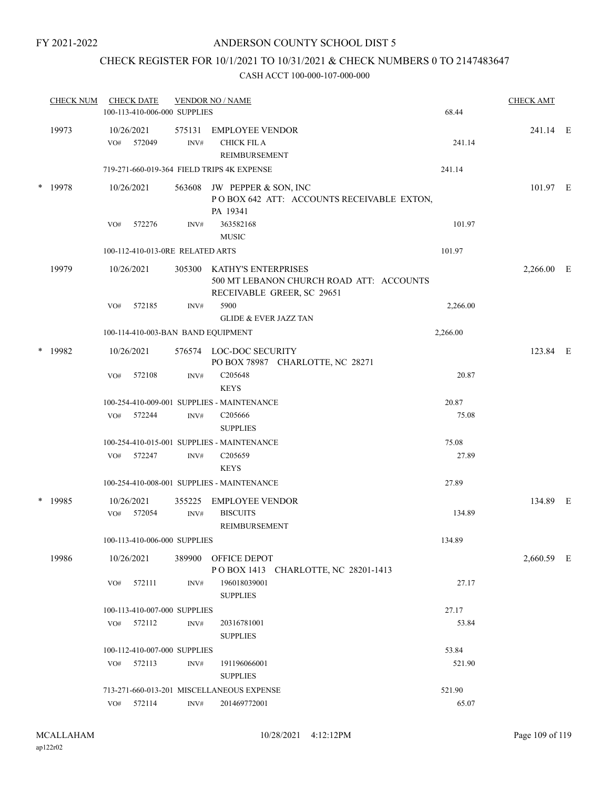### CHECK REGISTER FOR 10/1/2021 TO 10/31/2021 & CHECK NUMBERS 0 TO 2147483647

|        | <b>CHECK NUM</b> |     | <b>CHECK DATE</b><br>100-113-410-006-000 SUPPLIES |                | <b>VENDOR NO / NAME</b>                                                                              | 68.44    | <b>CHECK AMT</b> |  |
|--------|------------------|-----|---------------------------------------------------|----------------|------------------------------------------------------------------------------------------------------|----------|------------------|--|
|        | 19973            | VO# | 10/26/2021<br>572049                              | 575131<br>INV# | <b>EMPLOYEE VENDOR</b><br><b>CHICK FIL A</b><br>REIMBURSEMENT                                        | 241.14   | 241.14 E         |  |
|        |                  |     |                                                   |                | 719-271-660-019-364 FIELD TRIPS 4K EXPENSE                                                           | 241.14   |                  |  |
|        | * 19978          |     | 10/26/2021                                        |                | 563608 JW PEPPER & SON, INC<br>POBOX 642 ATT: ACCOUNTS RECEIVABLE EXTON,<br>PA 19341                 |          | 101.97 E         |  |
|        |                  | VO# | 572276                                            | INV#           | 363582168<br><b>MUSIC</b>                                                                            | 101.97   |                  |  |
|        |                  |     | 100-112-410-013-0RE RELATED ARTS                  |                |                                                                                                      | 101.97   |                  |  |
|        | 19979            |     | 10/26/2021                                        |                | 305300 KATHY'S ENTERPRISES<br>500 MT LEBANON CHURCH ROAD ATT: ACCOUNTS<br>RECEIVABLE GREER, SC 29651 |          | 2,266.00 E       |  |
|        |                  | VO# | 572185                                            | INV#           | 5900<br><b>GLIDE &amp; EVER JAZZ TAN</b>                                                             | 2,266.00 |                  |  |
|        |                  |     |                                                   |                | 100-114-410-003-BAN BAND EQUIPMENT                                                                   | 2,266.00 |                  |  |
| $\ast$ | 19982            |     | 10/26/2021                                        |                | 576574 LOC-DOC SECURITY<br>PO BOX 78987 CHARLOTTE, NC 28271                                          |          | 123.84 E         |  |
|        |                  | VO# | 572108                                            | INV#           | C <sub>205648</sub><br><b>KEYS</b>                                                                   | 20.87    |                  |  |
|        |                  |     |                                                   |                | 100-254-410-009-001 SUPPLIES - MAINTENANCE                                                           | 20.87    |                  |  |
|        |                  |     | VO# 572244                                        | INV#           | C <sub>205666</sub><br><b>SUPPLIES</b>                                                               | 75.08    |                  |  |
|        |                  |     |                                                   |                | 100-254-410-015-001 SUPPLIES - MAINTENANCE                                                           | 75.08    |                  |  |
|        |                  | VO# | 572247                                            | INV#           | C205659<br><b>KEYS</b>                                                                               | 27.89    |                  |  |
|        |                  |     |                                                   |                | 100-254-410-008-001 SUPPLIES - MAINTENANCE                                                           | 27.89    |                  |  |
| $\ast$ | 19985            | VO# | 10/26/2021<br>572054                              | 355225<br>INV# | <b>EMPLOYEE VENDOR</b><br><b>BISCUITS</b>                                                            | 134.89   | 134.89 E         |  |
|        |                  |     |                                                   |                | REIMBURSEMENT                                                                                        |          |                  |  |
|        |                  |     | 100-113-410-006-000 SUPPLIES                      |                |                                                                                                      | 134.89   |                  |  |
|        | 19986            |     | 10/26/2021                                        |                | 389900 OFFICE DEPOT<br>POBOX 1413 CHARLOTTE, NC 28201-1413                                           |          | 2,660.59 E       |  |
|        |                  | VO# | 572111                                            | INV#           | 196018039001<br><b>SUPPLIES</b>                                                                      | 27.17    |                  |  |
|        |                  |     | 100-113-410-007-000 SUPPLIES                      |                |                                                                                                      | 27.17    |                  |  |
|        |                  | VO# | 572112                                            | $\text{INV}\#$ | 20316781001<br><b>SUPPLIES</b>                                                                       | 53.84    |                  |  |
|        |                  |     | 100-112-410-007-000 SUPPLIES                      |                |                                                                                                      | 53.84    |                  |  |
|        |                  | VO# | 572113                                            | INV#           | 191196066001<br><b>SUPPLIES</b>                                                                      | 521.90   |                  |  |
|        |                  |     |                                                   |                | 713-271-660-013-201 MISCELLANEOUS EXPENSE                                                            | 521.90   |                  |  |
|        |                  | VO# | 572114                                            | INV#           | 201469772001                                                                                         | 65.07    |                  |  |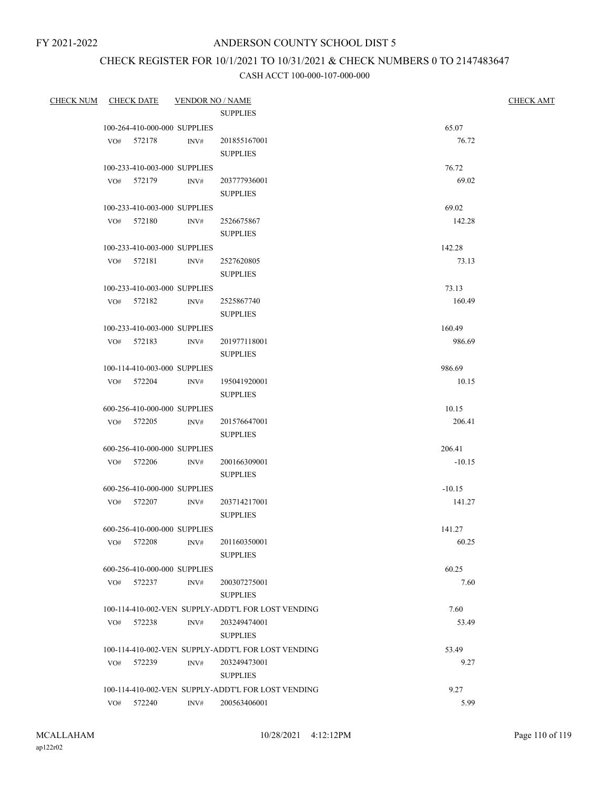## CHECK REGISTER FOR 10/1/2021 TO 10/31/2021 & CHECK NUMBERS 0 TO 2147483647

| <b>CHECK NUM</b> |     | CHECK DATE      | <b>VENDOR NO / NAME</b>      |                                                    |                  | <b>CHECK AMT</b> |
|------------------|-----|-----------------|------------------------------|----------------------------------------------------|------------------|------------------|
|                  |     |                 |                              | <b>SUPPLIES</b>                                    |                  |                  |
|                  |     |                 | 100-264-410-000-000 SUPPLIES |                                                    | 65.07            |                  |
|                  |     | VO# 572178      | INV#                         | 201855167001                                       | 76.72            |                  |
|                  |     |                 |                              | <b>SUPPLIES</b>                                    |                  |                  |
|                  |     |                 | 100-233-410-003-000 SUPPLIES |                                                    | 76.72            |                  |
|                  |     | VO# 572179      | INV#                         | 203777936001                                       | 69.02            |                  |
|                  |     |                 |                              | <b>SUPPLIES</b>                                    |                  |                  |
|                  |     |                 | 100-233-410-003-000 SUPPLIES |                                                    | 69.02            |                  |
|                  |     | VO# 572180      | INV#                         | 2526675867<br><b>SUPPLIES</b>                      | 142.28           |                  |
|                  |     |                 |                              |                                                    |                  |                  |
|                  |     |                 | 100-233-410-003-000 SUPPLIES |                                                    | 142.28           |                  |
|                  |     | VO# 572181      | INV#                         | 2527620805<br><b>SUPPLIES</b>                      | 73.13            |                  |
|                  |     |                 |                              |                                                    |                  |                  |
|                  |     |                 | 100-233-410-003-000 SUPPLIES |                                                    | 73.13<br>160.49  |                  |
|                  |     | VO# 572182 INV# |                              | 2525867740<br><b>SUPPLIES</b>                      |                  |                  |
|                  |     |                 | 100-233-410-003-000 SUPPLIES |                                                    |                  |                  |
|                  |     | VO# 572183      | INV#                         | 201977118001                                       | 160.49<br>986.69 |                  |
|                  |     |                 |                              | <b>SUPPLIES</b>                                    |                  |                  |
|                  |     |                 | 100-114-410-003-000 SUPPLIES |                                                    | 986.69           |                  |
|                  |     | VO# 572204 INV# |                              | 195041920001                                       | 10.15            |                  |
|                  |     |                 |                              | <b>SUPPLIES</b>                                    |                  |                  |
|                  |     |                 | 600-256-410-000-000 SUPPLIES |                                                    | 10.15            |                  |
|                  |     | VO# 572205 INV# |                              | 201576647001                                       | 206.41           |                  |
|                  |     |                 |                              | <b>SUPPLIES</b>                                    |                  |                  |
|                  |     |                 | 600-256-410-000-000 SUPPLIES |                                                    | 206.41           |                  |
|                  |     | VO# 572206      | INV#                         | 200166309001                                       | $-10.15$         |                  |
|                  |     |                 |                              | <b>SUPPLIES</b>                                    |                  |                  |
|                  |     |                 | 600-256-410-000-000 SUPPLIES |                                                    | $-10.15$         |                  |
|                  |     | VO# 572207      | INV#                         | 203714217001                                       | 141.27           |                  |
|                  |     |                 |                              | <b>SUPPLIES</b>                                    |                  |                  |
|                  |     |                 | 600-256-410-000-000 SUPPLIES |                                                    | 141.27           |                  |
|                  |     | VO# 572208      |                              | INV# 201160350001                                  | 60.25            |                  |
|                  |     |                 |                              | <b>SUPPLIES</b>                                    |                  |                  |
|                  |     |                 | 600-256-410-000-000 SUPPLIES |                                                    | 60.25            |                  |
|                  |     | VO# 572237      | INV#                         | 200307275001                                       | 7.60             |                  |
|                  |     |                 |                              | <b>SUPPLIES</b>                                    |                  |                  |
|                  |     |                 |                              | 100-114-410-002-VEN SUPPLY-ADDT'L FOR LOST VENDING | 7.60             |                  |
|                  | VO# | 572238          | INV#                         | 203249474001                                       | 53.49            |                  |
|                  |     |                 |                              | <b>SUPPLIES</b>                                    |                  |                  |
|                  |     |                 |                              | 100-114-410-002-VEN SUPPLY-ADDT'L FOR LOST VENDING | 53.49            |                  |
|                  | VO# | 572239          | INV#                         | 203249473001                                       | 9.27             |                  |
|                  |     |                 |                              | <b>SUPPLIES</b>                                    |                  |                  |
|                  |     |                 |                              | 100-114-410-002-VEN SUPPLY-ADDT'L FOR LOST VENDING | 9.27             |                  |
|                  |     | VO# 572240      | INV#                         | 200563406001                                       | 5.99             |                  |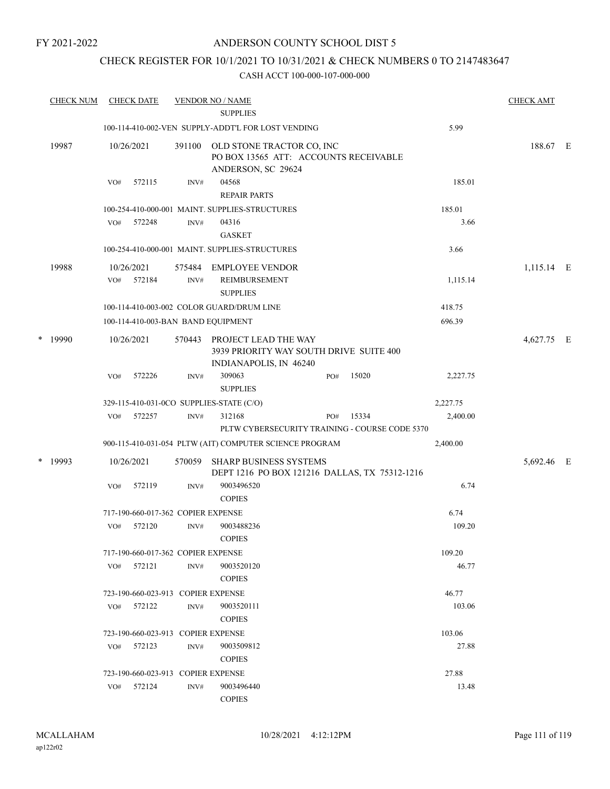FY 2021-2022

### ANDERSON COUNTY SCHOOL DIST 5

### CHECK REGISTER FOR 10/1/2021 TO 10/31/2021 & CHECK NUMBERS 0 TO 2147483647

|   | <b>CHECK NUM</b> |     | <b>CHECK DATE</b>                  |                | <b>VENDOR NO / NAME</b><br><b>SUPPLIES</b>                                                |     |       |          | <b>CHECK AMT</b> |  |
|---|------------------|-----|------------------------------------|----------------|-------------------------------------------------------------------------------------------|-----|-------|----------|------------------|--|
|   |                  |     |                                    |                | 100-114-410-002-VEN SUPPLY-ADDT'L FOR LOST VENDING                                        |     |       | 5.99     |                  |  |
|   | 19987            |     | 10/26/2021                         | 391100         | OLD STONE TRACTOR CO, INC<br>PO BOX 13565 ATT: ACCOUNTS RECEIVABLE<br>ANDERSON, SC 29624  |     |       |          | 188.67 E         |  |
|   |                  | VO# | 572115                             | INV#           | 04568<br><b>REPAIR PARTS</b>                                                              |     |       | 185.01   |                  |  |
|   |                  |     |                                    |                | 100-254-410-000-001 MAINT. SUPPLIES-STRUCTURES                                            |     |       | 185.01   |                  |  |
|   |                  | VO# | 572248                             | INV#           | 04316<br><b>GASKET</b>                                                                    |     |       | 3.66     |                  |  |
|   |                  |     |                                    |                | 100-254-410-000-001 MAINT. SUPPLIES-STRUCTURES                                            |     |       | 3.66     |                  |  |
|   | 19988            | VO# | 10/26/2021<br>572184               | 575484<br>INV# | <b>EMPLOYEE VENDOR</b><br>REIMBURSEMENT<br><b>SUPPLIES</b>                                |     |       | 1,115.14 | 1,115.14 E       |  |
|   |                  |     |                                    |                | 100-114-410-003-002 COLOR GUARD/DRUM LINE                                                 |     |       | 418.75   |                  |  |
|   |                  |     |                                    |                | 100-114-410-003-BAN BAND EQUIPMENT                                                        |     |       | 696.39   |                  |  |
| * | 19990            |     | 10/26/2021                         | 570443         | PROJECT LEAD THE WAY<br>3939 PRIORITY WAY SOUTH DRIVE SUITE 400<br>INDIANAPOLIS, IN 46240 |     |       |          | 4,627.75 E       |  |
|   |                  | VO# | 572226                             | INV#           | 309063<br><b>SUPPLIES</b>                                                                 | PO# | 15020 | 2,227.75 |                  |  |
|   |                  |     |                                    |                | 329-115-410-031-0CO SUPPLIES-STATE (C/O)                                                  |     |       | 2,227.75 |                  |  |
|   |                  | VO# | 572257                             | INV#           | 312168<br>PLTW CYBERSECURITY TRAINING - COURSE CODE 5370                                  | PO# | 15334 | 2,400.00 |                  |  |
|   |                  |     |                                    |                | 900-115-410-031-054 PLTW (AIT) COMPUTER SCIENCE PROGRAM                                   |     |       | 2,400.00 |                  |  |
| * | 19993            |     | 10/26/2021                         | 570059         | <b>SHARP BUSINESS SYSTEMS</b><br>DEPT 1216 PO BOX 121216 DALLAS, TX 75312-1216            |     |       |          | 5,692.46 E       |  |
|   |                  | VO# | 572119                             | $\text{INV}\#$ | 9003496520<br><b>COPIES</b>                                                               |     |       | 6.74     |                  |  |
|   |                  |     | 717-190-660-017-362 COPIER EXPENSE |                |                                                                                           |     |       | 6.74     |                  |  |
|   |                  | VO# | 572120                             | INV#           | 9003488236<br><b>COPIES</b>                                                               |     |       | 109.20   |                  |  |
|   |                  |     | 717-190-660-017-362 COPIER EXPENSE |                |                                                                                           |     |       | 109.20   |                  |  |
|   |                  |     | VO# 572121                         | INV#           | 9003520120<br><b>COPIES</b>                                                               |     |       | 46.77    |                  |  |
|   |                  |     | 723-190-660-023-913 COPIER EXPENSE |                |                                                                                           |     |       | 46.77    |                  |  |
|   |                  |     | VO# 572122                         | INV#           | 9003520111<br><b>COPIES</b>                                                               |     |       | 103.06   |                  |  |
|   |                  |     | 723-190-660-023-913 COPIER EXPENSE |                |                                                                                           |     |       | 103.06   |                  |  |
|   |                  |     | VO# 572123                         | INV#           | 9003509812<br><b>COPIES</b>                                                               |     |       | 27.88    |                  |  |
|   |                  |     | 723-190-660-023-913 COPIER EXPENSE |                |                                                                                           |     |       | 27.88    |                  |  |
|   |                  |     | VO# 572124                         | INV#           | 9003496440<br><b>COPIES</b>                                                               |     |       | 13.48    |                  |  |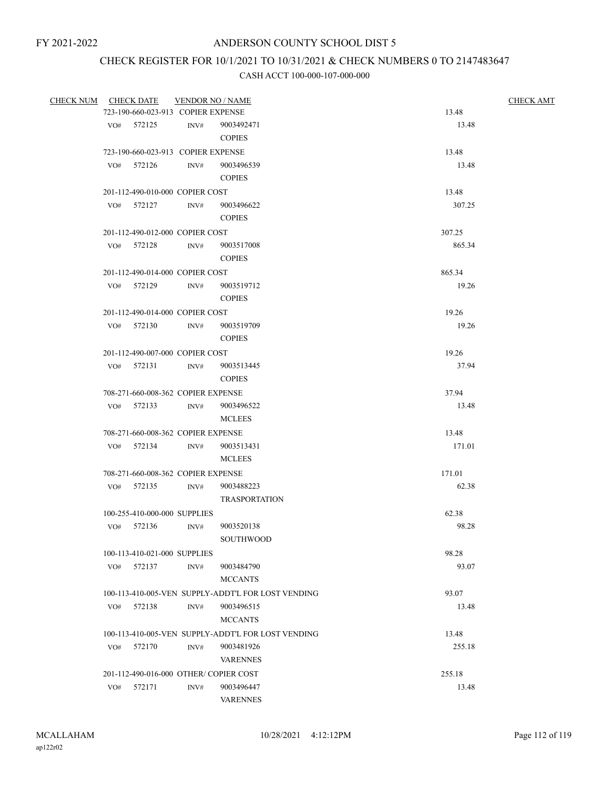# CHECK REGISTER FOR 10/1/2021 TO 10/31/2021 & CHECK NUMBERS 0 TO 2147483647

| CHECK NUM CHECK DATE |     |                                    |      | <b>VENDOR NO / NAME</b>                            | <b>CHECK AMT</b> |  |
|----------------------|-----|------------------------------------|------|----------------------------------------------------|------------------|--|
|                      |     | 723-190-660-023-913 COPIER EXPENSE |      |                                                    | 13.48            |  |
|                      |     | VO# 572125                         |      | INV# 9003492471                                    | 13.48            |  |
|                      |     |                                    |      | <b>COPIES</b>                                      |                  |  |
|                      |     | 723-190-660-023-913 COPIER EXPENSE |      |                                                    | 13.48            |  |
|                      |     | VO# 572126                         | INV# | 9003496539                                         | 13.48            |  |
|                      |     |                                    |      | <b>COPIES</b>                                      |                  |  |
|                      |     | 201-112-490-010-000 COPIER COST    |      |                                                    | 13.48            |  |
|                      | VO# | 572127                             | INV# | 9003496622                                         | 307.25           |  |
|                      |     |                                    |      | <b>COPIES</b>                                      |                  |  |
|                      |     | 201-112-490-012-000 COPIER COST    |      |                                                    | 307.25           |  |
|                      |     | VO# 572128                         | INV# | 9003517008                                         | 865.34           |  |
|                      |     |                                    |      | <b>COPIES</b>                                      |                  |  |
|                      |     | 201-112-490-014-000 COPIER COST    |      |                                                    | 865.34           |  |
|                      |     | VO# 572129                         | INV# | 9003519712                                         | 19.26            |  |
|                      |     |                                    |      | <b>COPIES</b>                                      |                  |  |
|                      |     | 201-112-490-014-000 COPIER COST    |      |                                                    | 19.26            |  |
|                      |     | $VO#$ 572130                       | INV# | 9003519709                                         | 19.26            |  |
|                      |     |                                    |      | <b>COPIES</b>                                      |                  |  |
|                      |     | 201-112-490-007-000 COPIER COST    |      |                                                    | 19.26            |  |
|                      |     | VO# 572131                         | INV# | 9003513445                                         | 37.94            |  |
|                      |     |                                    |      | <b>COPIES</b>                                      |                  |  |
|                      |     | 708-271-660-008-362 COPIER EXPENSE |      |                                                    | 37.94            |  |
|                      |     | VO# 572133                         | INV# | 9003496522                                         | 13.48            |  |
|                      |     |                                    |      | <b>MCLEES</b>                                      |                  |  |
|                      |     | 708-271-660-008-362 COPIER EXPENSE |      |                                                    | 13.48            |  |
|                      |     | VO# 572134                         | INV# | 9003513431                                         | 171.01           |  |
|                      |     |                                    |      | <b>MCLEES</b>                                      |                  |  |
|                      |     | 708-271-660-008-362 COPIER EXPENSE |      |                                                    | 171.01           |  |
|                      |     | VO# 572135                         | INV# | 9003488223                                         | 62.38            |  |
|                      |     |                                    |      | <b>TRASPORTATION</b>                               |                  |  |
|                      |     | 100-255-410-000-000 SUPPLIES       |      |                                                    | 62.38            |  |
|                      | VO# | 572136                             | INV# | 9003520138                                         | 98.28            |  |
|                      |     |                                    |      | SOUTHWOOD                                          |                  |  |
|                      |     | 100-113-410-021-000 SUPPLIES       |      |                                                    | 98.28            |  |
|                      | VO# | 572137                             | INV# | 9003484790                                         | 93.07            |  |
|                      |     |                                    |      | <b>MCCANTS</b>                                     |                  |  |
|                      |     |                                    |      | 100-113-410-005-VEN SUPPLY-ADDT'L FOR LOST VENDING | 93.07            |  |
|                      | VO# | 572138                             | INV# | 9003496515                                         | 13.48            |  |
|                      |     |                                    |      | <b>MCCANTS</b>                                     |                  |  |
|                      |     |                                    |      | 100-113-410-005-VEN SUPPLY-ADDT'L FOR LOST VENDING | 13.48            |  |
|                      | VO# | 572170                             | INV# | 9003481926                                         | 255.18           |  |
|                      |     |                                    |      | <b>VARENNES</b>                                    |                  |  |
|                      |     |                                    |      | 201-112-490-016-000 OTHER/COPIER COST              | 255.18           |  |
|                      | VO# | 572171                             | INV# | 9003496447                                         | 13.48            |  |
|                      |     |                                    |      | <b>VARENNES</b>                                    |                  |  |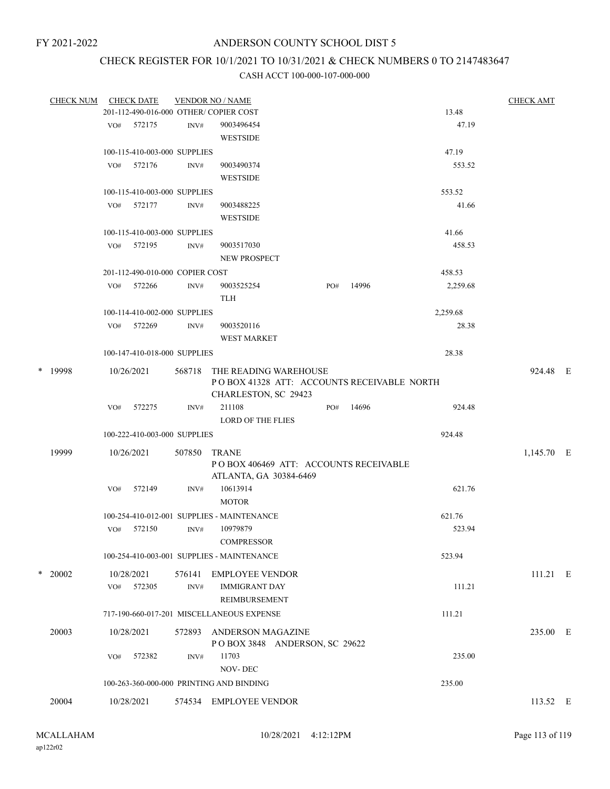## CHECK REGISTER FOR 10/1/2021 TO 10/31/2021 & CHECK NUMBERS 0 TO 2147483647

| <b>CHECK NUM</b> |     | <b>CHECK DATE</b>               |        | <b>VENDOR NO / NAME</b>                                                         |     |       |          | <b>CHECK AMT</b> |  |
|------------------|-----|---------------------------------|--------|---------------------------------------------------------------------------------|-----|-------|----------|------------------|--|
|                  |     |                                 |        | 201-112-490-016-000 OTHER/ COPIER COST                                          |     |       | 13.48    |                  |  |
|                  |     | VO# 572175                      | INV#   | 9003496454                                                                      |     |       | 47.19    |                  |  |
|                  |     |                                 |        | <b>WESTSIDE</b>                                                                 |     |       |          |                  |  |
|                  |     | 100-115-410-003-000 SUPPLIES    |        |                                                                                 |     |       | 47.19    |                  |  |
|                  | VO# | 572176                          | INV#   | 9003490374                                                                      |     |       | 553.52   |                  |  |
|                  |     |                                 |        | <b>WESTSIDE</b>                                                                 |     |       |          |                  |  |
|                  |     | 100-115-410-003-000 SUPPLIES    |        |                                                                                 |     |       | 553.52   |                  |  |
|                  |     | VO# 572177                      | INV#   | 9003488225<br><b>WESTSIDE</b>                                                   |     |       | 41.66    |                  |  |
|                  |     | 100-115-410-003-000 SUPPLIES    |        |                                                                                 |     |       | 41.66    |                  |  |
|                  |     | VO# 572195                      | INV#   | 9003517030                                                                      |     |       | 458.53   |                  |  |
|                  |     |                                 |        | <b>NEW PROSPECT</b>                                                             |     |       |          |                  |  |
|                  |     | 201-112-490-010-000 COPIER COST |        |                                                                                 |     |       | 458.53   |                  |  |
|                  |     | VO# 572266                      | INV#   | 9003525254                                                                      | PO# | 14996 | 2,259.68 |                  |  |
|                  |     |                                 |        | <b>TLH</b>                                                                      |     |       |          |                  |  |
|                  |     | 100-114-410-002-000 SUPPLIES    |        |                                                                                 |     |       | 2,259.68 |                  |  |
|                  |     | VO# 572269                      | INV#   | 9003520116                                                                      |     |       | 28.38    |                  |  |
|                  |     |                                 |        | <b>WEST MARKET</b>                                                              |     |       |          |                  |  |
|                  |     | 100-147-410-018-000 SUPPLIES    |        |                                                                                 |     |       | 28.38    |                  |  |
| * 19998          |     | 10/26/2021                      |        | 568718 THE READING WAREHOUSE<br>PO BOX 41328 ATT: ACCOUNTS RECEIVABLE NORTH     |     |       |          | 924.48 E         |  |
|                  |     |                                 |        | CHARLESTON, SC 29423                                                            |     |       |          |                  |  |
|                  | VO# | 572275                          | INV#   | 211108                                                                          | PO# | 14696 | 924.48   |                  |  |
|                  |     |                                 |        | <b>LORD OF THE FLIES</b>                                                        |     |       |          |                  |  |
|                  |     | 100-222-410-003-000 SUPPLIES    |        |                                                                                 |     |       | 924.48   |                  |  |
| 19999            |     | 10/26/2021                      | 507850 | <b>TRANE</b><br>POBOX 406469 ATT: ACCOUNTS RECEIVABLE<br>ATLANTA, GA 30384-6469 |     |       |          | 1,145.70 E       |  |
|                  | VO# | 572149                          | INV#   | 10613914                                                                        |     |       | 621.76   |                  |  |
|                  |     |                                 |        | <b>MOTOR</b>                                                                    |     |       |          |                  |  |
|                  |     |                                 |        | 100-254-410-012-001 SUPPLIES - MAINTENANCE                                      |     |       | 621.76   |                  |  |
|                  |     | VO# 572150                      | INV#   | 10979879                                                                        |     |       | 523.94   |                  |  |
|                  |     |                                 |        | <b>COMPRESSOR</b>                                                               |     |       |          |                  |  |
|                  |     |                                 |        | 100-254-410-003-001 SUPPLIES - MAINTENANCE                                      |     |       | 523.94   |                  |  |
| $*$ 20002        |     | 10/28/2021                      | 576141 | EMPLOYEE VENDOR                                                                 |     |       |          | 111.21 E         |  |
|                  | VO# | 572305                          | INV#   | <b>IMMIGRANT DAY</b><br>REIMBURSEMENT                                           |     |       | 111.21   |                  |  |
|                  |     |                                 |        | 717-190-660-017-201 MISCELLANEOUS EXPENSE                                       |     |       | 111.21   |                  |  |
| 20003            |     | 10/28/2021                      | 572893 | ANDERSON MAGAZINE                                                               |     |       |          | 235.00 E         |  |
|                  |     |                                 |        | POBOX 3848 ANDERSON, SC 29622                                                   |     |       |          |                  |  |
|                  | VO# | 572382                          | INV#   | 11703                                                                           |     |       | 235.00   |                  |  |
|                  |     |                                 |        | <b>NOV-DEC</b>                                                                  |     |       |          |                  |  |
|                  |     |                                 |        | 100-263-360-000-000 PRINTING AND BINDING                                        |     |       | 235.00   |                  |  |
| 20004            |     | 10/28/2021                      |        | 574534 EMPLOYEE VENDOR                                                          |     |       |          | 113.52 E         |  |
|                  |     |                                 |        |                                                                                 |     |       |          |                  |  |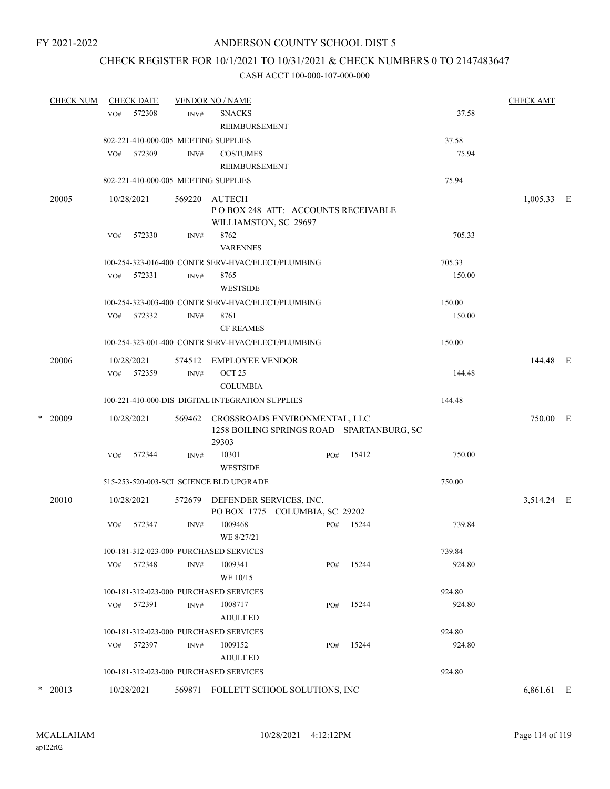### CHECK REGISTER FOR 10/1/2021 TO 10/31/2021 & CHECK NUMBERS 0 TO 2147483647

|   | <b>CHECK NUM</b> |     | <b>CHECK DATE</b> |        | <b>VENDOR NO / NAME</b>                                               |     |                                           |        | <b>CHECK AMT</b> |  |
|---|------------------|-----|-------------------|--------|-----------------------------------------------------------------------|-----|-------------------------------------------|--------|------------------|--|
|   |                  | VO# | 572308            | INV#   | <b>SNACKS</b><br><b>REIMBURSEMENT</b>                                 |     |                                           | 37.58  |                  |  |
|   |                  |     |                   |        | 802-221-410-000-005 MEETING SUPPLIES                                  |     |                                           | 37.58  |                  |  |
|   |                  | VO# | 572309            | INV#   | <b>COSTUMES</b><br>REIMBURSEMENT                                      |     |                                           | 75.94  |                  |  |
|   |                  |     |                   |        | 802-221-410-000-005 MEETING SUPPLIES                                  |     |                                           | 75.94  |                  |  |
|   | 20005            |     | 10/28/2021        | 569220 | AUTECH<br>POBOX 248 ATT: ACCOUNTS RECEIVABLE<br>WILLIAMSTON, SC 29697 |     |                                           |        | $1,005.33$ E     |  |
|   |                  | VO# | 572330            | INV#   | 8762<br><b>VARENNES</b>                                               |     |                                           | 705.33 |                  |  |
|   |                  |     |                   |        | 100-254-323-016-400 CONTR SERV-HVAC/ELECT/PLUMBING                    |     |                                           | 705.33 |                  |  |
|   |                  | VO# | 572331            | INV#   | 8765<br><b>WESTSIDE</b>                                               |     |                                           | 150.00 |                  |  |
|   |                  |     |                   |        | 100-254-323-003-400 CONTR SERV-HVAC/ELECT/PLUMBING                    |     |                                           | 150.00 |                  |  |
|   |                  | VO# | 572332            | INV#   | 8761<br><b>CF REAMES</b>                                              |     |                                           | 150.00 |                  |  |
|   |                  |     |                   |        | 100-254-323-001-400 CONTR SERV-HVAC/ELECT/PLUMBING                    |     |                                           | 150.00 |                  |  |
|   | 20006            |     | 10/28/2021        | 574512 | <b>EMPLOYEE VENDOR</b>                                                |     |                                           |        | 144.48 E         |  |
|   |                  |     | VO# 572359        | INV#   | OCT <sub>25</sub>                                                     |     |                                           | 144.48 |                  |  |
|   |                  |     |                   |        | <b>COLUMBIA</b>                                                       |     |                                           |        |                  |  |
|   |                  |     |                   |        | 100-221-410-000-DIS DIGITAL INTEGRATION SUPPLIES                      |     |                                           | 144.48 |                  |  |
| * | 20009            |     | 10/28/2021        |        | 569462 CROSSROADS ENVIRONMENTAL, LLC<br>29303                         |     | 1258 BOILING SPRINGS ROAD SPARTANBURG, SC |        | 750.00 E         |  |
|   |                  | VO# | 572344            | INV#   | 10301<br><b>WESTSIDE</b>                                              | PO# | 15412                                     | 750.00 |                  |  |
|   |                  |     |                   |        | 515-253-520-003-SCI SCIENCE BLD UPGRADE                               |     |                                           | 750.00 |                  |  |
|   | 20010            |     | 10/28/2021        | 572679 | DEFENDER SERVICES, INC.<br>PO BOX 1775 COLUMBIA, SC 29202             |     |                                           |        | 3,514.24 E       |  |
|   |                  | VO# | 572347            | INV#   | 1009468<br>WE 8/27/21                                                 | PO# | 15244                                     | 739.84 |                  |  |
|   |                  |     |                   |        | 100-181-312-023-000 PURCHASED SERVICES                                |     |                                           | 739.84 |                  |  |
|   |                  | VO# | 572348            | INV#   | 1009341<br>WE 10/15                                                   | PO# | 15244                                     | 924.80 |                  |  |
|   |                  |     |                   |        | 100-181-312-023-000 PURCHASED SERVICES                                |     |                                           | 924.80 |                  |  |
|   |                  | VO# | 572391            | INV#   | 1008717<br><b>ADULT ED</b>                                            | PO# | 15244                                     | 924.80 |                  |  |
|   |                  |     |                   |        | 100-181-312-023-000 PURCHASED SERVICES                                |     |                                           | 924.80 |                  |  |
|   |                  | VO# | 572397            | INV#   | 1009152<br><b>ADULT ED</b>                                            | PO# | 15244                                     | 924.80 |                  |  |
|   |                  |     |                   |        | 100-181-312-023-000 PURCHASED SERVICES                                |     |                                           | 924.80 |                  |  |
| * | 20013            |     | 10/28/2021        |        | 569871 FOLLETT SCHOOL SOLUTIONS, INC                                  |     |                                           |        | 6,861.61 E       |  |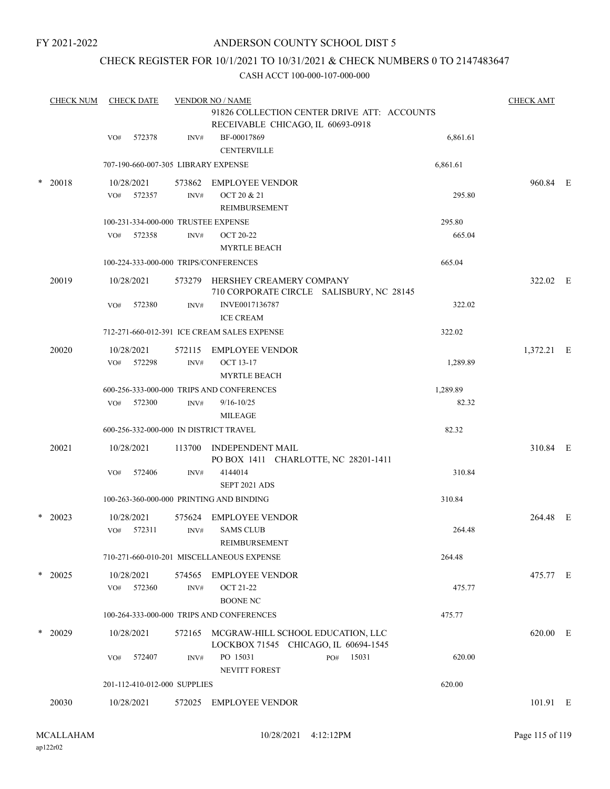FY 2021-2022

### ANDERSON COUNTY SCHOOL DIST 5

### CHECK REGISTER FOR 10/1/2021 TO 10/31/2021 & CHECK NUMBERS 0 TO 2147483647

|        | <b>CHECK NUM</b> |            | <b>CHECK DATE</b> |                              | <b>VENDOR NO / NAME</b>                                                          |     |       |          | <b>CHECK AMT</b> |  |
|--------|------------------|------------|-------------------|------------------------------|----------------------------------------------------------------------------------|-----|-------|----------|------------------|--|
|        |                  |            |                   |                              | 91826 COLLECTION CENTER DRIVE ATT: ACCOUNTS<br>RECEIVABLE CHICAGO, IL 60693-0918 |     |       |          |                  |  |
|        |                  | VO#        | 572378            | INV#                         | BF-00017869                                                                      |     |       | 6,861.61 |                  |  |
|        |                  |            |                   |                              | <b>CENTERVILLE</b>                                                               |     |       |          |                  |  |
|        |                  |            |                   |                              | 707-190-660-007-305 LIBRARY EXPENSE                                              |     |       | 6,861.61 |                  |  |
| $\ast$ | 20018            |            | 10/28/2021        | 573862                       | <b>EMPLOYEE VENDOR</b>                                                           |     |       |          | 960.84 E         |  |
|        |                  | VO#        | 572357            | INV#                         | OCT 20 & 21<br>REIMBURSEMENT                                                     |     |       | 295.80   |                  |  |
|        |                  |            |                   |                              | 100-231-334-000-000 TRUSTEE EXPENSE                                              |     |       | 295.80   |                  |  |
|        |                  | VO#        | 572358            | INV#                         | OCT 20-22<br><b>MYRTLE BEACH</b>                                                 |     |       | 665.04   |                  |  |
|        |                  |            |                   |                              | 100-224-333-000-000 TRIPS/CONFERENCES                                            |     |       | 665.04   |                  |  |
|        | 20019            | 10/28/2021 |                   |                              | 573279 HERSHEY CREAMERY COMPANY<br>710 CORPORATE CIRCLE SALISBURY, NC 28145      |     |       |          | 322.02 E         |  |
|        |                  | VO#        | 572380            | INV#                         | INVE0017136787<br><b>ICE CREAM</b>                                               |     |       | 322.02   |                  |  |
|        |                  |            |                   |                              | 712-271-660-012-391 ICE CREAM SALES EXPENSE                                      |     |       | 322.02   |                  |  |
|        | 20020            | 10/28/2021 |                   |                              | 572115 EMPLOYEE VENDOR                                                           |     |       |          | 1,372.21 E       |  |
|        |                  |            | VO# 572298        | INV#                         | <b>OCT 13-17</b>                                                                 |     |       | 1,289.89 |                  |  |
|        |                  |            |                   |                              | <b>MYRTLE BEACH</b>                                                              |     |       |          |                  |  |
|        |                  |            |                   |                              | 600-256-333-000-000 TRIPS AND CONFERENCES                                        |     |       | 1,289.89 |                  |  |
|        |                  | VO#        | 572300            | INV#                         | $9/16 - 10/25$                                                                   |     |       | 82.32    |                  |  |
|        |                  |            |                   |                              | <b>MILEAGE</b><br>600-256-332-000-000 IN DISTRICT TRAVEL                         |     |       | 82.32    |                  |  |
|        |                  |            |                   |                              |                                                                                  |     |       |          |                  |  |
|        | 20021            | 10/28/2021 |                   |                              | 113700 INDEPENDENT MAIL<br>PO BOX 1411 CHARLOTTE, NC 28201-1411                  |     |       |          | 310.84 E         |  |
|        |                  | VO#        | 572406            | INV#                         | 4144014<br>SEPT 2021 ADS                                                         |     |       | 310.84   |                  |  |
|        |                  |            |                   |                              | 100-263-360-000-000 PRINTING AND BINDING                                         |     |       | 310.84   |                  |  |
| $\ast$ | 20023            |            | 10/28/2021        | 575624                       | <b>EMPLOYEE VENDOR</b>                                                           |     |       |          | 264.48 E         |  |
|        |                  | VO#        | 572311            | INV#                         | <b>SAMS CLUB</b><br>REIMBURSEMENT                                                |     |       | 264.48   |                  |  |
|        |                  |            |                   |                              | 710-271-660-010-201 MISCELLANEOUS EXPENSE                                        |     |       | 264.48   |                  |  |
|        | $*$ 20025        | 10/28/2021 |                   | 574565                       | EMPLOYEE VENDOR                                                                  |     |       |          | 475.77 E         |  |
|        |                  | VO#        | 572360            | INV#                         | <b>OCT 21-22</b><br><b>BOONE NC</b>                                              |     |       | 475.77   |                  |  |
|        |                  |            |                   |                              | 100-264-333-000-000 TRIPS AND CONFERENCES                                        |     |       | 475.77   |                  |  |
|        | $*$ 20029        | 10/28/2021 |                   |                              | 572165 MCGRAW-HILL SCHOOL EDUCATION, LLC<br>LOCKBOX 71545 CHICAGO, IL 60694-1545 |     |       |          | 620.00 E         |  |
|        |                  | VO#        | 572407            | INV#                         | PO 15031<br><b>NEVITT FOREST</b>                                                 | PO# | 15031 | 620.00   |                  |  |
|        |                  |            |                   | 201-112-410-012-000 SUPPLIES |                                                                                  |     |       | 620.00   |                  |  |
|        | 20030            | 10/28/2021 |                   | 572025                       | <b>EMPLOYEE VENDOR</b>                                                           |     |       |          | 101.91 E         |  |
|        |                  |            |                   |                              |                                                                                  |     |       |          |                  |  |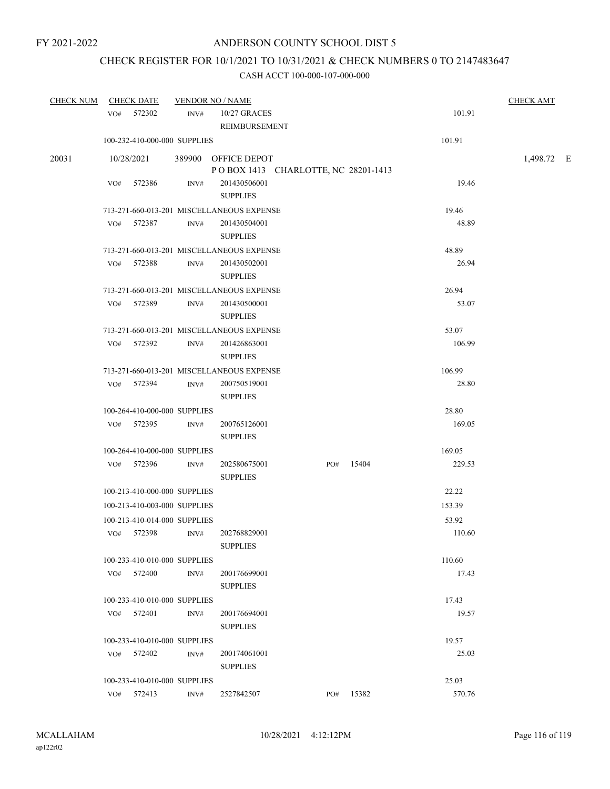## CHECK REGISTER FOR 10/1/2021 TO 10/31/2021 & CHECK NUMBERS 0 TO 2147483647

| <b>CHECK NUM</b> | <b>CHECK DATE</b> |        |                              | <b>VENDOR NO / NAME</b>                                    |     |       |        | <b>CHECK AMT</b> |  |
|------------------|-------------------|--------|------------------------------|------------------------------------------------------------|-----|-------|--------|------------------|--|
|                  | VO# 572302        |        | INV#                         | 10/27 GRACES<br>REIMBURSEMENT                              |     |       | 101.91 |                  |  |
|                  |                   |        | 100-232-410-000-000 SUPPLIES |                                                            |     |       | 101.91 |                  |  |
| 20031            | 10/28/2021        |        |                              | 389900 OFFICE DEPOT<br>POBOX 1413 CHARLOTTE, NC 28201-1413 |     |       |        | 1,498.72 E       |  |
|                  | VO#               | 572386 | INV#                         | 201430506001<br><b>SUPPLIES</b>                            |     |       | 19.46  |                  |  |
|                  |                   |        |                              | 713-271-660-013-201 MISCELLANEOUS EXPENSE                  |     |       | 19.46  |                  |  |
|                  | VO#               | 572387 | INV#                         | 201430504001<br><b>SUPPLIES</b>                            |     |       | 48.89  |                  |  |
|                  |                   |        |                              | 713-271-660-013-201 MISCELLANEOUS EXPENSE                  |     |       | 48.89  |                  |  |
|                  | VO#               | 572388 | INV#                         | 201430502001<br><b>SUPPLIES</b>                            |     |       | 26.94  |                  |  |
|                  |                   |        |                              | 713-271-660-013-201 MISCELLANEOUS EXPENSE                  |     |       | 26.94  |                  |  |
|                  | VO# 572389        |        | INV#                         | 201430500001<br><b>SUPPLIES</b>                            |     |       | 53.07  |                  |  |
|                  |                   |        |                              | 713-271-660-013-201 MISCELLANEOUS EXPENSE                  |     |       | 53.07  |                  |  |
|                  | VO# 572392        |        | INV#                         | 201426863001<br><b>SUPPLIES</b>                            |     |       | 106.99 |                  |  |
|                  |                   |        |                              | 713-271-660-013-201 MISCELLANEOUS EXPENSE                  |     |       | 106.99 |                  |  |
|                  | VO# 572394        |        | INV#                         | 200750519001<br><b>SUPPLIES</b>                            |     |       | 28.80  |                  |  |
|                  |                   |        | 100-264-410-000-000 SUPPLIES |                                                            |     |       | 28.80  |                  |  |
|                  | VO# 572395        |        | INV#                         | 200765126001<br><b>SUPPLIES</b>                            |     |       | 169.05 |                  |  |
|                  |                   |        | 100-264-410-000-000 SUPPLIES |                                                            |     |       | 169.05 |                  |  |
|                  | VO# 572396        |        | INV#                         | 202580675001<br><b>SUPPLIES</b>                            | PO# | 15404 | 229.53 |                  |  |
|                  |                   |        | 100-213-410-000-000 SUPPLIES |                                                            |     |       | 22.22  |                  |  |
|                  |                   |        | 100-213-410-003-000 SUPPLIES |                                                            |     |       | 153.39 |                  |  |
|                  |                   |        | 100-213-410-014-000 SUPPLIES |                                                            |     |       | 53.92  |                  |  |
|                  | VO# 572398        |        | INV#                         | 202768829001<br><b>SUPPLIES</b>                            |     |       | 110.60 |                  |  |
|                  |                   |        | 100-233-410-010-000 SUPPLIES |                                                            |     |       | 110.60 |                  |  |
|                  | $VO#$ 572400      |        | INV#                         | 200176699001<br><b>SUPPLIES</b>                            |     |       | 17.43  |                  |  |
|                  |                   |        | 100-233-410-010-000 SUPPLIES |                                                            |     |       | 17.43  |                  |  |
|                  | VO# 572401        |        | INV#                         | 200176694001<br><b>SUPPLIES</b>                            |     |       | 19.57  |                  |  |
|                  |                   |        | 100-233-410-010-000 SUPPLIES |                                                            |     |       | 19.57  |                  |  |
|                  | VO# 572402        |        | INV#                         | 200174061001<br><b>SUPPLIES</b>                            |     |       | 25.03  |                  |  |
|                  |                   |        | 100-233-410-010-000 SUPPLIES |                                                            |     |       | 25.03  |                  |  |
|                  | VO# 572413        |        | INV#                         | 2527842507                                                 | PO# | 15382 | 570.76 |                  |  |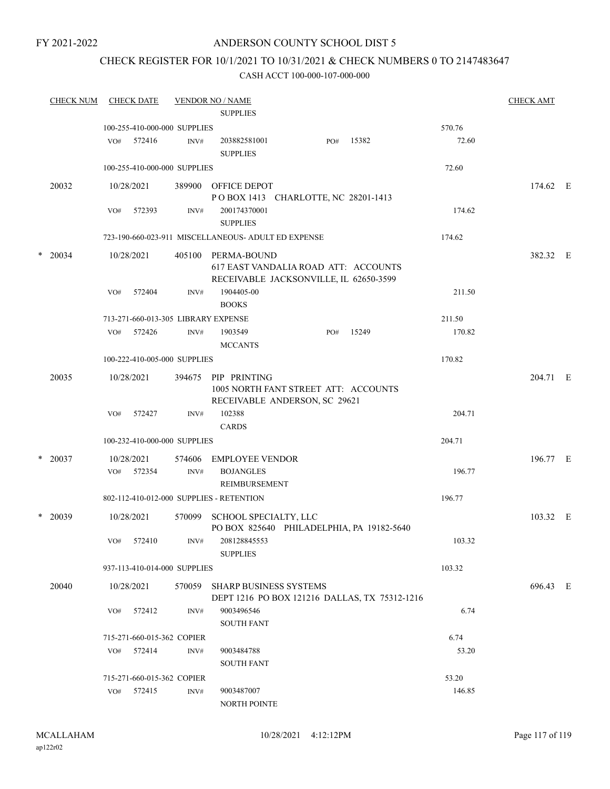### FY 2021-2022

### ANDERSON COUNTY SCHOOL DIST 5

### CHECK REGISTER FOR 10/1/2021 TO 10/31/2021 & CHECK NUMBERS 0 TO 2147483647

| <b>CHECK NUM</b> |     | <b>CHECK DATE</b>            |        | <b>VENDOR NO / NAME</b><br><b>SUPPLIES</b>                                                           |     |                                               |        | <b>CHECK AMT</b> |  |
|------------------|-----|------------------------------|--------|------------------------------------------------------------------------------------------------------|-----|-----------------------------------------------|--------|------------------|--|
|                  |     | 100-255-410-000-000 SUPPLIES |        |                                                                                                      |     |                                               | 570.76 |                  |  |
|                  |     | VO# 572416                   | INV#   | 203882581001<br><b>SUPPLIES</b>                                                                      | PO# | 15382                                         | 72.60  |                  |  |
|                  |     | 100-255-410-000-000 SUPPLIES |        |                                                                                                      |     |                                               | 72.60  |                  |  |
| 20032            |     | 10/28/2021                   |        | 389900 OFFICE DEPOT<br>POBOX 1413 CHARLOTTE, NC 28201-1413                                           |     |                                               |        | 174.62 E         |  |
|                  | VO# | 572393                       | INV#   | 200174370001<br><b>SUPPLIES</b>                                                                      |     |                                               | 174.62 |                  |  |
|                  |     |                              |        | 723-190-660-023-911 MISCELLANEOUS- ADULT ED EXPENSE                                                  |     |                                               | 174.62 |                  |  |
| $*$ 20034        |     | 10/28/2021                   |        | 405100 PERMA-BOUND<br>617 EAST VANDALIA ROAD ATT: ACCOUNTS<br>RECEIVABLE JACKSONVILLE, IL 62650-3599 |     |                                               |        | 382.32 E         |  |
|                  |     | VO# 572404                   | INV#   | 1904405-00<br><b>BOOKS</b>                                                                           |     |                                               | 211.50 |                  |  |
|                  |     |                              |        | 713-271-660-013-305 LIBRARY EXPENSE                                                                  |     |                                               | 211.50 |                  |  |
|                  | VO# | 572426                       | INV#   | 1903549<br><b>MCCANTS</b>                                                                            | PO# | 15249                                         | 170.82 |                  |  |
|                  |     | 100-222-410-005-000 SUPPLIES |        |                                                                                                      |     |                                               | 170.82 |                  |  |
| 20035            |     | 10/28/2021                   | 394675 | PIP PRINTING<br>1005 NORTH FANT STREET ATT: ACCOUNTS<br>RECEIVABLE ANDERSON, SC 29621                |     |                                               |        | 204.71 E         |  |
|                  | VO# | 572427                       | INV#   | 102388<br><b>CARDS</b>                                                                               |     |                                               | 204.71 |                  |  |
|                  |     | 100-232-410-000-000 SUPPLIES |        |                                                                                                      |     |                                               | 204.71 |                  |  |
| $*$ 20037        |     | 10/28/2021                   | 574606 | EMPLOYEE VENDOR                                                                                      |     |                                               |        | 196.77 E         |  |
|                  |     | VO# 572354                   | INV#   | <b>BOJANGLES</b><br><b>REIMBURSEMENT</b>                                                             |     |                                               | 196.77 |                  |  |
|                  |     |                              |        | 802-112-410-012-000 SUPPLIES - RETENTION                                                             |     |                                               | 196.77 |                  |  |
| $*$ 20039        |     | 10/28/2021                   | 570099 | SCHOOL SPECIALTY, LLC                                                                                |     | PO BOX 825640 PHILADELPHIA, PA 19182-5640     |        | 103.32 E         |  |
|                  |     | VO# 572410                   | INV#   | 208128845553<br><b>SUPPLIES</b>                                                                      |     |                                               | 103.32 |                  |  |
|                  |     | 937-113-410-014-000 SUPPLIES |        |                                                                                                      |     |                                               | 103.32 |                  |  |
| 20040            |     | 10/28/2021                   | 570059 | <b>SHARP BUSINESS SYSTEMS</b>                                                                        |     | DEPT 1216 PO BOX 121216 DALLAS, TX 75312-1216 |        | 696.43 E         |  |
|                  | VO# | 572412                       | INV#   | 9003496546<br><b>SOUTH FANT</b>                                                                      |     |                                               | 6.74   |                  |  |
|                  |     | 715-271-660-015-362 COPIER   |        |                                                                                                      |     |                                               | 6.74   |                  |  |
|                  | VO# | 572414                       | INV#   | 9003484788<br><b>SOUTH FANT</b>                                                                      |     |                                               | 53.20  |                  |  |
|                  |     | 715-271-660-015-362 COPIER   |        |                                                                                                      |     |                                               | 53.20  |                  |  |
|                  | VO# | 572415                       | INV#   | 9003487007<br>NORTH POINTE                                                                           |     |                                               | 146.85 |                  |  |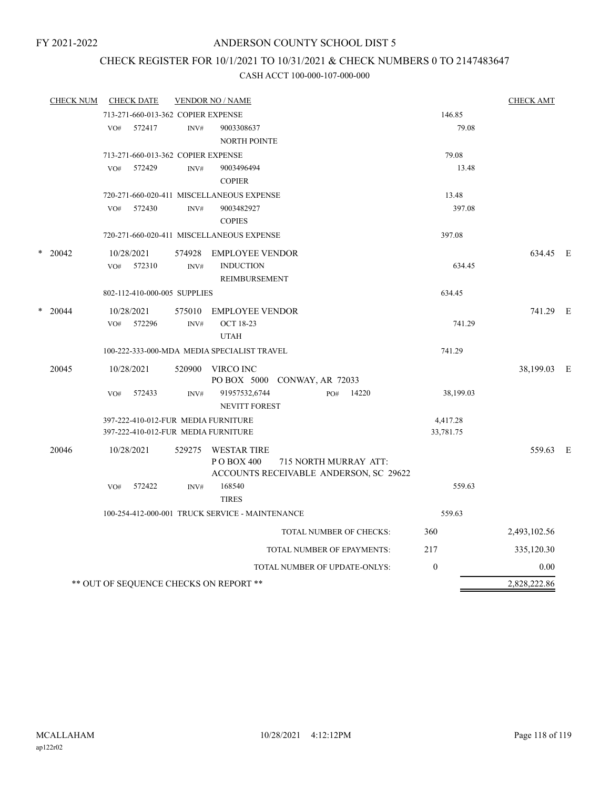## CHECK REGISTER FOR 10/1/2021 TO 10/31/2021 & CHECK NUMBERS 0 TO 2147483647

|                 | <b>CHECK NUM</b> | <b>CHECK DATE</b>                                                          |                | <b>VENDOR NO / NAME</b>                                                                              |                       | <b>CHECK AMT</b> |  |
|-----------------|------------------|----------------------------------------------------------------------------|----------------|------------------------------------------------------------------------------------------------------|-----------------------|------------------|--|
|                 |                  | 713-271-660-013-362 COPIER EXPENSE                                         |                |                                                                                                      | 146.85                |                  |  |
|                 |                  | 572417<br>VO#                                                              | INV#           | 9003308637<br><b>NORTH POINTE</b>                                                                    | 79.08                 |                  |  |
|                 |                  | 713-271-660-013-362 COPIER EXPENSE                                         |                |                                                                                                      | 79.08                 |                  |  |
|                 |                  | 572429<br>VO#                                                              | INV#           | 9003496494<br><b>COPIER</b>                                                                          | 13.48                 |                  |  |
|                 |                  |                                                                            |                | 720-271-660-020-411 MISCELLANEOUS EXPENSE                                                            | 13.48                 |                  |  |
|                 |                  | VO#<br>572430                                                              | INV#           | 9003482927<br><b>COPIES</b>                                                                          | 397.08                |                  |  |
| $\ast$<br>20042 |                  |                                                                            |                | 720-271-660-020-411 MISCELLANEOUS EXPENSE                                                            | 397.08                |                  |  |
|                 |                  | 10/28/2021                                                                 | 574928         | <b>EMPLOYEE VENDOR</b>                                                                               |                       | 634.45 E         |  |
|                 |                  | 572310<br>VO#                                                              | INV#           | <b>INDUCTION</b><br>REIMBURSEMENT                                                                    | 634.45                |                  |  |
|                 |                  | 802-112-410-000-005 SUPPLIES                                               |                |                                                                                                      | 634.45                |                  |  |
| *               | 20044            | 10/28/2021<br>572296<br>VO#                                                | 575010<br>INV# | <b>EMPLOYEE VENDOR</b><br><b>OCT 18-23</b><br><b>UTAH</b>                                            | 741.29                | 741.29 E         |  |
|                 |                  |                                                                            |                | 100-222-333-000-MDA MEDIA SPECIALIST TRAVEL                                                          | 741.29                |                  |  |
|                 |                  |                                                                            |                |                                                                                                      |                       |                  |  |
|                 | 20045            | 10/28/2021                                                                 | 520900         | VIRCO INC<br>PO BOX 5000 CONWAY, AR 72033                                                            |                       | 38,199.03 E      |  |
|                 |                  | VO#<br>572433                                                              | INV#           | 91957532,6744<br>14220<br>PO#<br><b>NEVITT FOREST</b>                                                | 38,199.03             |                  |  |
|                 |                  | 397-222-410-012-FUR MEDIA FURNITURE<br>397-222-410-012-FUR MEDIA FURNITURE |                |                                                                                                      | 4,417.28<br>33,781.75 |                  |  |
|                 | 20046            | 10/28/2021                                                                 | 529275         | <b>WESTAR TIRE</b><br>P O BOX 400<br>715 NORTH MURRAY ATT:<br>ACCOUNTS RECEIVABLE ANDERSON, SC 29622 |                       | 559.63 E         |  |
|                 |                  | 572422<br>VO#                                                              | INV#           | 168540<br><b>TIRES</b>                                                                               | 559.63                |                  |  |
|                 |                  |                                                                            |                | 100-254-412-000-001 TRUCK SERVICE - MAINTENANCE                                                      | 559.63                |                  |  |
|                 |                  |                                                                            |                | TOTAL NUMBER OF CHECKS:                                                                              | 360                   | 2,493,102.56     |  |
|                 |                  |                                                                            |                | TOTAL NUMBER OF EPAYMENTS:                                                                           | 217                   | 335,120.30       |  |
|                 |                  |                                                                            |                | TOTAL NUMBER OF UPDATE-ONLYS:                                                                        | $\theta$              | 0.00             |  |
|                 |                  | ** OUT OF SEQUENCE CHECKS ON REPORT **                                     |                |                                                                                                      |                       | 2,828,222.86     |  |